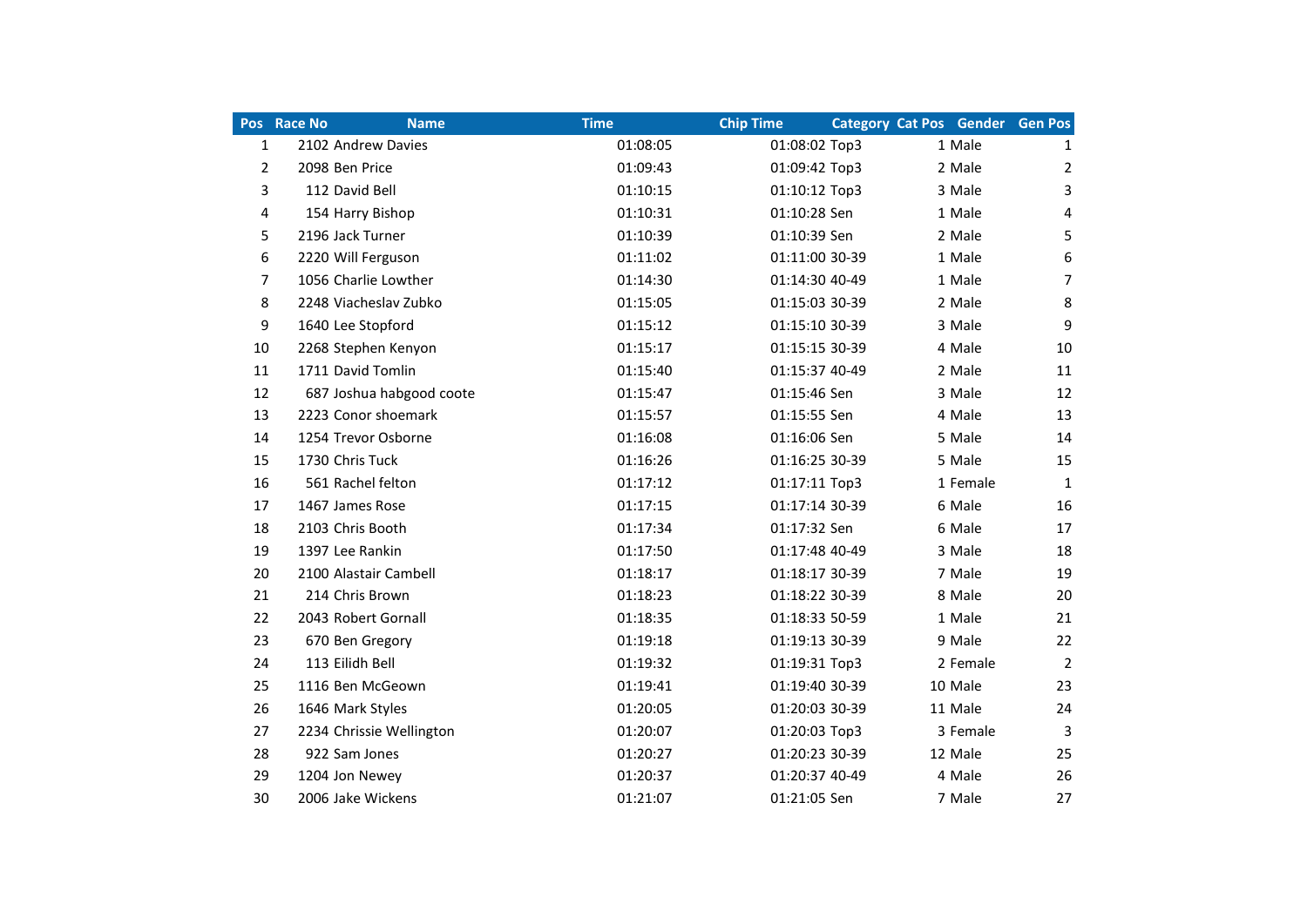|                | Pos Race No<br><b>Name</b> | <b>Time</b> | <b>Chip Time</b> | <b>Category Cat Pos Gender Gen Pos</b> |                |
|----------------|----------------------------|-------------|------------------|----------------------------------------|----------------|
| 1              | 2102 Andrew Davies         | 01:08:05    | 01:08:02 Top3    | 1 Male                                 | $\mathbf{1}$   |
| $\overline{2}$ | 2098 Ben Price             | 01:09:43    | 01:09:42 Top3    | 2 Male                                 | 2              |
| 3              | 112 David Bell             | 01:10:15    | 01:10:12 Top3    | 3 Male                                 | 3              |
| 4              | 154 Harry Bishop           | 01:10:31    | 01:10:28 Sen     | 1 Male                                 | 4              |
| 5              | 2196 Jack Turner           | 01:10:39    | 01:10:39 Sen     | 2 Male                                 | 5              |
| 6              | 2220 Will Ferguson         | 01:11:02    | 01:11:00 30-39   | 1 Male                                 | 6              |
| 7              | 1056 Charlie Lowther       | 01:14:30    | 01:14:30 40-49   | 1 Male                                 | $\overline{7}$ |
| 8              | 2248 Viacheslav Zubko      | 01:15:05    | 01:15:03 30-39   | 2 Male                                 | 8              |
| 9              | 1640 Lee Stopford          | 01:15:12    | 01:15:10 30-39   | 3 Male                                 | 9              |
| 10             | 2268 Stephen Kenyon        | 01:15:17    | 01:15:15 30-39   | 4 Male                                 | 10             |
| 11             | 1711 David Tomlin          | 01:15:40    | 01:15:37 40-49   | 2 Male                                 | 11             |
| 12             | 687 Joshua habgood coote   | 01:15:47    | 01:15:46 Sen     | 3 Male                                 | 12             |
| 13             | 2223 Conor shoemark        | 01:15:57    | 01:15:55 Sen     | 4 Male                                 | 13             |
| 14             | 1254 Trevor Osborne        | 01:16:08    | 01:16:06 Sen     | 5 Male                                 | 14             |
| 15             | 1730 Chris Tuck            | 01:16:26    | 01:16:25 30-39   | 5 Male                                 | 15             |
| 16             | 561 Rachel felton          | 01:17:12    | 01:17:11 Top3    | 1 Female                               | 1              |
| 17             | 1467 James Rose            | 01:17:15    | 01:17:14 30-39   | 6 Male                                 | 16             |
| 18             | 2103 Chris Booth           | 01:17:34    | 01:17:32 Sen     | 6 Male                                 | 17             |
| 19             | 1397 Lee Rankin            | 01:17:50    | 01:17:48 40-49   | 3 Male                                 | 18             |
| 20             | 2100 Alastair Cambell      | 01:18:17    | 01:18:17 30-39   | 7 Male                                 | 19             |
| 21             | 214 Chris Brown            | 01:18:23    | 01:18:22 30-39   | 8 Male                                 | 20             |
| 22             | 2043 Robert Gornall        | 01:18:35    | 01:18:33 50-59   | 1 Male                                 | 21             |
| 23             | 670 Ben Gregory            | 01:19:18    | 01:19:13 30-39   | 9 Male                                 | 22             |
| 24             | 113 Eilidh Bell            | 01:19:32    | 01:19:31 Top3    | 2 Female                               | $\overline{2}$ |
| 25             | 1116 Ben McGeown           | 01:19:41    | 01:19:40 30-39   | 10 Male                                | 23             |
| 26             | 1646 Mark Styles           | 01:20:05    | 01:20:03 30-39   | 11 Male                                | 24             |
| 27             | 2234 Chrissie Wellington   | 01:20:07    | 01:20:03 Top3    | 3 Female                               | 3              |
| 28             | 922 Sam Jones              | 01:20:27    | 01:20:23 30-39   | 12 Male                                | 25             |
| 29             | 1204 Jon Newey             | 01:20:37    | 01:20:37 40-49   | 4 Male                                 | 26             |
| 30             | 2006 Jake Wickens          | 01:21:07    | 01:21:05 Sen     | 7 Male                                 | 27             |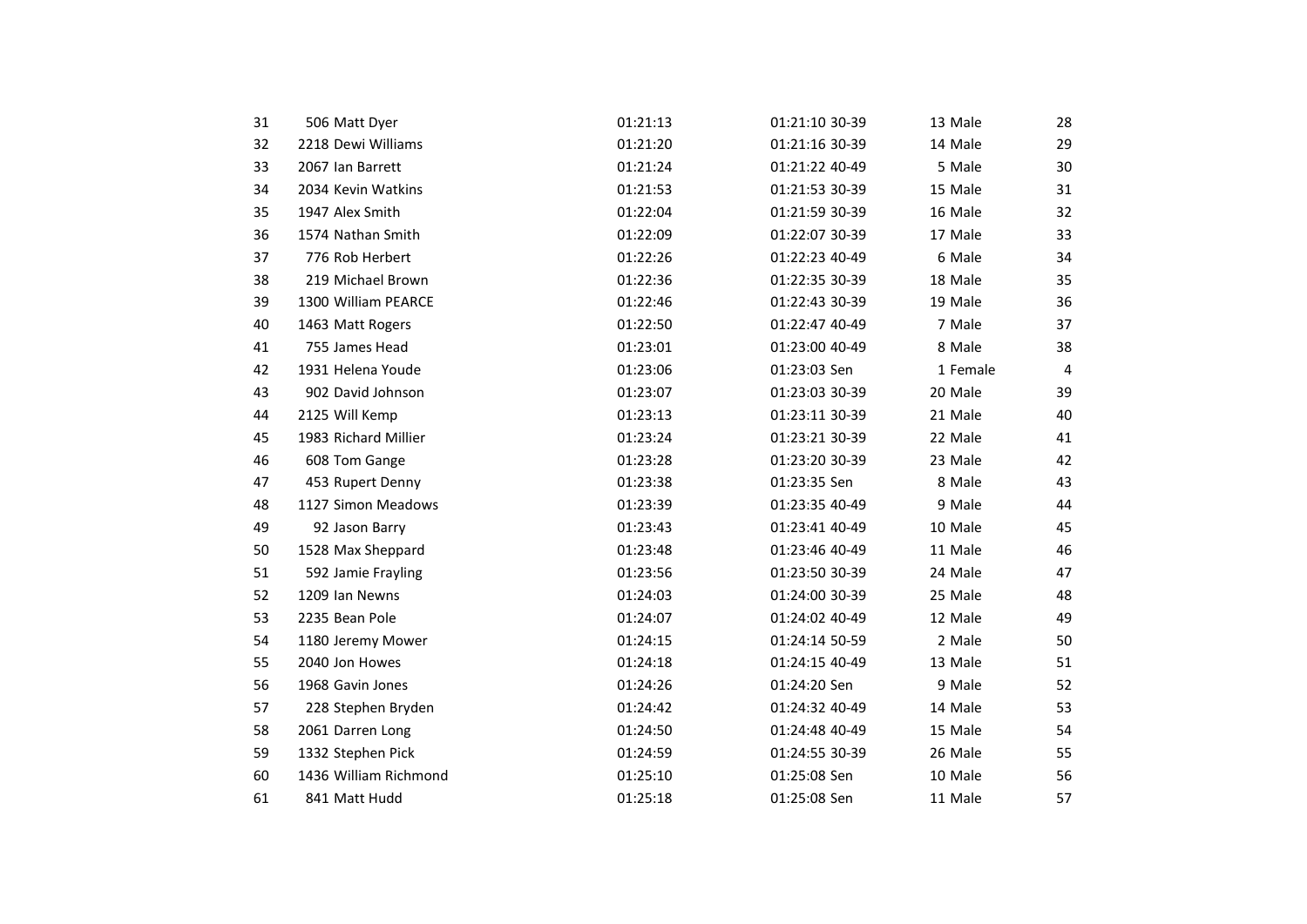| 31 | 506 Matt Dyer         | 01:21:13 | 01:21:10 30-39 | 13 Male  | 28 |
|----|-----------------------|----------|----------------|----------|----|
| 32 | 2218 Dewi Williams    | 01:21:20 | 01:21:16 30-39 | 14 Male  | 29 |
| 33 | 2067 Ian Barrett      | 01:21:24 | 01:21:22 40-49 | 5 Male   | 30 |
| 34 | 2034 Kevin Watkins    | 01:21:53 | 01:21:53 30-39 | 15 Male  | 31 |
| 35 | 1947 Alex Smith       | 01:22:04 | 01:21:59 30-39 | 16 Male  | 32 |
| 36 | 1574 Nathan Smith     | 01:22:09 | 01:22:07 30-39 | 17 Male  | 33 |
| 37 | 776 Rob Herbert       | 01:22:26 | 01:22:23 40-49 | 6 Male   | 34 |
| 38 | 219 Michael Brown     | 01:22:36 | 01:22:35 30-39 | 18 Male  | 35 |
| 39 | 1300 William PEARCE   | 01:22:46 | 01:22:43 30-39 | 19 Male  | 36 |
| 40 | 1463 Matt Rogers      | 01:22:50 | 01:22:47 40-49 | 7 Male   | 37 |
| 41 | 755 James Head        | 01:23:01 | 01:23:00 40-49 | 8 Male   | 38 |
| 42 | 1931 Helena Youde     | 01:23:06 | 01:23:03 Sen   | 1 Female | 4  |
| 43 | 902 David Johnson     | 01:23:07 | 01:23:03 30-39 | 20 Male  | 39 |
| 44 | 2125 Will Kemp        | 01:23:13 | 01:23:11 30-39 | 21 Male  | 40 |
| 45 | 1983 Richard Millier  | 01:23:24 | 01:23:21 30-39 | 22 Male  | 41 |
| 46 | 608 Tom Gange         | 01:23:28 | 01:23:20 30-39 | 23 Male  | 42 |
| 47 | 453 Rupert Denny      | 01:23:38 | 01:23:35 Sen   | 8 Male   | 43 |
| 48 | 1127 Simon Meadows    | 01:23:39 | 01:23:35 40-49 | 9 Male   | 44 |
| 49 | 92 Jason Barry        | 01:23:43 | 01:23:41 40-49 | 10 Male  | 45 |
| 50 | 1528 Max Sheppard     | 01:23:48 | 01:23:46 40-49 | 11 Male  | 46 |
| 51 | 592 Jamie Frayling    | 01:23:56 | 01:23:50 30-39 | 24 Male  | 47 |
| 52 | 1209 Ian Newns        | 01:24:03 | 01:24:00 30-39 | 25 Male  | 48 |
| 53 | 2235 Bean Pole        | 01:24:07 | 01:24:02 40-49 | 12 Male  | 49 |
| 54 | 1180 Jeremy Mower     | 01:24:15 | 01:24:14 50-59 | 2 Male   | 50 |
| 55 | 2040 Jon Howes        | 01:24:18 | 01:24:15 40-49 | 13 Male  | 51 |
| 56 | 1968 Gavin Jones      | 01:24:26 | 01:24:20 Sen   | 9 Male   | 52 |
| 57 | 228 Stephen Bryden    | 01:24:42 | 01:24:32 40-49 | 14 Male  | 53 |
| 58 | 2061 Darren Long      | 01:24:50 | 01:24:48 40-49 | 15 Male  | 54 |
| 59 | 1332 Stephen Pick     | 01:24:59 | 01:24:55 30-39 | 26 Male  | 55 |
| 60 | 1436 William Richmond | 01:25:10 | 01:25:08 Sen   | 10 Male  | 56 |
| 61 | 841 Matt Hudd         | 01:25:18 | 01:25:08 Sen   | 11 Male  | 57 |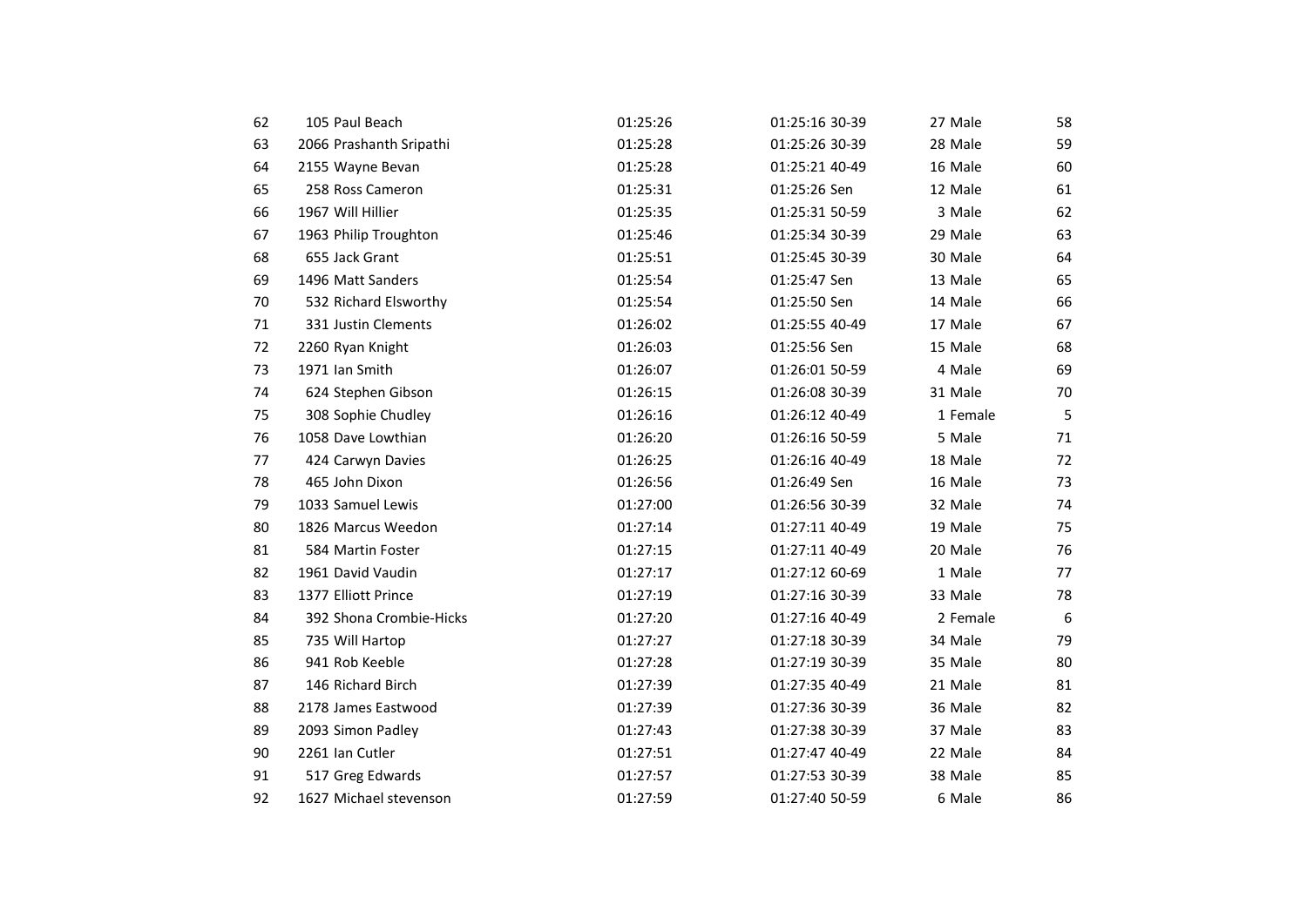| 62 | 105 Paul Beach          | 01:25:26 | 01:25:16 30-39 | 27 Male  | 58 |
|----|-------------------------|----------|----------------|----------|----|
| 63 | 2066 Prashanth Sripathi | 01:25:28 | 01:25:26 30-39 | 28 Male  | 59 |
| 64 | 2155 Wayne Bevan        | 01:25:28 | 01:25:21 40-49 | 16 Male  | 60 |
| 65 | 258 Ross Cameron        | 01:25:31 | 01:25:26 Sen   | 12 Male  | 61 |
| 66 | 1967 Will Hillier       | 01:25:35 | 01:25:31 50-59 | 3 Male   | 62 |
| 67 | 1963 Philip Troughton   | 01:25:46 | 01:25:34 30-39 | 29 Male  | 63 |
| 68 | 655 Jack Grant          | 01:25:51 | 01:25:45 30-39 | 30 Male  | 64 |
| 69 | 1496 Matt Sanders       | 01:25:54 | 01:25:47 Sen   | 13 Male  | 65 |
| 70 | 532 Richard Elsworthy   | 01:25:54 | 01:25:50 Sen   | 14 Male  | 66 |
| 71 | 331 Justin Clements     | 01:26:02 | 01:25:55 40-49 | 17 Male  | 67 |
| 72 | 2260 Ryan Knight        | 01:26:03 | 01:25:56 Sen   | 15 Male  | 68 |
| 73 | 1971 Ian Smith          | 01:26:07 | 01:26:01 50-59 | 4 Male   | 69 |
| 74 | 624 Stephen Gibson      | 01:26:15 | 01:26:08 30-39 | 31 Male  | 70 |
| 75 | 308 Sophie Chudley      | 01:26:16 | 01:26:12 40-49 | 1 Female | 5  |
| 76 | 1058 Dave Lowthian      | 01:26:20 | 01:26:16 50-59 | 5 Male   | 71 |
| 77 | 424 Carwyn Davies       | 01:26:25 | 01:26:16 40-49 | 18 Male  | 72 |
| 78 | 465 John Dixon          | 01:26:56 | 01:26:49 Sen   | 16 Male  | 73 |
| 79 | 1033 Samuel Lewis       | 01:27:00 | 01:26:56 30-39 | 32 Male  | 74 |
| 80 | 1826 Marcus Weedon      | 01:27:14 | 01:27:11 40-49 | 19 Male  | 75 |
| 81 | 584 Martin Foster       | 01:27:15 | 01:27:11 40-49 | 20 Male  | 76 |
| 82 | 1961 David Vaudin       | 01:27:17 | 01:27:12 60-69 | 1 Male   | 77 |
| 83 | 1377 Elliott Prince     | 01:27:19 | 01:27:16 30-39 | 33 Male  | 78 |
| 84 | 392 Shona Crombie-Hicks | 01:27:20 | 01:27:16 40-49 | 2 Female | 6  |
| 85 | 735 Will Hartop         | 01:27:27 | 01:27:18 30-39 | 34 Male  | 79 |
| 86 | 941 Rob Keeble          | 01:27:28 | 01:27:19 30-39 | 35 Male  | 80 |
| 87 | 146 Richard Birch       | 01:27:39 | 01:27:35 40-49 | 21 Male  | 81 |
| 88 | 2178 James Eastwood     | 01:27:39 | 01:27:36 30-39 | 36 Male  | 82 |
| 89 | 2093 Simon Padley       | 01:27:43 | 01:27:38 30-39 | 37 Male  | 83 |
| 90 | 2261 Ian Cutler         | 01:27:51 | 01:27:47 40-49 | 22 Male  | 84 |
| 91 | 517 Greg Edwards        | 01:27:57 | 01:27:53 30-39 | 38 Male  | 85 |
| 92 | 1627 Michael stevenson  | 01:27:59 | 01:27:40 50-59 | 6 Male   | 86 |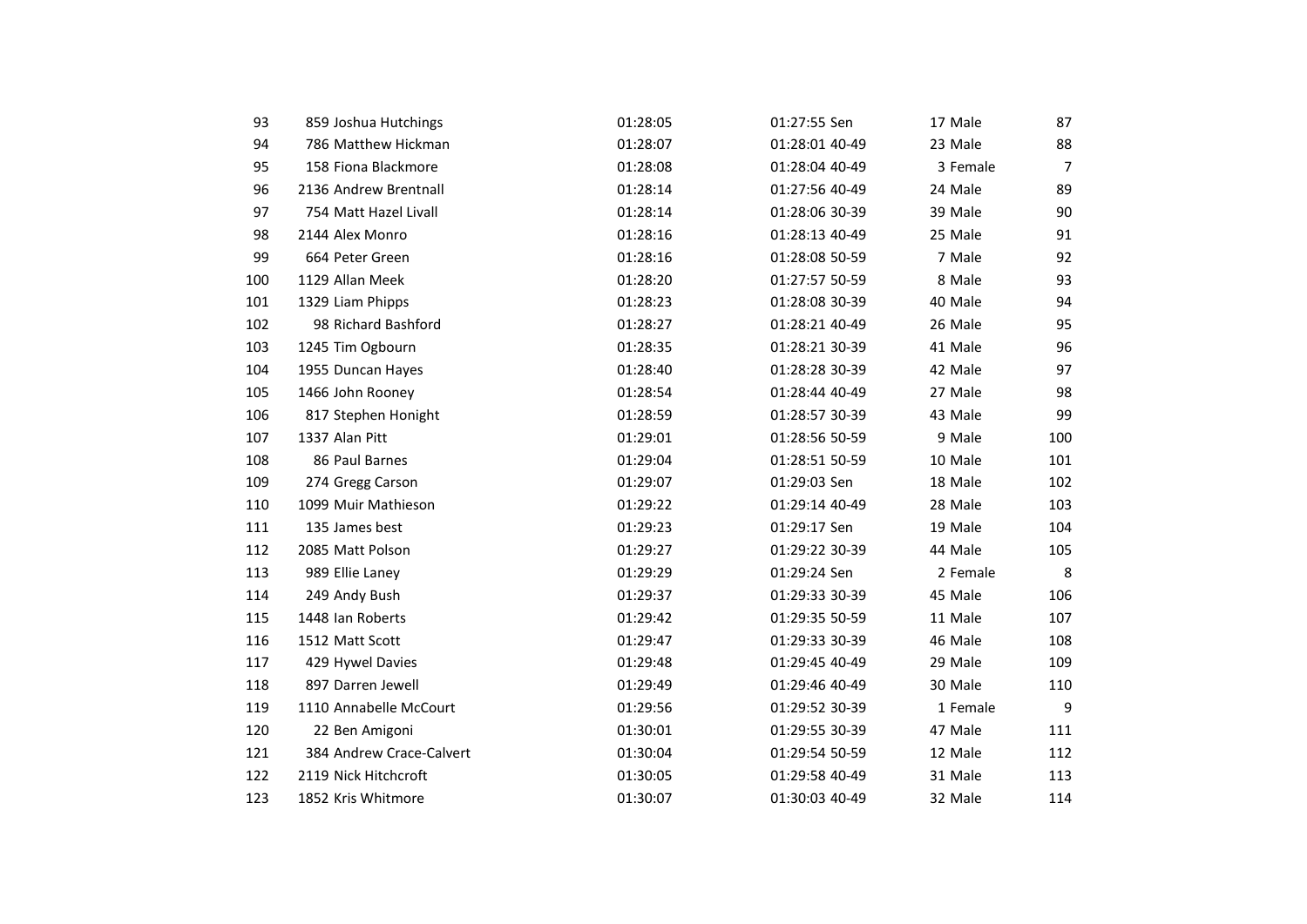| 93  | 859 Joshua Hutchings     | 01:28:05 | 01:27:55 Sen   | 17 Male  | 87             |
|-----|--------------------------|----------|----------------|----------|----------------|
| 94  | 786 Matthew Hickman      | 01:28:07 | 01:28:01 40-49 | 23 Male  | 88             |
| 95  | 158 Fiona Blackmore      | 01:28:08 | 01:28:04 40-49 | 3 Female | $\overline{7}$ |
| 96  | 2136 Andrew Brentnall    | 01:28:14 | 01:27:56 40-49 | 24 Male  | 89             |
| 97  | 754 Matt Hazel Livall    | 01:28:14 | 01:28:06 30-39 | 39 Male  | 90             |
| 98  | 2144 Alex Monro          | 01:28:16 | 01:28:13 40-49 | 25 Male  | 91             |
| 99  | 664 Peter Green          | 01:28:16 | 01:28:08 50-59 | 7 Male   | 92             |
| 100 | 1129 Allan Meek          | 01:28:20 | 01:27:57 50-59 | 8 Male   | 93             |
| 101 | 1329 Liam Phipps         | 01:28:23 | 01:28:08 30-39 | 40 Male  | 94             |
| 102 | 98 Richard Bashford      | 01:28:27 | 01:28:21 40-49 | 26 Male  | 95             |
| 103 | 1245 Tim Ogbourn         | 01:28:35 | 01:28:21 30-39 | 41 Male  | 96             |
| 104 | 1955 Duncan Hayes        | 01:28:40 | 01:28:28 30-39 | 42 Male  | 97             |
| 105 | 1466 John Rooney         | 01:28:54 | 01:28:44 40-49 | 27 Male  | 98             |
| 106 | 817 Stephen Honight      | 01:28:59 | 01:28:57 30-39 | 43 Male  | 99             |
| 107 | 1337 Alan Pitt           | 01:29:01 | 01:28:56 50-59 | 9 Male   | 100            |
| 108 | 86 Paul Barnes           | 01:29:04 | 01:28:51 50-59 | 10 Male  | 101            |
| 109 | 274 Gregg Carson         | 01:29:07 | 01:29:03 Sen   | 18 Male  | 102            |
| 110 | 1099 Muir Mathieson      | 01:29:22 | 01:29:14 40-49 | 28 Male  | 103            |
| 111 | 135 James best           | 01:29:23 | 01:29:17 Sen   | 19 Male  | 104            |
| 112 | 2085 Matt Polson         | 01:29:27 | 01:29:22 30-39 | 44 Male  | 105            |
| 113 | 989 Ellie Laney          | 01:29:29 | 01:29:24 Sen   | 2 Female | 8              |
| 114 | 249 Andy Bush            | 01:29:37 | 01:29:33 30-39 | 45 Male  | 106            |
| 115 | 1448 Ian Roberts         | 01:29:42 | 01:29:35 50-59 | 11 Male  | 107            |
| 116 | 1512 Matt Scott          | 01:29:47 | 01:29:33 30-39 | 46 Male  | 108            |
| 117 | 429 Hywel Davies         | 01:29:48 | 01:29:45 40-49 | 29 Male  | 109            |
| 118 | 897 Darren Jewell        | 01:29:49 | 01:29:46 40-49 | 30 Male  | 110            |
| 119 | 1110 Annabelle McCourt   | 01:29:56 | 01:29:52 30-39 | 1 Female | 9              |
| 120 | 22 Ben Amigoni           | 01:30:01 | 01:29:55 30-39 | 47 Male  | 111            |
| 121 | 384 Andrew Crace-Calvert | 01:30:04 | 01:29:54 50-59 | 12 Male  | 112            |
| 122 | 2119 Nick Hitchcroft     | 01:30:05 | 01:29:58 40-49 | 31 Male  | 113            |
| 123 | 1852 Kris Whitmore       | 01:30:07 | 01:30:03 40-49 | 32 Male  | 114            |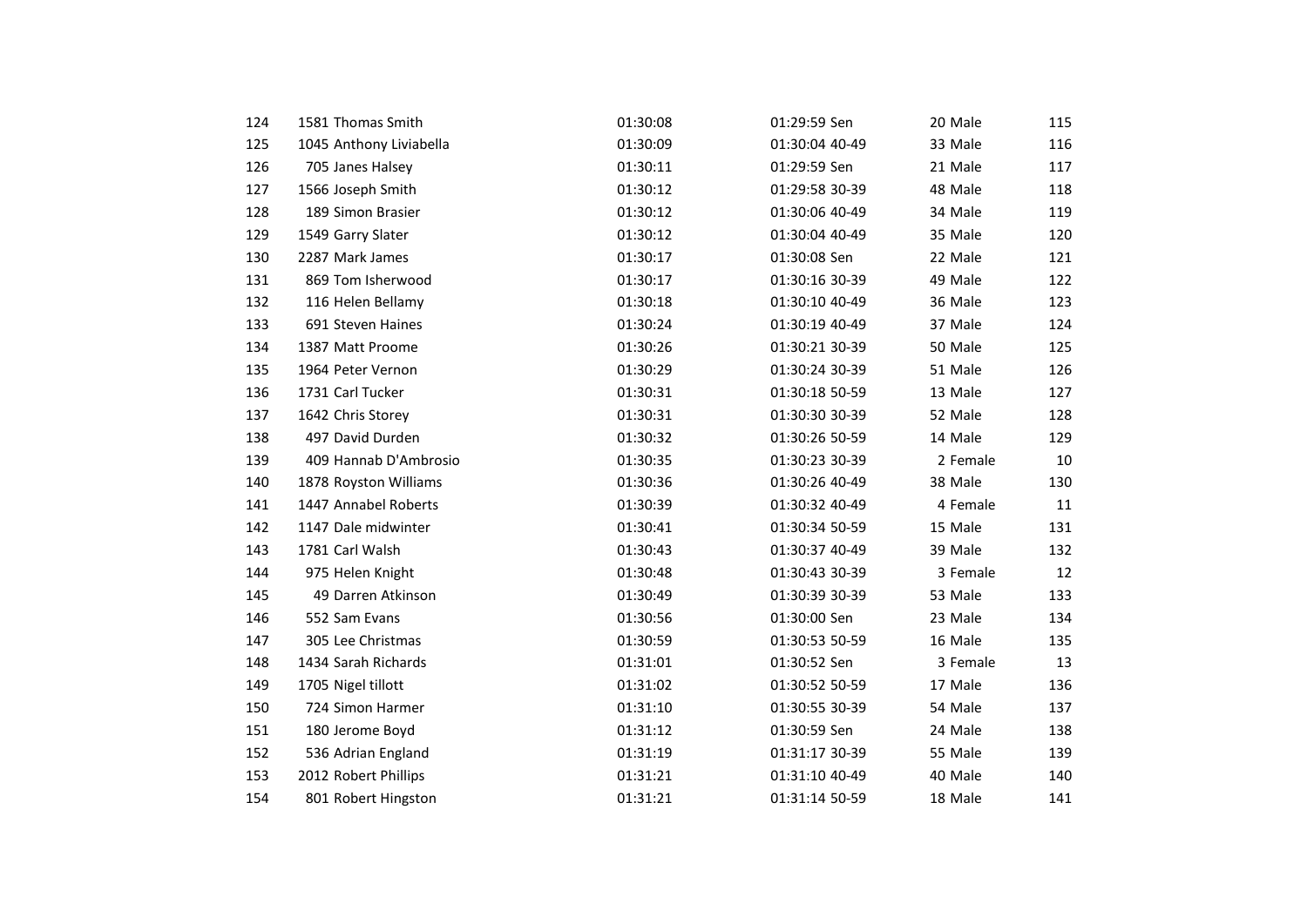| 124 | 1581 Thomas Smith       | 01:30:08 | 01:29:59 Sen   | 20 Male  | 115 |
|-----|-------------------------|----------|----------------|----------|-----|
| 125 | 1045 Anthony Liviabella | 01:30:09 | 01:30:04 40-49 | 33 Male  | 116 |
| 126 | 705 Janes Halsey        | 01:30:11 | 01:29:59 Sen   | 21 Male  | 117 |
| 127 | 1566 Joseph Smith       | 01:30:12 | 01:29:58 30-39 | 48 Male  | 118 |
| 128 | 189 Simon Brasier       | 01:30:12 | 01:30:06 40-49 | 34 Male  | 119 |
| 129 | 1549 Garry Slater       | 01:30:12 | 01:30:04 40-49 | 35 Male  | 120 |
| 130 | 2287 Mark James         | 01:30:17 | 01:30:08 Sen   | 22 Male  | 121 |
| 131 | 869 Tom Isherwood       | 01:30:17 | 01:30:16 30-39 | 49 Male  | 122 |
| 132 | 116 Helen Bellamy       | 01:30:18 | 01:30:10 40-49 | 36 Male  | 123 |
| 133 | 691 Steven Haines       | 01:30:24 | 01:30:19 40-49 | 37 Male  | 124 |
| 134 | 1387 Matt Proome        | 01:30:26 | 01:30:21 30-39 | 50 Male  | 125 |
| 135 | 1964 Peter Vernon       | 01:30:29 | 01:30:24 30-39 | 51 Male  | 126 |
| 136 | 1731 Carl Tucker        | 01:30:31 | 01:30:18 50-59 | 13 Male  | 127 |
| 137 | 1642 Chris Storey       | 01:30:31 | 01:30:30 30-39 | 52 Male  | 128 |
| 138 | 497 David Durden        | 01:30:32 | 01:30:26 50-59 | 14 Male  | 129 |
| 139 | 409 Hannab D'Ambrosio   | 01:30:35 | 01:30:23 30-39 | 2 Female | 10  |
| 140 | 1878 Royston Williams   | 01:30:36 | 01:30:26 40-49 | 38 Male  | 130 |
| 141 | 1447 Annabel Roberts    | 01:30:39 | 01:30:32 40-49 | 4 Female | 11  |
| 142 | 1147 Dale midwinter     | 01:30:41 | 01:30:34 50-59 | 15 Male  | 131 |
| 143 | 1781 Carl Walsh         | 01:30:43 | 01:30:37 40-49 | 39 Male  | 132 |
| 144 | 975 Helen Knight        | 01:30:48 | 01:30:43 30-39 | 3 Female | 12  |
| 145 | 49 Darren Atkinson      | 01:30:49 | 01:30:39 30-39 | 53 Male  | 133 |
| 146 | 552 Sam Evans           | 01:30:56 | 01:30:00 Sen   | 23 Male  | 134 |
| 147 | 305 Lee Christmas       | 01:30:59 | 01:30:53 50-59 | 16 Male  | 135 |
| 148 | 1434 Sarah Richards     | 01:31:01 | 01:30:52 Sen   | 3 Female | 13  |
| 149 | 1705 Nigel tillott      | 01:31:02 | 01:30:52 50-59 | 17 Male  | 136 |
| 150 | 724 Simon Harmer        | 01:31:10 | 01:30:55 30-39 | 54 Male  | 137 |
| 151 | 180 Jerome Boyd         | 01:31:12 | 01:30:59 Sen   | 24 Male  | 138 |
| 152 | 536 Adrian England      | 01:31:19 | 01:31:17 30-39 | 55 Male  | 139 |
| 153 | 2012 Robert Phillips    | 01:31:21 | 01:31:10 40-49 | 40 Male  | 140 |
| 154 | 801 Robert Hingston     | 01:31:21 | 01:31:14 50-59 | 18 Male  | 141 |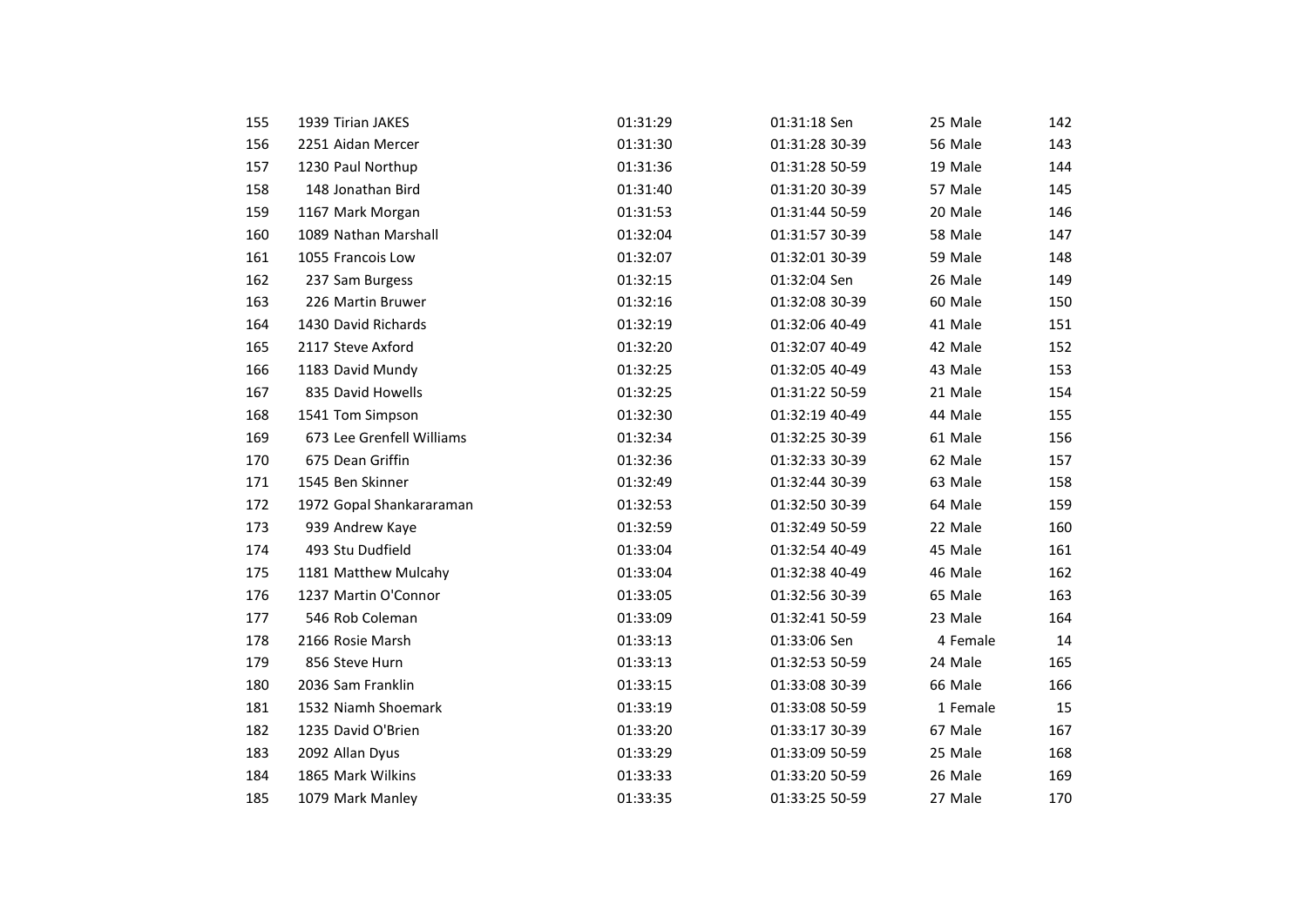| 155 | 1939 Tirian JAKES         | 01:31:29 | 01:31:18 Sen   | 25 Male  | 142 |
|-----|---------------------------|----------|----------------|----------|-----|
| 156 | 2251 Aidan Mercer         | 01:31:30 | 01:31:28 30-39 | 56 Male  | 143 |
| 157 | 1230 Paul Northup         | 01:31:36 | 01:31:28 50-59 | 19 Male  | 144 |
| 158 | 148 Jonathan Bird         | 01:31:40 | 01:31:20 30-39 | 57 Male  | 145 |
|     |                           |          |                |          |     |
| 159 | 1167 Mark Morgan          | 01:31:53 | 01:31:44 50-59 | 20 Male  | 146 |
| 160 | 1089 Nathan Marshall      | 01:32:04 | 01:31:57 30-39 | 58 Male  | 147 |
| 161 | 1055 Francois Low         | 01:32:07 | 01:32:01 30-39 | 59 Male  | 148 |
| 162 | 237 Sam Burgess           | 01:32:15 | 01:32:04 Sen   | 26 Male  | 149 |
| 163 | 226 Martin Bruwer         | 01:32:16 | 01:32:08 30-39 | 60 Male  | 150 |
| 164 | 1430 David Richards       | 01:32:19 | 01:32:06 40-49 | 41 Male  | 151 |
| 165 | 2117 Steve Axford         | 01:32:20 | 01:32:07 40-49 | 42 Male  | 152 |
| 166 | 1183 David Mundy          | 01:32:25 | 01:32:05 40-49 | 43 Male  | 153 |
| 167 | 835 David Howells         | 01:32:25 | 01:31:22 50-59 | 21 Male  | 154 |
| 168 | 1541 Tom Simpson          | 01:32:30 | 01:32:19 40-49 | 44 Male  | 155 |
| 169 | 673 Lee Grenfell Williams | 01:32:34 | 01:32:25 30-39 | 61 Male  | 156 |
| 170 | 675 Dean Griffin          | 01:32:36 | 01:32:33 30-39 | 62 Male  | 157 |
| 171 | 1545 Ben Skinner          | 01:32:49 | 01:32:44 30-39 | 63 Male  | 158 |
| 172 | 1972 Gopal Shankararaman  | 01:32:53 | 01:32:50 30-39 | 64 Male  | 159 |
| 173 | 939 Andrew Kaye           | 01:32:59 | 01:32:49 50-59 | 22 Male  | 160 |
| 174 | 493 Stu Dudfield          | 01:33:04 | 01:32:54 40-49 | 45 Male  | 161 |
| 175 | 1181 Matthew Mulcahy      | 01:33:04 | 01:32:38 40-49 | 46 Male  | 162 |
| 176 | 1237 Martin O'Connor      | 01:33:05 | 01:32:56 30-39 | 65 Male  | 163 |
| 177 | 546 Rob Coleman           | 01:33:09 | 01:32:41 50-59 | 23 Male  | 164 |
| 178 | 2166 Rosie Marsh          | 01:33:13 | 01:33:06 Sen   | 4 Female | 14  |
| 179 | 856 Steve Hurn            | 01:33:13 | 01:32:53 50-59 | 24 Male  | 165 |
| 180 | 2036 Sam Franklin         | 01:33:15 | 01:33:08 30-39 | 66 Male  | 166 |
| 181 | 1532 Niamh Shoemark       | 01:33:19 | 01:33:08 50-59 | 1 Female | 15  |
| 182 | 1235 David O'Brien        | 01:33:20 | 01:33:17 30-39 | 67 Male  | 167 |
| 183 | 2092 Allan Dyus           | 01:33:29 | 01:33:09 50-59 | 25 Male  | 168 |
| 184 | 1865 Mark Wilkins         | 01:33:33 | 01:33:20 50-59 | 26 Male  | 169 |
| 185 | 1079 Mark Manley          | 01:33:35 | 01:33:25 50-59 | 27 Male  | 170 |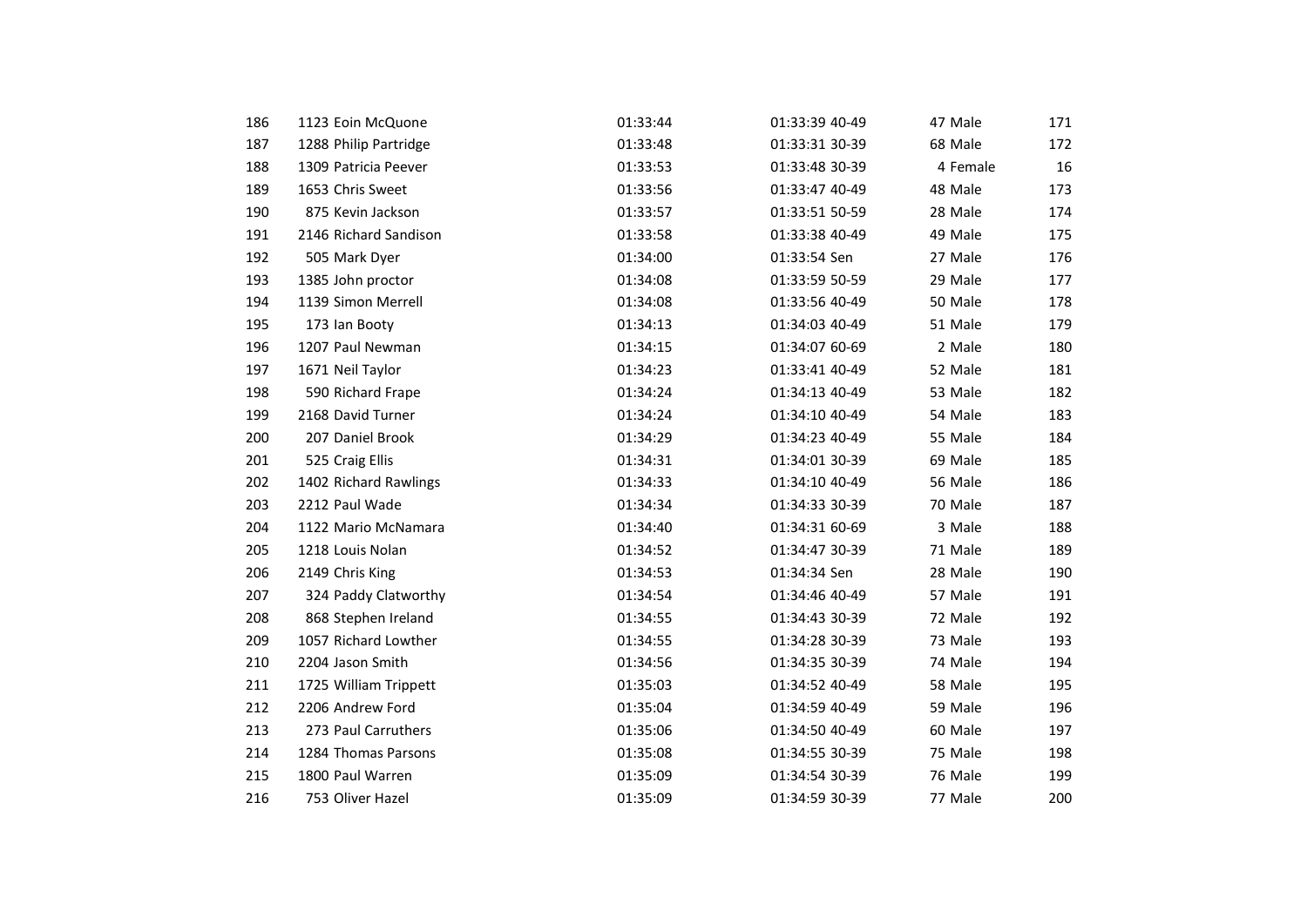| 186 | 1123 Eoin McQuone     | 01:33:44 | 01:33:39 40-49 | 47 Male  | 171 |
|-----|-----------------------|----------|----------------|----------|-----|
| 187 | 1288 Philip Partridge | 01:33:48 | 01:33:31 30-39 | 68 Male  | 172 |
| 188 | 1309 Patricia Peever  | 01:33:53 | 01:33:48 30-39 | 4 Female | 16  |
| 189 | 1653 Chris Sweet      | 01:33:56 | 01:33:47 40-49 | 48 Male  | 173 |
| 190 | 875 Kevin Jackson     | 01:33:57 | 01:33:51 50-59 | 28 Male  | 174 |
| 191 | 2146 Richard Sandison | 01:33:58 | 01:33:38 40-49 | 49 Male  | 175 |
| 192 | 505 Mark Dyer         | 01:34:00 | 01:33:54 Sen   | 27 Male  | 176 |
| 193 | 1385 John proctor     | 01:34:08 | 01:33:59 50-59 | 29 Male  | 177 |
| 194 | 1139 Simon Merrell    | 01:34:08 | 01:33:56 40-49 | 50 Male  | 178 |
| 195 | 173 Ian Booty         | 01:34:13 | 01:34:03 40-49 | 51 Male  | 179 |
| 196 | 1207 Paul Newman      | 01:34:15 | 01:34:07 60-69 | 2 Male   | 180 |
| 197 | 1671 Neil Taylor      | 01:34:23 | 01:33:41 40-49 | 52 Male  | 181 |
| 198 | 590 Richard Frape     | 01:34:24 | 01:34:13 40-49 | 53 Male  | 182 |
| 199 | 2168 David Turner     | 01:34:24 | 01:34:10 40-49 | 54 Male  | 183 |
| 200 | 207 Daniel Brook      | 01:34:29 | 01:34:23 40-49 | 55 Male  | 184 |
| 201 | 525 Craig Ellis       | 01:34:31 | 01:34:01 30-39 | 69 Male  | 185 |
| 202 | 1402 Richard Rawlings | 01:34:33 | 01:34:10 40-49 | 56 Male  | 186 |
| 203 | 2212 Paul Wade        | 01:34:34 | 01:34:33 30-39 | 70 Male  | 187 |
| 204 | 1122 Mario McNamara   | 01:34:40 | 01:34:31 60-69 | 3 Male   | 188 |
| 205 | 1218 Louis Nolan      | 01:34:52 | 01:34:47 30-39 | 71 Male  | 189 |
| 206 | 2149 Chris King       | 01:34:53 | 01:34:34 Sen   | 28 Male  | 190 |
| 207 | 324 Paddy Clatworthy  | 01:34:54 | 01:34:46 40-49 | 57 Male  | 191 |
| 208 | 868 Stephen Ireland   | 01:34:55 | 01:34:43 30-39 | 72 Male  | 192 |
| 209 | 1057 Richard Lowther  | 01:34:55 | 01:34:28 30-39 | 73 Male  | 193 |
| 210 | 2204 Jason Smith      | 01:34:56 | 01:34:35 30-39 | 74 Male  | 194 |
| 211 | 1725 William Trippett | 01:35:03 | 01:34:52 40-49 | 58 Male  | 195 |
| 212 | 2206 Andrew Ford      | 01:35:04 | 01:34:59 40-49 | 59 Male  | 196 |
| 213 | 273 Paul Carruthers   | 01:35:06 | 01:34:50 40-49 | 60 Male  | 197 |
| 214 | 1284 Thomas Parsons   | 01:35:08 | 01:34:55 30-39 | 75 Male  | 198 |
| 215 | 1800 Paul Warren      | 01:35:09 | 01:34:54 30-39 | 76 Male  | 199 |
| 216 | 753 Oliver Hazel      | 01:35:09 | 01:34:59 30-39 | 77 Male  | 200 |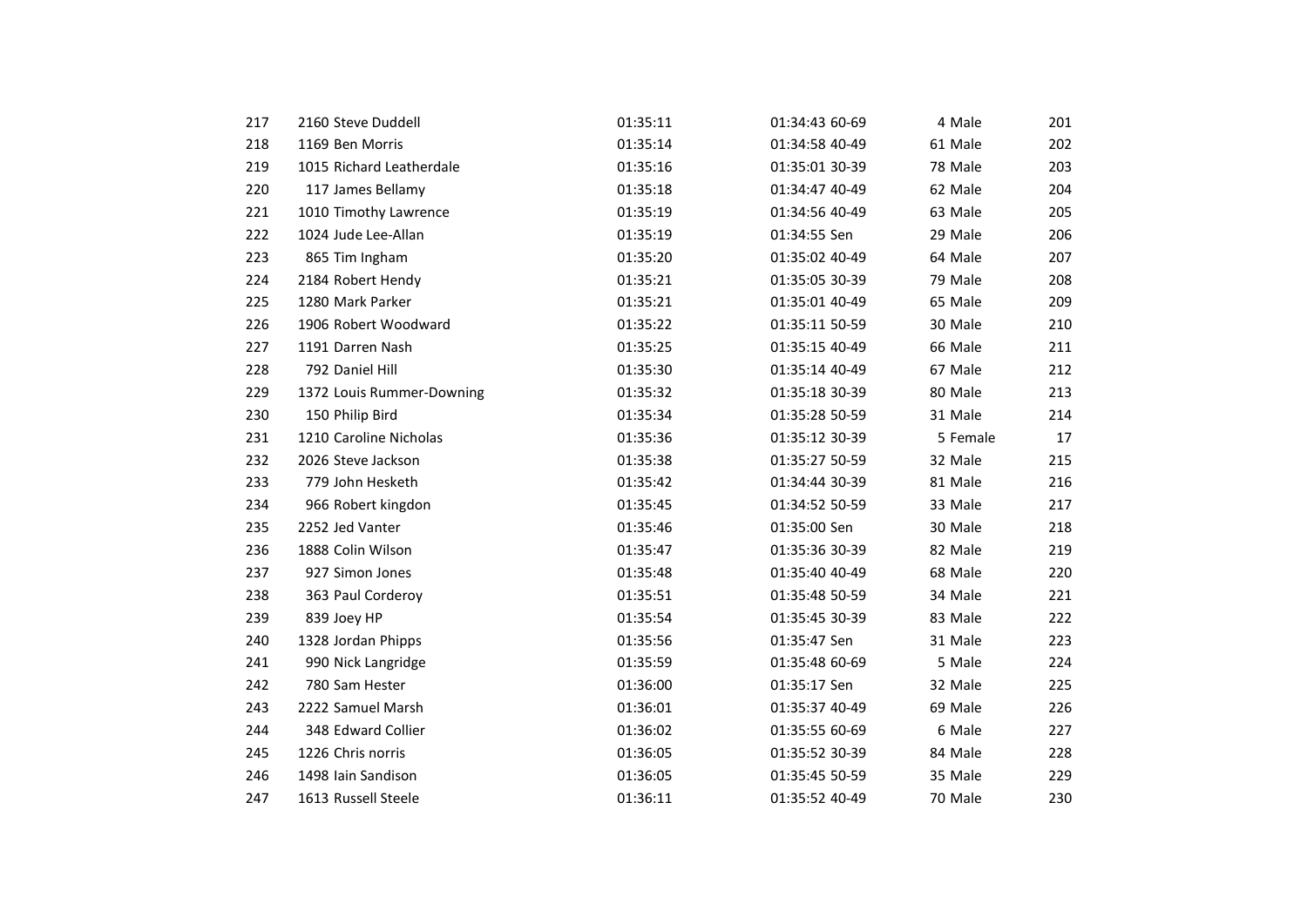| 217 | 2160 Steve Duddell        | 01:35:11 | 01:34:43 60-69 | 4 Male   | 201 |
|-----|---------------------------|----------|----------------|----------|-----|
| 218 | 1169 Ben Morris           | 01:35:14 | 01:34:58 40-49 | 61 Male  | 202 |
| 219 | 1015 Richard Leatherdale  | 01:35:16 | 01:35:01 30-39 | 78 Male  | 203 |
| 220 | 117 James Bellamy         | 01:35:18 | 01:34:47 40-49 | 62 Male  | 204 |
| 221 | 1010 Timothy Lawrence     | 01:35:19 | 01:34:56 40-49 | 63 Male  | 205 |
| 222 | 1024 Jude Lee-Allan       | 01:35:19 | 01:34:55 Sen   | 29 Male  | 206 |
| 223 | 865 Tim Ingham            | 01:35:20 | 01:35:02 40-49 | 64 Male  | 207 |
| 224 | 2184 Robert Hendy         | 01:35:21 | 01:35:05 30-39 | 79 Male  | 208 |
| 225 | 1280 Mark Parker          | 01:35:21 | 01:35:01 40-49 | 65 Male  | 209 |
| 226 | 1906 Robert Woodward      | 01:35:22 | 01:35:11 50-59 | 30 Male  | 210 |
| 227 | 1191 Darren Nash          | 01:35:25 | 01:35:15 40-49 | 66 Male  | 211 |
| 228 | 792 Daniel Hill           | 01:35:30 | 01:35:14 40-49 | 67 Male  | 212 |
| 229 | 1372 Louis Rummer-Downing | 01:35:32 | 01:35:18 30-39 | 80 Male  | 213 |
| 230 | 150 Philip Bird           | 01:35:34 | 01:35:28 50-59 | 31 Male  | 214 |
| 231 | 1210 Caroline Nicholas    | 01:35:36 | 01:35:12 30-39 | 5 Female | 17  |
| 232 | 2026 Steve Jackson        | 01:35:38 | 01:35:27 50-59 | 32 Male  | 215 |
| 233 | 779 John Hesketh          | 01:35:42 | 01:34:44 30-39 | 81 Male  | 216 |
| 234 | 966 Robert kingdon        | 01:35:45 | 01:34:52 50-59 | 33 Male  | 217 |
| 235 | 2252 Jed Vanter           | 01:35:46 | 01:35:00 Sen   | 30 Male  | 218 |
| 236 | 1888 Colin Wilson         | 01:35:47 | 01:35:36 30-39 | 82 Male  | 219 |
| 237 | 927 Simon Jones           | 01:35:48 | 01:35:40 40-49 | 68 Male  | 220 |
| 238 | 363 Paul Corderoy         | 01:35:51 | 01:35:48 50-59 | 34 Male  | 221 |
| 239 | 839 Joey HP               | 01:35:54 | 01:35:45 30-39 | 83 Male  | 222 |
| 240 | 1328 Jordan Phipps        | 01:35:56 | 01:35:47 Sen   | 31 Male  | 223 |
| 241 | 990 Nick Langridge        | 01:35:59 | 01:35:48 60-69 | 5 Male   | 224 |
| 242 | 780 Sam Hester            | 01:36:00 | 01:35:17 Sen   | 32 Male  | 225 |
| 243 | 2222 Samuel Marsh         | 01:36:01 | 01:35:37 40-49 | 69 Male  | 226 |
| 244 | 348 Edward Collier        | 01:36:02 | 01:35:55 60-69 | 6 Male   | 227 |
| 245 | 1226 Chris norris         | 01:36:05 | 01:35:52 30-39 | 84 Male  | 228 |
| 246 | 1498 Iain Sandison        | 01:36:05 | 01:35:45 50-59 | 35 Male  | 229 |
| 247 | 1613 Russell Steele       | 01:36:11 | 01:35:52 40-49 | 70 Male  | 230 |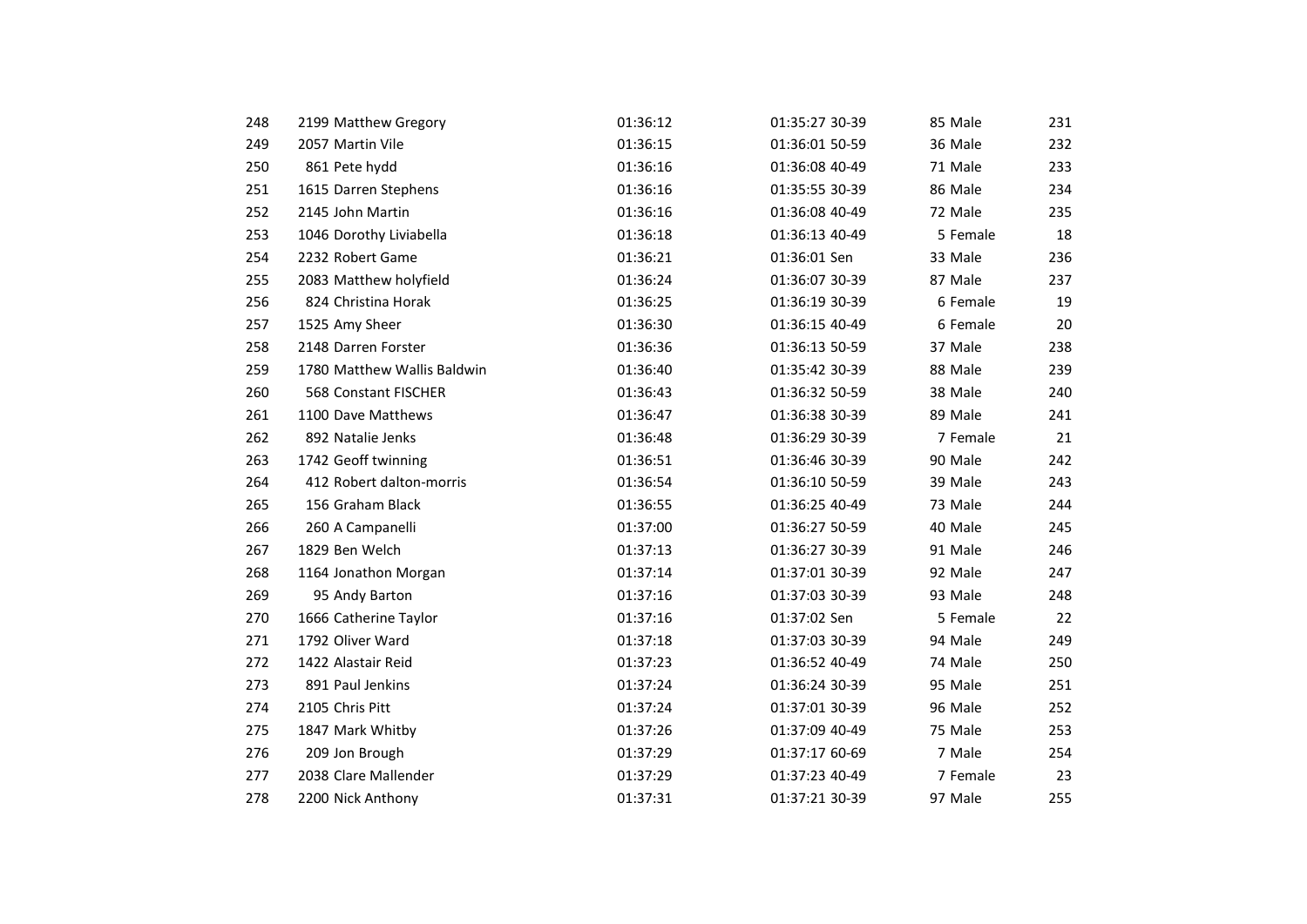| 248 | 2199 Matthew Gregory        | 01:36:12 | 01:35:27 30-39 | 85 Male  | 231 |
|-----|-----------------------------|----------|----------------|----------|-----|
| 249 | 2057 Martin Vile            | 01:36:15 | 01:36:01 50-59 | 36 Male  | 232 |
| 250 | 861 Pete hydd               | 01:36:16 | 01:36:08 40-49 | 71 Male  | 233 |
| 251 | 1615 Darren Stephens        | 01:36:16 | 01:35:55 30-39 | 86 Male  | 234 |
| 252 | 2145 John Martin            | 01:36:16 | 01:36:08 40-49 | 72 Male  | 235 |
| 253 | 1046 Dorothy Liviabella     | 01:36:18 | 01:36:13 40-49 | 5 Female | 18  |
| 254 | 2232 Robert Game            | 01:36:21 | 01:36:01 Sen   | 33 Male  | 236 |
| 255 | 2083 Matthew holyfield      | 01:36:24 | 01:36:07 30-39 | 87 Male  | 237 |
| 256 | 824 Christina Horak         | 01:36:25 | 01:36:19 30-39 | 6 Female | 19  |
| 257 | 1525 Amy Sheer              | 01:36:30 | 01:36:15 40-49 | 6 Female | 20  |
| 258 | 2148 Darren Forster         | 01:36:36 | 01:36:13 50-59 | 37 Male  | 238 |
| 259 | 1780 Matthew Wallis Baldwin | 01:36:40 | 01:35:42 30-39 | 88 Male  | 239 |
| 260 | <b>568 Constant FISCHER</b> | 01:36:43 | 01:36:32 50-59 | 38 Male  | 240 |
| 261 | 1100 Dave Matthews          | 01:36:47 | 01:36:38 30-39 | 89 Male  | 241 |
| 262 | 892 Natalie Jenks           | 01:36:48 | 01:36:29 30-39 | 7 Female | 21  |
| 263 | 1742 Geoff twinning         | 01:36:51 | 01:36:46 30-39 | 90 Male  | 242 |
| 264 | 412 Robert dalton-morris    | 01:36:54 | 01:36:10 50-59 | 39 Male  | 243 |
| 265 | 156 Graham Black            | 01:36:55 | 01:36:25 40-49 | 73 Male  | 244 |
| 266 | 260 A Campanelli            | 01:37:00 | 01:36:27 50-59 | 40 Male  | 245 |
| 267 | 1829 Ben Welch              | 01:37:13 | 01:36:27 30-39 | 91 Male  | 246 |
| 268 | 1164 Jonathon Morgan        | 01:37:14 | 01:37:01 30-39 | 92 Male  | 247 |
| 269 | 95 Andy Barton              | 01:37:16 | 01:37:03 30-39 | 93 Male  | 248 |
| 270 | 1666 Catherine Taylor       | 01:37:16 | 01:37:02 Sen   | 5 Female | 22  |
| 271 | 1792 Oliver Ward            | 01:37:18 | 01:37:03 30-39 | 94 Male  | 249 |
| 272 | 1422 Alastair Reid          | 01:37:23 | 01:36:52 40-49 | 74 Male  | 250 |
| 273 | 891 Paul Jenkins            | 01:37:24 | 01:36:24 30-39 | 95 Male  | 251 |
| 274 | 2105 Chris Pitt             | 01:37:24 | 01:37:01 30-39 | 96 Male  | 252 |
| 275 | 1847 Mark Whitby            | 01:37:26 | 01:37:09 40-49 | 75 Male  | 253 |
| 276 | 209 Jon Brough              | 01:37:29 | 01:37:17 60-69 | 7 Male   | 254 |
| 277 | 2038 Clare Mallender        | 01:37:29 | 01:37:23 40-49 | 7 Female | 23  |
| 278 | 2200 Nick Anthony           | 01:37:31 | 01:37:21 30-39 | 97 Male  | 255 |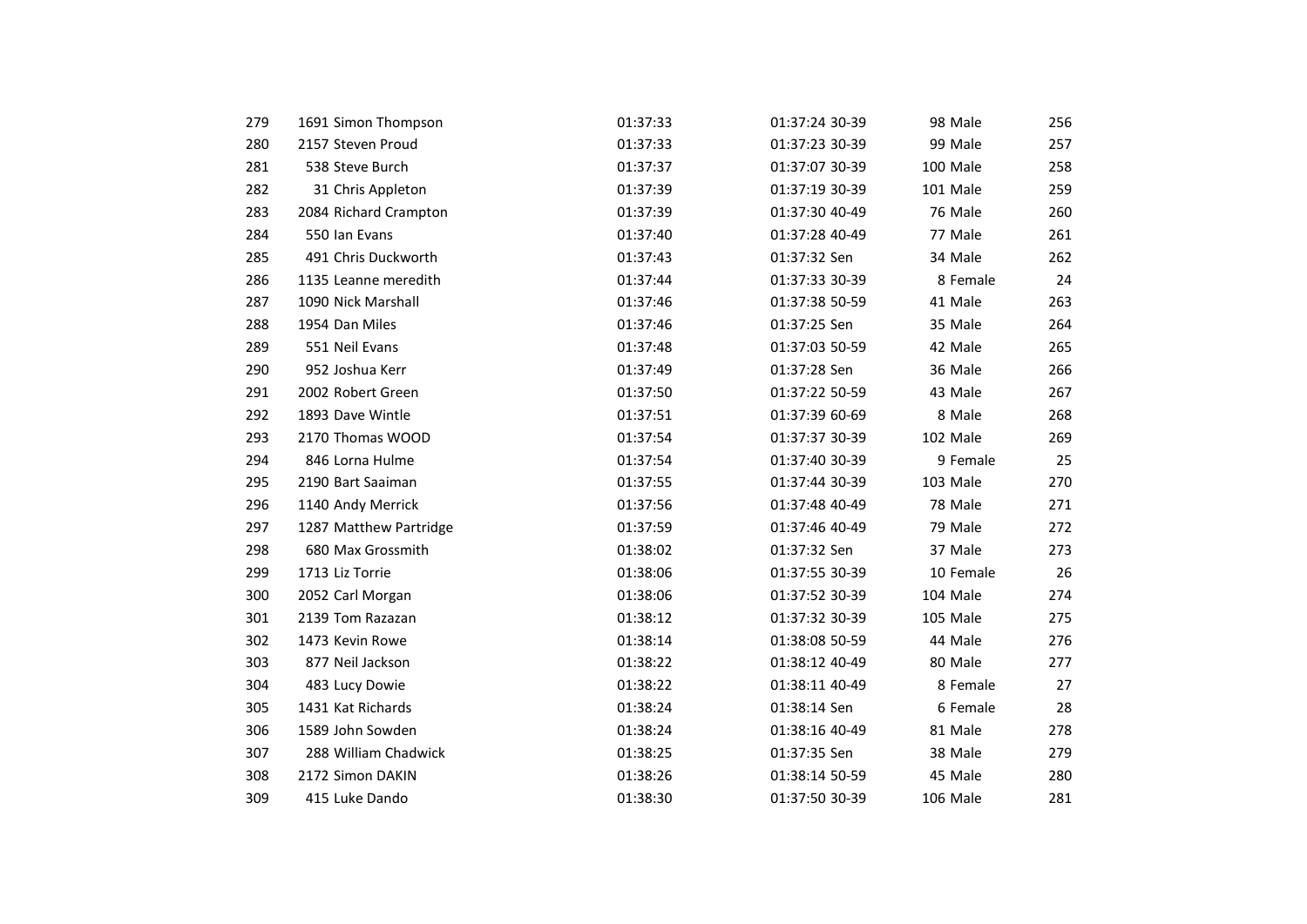| 279 | 1691 Simon Thompson    | 01:37:33 | 01:37:24 30-39 | 98 Male   | 256 |
|-----|------------------------|----------|----------------|-----------|-----|
| 280 | 2157 Steven Proud      | 01:37:33 | 01:37:23 30-39 | 99 Male   | 257 |
| 281 | 538 Steve Burch        | 01:37:37 | 01:37:07 30-39 | 100 Male  | 258 |
| 282 | 31 Chris Appleton      | 01:37:39 | 01:37:19 30-39 | 101 Male  | 259 |
| 283 | 2084 Richard Crampton  | 01:37:39 | 01:37:30 40-49 | 76 Male   | 260 |
| 284 | 550 Ian Evans          | 01:37:40 | 01:37:28 40-49 | 77 Male   | 261 |
| 285 | 491 Chris Duckworth    | 01:37:43 | 01:37:32 Sen   | 34 Male   | 262 |
| 286 | 1135 Leanne meredith   | 01:37:44 | 01:37:33 30-39 | 8 Female  | 24  |
| 287 | 1090 Nick Marshall     | 01:37:46 | 01:37:38 50-59 | 41 Male   | 263 |
| 288 | 1954 Dan Miles         | 01:37:46 | 01:37:25 Sen   | 35 Male   | 264 |
| 289 | 551 Neil Evans         | 01:37:48 | 01:37:03 50-59 | 42 Male   | 265 |
| 290 | 952 Joshua Kerr        | 01:37:49 | 01:37:28 Sen   | 36 Male   | 266 |
| 291 | 2002 Robert Green      | 01:37:50 | 01:37:22 50-59 | 43 Male   | 267 |
| 292 | 1893 Dave Wintle       | 01:37:51 | 01:37:39 60-69 | 8 Male    | 268 |
| 293 | 2170 Thomas WOOD       | 01:37:54 | 01:37:37 30-39 | 102 Male  | 269 |
| 294 | 846 Lorna Hulme        | 01:37:54 | 01:37:40 30-39 | 9 Female  | 25  |
| 295 | 2190 Bart Saaiman      | 01:37:55 | 01:37:44 30-39 | 103 Male  | 270 |
| 296 | 1140 Andy Merrick      | 01:37:56 | 01:37:48 40-49 | 78 Male   | 271 |
| 297 | 1287 Matthew Partridge | 01:37:59 | 01:37:46 40-49 | 79 Male   | 272 |
| 298 | 680 Max Grossmith      | 01:38:02 | 01:37:32 Sen   | 37 Male   | 273 |
| 299 | 1713 Liz Torrie        | 01:38:06 | 01:37:55 30-39 | 10 Female | 26  |
| 300 | 2052 Carl Morgan       | 01:38:06 | 01:37:52 30-39 | 104 Male  | 274 |
| 301 | 2139 Tom Razazan       | 01:38:12 | 01:37:32 30-39 | 105 Male  | 275 |
| 302 | 1473 Kevin Rowe        | 01:38:14 | 01:38:08 50-59 | 44 Male   | 276 |
| 303 | 877 Neil Jackson       | 01:38:22 | 01:38:12 40-49 | 80 Male   | 277 |
| 304 | 483 Lucy Dowie         | 01:38:22 | 01:38:11 40-49 | 8 Female  | 27  |
| 305 | 1431 Kat Richards      | 01:38:24 | 01:38:14 Sen   | 6 Female  | 28  |
| 306 | 1589 John Sowden       | 01:38:24 | 01:38:16 40-49 | 81 Male   | 278 |
| 307 | 288 William Chadwick   | 01:38:25 | 01:37:35 Sen   | 38 Male   | 279 |
| 308 | 2172 Simon DAKIN       | 01:38:26 | 01:38:14 50-59 | 45 Male   | 280 |
| 309 | 415 Luke Dando         | 01:38:30 | 01:37:50 30-39 | 106 Male  | 281 |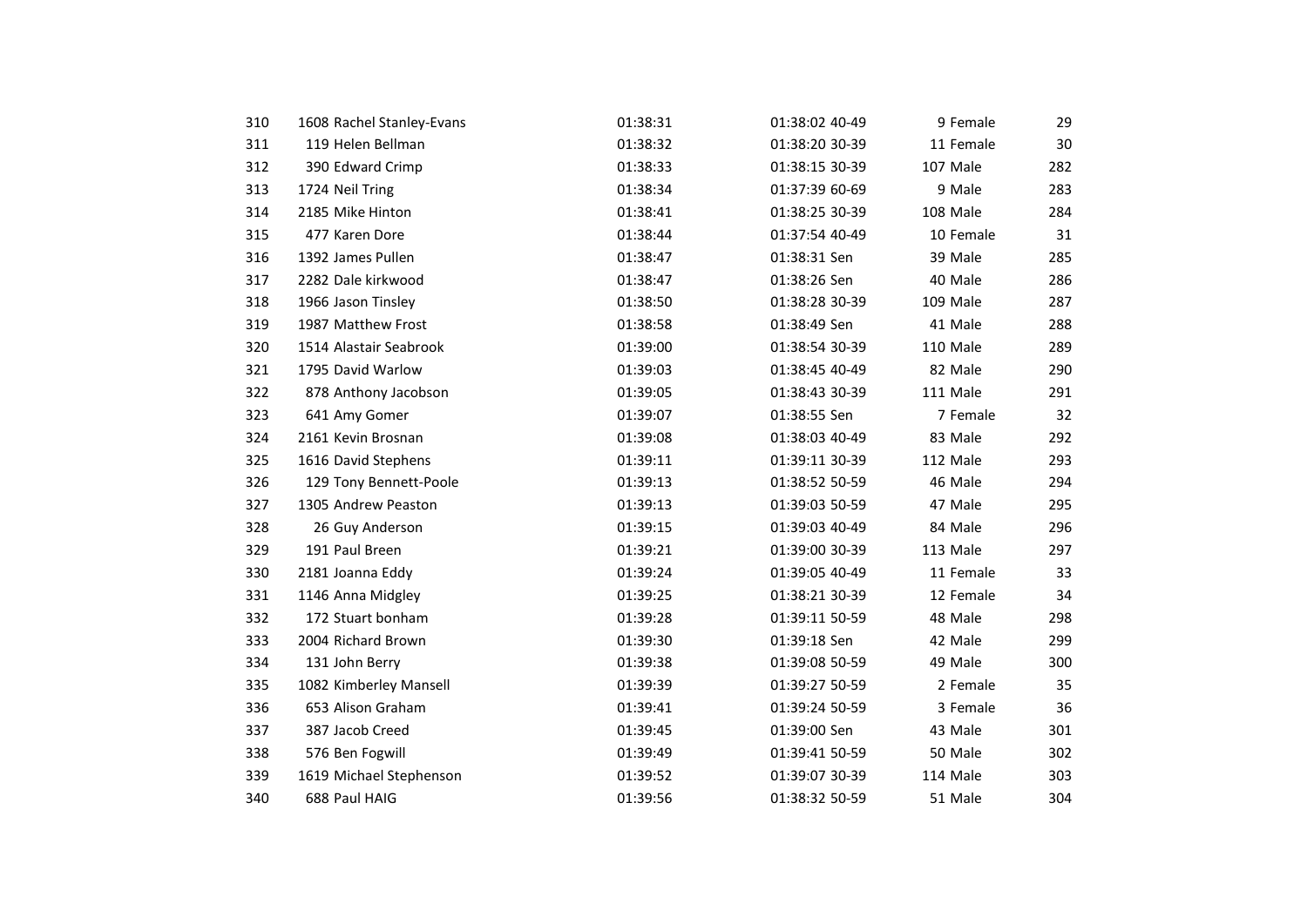| 310 | 1608 Rachel Stanley-Evans | 01:38:31 | 01:38:02 40-49 | 9 Female  | 29  |
|-----|---------------------------|----------|----------------|-----------|-----|
| 311 | 119 Helen Bellman         | 01:38:32 | 01:38:20 30-39 | 11 Female | 30  |
| 312 | 390 Edward Crimp          | 01:38:33 | 01:38:15 30-39 | 107 Male  | 282 |
| 313 | 1724 Neil Tring           | 01:38:34 | 01:37:39 60-69 | 9 Male    | 283 |
| 314 | 2185 Mike Hinton          | 01:38:41 | 01:38:25 30-39 | 108 Male  | 284 |
| 315 | 477 Karen Dore            | 01:38:44 | 01:37:54 40-49 | 10 Female | 31  |
| 316 | 1392 James Pullen         | 01:38:47 | 01:38:31 Sen   | 39 Male   | 285 |
| 317 | 2282 Dale kirkwood        | 01:38:47 | 01:38:26 Sen   | 40 Male   | 286 |
| 318 | 1966 Jason Tinsley        | 01:38:50 | 01:38:28 30-39 | 109 Male  | 287 |
| 319 | 1987 Matthew Frost        | 01:38:58 | 01:38:49 Sen   | 41 Male   | 288 |
| 320 | 1514 Alastair Seabrook    | 01:39:00 | 01:38:54 30-39 | 110 Male  | 289 |
| 321 | 1795 David Warlow         | 01:39:03 | 01:38:45 40-49 | 82 Male   | 290 |
| 322 | 878 Anthony Jacobson      | 01:39:05 | 01:38:43 30-39 | 111 Male  | 291 |
| 323 | 641 Amy Gomer             | 01:39:07 | 01:38:55 Sen   | 7 Female  | 32  |
| 324 | 2161 Kevin Brosnan        | 01:39:08 | 01:38:03 40-49 | 83 Male   | 292 |
| 325 | 1616 David Stephens       | 01:39:11 | 01:39:11 30-39 | 112 Male  | 293 |
| 326 | 129 Tony Bennett-Poole    | 01:39:13 | 01:38:52 50-59 | 46 Male   | 294 |
| 327 | 1305 Andrew Peaston       | 01:39:13 | 01:39:03 50-59 | 47 Male   | 295 |
| 328 | 26 Guy Anderson           | 01:39:15 | 01:39:03 40-49 | 84 Male   | 296 |
| 329 | 191 Paul Breen            | 01:39:21 | 01:39:00 30-39 | 113 Male  | 297 |
| 330 | 2181 Joanna Eddy          | 01:39:24 | 01:39:05 40-49 | 11 Female | 33  |
| 331 | 1146 Anna Midgley         | 01:39:25 | 01:38:21 30-39 | 12 Female | 34  |
| 332 | 172 Stuart bonham         | 01:39:28 | 01:39:11 50-59 | 48 Male   | 298 |
| 333 | 2004 Richard Brown        | 01:39:30 | 01:39:18 Sen   | 42 Male   | 299 |
| 334 | 131 John Berry            | 01:39:38 | 01:39:08 50-59 | 49 Male   | 300 |
| 335 | 1082 Kimberley Mansell    | 01:39:39 | 01:39:27 50-59 | 2 Female  | 35  |
| 336 | 653 Alison Graham         | 01:39:41 | 01:39:24 50-59 | 3 Female  | 36  |
| 337 | 387 Jacob Creed           | 01:39:45 | 01:39:00 Sen   | 43 Male   | 301 |
| 338 | 576 Ben Fogwill           | 01:39:49 | 01:39:41 50-59 | 50 Male   | 302 |
| 339 | 1619 Michael Stephenson   | 01:39:52 | 01:39:07 30-39 | 114 Male  | 303 |
| 340 | 688 Paul HAIG             | 01:39:56 | 01:38:32 50-59 | 51 Male   | 304 |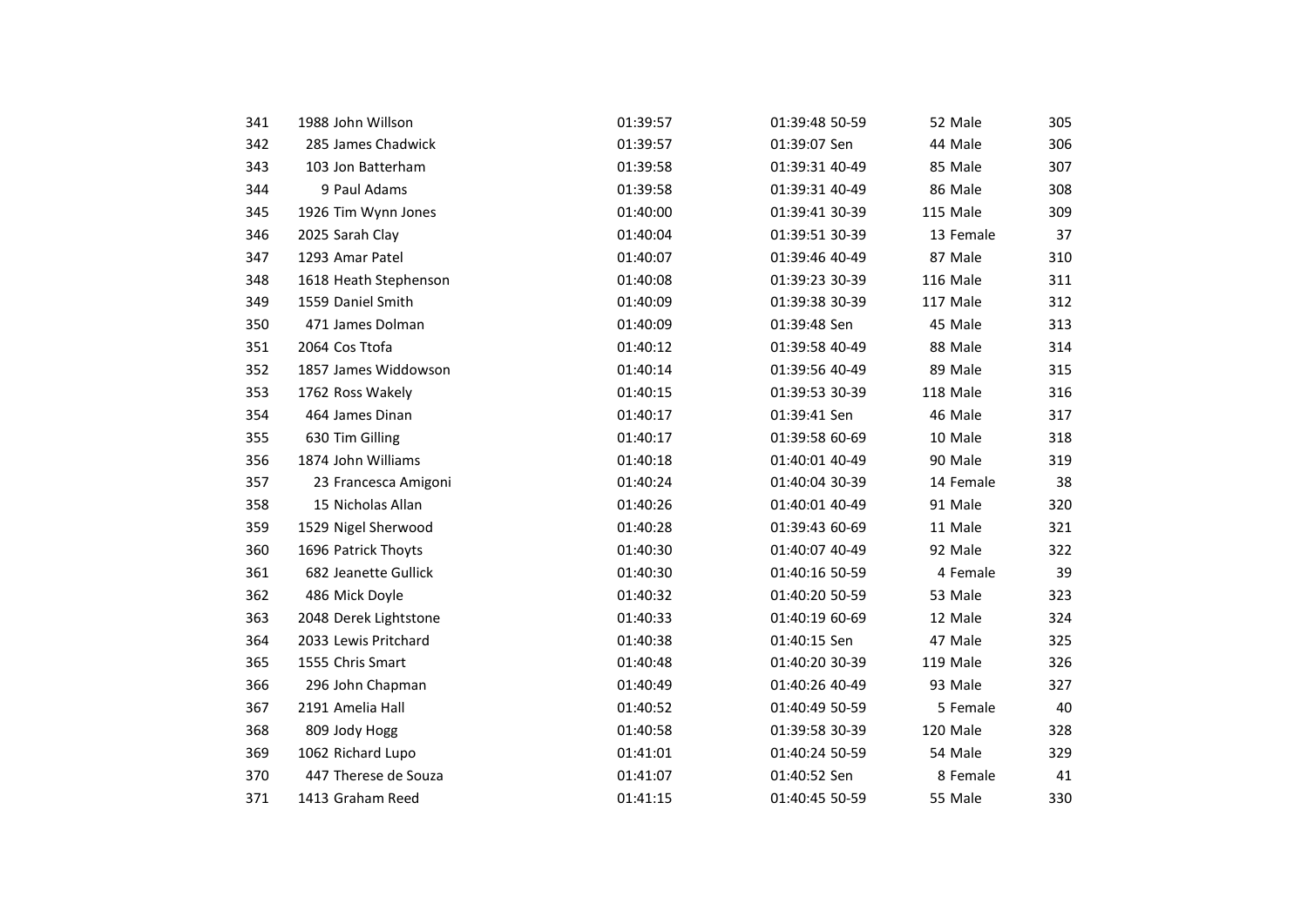| 341 | 1988 John Willson     | 01:39:57 | 01:39:48 50-59 | 52 Male   | 305 |
|-----|-----------------------|----------|----------------|-----------|-----|
| 342 | 285 James Chadwick    | 01:39:57 | 01:39:07 Sen   | 44 Male   | 306 |
| 343 | 103 Jon Batterham     | 01:39:58 | 01:39:31 40-49 | 85 Male   | 307 |
| 344 | 9 Paul Adams          | 01:39:58 | 01:39:31 40-49 | 86 Male   | 308 |
| 345 | 1926 Tim Wynn Jones   | 01:40:00 | 01:39:41 30-39 | 115 Male  | 309 |
| 346 | 2025 Sarah Clay       | 01:40:04 | 01:39:51 30-39 | 13 Female | 37  |
| 347 | 1293 Amar Patel       | 01:40:07 | 01:39:46 40-49 | 87 Male   | 310 |
| 348 | 1618 Heath Stephenson | 01:40:08 | 01:39:23 30-39 | 116 Male  | 311 |
| 349 | 1559 Daniel Smith     | 01:40:09 | 01:39:38 30-39 | 117 Male  | 312 |
| 350 | 471 James Dolman      | 01:40:09 | 01:39:48 Sen   | 45 Male   | 313 |
| 351 | 2064 Cos Ttofa        | 01:40:12 | 01:39:58 40-49 | 88 Male   | 314 |
| 352 | 1857 James Widdowson  | 01:40:14 | 01:39:56 40-49 | 89 Male   | 315 |
| 353 | 1762 Ross Wakely      | 01:40:15 | 01:39:53 30-39 | 118 Male  | 316 |
| 354 | 464 James Dinan       | 01:40:17 | 01:39:41 Sen   | 46 Male   | 317 |
| 355 | 630 Tim Gilling       | 01:40:17 | 01:39:58 60-69 | 10 Male   | 318 |
| 356 | 1874 John Williams    | 01:40:18 | 01:40:01 40-49 | 90 Male   | 319 |
| 357 | 23 Francesca Amigoni  | 01:40:24 | 01:40:04 30-39 | 14 Female | 38  |
| 358 | 15 Nicholas Allan     | 01:40:26 | 01:40:01 40-49 | 91 Male   | 320 |
| 359 | 1529 Nigel Sherwood   | 01:40:28 | 01:39:43 60-69 | 11 Male   | 321 |
| 360 | 1696 Patrick Thoyts   | 01:40:30 | 01:40:07 40-49 | 92 Male   | 322 |
| 361 | 682 Jeanette Gullick  | 01:40:30 | 01:40:16 50-59 | 4 Female  | 39  |
| 362 | 486 Mick Doyle        | 01:40:32 | 01:40:20 50-59 | 53 Male   | 323 |
| 363 | 2048 Derek Lightstone | 01:40:33 | 01:40:19 60-69 | 12 Male   | 324 |
| 364 | 2033 Lewis Pritchard  | 01:40:38 | 01:40:15 Sen   | 47 Male   | 325 |
| 365 | 1555 Chris Smart      | 01:40:48 | 01:40:20 30-39 | 119 Male  | 326 |
| 366 | 296 John Chapman      | 01:40:49 | 01:40:26 40-49 | 93 Male   | 327 |
| 367 | 2191 Amelia Hall      | 01:40:52 | 01:40:49 50-59 | 5 Female  | 40  |
| 368 | 809 Jody Hogg         | 01:40:58 | 01:39:58 30-39 | 120 Male  | 328 |
| 369 | 1062 Richard Lupo     | 01:41:01 | 01:40:24 50-59 | 54 Male   | 329 |
| 370 | 447 Therese de Souza  | 01:41:07 | 01:40:52 Sen   | 8 Female  | 41  |
| 371 | 1413 Graham Reed      | 01:41:15 | 01:40:45 50-59 | 55 Male   | 330 |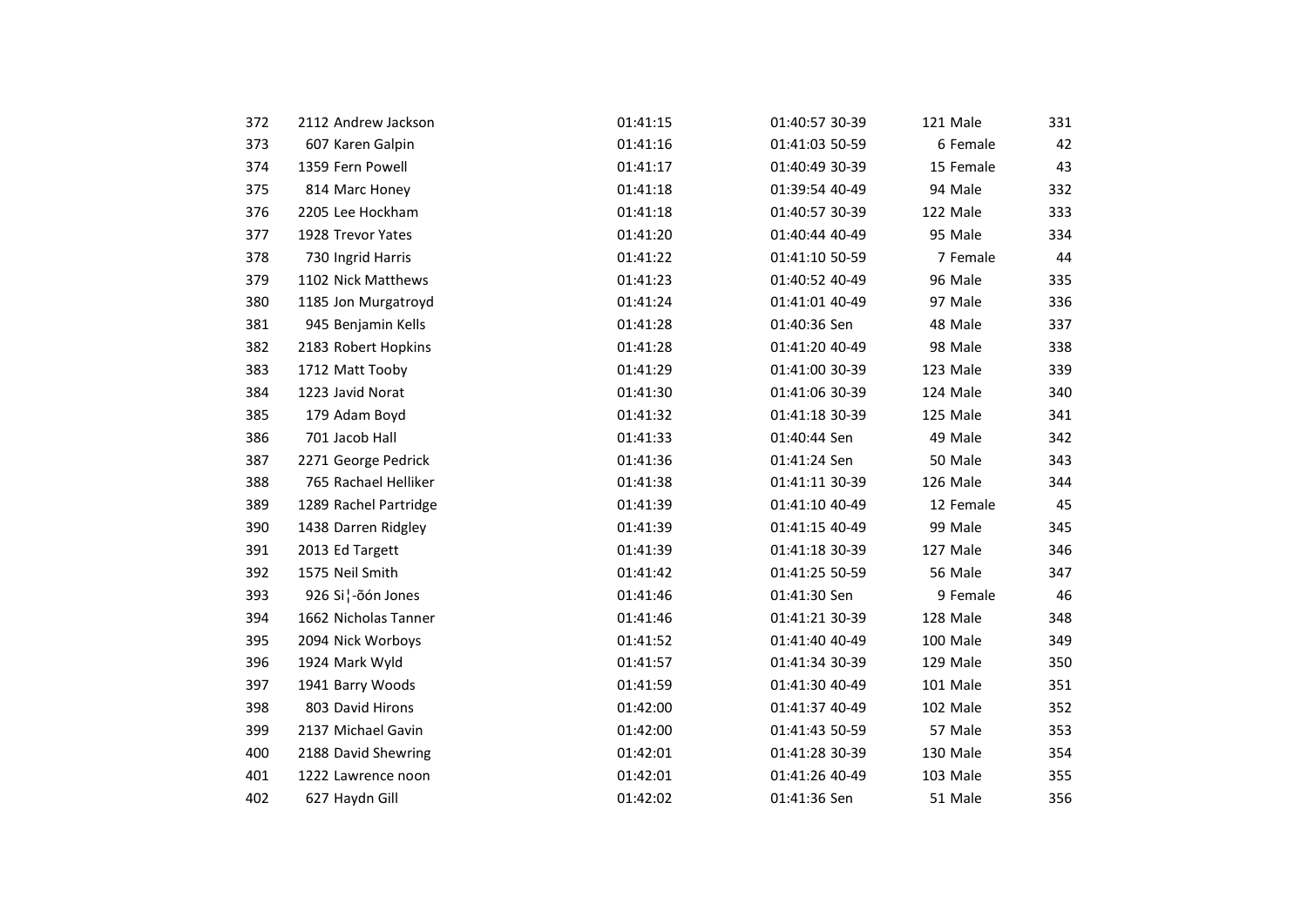| 372 | 2112 Andrew Jackson   | 01:41:15 | 01:40:57 30-39 | 121 Male  | 331 |
|-----|-----------------------|----------|----------------|-----------|-----|
| 373 | 607 Karen Galpin      | 01:41:16 | 01:41:03 50-59 | 6 Female  | 42  |
| 374 | 1359 Fern Powell      | 01:41:17 | 01:40:49 30-39 | 15 Female | 43  |
| 375 | 814 Marc Honey        | 01:41:18 | 01:39:54 40-49 | 94 Male   | 332 |
| 376 | 2205 Lee Hockham      | 01:41:18 | 01:40:57 30-39 | 122 Male  | 333 |
| 377 | 1928 Trevor Yates     | 01:41:20 | 01:40:44 40-49 | 95 Male   | 334 |
| 378 | 730 Ingrid Harris     | 01:41:22 | 01:41:10 50-59 | 7 Female  | 44  |
| 379 | 1102 Nick Matthews    | 01:41:23 | 01:40:52 40-49 | 96 Male   | 335 |
| 380 | 1185 Jon Murgatroyd   | 01:41:24 | 01:41:01 40-49 | 97 Male   | 336 |
| 381 | 945 Benjamin Kells    | 01:41:28 | 01:40:36 Sen   | 48 Male   | 337 |
| 382 | 2183 Robert Hopkins   | 01:41:28 | 01:41:20 40-49 | 98 Male   | 338 |
| 383 | 1712 Matt Tooby       | 01:41:29 | 01:41:00 30-39 | 123 Male  | 339 |
| 384 | 1223 Javid Norat      | 01:41:30 | 01:41:06 30-39 | 124 Male  | 340 |
| 385 | 179 Adam Boyd         | 01:41:32 | 01:41:18 30-39 | 125 Male  | 341 |
| 386 | 701 Jacob Hall        | 01:41:33 | 01:40:44 Sen   | 49 Male   | 342 |
| 387 | 2271 George Pedrick   | 01:41:36 | 01:41:24 Sen   | 50 Male   | 343 |
| 388 | 765 Rachael Helliker  | 01:41:38 | 01:41:11 30-39 | 126 Male  | 344 |
| 389 | 1289 Rachel Partridge | 01:41:39 | 01:41:10 40-49 | 12 Female | 45  |
| 390 | 1438 Darren Ridgley   | 01:41:39 | 01:41:15 40-49 | 99 Male   | 345 |
| 391 | 2013 Ed Targett       | 01:41:39 | 01:41:18 30-39 | 127 Male  | 346 |
| 392 | 1575 Neil Smith       | 01:41:42 | 01:41:25 50-59 | 56 Male   | 347 |
| 393 | 926 Si¦-õón Jones     | 01:41:46 | 01:41:30 Sen   | 9 Female  | 46  |
| 394 | 1662 Nicholas Tanner  | 01:41:46 | 01:41:21 30-39 | 128 Male  | 348 |
| 395 | 2094 Nick Worboys     | 01:41:52 | 01:41:40 40-49 | 100 Male  | 349 |
| 396 | 1924 Mark Wyld        | 01:41:57 | 01:41:34 30-39 | 129 Male  | 350 |
| 397 | 1941 Barry Woods      | 01:41:59 | 01:41:30 40-49 | 101 Male  | 351 |
| 398 | 803 David Hirons      | 01:42:00 | 01:41:37 40-49 | 102 Male  | 352 |
| 399 | 2137 Michael Gavin    | 01:42:00 | 01:41:43 50-59 | 57 Male   | 353 |
| 400 | 2188 David Shewring   | 01:42:01 | 01:41:28 30-39 | 130 Male  | 354 |
| 401 | 1222 Lawrence noon    | 01:42:01 | 01:41:26 40-49 | 103 Male  | 355 |
| 402 | 627 Haydn Gill        | 01:42:02 | 01:41:36 Sen   | 51 Male   | 356 |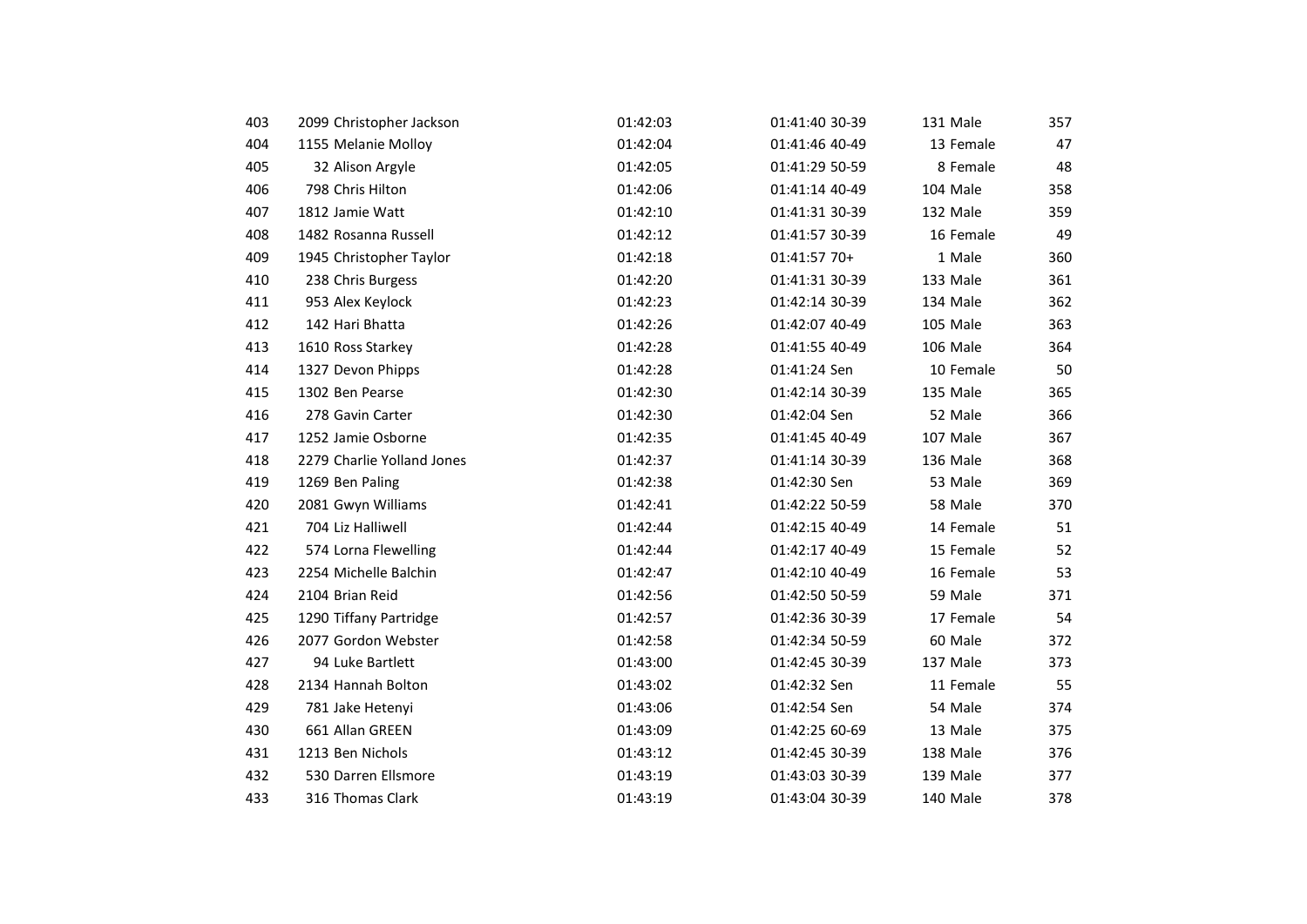| 403 | 2099 Christopher Jackson   | 01:42:03 | 01:41:40 30-39 | 131 Male  | 357 |
|-----|----------------------------|----------|----------------|-----------|-----|
| 404 | 1155 Melanie Molloy        | 01:42:04 | 01:41:46 40-49 | 13 Female | 47  |
| 405 | 32 Alison Argyle           | 01:42:05 | 01:41:29 50-59 | 8 Female  | 48  |
| 406 | 798 Chris Hilton           | 01:42:06 | 01:41:14 40-49 | 104 Male  | 358 |
| 407 | 1812 Jamie Watt            | 01:42:10 | 01:41:31 30-39 | 132 Male  | 359 |
| 408 | 1482 Rosanna Russell       | 01:42:12 | 01:41:57 30-39 | 16 Female | 49  |
| 409 | 1945 Christopher Taylor    | 01:42:18 | 01:41:57 70+   | 1 Male    | 360 |
| 410 | 238 Chris Burgess          | 01:42:20 | 01:41:31 30-39 | 133 Male  | 361 |
| 411 | 953 Alex Keylock           | 01:42:23 | 01:42:14 30-39 | 134 Male  | 362 |
| 412 | 142 Hari Bhatta            | 01:42:26 | 01:42:07 40-49 | 105 Male  | 363 |
| 413 | 1610 Ross Starkey          | 01:42:28 | 01:41:55 40-49 | 106 Male  | 364 |
| 414 | 1327 Devon Phipps          | 01:42:28 | 01:41:24 Sen   | 10 Female | 50  |
| 415 | 1302 Ben Pearse            | 01:42:30 | 01:42:14 30-39 | 135 Male  | 365 |
| 416 | 278 Gavin Carter           | 01:42:30 | 01:42:04 Sen   | 52 Male   | 366 |
| 417 | 1252 Jamie Osborne         | 01:42:35 | 01:41:45 40-49 | 107 Male  | 367 |
| 418 | 2279 Charlie Yolland Jones | 01:42:37 | 01:41:14 30-39 | 136 Male  | 368 |
| 419 | 1269 Ben Paling            | 01:42:38 | 01:42:30 Sen   | 53 Male   | 369 |
| 420 | 2081 Gwyn Williams         | 01:42:41 | 01:42:22 50-59 | 58 Male   | 370 |
| 421 | 704 Liz Halliwell          | 01:42:44 | 01:42:15 40-49 | 14 Female | 51  |
| 422 | 574 Lorna Flewelling       | 01:42:44 | 01:42:17 40-49 | 15 Female | 52  |
| 423 | 2254 Michelle Balchin      | 01:42:47 | 01:42:10 40-49 | 16 Female | 53  |
| 424 | 2104 Brian Reid            | 01:42:56 | 01:42:50 50-59 | 59 Male   | 371 |
| 425 | 1290 Tiffany Partridge     | 01:42:57 | 01:42:36 30-39 | 17 Female | 54  |
| 426 | 2077 Gordon Webster        | 01:42:58 | 01:42:34 50-59 | 60 Male   | 372 |
| 427 | 94 Luke Bartlett           | 01:43:00 | 01:42:45 30-39 | 137 Male  | 373 |
| 428 | 2134 Hannah Bolton         | 01:43:02 | 01:42:32 Sen   | 11 Female | 55  |
| 429 | 781 Jake Hetenyi           | 01:43:06 | 01:42:54 Sen   | 54 Male   | 374 |
| 430 | 661 Allan GREEN            | 01:43:09 | 01:42:25 60-69 | 13 Male   | 375 |
| 431 | 1213 Ben Nichols           | 01:43:12 | 01:42:45 30-39 | 138 Male  | 376 |
| 432 | 530 Darren Ellsmore        | 01:43:19 | 01:43:03 30-39 | 139 Male  | 377 |
| 433 | 316 Thomas Clark           | 01:43:19 | 01:43:04 30-39 | 140 Male  | 378 |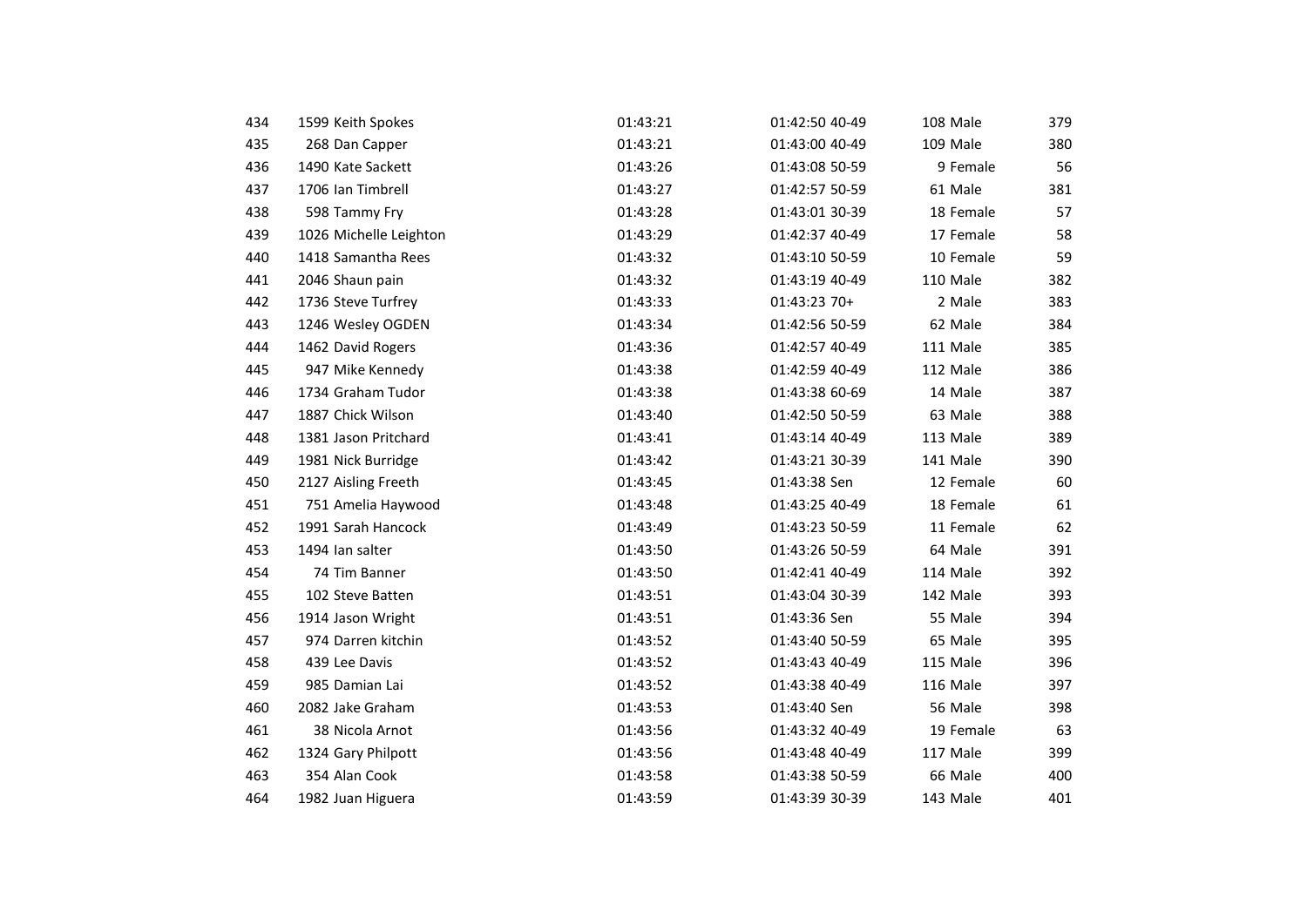| 434 | 1599 Keith Spokes      | 01:43:21 | 01:42:50 40-49 | 108 Male  | 379 |
|-----|------------------------|----------|----------------|-----------|-----|
| 435 | 268 Dan Capper         | 01:43:21 | 01:43:00 40-49 | 109 Male  | 380 |
| 436 | 1490 Kate Sackett      | 01:43:26 | 01:43:08 50-59 | 9 Female  | 56  |
| 437 | 1706 Ian Timbrell      | 01:43:27 | 01:42:57 50-59 | 61 Male   | 381 |
| 438 | 598 Tammy Fry          | 01:43:28 | 01:43:01 30-39 | 18 Female | 57  |
| 439 | 1026 Michelle Leighton | 01:43:29 | 01:42:37 40-49 | 17 Female | 58  |
| 440 | 1418 Samantha Rees     | 01:43:32 | 01:43:10 50-59 | 10 Female | 59  |
| 441 | 2046 Shaun pain        | 01:43:32 | 01:43:19 40-49 | 110 Male  | 382 |
| 442 | 1736 Steve Turfrey     | 01:43:33 | 01:43:23 70+   | 2 Male    | 383 |
| 443 | 1246 Wesley OGDEN      | 01:43:34 | 01:42:56 50-59 | 62 Male   | 384 |
| 444 | 1462 David Rogers      | 01:43:36 | 01:42:57 40-49 | 111 Male  | 385 |
| 445 | 947 Mike Kennedy       | 01:43:38 | 01:42:59 40-49 | 112 Male  | 386 |
| 446 | 1734 Graham Tudor      | 01:43:38 | 01:43:38 60-69 | 14 Male   | 387 |
| 447 | 1887 Chick Wilson      | 01:43:40 | 01:42:50 50-59 | 63 Male   | 388 |
| 448 | 1381 Jason Pritchard   | 01:43:41 | 01:43:14 40-49 | 113 Male  | 389 |
| 449 | 1981 Nick Burridge     | 01:43:42 | 01:43:21 30-39 | 141 Male  | 390 |
| 450 | 2127 Aisling Freeth    | 01:43:45 | 01:43:38 Sen   | 12 Female | 60  |
| 451 | 751 Amelia Haywood     | 01:43:48 | 01:43:25 40-49 | 18 Female | 61  |
| 452 | 1991 Sarah Hancock     | 01:43:49 | 01:43:23 50-59 | 11 Female | 62  |
| 453 | 1494 Ian salter        | 01:43:50 | 01:43:26 50-59 | 64 Male   | 391 |
| 454 | 74 Tim Banner          | 01:43:50 | 01:42:41 40-49 | 114 Male  | 392 |
| 455 | 102 Steve Batten       | 01:43:51 | 01:43:04 30-39 | 142 Male  | 393 |
| 456 | 1914 Jason Wright      | 01:43:51 | 01:43:36 Sen   | 55 Male   | 394 |
| 457 | 974 Darren kitchin     | 01:43:52 | 01:43:40 50-59 | 65 Male   | 395 |
| 458 | 439 Lee Davis          | 01:43:52 | 01:43:43 40-49 | 115 Male  | 396 |
| 459 | 985 Damian Lai         | 01:43:52 | 01:43:38 40-49 | 116 Male  | 397 |
| 460 | 2082 Jake Graham       | 01:43:53 | 01:43:40 Sen   | 56 Male   | 398 |
| 461 | 38 Nicola Arnot        | 01:43:56 | 01:43:32 40-49 | 19 Female | 63  |
| 462 | 1324 Gary Philpott     | 01:43:56 | 01:43:48 40-49 | 117 Male  | 399 |
| 463 | 354 Alan Cook          | 01:43:58 | 01:43:38 50-59 | 66 Male   | 400 |
| 464 | 1982 Juan Higuera      | 01:43:59 | 01:43:39 30-39 | 143 Male  | 401 |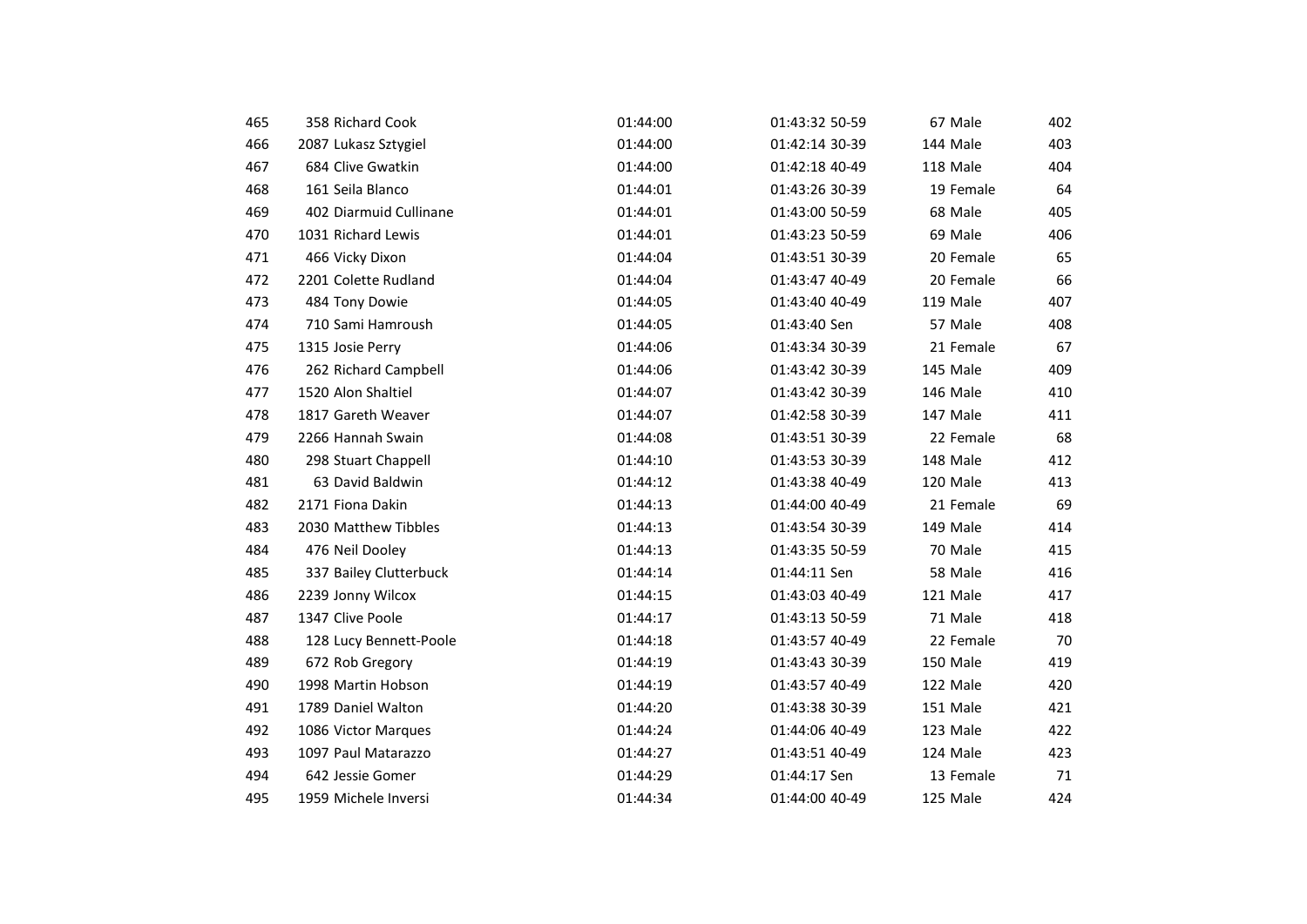| 465 | 358 Richard Cook       | 01:44:00 | 01:43:32 50-59 | 67 Male   | 402 |
|-----|------------------------|----------|----------------|-----------|-----|
| 466 | 2087 Lukasz Sztygiel   | 01:44:00 | 01:42:14 30-39 | 144 Male  | 403 |
| 467 | 684 Clive Gwatkin      | 01:44:00 | 01:42:18 40-49 | 118 Male  | 404 |
| 468 | 161 Seila Blanco       | 01:44:01 | 01:43:26 30-39 | 19 Female | 64  |
| 469 | 402 Diarmuid Cullinane | 01:44:01 | 01:43:00 50-59 | 68 Male   | 405 |
| 470 | 1031 Richard Lewis     | 01:44:01 | 01:43:23 50-59 | 69 Male   | 406 |
| 471 | 466 Vicky Dixon        | 01:44:04 | 01:43:51 30-39 | 20 Female | 65  |
| 472 | 2201 Colette Rudland   | 01:44:04 | 01:43:47 40-49 | 20 Female | 66  |
| 473 | 484 Tony Dowie         | 01:44:05 | 01:43:40 40-49 | 119 Male  | 407 |
| 474 | 710 Sami Hamroush      | 01:44:05 | 01:43:40 Sen   | 57 Male   | 408 |
| 475 | 1315 Josie Perry       | 01:44:06 | 01:43:34 30-39 | 21 Female | 67  |
| 476 | 262 Richard Campbell   | 01:44:06 | 01:43:42 30-39 | 145 Male  | 409 |
| 477 | 1520 Alon Shaltiel     | 01:44:07 | 01:43:42 30-39 | 146 Male  | 410 |
| 478 | 1817 Gareth Weaver     | 01:44:07 | 01:42:58 30-39 | 147 Male  | 411 |
| 479 | 2266 Hannah Swain      | 01:44:08 | 01:43:51 30-39 | 22 Female | 68  |
| 480 | 298 Stuart Chappell    | 01:44:10 | 01:43:53 30-39 | 148 Male  | 412 |
| 481 | 63 David Baldwin       | 01:44:12 | 01:43:38 40-49 | 120 Male  | 413 |
| 482 | 2171 Fiona Dakin       | 01:44:13 | 01:44:00 40-49 | 21 Female | 69  |
| 483 | 2030 Matthew Tibbles   | 01:44:13 | 01:43:54 30-39 | 149 Male  | 414 |
| 484 | 476 Neil Dooley        | 01:44:13 | 01:43:35 50-59 | 70 Male   | 415 |
| 485 | 337 Bailey Clutterbuck | 01:44:14 | 01:44:11 Sen   | 58 Male   | 416 |
| 486 | 2239 Jonny Wilcox      | 01:44:15 | 01:43:03 40-49 | 121 Male  | 417 |
| 487 | 1347 Clive Poole       | 01:44:17 | 01:43:13 50-59 | 71 Male   | 418 |
| 488 | 128 Lucy Bennett-Poole | 01:44:18 | 01:43:57 40-49 | 22 Female | 70  |
| 489 | 672 Rob Gregory        | 01:44:19 | 01:43:43 30-39 | 150 Male  | 419 |
| 490 | 1998 Martin Hobson     | 01:44:19 | 01:43:57 40-49 | 122 Male  | 420 |
| 491 | 1789 Daniel Walton     | 01:44:20 | 01:43:38 30-39 | 151 Male  | 421 |
| 492 | 1086 Victor Marques    | 01:44:24 | 01:44:06 40-49 | 123 Male  | 422 |
| 493 | 1097 Paul Matarazzo    | 01:44:27 | 01:43:51 40-49 | 124 Male  | 423 |
| 494 | 642 Jessie Gomer       | 01:44:29 | 01:44:17 Sen   | 13 Female | 71  |
| 495 | 1959 Michele Inversi   | 01:44:34 | 01:44:00 40-49 | 125 Male  | 424 |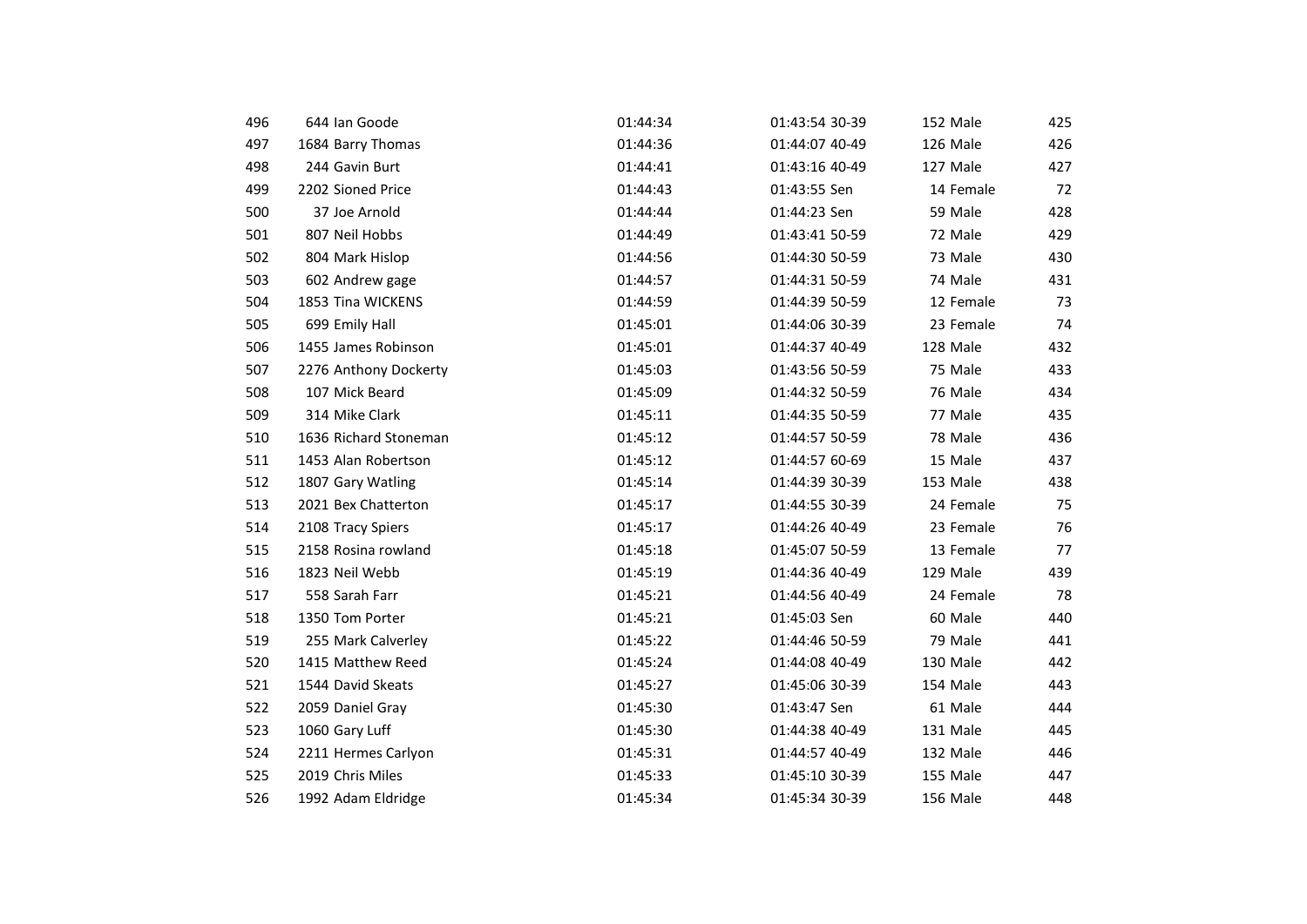| 496 | 644 Ian Goode         | 01:44:34 | 01:43:54 30-39 | 152 Male  | 425 |
|-----|-----------------------|----------|----------------|-----------|-----|
| 497 | 1684 Barry Thomas     | 01:44:36 | 01:44:07 40-49 | 126 Male  | 426 |
| 498 | 244 Gavin Burt        | 01:44:41 | 01:43:16 40-49 | 127 Male  | 427 |
| 499 | 2202 Sioned Price     | 01:44:43 | 01:43:55 Sen   | 14 Female | 72  |
| 500 | 37 Joe Arnold         | 01:44:44 | 01:44:23 Sen   | 59 Male   | 428 |
| 501 | 807 Neil Hobbs        | 01:44:49 | 01:43:41 50-59 | 72 Male   | 429 |
| 502 | 804 Mark Hislop       | 01:44:56 | 01:44:30 50-59 | 73 Male   | 430 |
| 503 | 602 Andrew gage       | 01:44:57 | 01:44:31 50-59 | 74 Male   | 431 |
| 504 | 1853 Tina WICKENS     | 01:44:59 | 01:44:39 50-59 | 12 Female | 73  |
| 505 | 699 Emily Hall        | 01:45:01 | 01:44:06 30-39 | 23 Female | 74  |
| 506 | 1455 James Robinson   | 01:45:01 | 01:44:37 40-49 | 128 Male  | 432 |
| 507 | 2276 Anthony Dockerty | 01:45:03 | 01:43:56 50-59 | 75 Male   | 433 |
| 508 | 107 Mick Beard        | 01:45:09 | 01:44:32 50-59 | 76 Male   | 434 |
| 509 | 314 Mike Clark        | 01:45:11 | 01:44:35 50-59 | 77 Male   | 435 |
| 510 | 1636 Richard Stoneman | 01:45:12 | 01:44:57 50-59 | 78 Male   | 436 |
| 511 | 1453 Alan Robertson   | 01:45:12 | 01:44:57 60-69 | 15 Male   | 437 |
| 512 | 1807 Gary Watling     | 01:45:14 | 01:44:39 30-39 | 153 Male  | 438 |
| 513 | 2021 Bex Chatterton   | 01:45:17 | 01:44:55 30-39 | 24 Female | 75  |
| 514 | 2108 Tracy Spiers     | 01:45:17 | 01:44:26 40-49 | 23 Female | 76  |
| 515 | 2158 Rosina rowland   | 01:45:18 | 01:45:07 50-59 | 13 Female | 77  |
| 516 | 1823 Neil Webb        | 01:45:19 | 01:44:36 40-49 | 129 Male  | 439 |
| 517 | 558 Sarah Farr        | 01:45:21 | 01:44:56 40-49 | 24 Female | 78  |
| 518 | 1350 Tom Porter       | 01:45:21 | 01:45:03 Sen   | 60 Male   | 440 |
| 519 | 255 Mark Calverley    | 01:45:22 | 01:44:46 50-59 | 79 Male   | 441 |
| 520 | 1415 Matthew Reed     | 01:45:24 | 01:44:08 40-49 | 130 Male  | 442 |
| 521 | 1544 David Skeats     | 01:45:27 | 01:45:06 30-39 | 154 Male  | 443 |
| 522 | 2059 Daniel Gray      | 01:45:30 | 01:43:47 Sen   | 61 Male   | 444 |
| 523 | 1060 Gary Luff        | 01:45:30 | 01:44:38 40-49 | 131 Male  | 445 |
| 524 | 2211 Hermes Carlyon   | 01:45:31 | 01:44:57 40-49 | 132 Male  | 446 |
| 525 | 2019 Chris Miles      | 01:45:33 | 01:45:10 30-39 | 155 Male  | 447 |
| 526 | 1992 Adam Eldridge    | 01:45:34 | 01:45:34 30-39 | 156 Male  | 448 |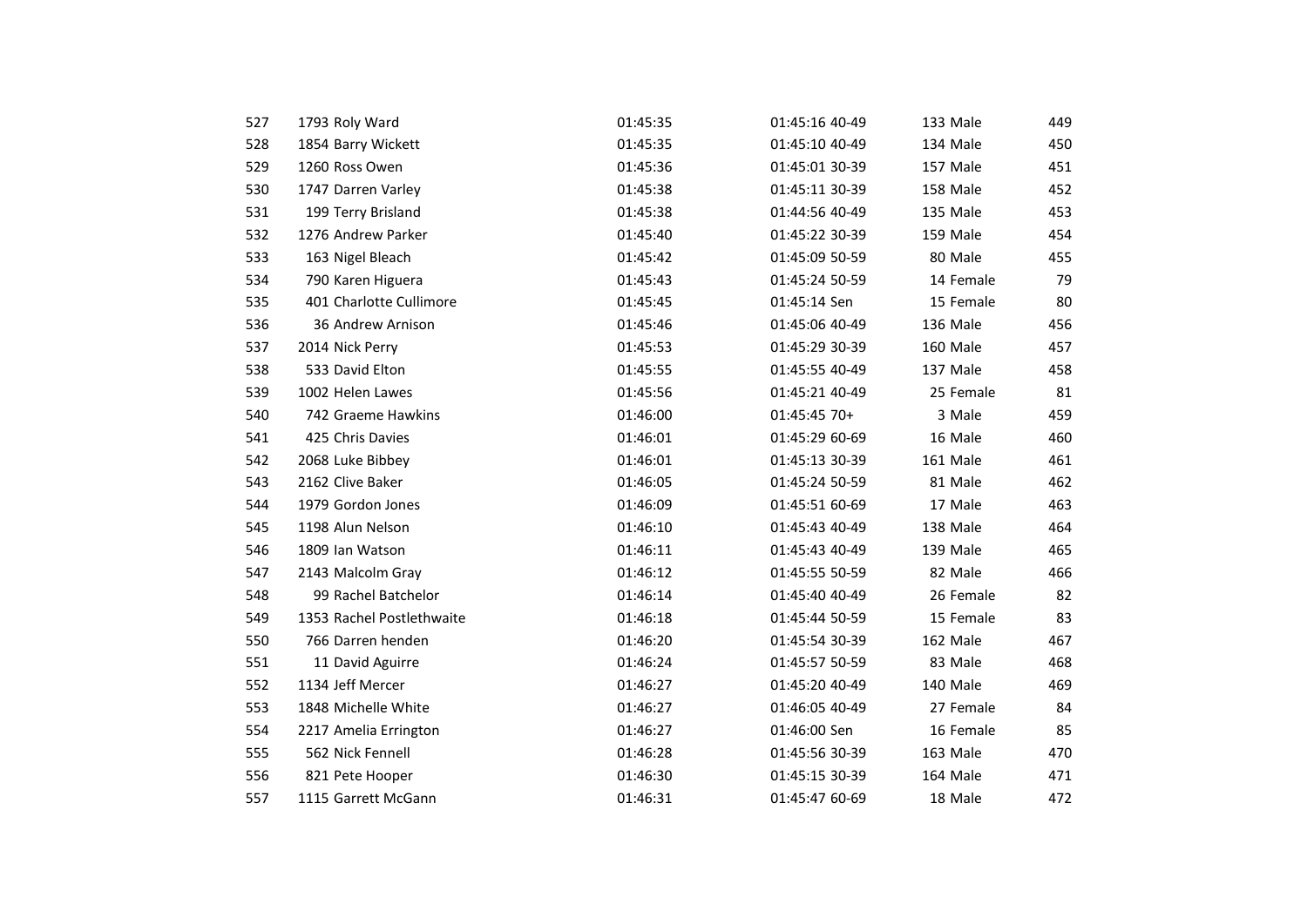| 527 | 1793 Roly Ward            | 01:45:35 | 01:45:16 40-49 | 133 Male  | 449 |
|-----|---------------------------|----------|----------------|-----------|-----|
| 528 | 1854 Barry Wickett        | 01:45:35 | 01:45:10 40-49 | 134 Male  | 450 |
| 529 | 1260 Ross Owen            | 01:45:36 | 01:45:01 30-39 | 157 Male  | 451 |
| 530 | 1747 Darren Varley        | 01:45:38 | 01:45:11 30-39 | 158 Male  | 452 |
| 531 | 199 Terry Brisland        | 01:45:38 | 01:44:56 40-49 | 135 Male  | 453 |
| 532 | 1276 Andrew Parker        | 01:45:40 | 01:45:22 30-39 | 159 Male  | 454 |
| 533 | 163 Nigel Bleach          | 01:45:42 | 01:45:09 50-59 | 80 Male   | 455 |
| 534 | 790 Karen Higuera         | 01:45:43 | 01:45:24 50-59 | 14 Female | 79  |
| 535 | 401 Charlotte Cullimore   | 01:45:45 | 01:45:14 Sen   | 15 Female | 80  |
| 536 | 36 Andrew Arnison         | 01:45:46 | 01:45:06 40-49 | 136 Male  | 456 |
| 537 | 2014 Nick Perry           | 01:45:53 | 01:45:29 30-39 | 160 Male  | 457 |
| 538 | 533 David Elton           | 01:45:55 | 01:45:55 40-49 | 137 Male  | 458 |
| 539 | 1002 Helen Lawes          | 01:45:56 | 01:45:21 40-49 | 25 Female | 81  |
| 540 | 742 Graeme Hawkins        | 01:46:00 | 01:45:45 70+   | 3 Male    | 459 |
| 541 | 425 Chris Davies          | 01:46:01 | 01:45:29 60-69 | 16 Male   | 460 |
| 542 | 2068 Luke Bibbey          | 01:46:01 | 01:45:13 30-39 | 161 Male  | 461 |
| 543 | 2162 Clive Baker          | 01:46:05 | 01:45:24 50-59 | 81 Male   | 462 |
| 544 | 1979 Gordon Jones         | 01:46:09 | 01:45:51 60-69 | 17 Male   | 463 |
| 545 | 1198 Alun Nelson          | 01:46:10 | 01:45:43 40-49 | 138 Male  | 464 |
| 546 | 1809 Ian Watson           | 01:46:11 | 01:45:43 40-49 | 139 Male  | 465 |
| 547 | 2143 Malcolm Gray         | 01:46:12 | 01:45:55 50-59 | 82 Male   | 466 |
| 548 | 99 Rachel Batchelor       | 01:46:14 | 01:45:40 40-49 | 26 Female | 82  |
| 549 | 1353 Rachel Postlethwaite | 01:46:18 | 01:45:44 50-59 | 15 Female | 83  |
| 550 | 766 Darren henden         | 01:46:20 | 01:45:54 30-39 | 162 Male  | 467 |
| 551 | 11 David Aguirre          | 01:46:24 | 01:45:57 50-59 | 83 Male   | 468 |
| 552 | 1134 Jeff Mercer          | 01:46:27 | 01:45:20 40-49 | 140 Male  | 469 |
| 553 | 1848 Michelle White       | 01:46:27 | 01:46:05 40-49 | 27 Female | 84  |
| 554 | 2217 Amelia Errington     | 01:46:27 | 01:46:00 Sen   | 16 Female | 85  |
| 555 | 562 Nick Fennell          | 01:46:28 | 01:45:56 30-39 | 163 Male  | 470 |
| 556 | 821 Pete Hooper           | 01:46:30 | 01:45:15 30-39 | 164 Male  | 471 |
| 557 | 1115 Garrett McGann       | 01:46:31 | 01:45:47 60-69 | 18 Male   | 472 |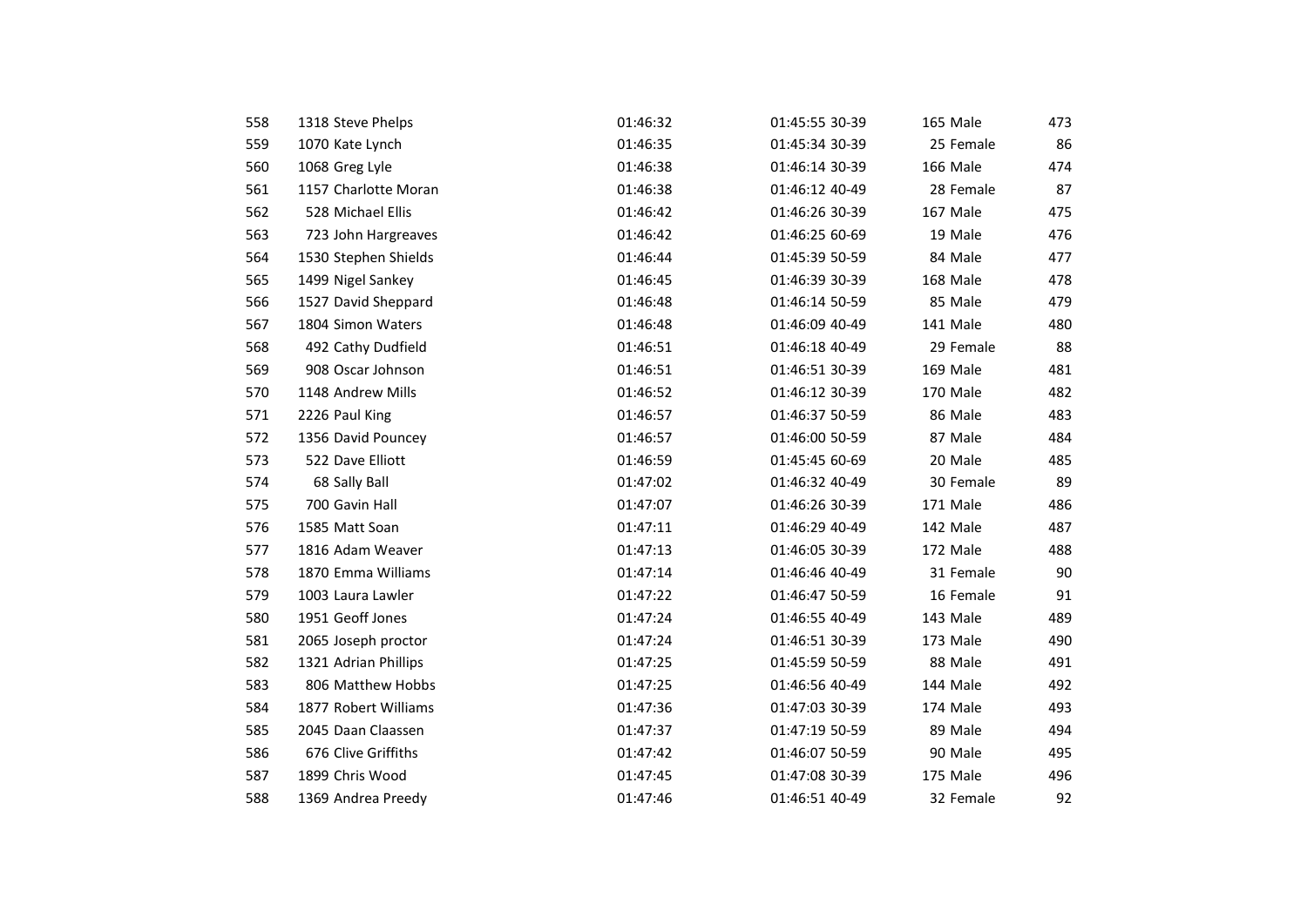| 558 | 1318 Steve Phelps    | 01:46:32 | 01:45:55 30-39 | 165 Male  | 473 |
|-----|----------------------|----------|----------------|-----------|-----|
| 559 | 1070 Kate Lynch      | 01:46:35 | 01:45:34 30-39 | 25 Female | 86  |
| 560 | 1068 Greg Lyle       | 01:46:38 | 01:46:14 30-39 | 166 Male  | 474 |
| 561 | 1157 Charlotte Moran | 01:46:38 | 01:46:12 40-49 | 28 Female | 87  |
| 562 | 528 Michael Ellis    | 01:46:42 | 01:46:26 30-39 | 167 Male  | 475 |
| 563 | 723 John Hargreaves  | 01:46:42 | 01:46:25 60-69 | 19 Male   | 476 |
| 564 | 1530 Stephen Shields | 01:46:44 | 01:45:39 50-59 | 84 Male   | 477 |
| 565 | 1499 Nigel Sankey    | 01:46:45 | 01:46:39 30-39 | 168 Male  | 478 |
| 566 | 1527 David Sheppard  | 01:46:48 | 01:46:14 50-59 | 85 Male   | 479 |
| 567 | 1804 Simon Waters    | 01:46:48 | 01:46:09 40-49 | 141 Male  | 480 |
| 568 | 492 Cathy Dudfield   | 01:46:51 | 01:46:18 40-49 | 29 Female | 88  |
| 569 | 908 Oscar Johnson    | 01:46:51 | 01:46:51 30-39 | 169 Male  | 481 |
| 570 | 1148 Andrew Mills    | 01:46:52 | 01:46:12 30-39 | 170 Male  | 482 |
| 571 | 2226 Paul King       | 01:46:57 | 01:46:37 50-59 | 86 Male   | 483 |
| 572 | 1356 David Pouncey   | 01:46:57 | 01:46:00 50-59 | 87 Male   | 484 |
| 573 | 522 Dave Elliott     | 01:46:59 | 01:45:45 60-69 | 20 Male   | 485 |
| 574 | 68 Sally Ball        | 01:47:02 | 01:46:32 40-49 | 30 Female | 89  |
| 575 | 700 Gavin Hall       | 01:47:07 | 01:46:26 30-39 | 171 Male  | 486 |
| 576 | 1585 Matt Soan       | 01:47:11 | 01:46:29 40-49 | 142 Male  | 487 |
| 577 | 1816 Adam Weaver     | 01:47:13 | 01:46:05 30-39 | 172 Male  | 488 |
| 578 | 1870 Emma Williams   | 01:47:14 | 01:46:46 40-49 | 31 Female | 90  |
| 579 | 1003 Laura Lawler    | 01:47:22 | 01:46:47 50-59 | 16 Female | 91  |
| 580 | 1951 Geoff Jones     | 01:47:24 | 01:46:55 40-49 | 143 Male  | 489 |
| 581 | 2065 Joseph proctor  | 01:47:24 | 01:46:51 30-39 | 173 Male  | 490 |
| 582 | 1321 Adrian Phillips | 01:47:25 | 01:45:59 50-59 | 88 Male   | 491 |
| 583 | 806 Matthew Hobbs    | 01:47:25 | 01:46:56 40-49 | 144 Male  | 492 |
| 584 | 1877 Robert Williams | 01:47:36 | 01:47:03 30-39 | 174 Male  | 493 |
| 585 | 2045 Daan Claassen   | 01:47:37 | 01:47:19 50-59 | 89 Male   | 494 |
| 586 | 676 Clive Griffiths  | 01:47:42 | 01:46:07 50-59 | 90 Male   | 495 |
| 587 | 1899 Chris Wood      | 01:47:45 | 01:47:08 30-39 | 175 Male  | 496 |
| 588 | 1369 Andrea Preedy   | 01:47:46 | 01:46:51 40-49 | 32 Female | 92  |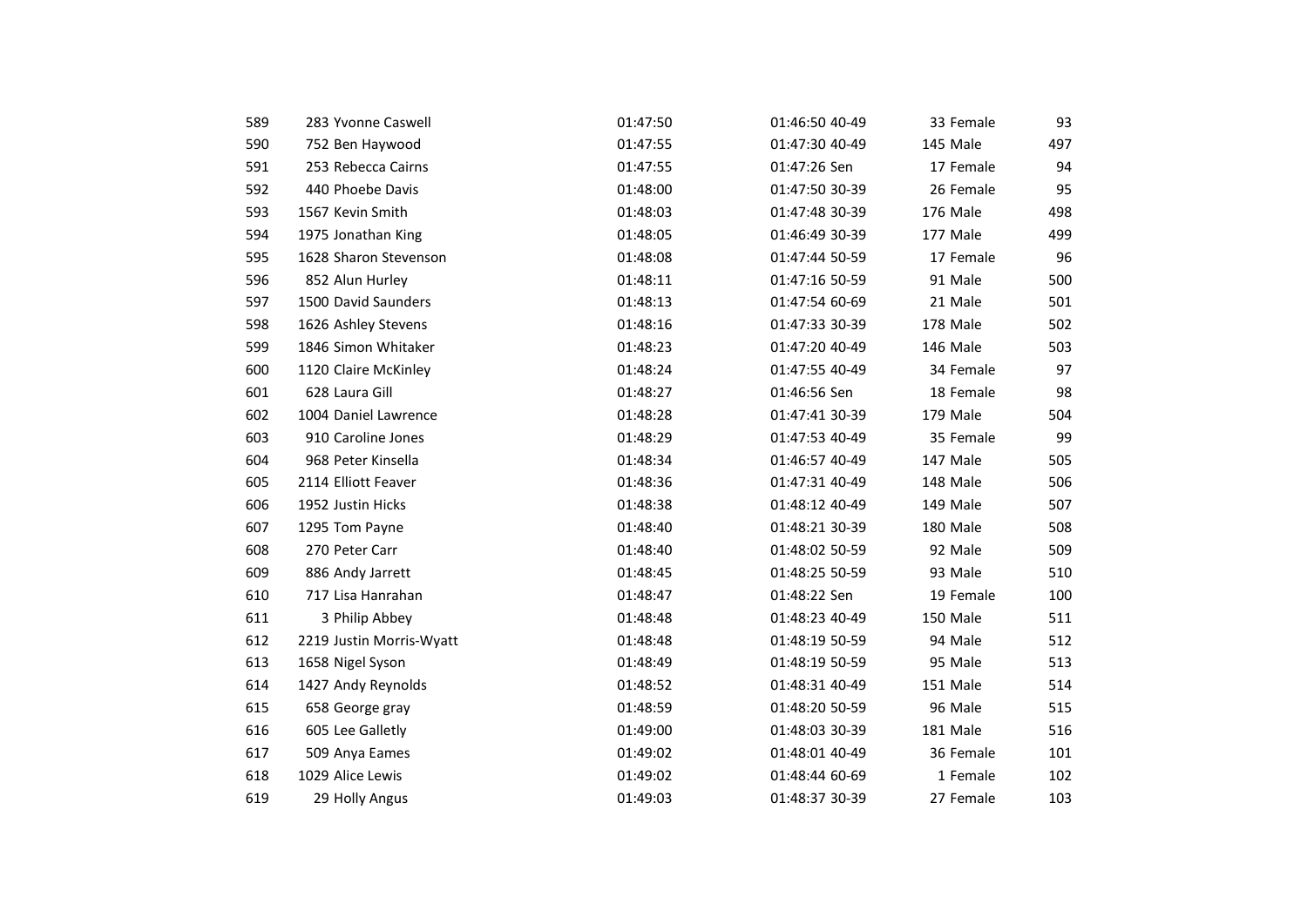| 589 | 283 Yvonne Caswell       | 01:47:50 | 01:46:50 40-49 | 33 Female | 93  |
|-----|--------------------------|----------|----------------|-----------|-----|
| 590 | 752 Ben Haywood          | 01:47:55 | 01:47:30 40-49 | 145 Male  | 497 |
| 591 | 253 Rebecca Cairns       | 01:47:55 | 01:47:26 Sen   | 17 Female | 94  |
| 592 | 440 Phoebe Davis         | 01:48:00 | 01:47:50 30-39 | 26 Female | 95  |
| 593 | 1567 Kevin Smith         | 01:48:03 | 01:47:48 30-39 | 176 Male  | 498 |
| 594 | 1975 Jonathan King       | 01:48:05 | 01:46:49 30-39 | 177 Male  | 499 |
| 595 | 1628 Sharon Stevenson    | 01:48:08 | 01:47:44 50-59 | 17 Female | 96  |
| 596 | 852 Alun Hurley          | 01:48:11 | 01:47:16 50-59 | 91 Male   | 500 |
| 597 | 1500 David Saunders      | 01:48:13 | 01:47:54 60-69 | 21 Male   | 501 |
| 598 | 1626 Ashley Stevens      | 01:48:16 | 01:47:33 30-39 | 178 Male  | 502 |
| 599 | 1846 Simon Whitaker      | 01:48:23 | 01:47:20 40-49 | 146 Male  | 503 |
| 600 | 1120 Claire McKinley     | 01:48:24 | 01:47:55 40-49 | 34 Female | 97  |
| 601 | 628 Laura Gill           | 01:48:27 | 01:46:56 Sen   | 18 Female | 98  |
| 602 | 1004 Daniel Lawrence     | 01:48:28 | 01:47:41 30-39 | 179 Male  | 504 |
| 603 | 910 Caroline Jones       | 01:48:29 | 01:47:53 40-49 | 35 Female | 99  |
| 604 | 968 Peter Kinsella       | 01:48:34 | 01:46:57 40-49 | 147 Male  | 505 |
| 605 | 2114 Elliott Feaver      | 01:48:36 | 01:47:31 40-49 | 148 Male  | 506 |
| 606 | 1952 Justin Hicks        | 01:48:38 | 01:48:12 40-49 | 149 Male  | 507 |
| 607 | 1295 Tom Payne           | 01:48:40 | 01:48:21 30-39 | 180 Male  | 508 |
| 608 | 270 Peter Carr           | 01:48:40 | 01:48:02 50-59 | 92 Male   | 509 |
| 609 | 886 Andy Jarrett         | 01:48:45 | 01:48:25 50-59 | 93 Male   | 510 |
| 610 | 717 Lisa Hanrahan        | 01:48:47 | 01:48:22 Sen   | 19 Female | 100 |
| 611 | 3 Philip Abbey           | 01:48:48 | 01:48:23 40-49 | 150 Male  | 511 |
| 612 | 2219 Justin Morris-Wyatt | 01:48:48 | 01:48:19 50-59 | 94 Male   | 512 |
| 613 | 1658 Nigel Syson         | 01:48:49 | 01:48:19 50-59 | 95 Male   | 513 |
| 614 | 1427 Andy Reynolds       | 01:48:52 | 01:48:31 40-49 | 151 Male  | 514 |
| 615 | 658 George gray          | 01:48:59 | 01:48:20 50-59 | 96 Male   | 515 |
| 616 | 605 Lee Galletly         | 01:49:00 | 01:48:03 30-39 | 181 Male  | 516 |
| 617 | 509 Anya Eames           | 01:49:02 | 01:48:01 40-49 | 36 Female | 101 |
| 618 | 1029 Alice Lewis         | 01:49:02 | 01:48:44 60-69 | 1 Female  | 102 |
| 619 | 29 Holly Angus           | 01:49:03 | 01:48:37 30-39 | 27 Female | 103 |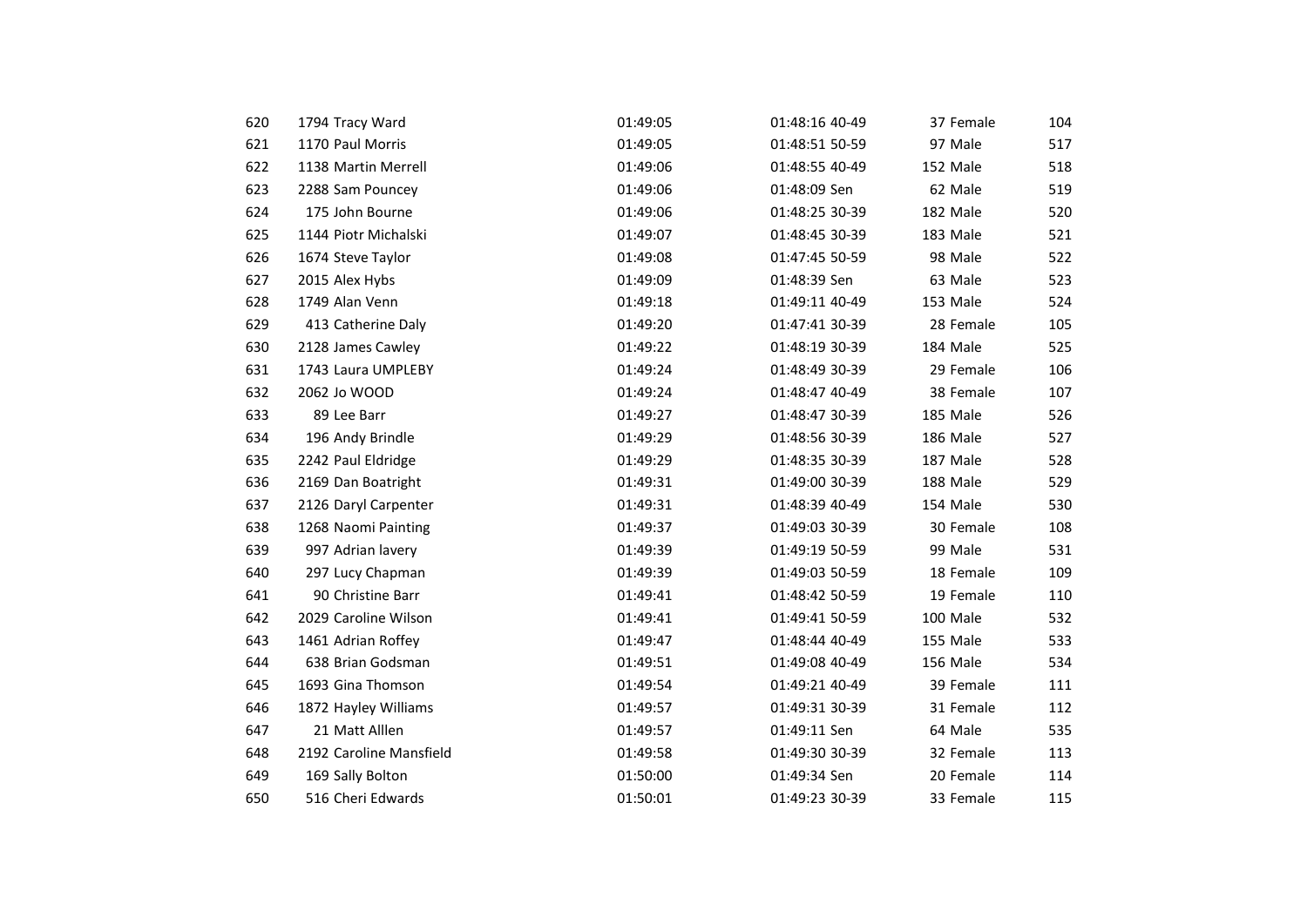| 620 | 1794 Tracy Ward         | 01:49:05 | 01:48:16 40-49 | 37 Female | 104 |
|-----|-------------------------|----------|----------------|-----------|-----|
| 621 | 1170 Paul Morris        | 01:49:05 | 01:48:51 50-59 | 97 Male   | 517 |
| 622 | 1138 Martin Merrell     | 01:49:06 | 01:48:55 40-49 | 152 Male  | 518 |
| 623 | 2288 Sam Pouncey        | 01:49:06 | 01:48:09 Sen   | 62 Male   | 519 |
| 624 | 175 John Bourne         | 01:49:06 | 01:48:25 30-39 | 182 Male  | 520 |
| 625 | 1144 Piotr Michalski    | 01:49:07 | 01:48:45 30-39 | 183 Male  | 521 |
| 626 | 1674 Steve Taylor       | 01:49:08 | 01:47:45 50-59 | 98 Male   | 522 |
| 627 | 2015 Alex Hybs          | 01:49:09 | 01:48:39 Sen   | 63 Male   | 523 |
| 628 | 1749 Alan Venn          | 01:49:18 | 01:49:11 40-49 | 153 Male  | 524 |
| 629 | 413 Catherine Daly      | 01:49:20 | 01:47:41 30-39 | 28 Female | 105 |
| 630 | 2128 James Cawley       | 01:49:22 | 01:48:19 30-39 | 184 Male  | 525 |
| 631 | 1743 Laura UMPLEBY      | 01:49:24 | 01:48:49 30-39 | 29 Female | 106 |
| 632 | 2062 Jo WOOD            | 01:49:24 | 01:48:47 40-49 | 38 Female | 107 |
| 633 | 89 Lee Barr             | 01:49:27 | 01:48:47 30-39 | 185 Male  | 526 |
| 634 | 196 Andy Brindle        | 01:49:29 | 01:48:56 30-39 | 186 Male  | 527 |
| 635 | 2242 Paul Eldridge      | 01:49:29 | 01:48:35 30-39 | 187 Male  | 528 |
| 636 | 2169 Dan Boatright      | 01:49:31 | 01:49:00 30-39 | 188 Male  | 529 |
| 637 | 2126 Daryl Carpenter    | 01:49:31 | 01:48:39 40-49 | 154 Male  | 530 |
| 638 | 1268 Naomi Painting     | 01:49:37 | 01:49:03 30-39 | 30 Female | 108 |
| 639 | 997 Adrian lavery       | 01:49:39 | 01:49:19 50-59 | 99 Male   | 531 |
| 640 | 297 Lucy Chapman        | 01:49:39 | 01:49:03 50-59 | 18 Female | 109 |
| 641 | 90 Christine Barr       | 01:49:41 | 01:48:42 50-59 | 19 Female | 110 |
| 642 | 2029 Caroline Wilson    | 01:49:41 | 01:49:41 50-59 | 100 Male  | 532 |
| 643 | 1461 Adrian Roffey      | 01:49:47 | 01:48:44 40-49 | 155 Male  | 533 |
| 644 | 638 Brian Godsman       | 01:49:51 | 01:49:08 40-49 | 156 Male  | 534 |
| 645 | 1693 Gina Thomson       | 01:49:54 | 01:49:21 40-49 | 39 Female | 111 |
| 646 | 1872 Hayley Williams    | 01:49:57 | 01:49:31 30-39 | 31 Female | 112 |
| 647 | 21 Matt Alllen          | 01:49:57 | 01:49:11 Sen   | 64 Male   | 535 |
| 648 | 2192 Caroline Mansfield | 01:49:58 | 01:49:30 30-39 | 32 Female | 113 |
| 649 | 169 Sally Bolton        | 01:50:00 | 01:49:34 Sen   | 20 Female | 114 |
| 650 | 516 Cheri Edwards       | 01:50:01 | 01:49:23 30-39 | 33 Female | 115 |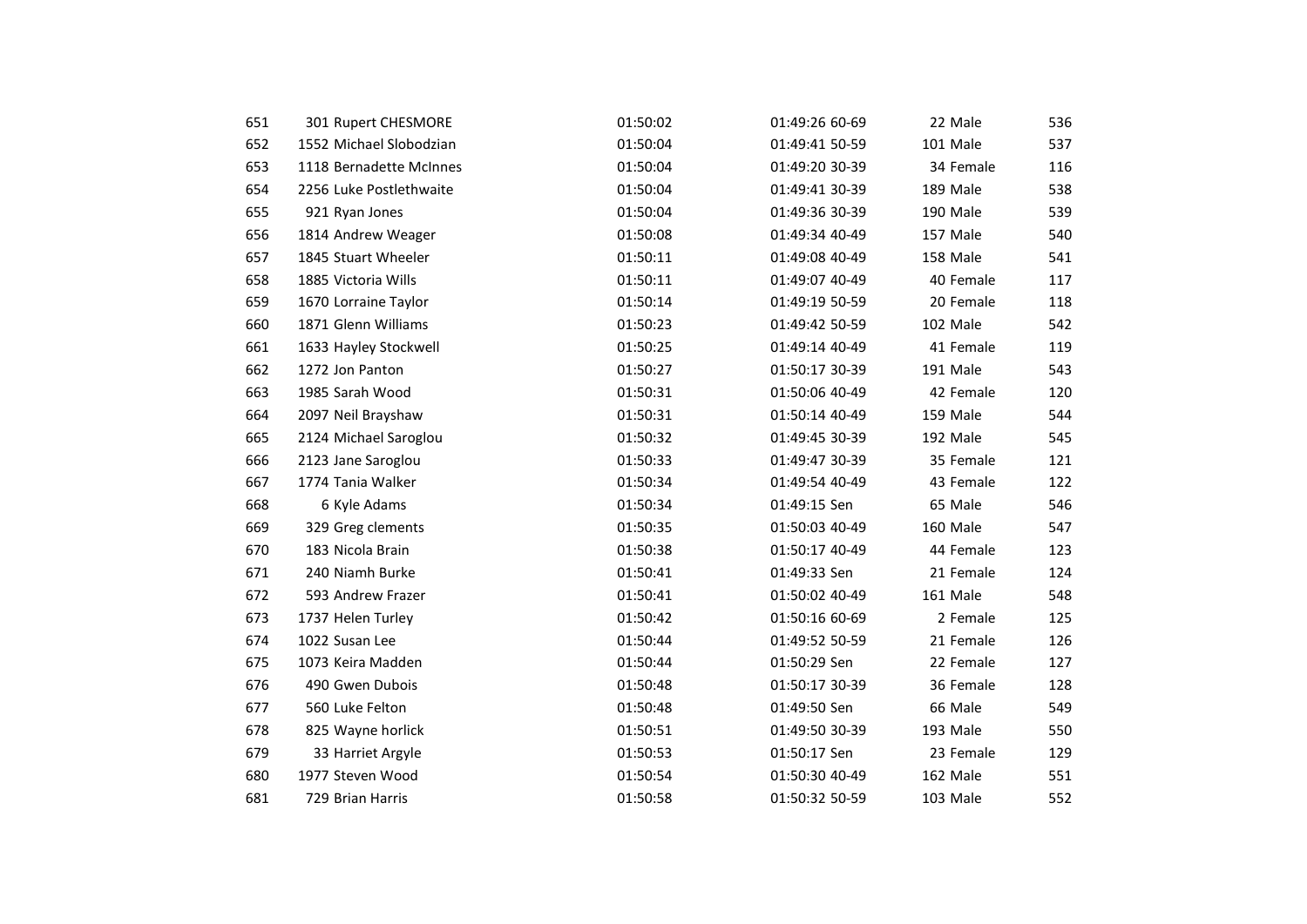| 651 | 301 Rupert CHESMORE     | 01:50:02 | 01:49:26 60-69 | 22 Male   | 536 |
|-----|-------------------------|----------|----------------|-----------|-----|
| 652 | 1552 Michael Slobodzian | 01:50:04 | 01:49:41 50-59 | 101 Male  | 537 |
| 653 | 1118 Bernadette McInnes | 01:50:04 | 01:49:20 30-39 | 34 Female | 116 |
| 654 | 2256 Luke Postlethwaite | 01:50:04 | 01:49:41 30-39 | 189 Male  | 538 |
| 655 | 921 Ryan Jones          | 01:50:04 | 01:49:36 30-39 | 190 Male  | 539 |
| 656 | 1814 Andrew Weager      | 01:50:08 | 01:49:34 40-49 | 157 Male  | 540 |
| 657 | 1845 Stuart Wheeler     | 01:50:11 | 01:49:08 40-49 | 158 Male  | 541 |
| 658 | 1885 Victoria Wills     | 01:50:11 | 01:49:07 40-49 | 40 Female | 117 |
| 659 | 1670 Lorraine Taylor    | 01:50:14 | 01:49:19 50-59 | 20 Female | 118 |
| 660 | 1871 Glenn Williams     | 01:50:23 | 01:49:42 50-59 | 102 Male  | 542 |
| 661 | 1633 Hayley Stockwell   | 01:50:25 | 01:49:14 40-49 | 41 Female | 119 |
| 662 | 1272 Jon Panton         | 01:50:27 | 01:50:17 30-39 | 191 Male  | 543 |
| 663 | 1985 Sarah Wood         | 01:50:31 | 01:50:06 40-49 | 42 Female | 120 |
| 664 | 2097 Neil Brayshaw      | 01:50:31 | 01:50:14 40-49 | 159 Male  | 544 |
| 665 | 2124 Michael Saroglou   | 01:50:32 | 01:49:45 30-39 | 192 Male  | 545 |
| 666 | 2123 Jane Saroglou      | 01:50:33 | 01:49:47 30-39 | 35 Female | 121 |
| 667 | 1774 Tania Walker       | 01:50:34 | 01:49:54 40-49 | 43 Female | 122 |
| 668 | 6 Kyle Adams            | 01:50:34 | 01:49:15 Sen   | 65 Male   | 546 |
| 669 | 329 Greg clements       | 01:50:35 | 01:50:03 40-49 | 160 Male  | 547 |
| 670 | 183 Nicola Brain        | 01:50:38 | 01:50:17 40-49 | 44 Female | 123 |
| 671 | 240 Niamh Burke         | 01:50:41 | 01:49:33 Sen   | 21 Female | 124 |
| 672 | 593 Andrew Frazer       | 01:50:41 | 01:50:02 40-49 | 161 Male  | 548 |
| 673 | 1737 Helen Turley       | 01:50:42 | 01:50:16 60-69 | 2 Female  | 125 |
| 674 | 1022 Susan Lee          | 01:50:44 | 01:49:52 50-59 | 21 Female | 126 |
| 675 | 1073 Keira Madden       | 01:50:44 | 01:50:29 Sen   | 22 Female | 127 |
| 676 | 490 Gwen Dubois         | 01:50:48 | 01:50:17 30-39 | 36 Female | 128 |
| 677 | 560 Luke Felton         | 01:50:48 | 01:49:50 Sen   | 66 Male   | 549 |
| 678 | 825 Wayne horlick       | 01:50:51 | 01:49:50 30-39 | 193 Male  | 550 |
| 679 | 33 Harriet Argyle       | 01:50:53 | 01:50:17 Sen   | 23 Female | 129 |
| 680 | 1977 Steven Wood        | 01:50:54 | 01:50:30 40-49 | 162 Male  | 551 |
| 681 | 729 Brian Harris        | 01:50:58 | 01:50:32 50-59 | 103 Male  | 552 |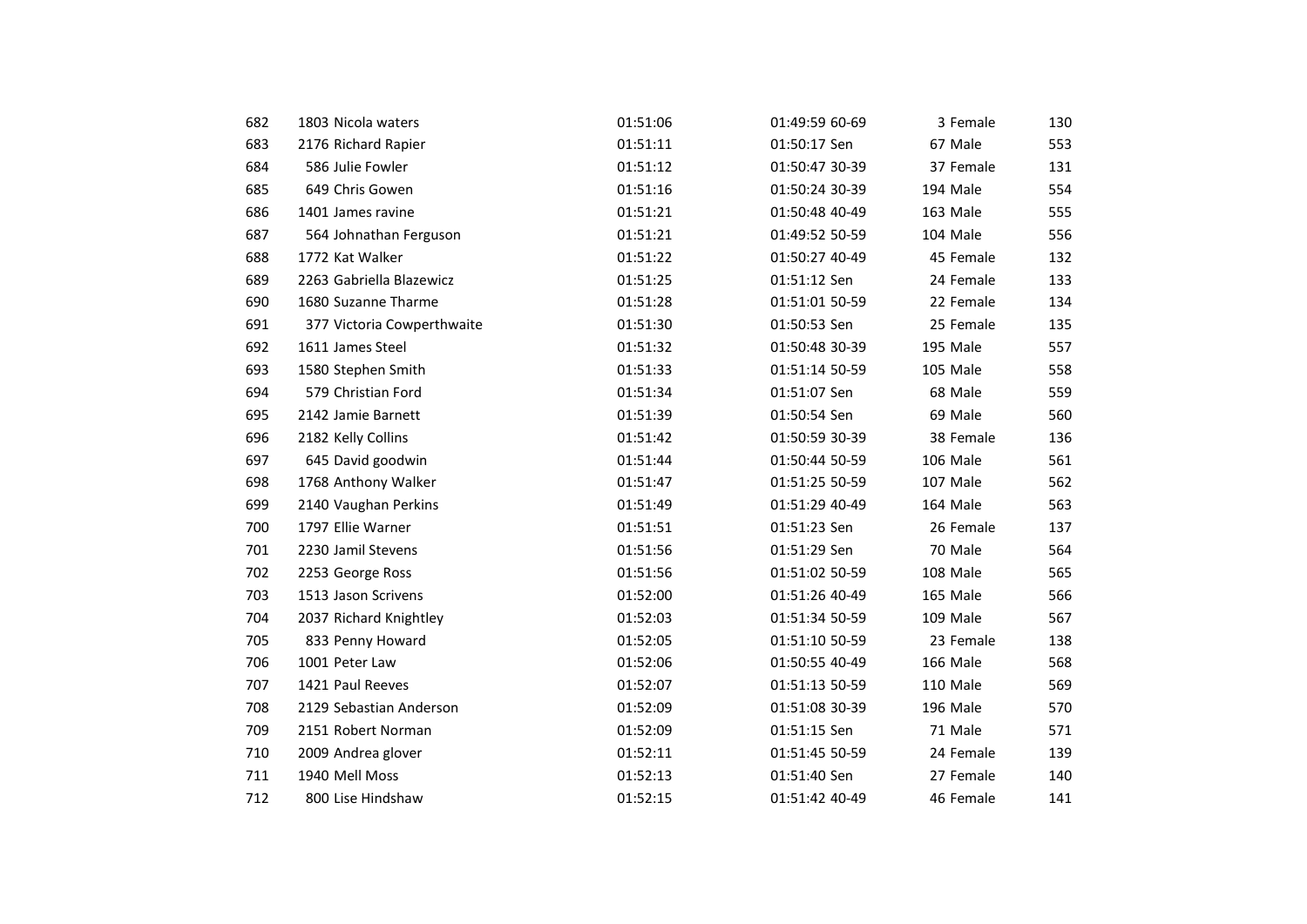| 682 | 1803 Nicola waters         | 01:51:06 | 01:49:59 60-69 | 3 Female  | 130 |
|-----|----------------------------|----------|----------------|-----------|-----|
| 683 | 2176 Richard Rapier        | 01:51:11 | 01:50:17 Sen   | 67 Male   | 553 |
| 684 | 586 Julie Fowler           | 01:51:12 | 01:50:47 30-39 | 37 Female | 131 |
| 685 | 649 Chris Gowen            | 01:51:16 | 01:50:24 30-39 | 194 Male  | 554 |
| 686 | 1401 James ravine          | 01:51:21 | 01:50:48 40-49 | 163 Male  | 555 |
| 687 | 564 Johnathan Ferguson     | 01:51:21 | 01:49:52 50-59 | 104 Male  | 556 |
| 688 | 1772 Kat Walker            | 01:51:22 | 01:50:27 40-49 | 45 Female | 132 |
| 689 | 2263 Gabriella Blazewicz   | 01:51:25 | 01:51:12 Sen   | 24 Female | 133 |
| 690 | 1680 Suzanne Tharme        | 01:51:28 | 01:51:01 50-59 | 22 Female | 134 |
| 691 | 377 Victoria Cowperthwaite | 01:51:30 | 01:50:53 Sen   | 25 Female | 135 |
| 692 | 1611 James Steel           | 01:51:32 | 01:50:48 30-39 | 195 Male  | 557 |
| 693 | 1580 Stephen Smith         | 01:51:33 | 01:51:14 50-59 | 105 Male  | 558 |
| 694 | 579 Christian Ford         | 01:51:34 | 01:51:07 Sen   | 68 Male   | 559 |
| 695 | 2142 Jamie Barnett         | 01:51:39 | 01:50:54 Sen   | 69 Male   | 560 |
| 696 | 2182 Kelly Collins         | 01:51:42 | 01:50:59 30-39 | 38 Female | 136 |
| 697 | 645 David goodwin          | 01:51:44 | 01:50:44 50-59 | 106 Male  | 561 |
| 698 | 1768 Anthony Walker        | 01:51:47 | 01:51:25 50-59 | 107 Male  | 562 |
| 699 | 2140 Vaughan Perkins       | 01:51:49 | 01:51:29 40-49 | 164 Male  | 563 |
| 700 | 1797 Ellie Warner          | 01:51:51 | 01:51:23 Sen   | 26 Female | 137 |
| 701 | 2230 Jamil Stevens         | 01:51:56 | 01:51:29 Sen   | 70 Male   | 564 |
| 702 | 2253 George Ross           | 01:51:56 | 01:51:02 50-59 | 108 Male  | 565 |
| 703 | 1513 Jason Scrivens        | 01:52:00 | 01:51:26 40-49 | 165 Male  | 566 |
| 704 | 2037 Richard Knightley     | 01:52:03 | 01:51:34 50-59 | 109 Male  | 567 |
| 705 | 833 Penny Howard           | 01:52:05 | 01:51:10 50-59 | 23 Female | 138 |
| 706 | 1001 Peter Law             | 01:52:06 | 01:50:55 40-49 | 166 Male  | 568 |
| 707 | 1421 Paul Reeves           | 01:52:07 | 01:51:13 50-59 | 110 Male  | 569 |
| 708 | 2129 Sebastian Anderson    | 01:52:09 | 01:51:08 30-39 | 196 Male  | 570 |
| 709 | 2151 Robert Norman         | 01:52:09 | 01:51:15 Sen   | 71 Male   | 571 |
| 710 | 2009 Andrea glover         | 01:52:11 | 01:51:45 50-59 | 24 Female | 139 |
| 711 | 1940 Mell Moss             | 01:52:13 | 01:51:40 Sen   | 27 Female | 140 |
| 712 | 800 Lise Hindshaw          | 01:52:15 | 01:51:42 40-49 | 46 Female | 141 |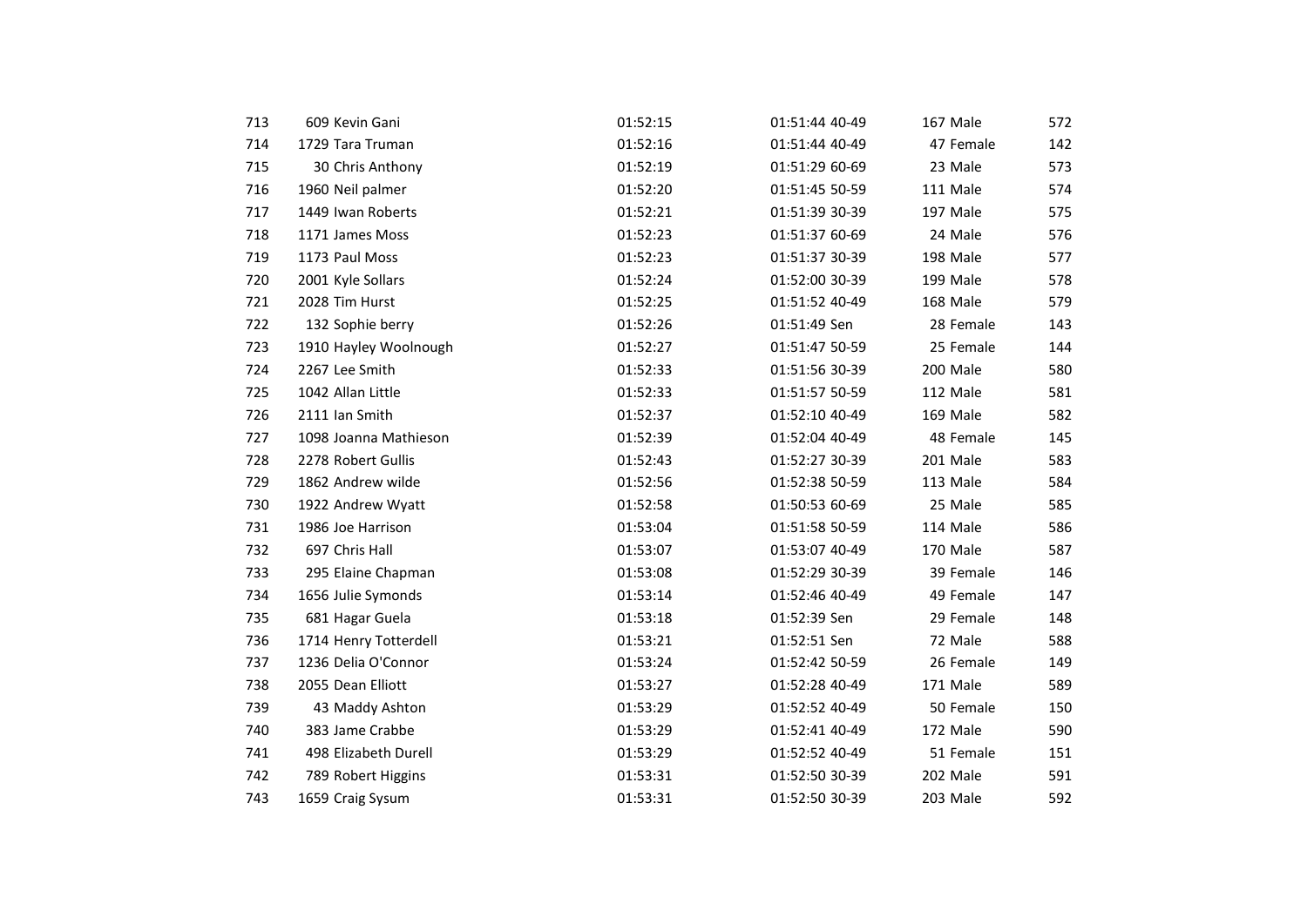| 713 | 609 Kevin Gani        | 01:52:15 | 01:51:44 40-49 | 167 Male  | 572 |
|-----|-----------------------|----------|----------------|-----------|-----|
| 714 | 1729 Tara Truman      | 01:52:16 | 01:51:44 40-49 | 47 Female | 142 |
| 715 | 30 Chris Anthony      | 01:52:19 | 01:51:29 60-69 | 23 Male   | 573 |
| 716 | 1960 Neil palmer      | 01:52:20 | 01:51:45 50-59 | 111 Male  | 574 |
| 717 | 1449 Iwan Roberts     | 01:52:21 | 01:51:39 30-39 | 197 Male  | 575 |
| 718 | 1171 James Moss       | 01:52:23 | 01:51:37 60-69 | 24 Male   | 576 |
| 719 | 1173 Paul Moss        | 01:52:23 | 01:51:37 30-39 | 198 Male  | 577 |
| 720 | 2001 Kyle Sollars     | 01:52:24 | 01:52:00 30-39 | 199 Male  | 578 |
| 721 | 2028 Tim Hurst        | 01:52:25 | 01:51:52 40-49 | 168 Male  | 579 |
| 722 | 132 Sophie berry      | 01:52:26 | 01:51:49 Sen   | 28 Female | 143 |
| 723 | 1910 Hayley Woolnough | 01:52:27 | 01:51:47 50-59 | 25 Female | 144 |
| 724 | 2267 Lee Smith        | 01:52:33 | 01:51:56 30-39 | 200 Male  | 580 |
| 725 | 1042 Allan Little     | 01:52:33 | 01:51:57 50-59 | 112 Male  | 581 |
| 726 | 2111 Ian Smith        | 01:52:37 | 01:52:10 40-49 | 169 Male  | 582 |
| 727 | 1098 Joanna Mathieson | 01:52:39 | 01:52:04 40-49 | 48 Female | 145 |
| 728 | 2278 Robert Gullis    | 01:52:43 | 01:52:27 30-39 | 201 Male  | 583 |
| 729 | 1862 Andrew wilde     | 01:52:56 | 01:52:38 50-59 | 113 Male  | 584 |
| 730 | 1922 Andrew Wyatt     | 01:52:58 | 01:50:53 60-69 | 25 Male   | 585 |
| 731 | 1986 Joe Harrison     | 01:53:04 | 01:51:58 50-59 | 114 Male  | 586 |
| 732 | 697 Chris Hall        | 01:53:07 | 01:53:07 40-49 | 170 Male  | 587 |
| 733 | 295 Elaine Chapman    | 01:53:08 | 01:52:29 30-39 | 39 Female | 146 |
| 734 | 1656 Julie Symonds    | 01:53:14 | 01:52:46 40-49 | 49 Female | 147 |
| 735 | 681 Hagar Guela       | 01:53:18 | 01:52:39 Sen   | 29 Female | 148 |
| 736 | 1714 Henry Totterdell | 01:53:21 | 01:52:51 Sen   | 72 Male   | 588 |
| 737 | 1236 Delia O'Connor   | 01:53:24 | 01:52:42 50-59 | 26 Female | 149 |
| 738 | 2055 Dean Elliott     | 01:53:27 | 01:52:28 40-49 | 171 Male  | 589 |
| 739 | 43 Maddy Ashton       | 01:53:29 | 01:52:52 40-49 | 50 Female | 150 |
| 740 | 383 Jame Crabbe       | 01:53:29 | 01:52:41 40-49 | 172 Male  | 590 |
| 741 | 498 Elizabeth Durell  | 01:53:29 | 01:52:52 40-49 | 51 Female | 151 |
| 742 | 789 Robert Higgins    | 01:53:31 | 01:52:50 30-39 | 202 Male  | 591 |
| 743 | 1659 Craig Sysum      | 01:53:31 | 01:52:50 30-39 | 203 Male  | 592 |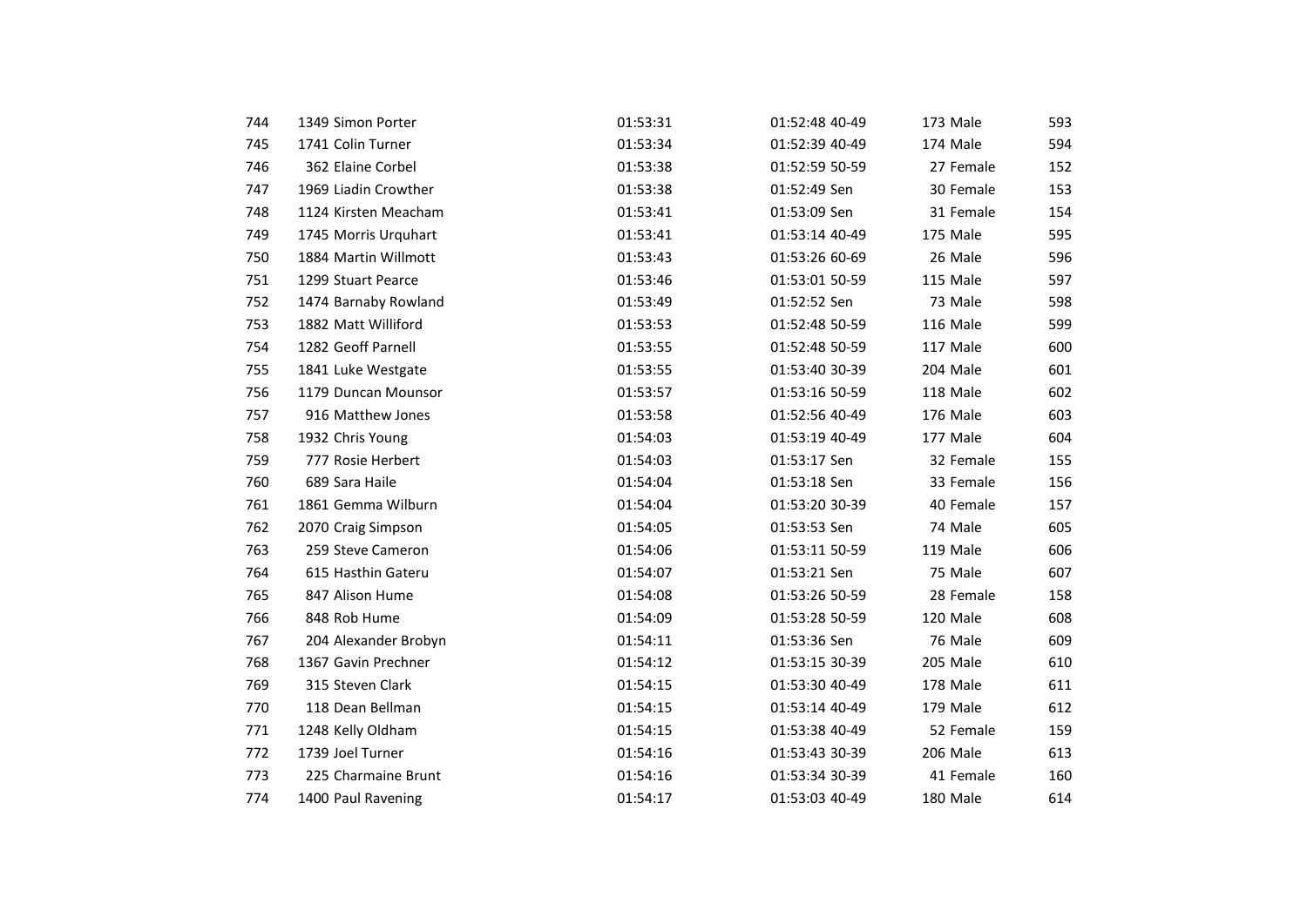| 744 | 1349 Simon Porter    | 01:53:31 | 01:52:48 40-49 | 173 Male  | 593 |
|-----|----------------------|----------|----------------|-----------|-----|
| 745 | 1741 Colin Turner    | 01:53:34 | 01:52:39 40-49 | 174 Male  | 594 |
| 746 | 362 Elaine Corbel    | 01:53:38 | 01:52:59 50-59 | 27 Female | 152 |
| 747 | 1969 Liadin Crowther | 01:53:38 | 01:52:49 Sen   | 30 Female | 153 |
| 748 | 1124 Kirsten Meacham | 01:53:41 | 01:53:09 Sen   | 31 Female | 154 |
| 749 | 1745 Morris Urquhart | 01:53:41 | 01:53:14 40-49 | 175 Male  | 595 |
| 750 | 1884 Martin Willmott | 01:53:43 | 01:53:26 60-69 | 26 Male   | 596 |
| 751 | 1299 Stuart Pearce   | 01:53:46 | 01:53:01 50-59 | 115 Male  | 597 |
| 752 | 1474 Barnaby Rowland | 01:53:49 | 01:52:52 Sen   | 73 Male   | 598 |
| 753 | 1882 Matt Williford  | 01:53:53 | 01:52:48 50-59 | 116 Male  | 599 |
| 754 | 1282 Geoff Parnell   | 01:53:55 | 01:52:48 50-59 | 117 Male  | 600 |
| 755 | 1841 Luke Westgate   | 01:53:55 | 01:53:40 30-39 | 204 Male  | 601 |
| 756 | 1179 Duncan Mounsor  | 01:53:57 | 01:53:16 50-59 | 118 Male  | 602 |
| 757 | 916 Matthew Jones    | 01:53:58 | 01:52:56 40-49 | 176 Male  | 603 |
| 758 | 1932 Chris Young     | 01:54:03 | 01:53:19 40-49 | 177 Male  | 604 |
| 759 | 777 Rosie Herbert    | 01:54:03 | 01:53:17 Sen   | 32 Female | 155 |
| 760 | 689 Sara Haile       | 01:54:04 | 01:53:18 Sen   | 33 Female | 156 |
| 761 | 1861 Gemma Wilburn   | 01:54:04 | 01:53:20 30-39 | 40 Female | 157 |
| 762 | 2070 Craig Simpson   | 01:54:05 | 01:53:53 Sen   | 74 Male   | 605 |
| 763 | 259 Steve Cameron    | 01:54:06 | 01:53:11 50-59 | 119 Male  | 606 |
| 764 | 615 Hasthin Gateru   | 01:54:07 | 01:53:21 Sen   | 75 Male   | 607 |
| 765 | 847 Alison Hume      | 01:54:08 | 01:53:26 50-59 | 28 Female | 158 |
| 766 | 848 Rob Hume         | 01:54:09 | 01:53:28 50-59 | 120 Male  | 608 |
| 767 | 204 Alexander Brobyn | 01:54:11 | 01:53:36 Sen   | 76 Male   | 609 |
| 768 | 1367 Gavin Prechner  | 01:54:12 | 01:53:15 30-39 | 205 Male  | 610 |
| 769 | 315 Steven Clark     | 01:54:15 | 01:53:30 40-49 | 178 Male  | 611 |
| 770 | 118 Dean Bellman     | 01:54:15 | 01:53:14 40-49 | 179 Male  | 612 |
| 771 | 1248 Kelly Oldham    | 01:54:15 | 01:53:38 40-49 | 52 Female | 159 |
| 772 | 1739 Joel Turner     | 01:54:16 | 01:53:43 30-39 | 206 Male  | 613 |
| 773 | 225 Charmaine Brunt  | 01:54:16 | 01:53:34 30-39 | 41 Female | 160 |
| 774 | 1400 Paul Ravening   | 01:54:17 | 01:53:03 40-49 | 180 Male  | 614 |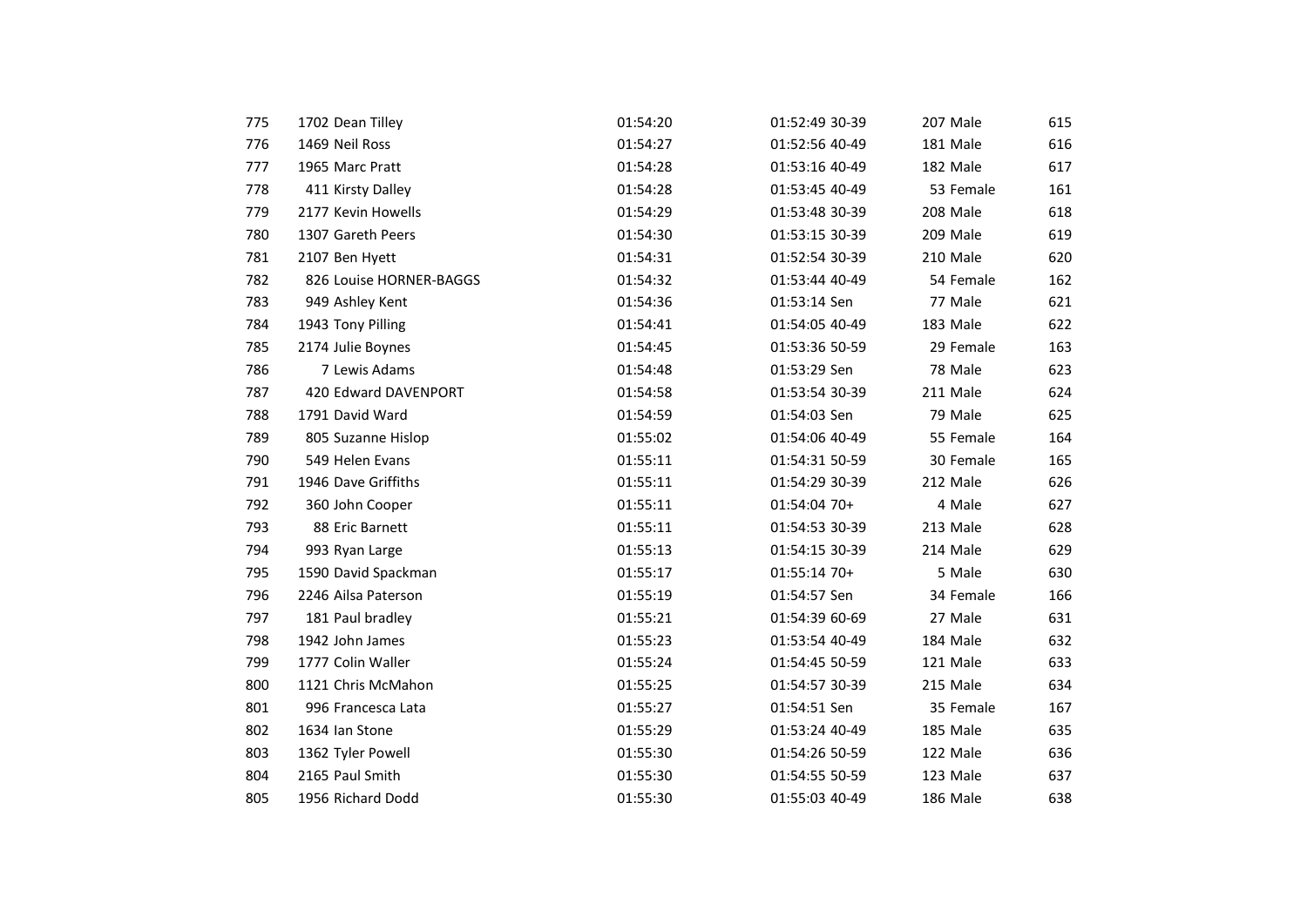| 775 | 1702 Dean Tilley        | 01:54:20 | 01:52:49 30-39 | 207 Male  | 615 |
|-----|-------------------------|----------|----------------|-----------|-----|
| 776 | 1469 Neil Ross          | 01:54:27 | 01:52:56 40-49 | 181 Male  | 616 |
| 777 | 1965 Marc Pratt         | 01:54:28 | 01:53:16 40-49 | 182 Male  | 617 |
| 778 | 411 Kirsty Dalley       | 01:54:28 | 01:53:45 40-49 | 53 Female | 161 |
| 779 | 2177 Kevin Howells      | 01:54:29 | 01:53:48 30-39 | 208 Male  | 618 |
| 780 | 1307 Gareth Peers       | 01:54:30 | 01:53:15 30-39 | 209 Male  | 619 |
| 781 | 2107 Ben Hyett          | 01:54:31 | 01:52:54 30-39 | 210 Male  | 620 |
| 782 | 826 Louise HORNER-BAGGS | 01:54:32 | 01:53:44 40-49 | 54 Female | 162 |
| 783 | 949 Ashley Kent         | 01:54:36 | 01:53:14 Sen   | 77 Male   | 621 |
| 784 | 1943 Tony Pilling       | 01:54:41 | 01:54:05 40-49 | 183 Male  | 622 |
| 785 | 2174 Julie Boynes       | 01:54:45 | 01:53:36 50-59 | 29 Female | 163 |
| 786 | 7 Lewis Adams           | 01:54:48 | 01:53:29 Sen   | 78 Male   | 623 |
| 787 | 420 Edward DAVENPORT    | 01:54:58 | 01:53:54 30-39 | 211 Male  | 624 |
| 788 | 1791 David Ward         | 01:54:59 | 01:54:03 Sen   | 79 Male   | 625 |
| 789 | 805 Suzanne Hislop      | 01:55:02 | 01:54:06 40-49 | 55 Female | 164 |
| 790 | 549 Helen Evans         | 01:55:11 | 01:54:31 50-59 | 30 Female | 165 |
| 791 | 1946 Dave Griffiths     | 01:55:11 | 01:54:29 30-39 | 212 Male  | 626 |
| 792 | 360 John Cooper         | 01:55:11 | 01:54:04 70+   | 4 Male    | 627 |
| 793 | 88 Eric Barnett         | 01:55:11 | 01:54:53 30-39 | 213 Male  | 628 |
| 794 | 993 Ryan Large          | 01:55:13 | 01:54:15 30-39 | 214 Male  | 629 |
| 795 | 1590 David Spackman     | 01:55:17 | 01:55:14 70+   | 5 Male    | 630 |
| 796 | 2246 Ailsa Paterson     | 01:55:19 | 01:54:57 Sen   | 34 Female | 166 |
| 797 | 181 Paul bradley        | 01:55:21 | 01:54:39 60-69 | 27 Male   | 631 |
| 798 | 1942 John James         | 01:55:23 | 01:53:54 40-49 | 184 Male  | 632 |
| 799 | 1777 Colin Waller       | 01:55:24 | 01:54:45 50-59 | 121 Male  | 633 |
| 800 | 1121 Chris McMahon      | 01:55:25 | 01:54:57 30-39 | 215 Male  | 634 |
| 801 | 996 Francesca Lata      | 01:55:27 | 01:54:51 Sen   | 35 Female | 167 |
| 802 | 1634 Ian Stone          | 01:55:29 | 01:53:24 40-49 | 185 Male  | 635 |
| 803 | 1362 Tyler Powell       | 01:55:30 | 01:54:26 50-59 | 122 Male  | 636 |
| 804 | 2165 Paul Smith         | 01:55:30 | 01:54:55 50-59 | 123 Male  | 637 |
| 805 | 1956 Richard Dodd       | 01:55:30 | 01:55:03 40-49 | 186 Male  | 638 |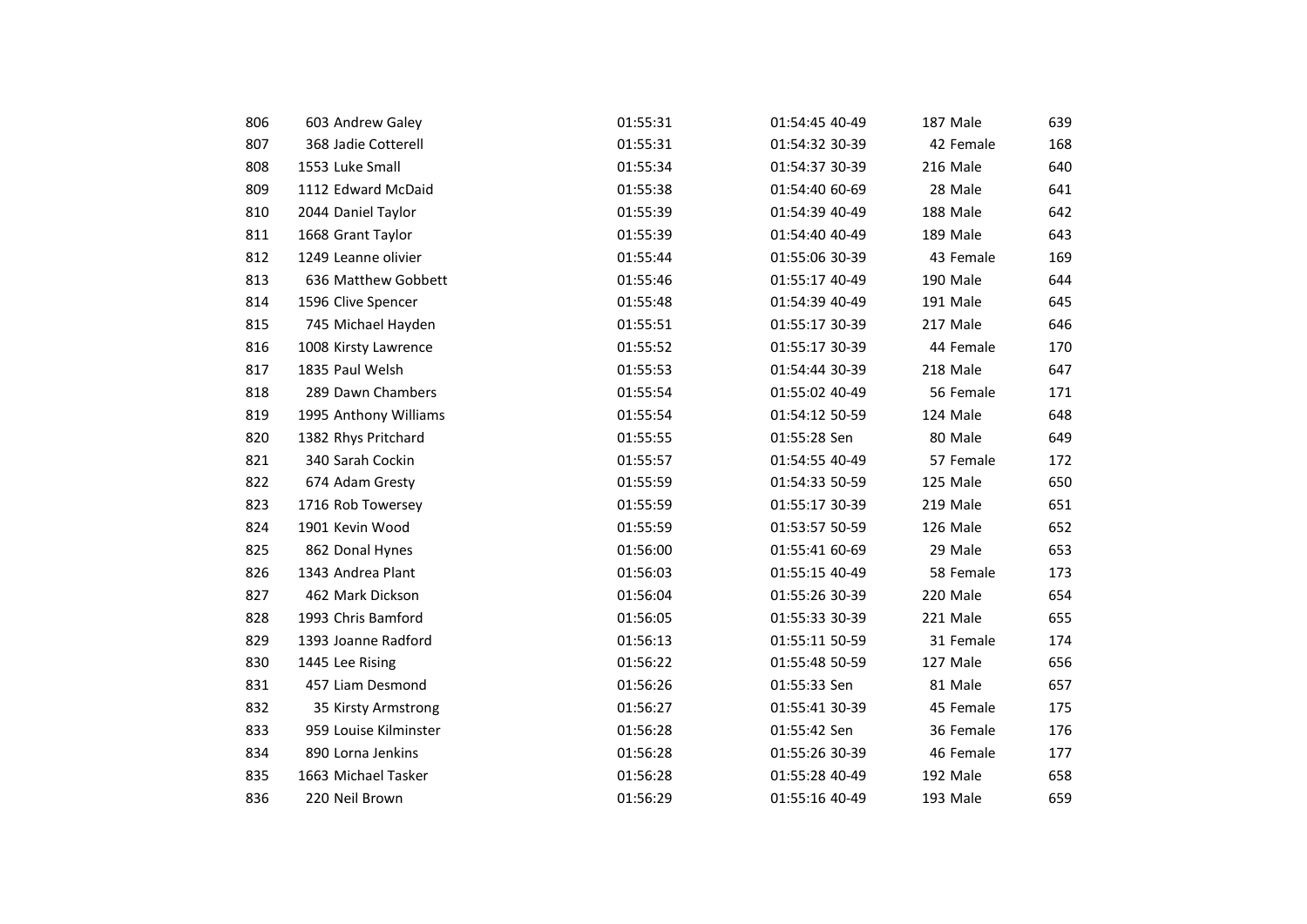| 806 | 603 Andrew Galey      | 01:55:31 | 01:54:45 40-49 | 187 Male  | 639 |
|-----|-----------------------|----------|----------------|-----------|-----|
| 807 | 368 Jadie Cotterell   | 01:55:31 | 01:54:32 30-39 | 42 Female | 168 |
| 808 | 1553 Luke Small       | 01:55:34 | 01:54:37 30-39 | 216 Male  | 640 |
| 809 | 1112 Edward McDaid    | 01:55:38 | 01:54:40 60-69 | 28 Male   | 641 |
| 810 | 2044 Daniel Taylor    | 01:55:39 | 01:54:39 40-49 | 188 Male  | 642 |
| 811 | 1668 Grant Taylor     | 01:55:39 | 01:54:40 40-49 | 189 Male  | 643 |
| 812 | 1249 Leanne olivier   | 01:55:44 | 01:55:06 30-39 | 43 Female | 169 |
| 813 | 636 Matthew Gobbett   | 01:55:46 | 01:55:17 40-49 | 190 Male  | 644 |
| 814 | 1596 Clive Spencer    | 01:55:48 | 01:54:39 40-49 | 191 Male  | 645 |
| 815 | 745 Michael Hayden    | 01:55:51 | 01:55:17 30-39 | 217 Male  | 646 |
| 816 | 1008 Kirsty Lawrence  | 01:55:52 | 01:55:17 30-39 | 44 Female | 170 |
| 817 | 1835 Paul Welsh       | 01:55:53 | 01:54:44 30-39 | 218 Male  | 647 |
| 818 | 289 Dawn Chambers     | 01:55:54 | 01:55:02 40-49 | 56 Female | 171 |
| 819 | 1995 Anthony Williams | 01:55:54 | 01:54:12 50-59 | 124 Male  | 648 |
| 820 | 1382 Rhys Pritchard   | 01:55:55 | 01:55:28 Sen   | 80 Male   | 649 |
| 821 | 340 Sarah Cockin      | 01:55:57 | 01:54:55 40-49 | 57 Female | 172 |
| 822 | 674 Adam Gresty       | 01:55:59 | 01:54:33 50-59 | 125 Male  | 650 |
| 823 | 1716 Rob Towersey     | 01:55:59 | 01:55:17 30-39 | 219 Male  | 651 |
| 824 | 1901 Kevin Wood       | 01:55:59 | 01:53:57 50-59 | 126 Male  | 652 |
| 825 | 862 Donal Hynes       | 01:56:00 | 01:55:41 60-69 | 29 Male   | 653 |
| 826 | 1343 Andrea Plant     | 01:56:03 | 01:55:15 40-49 | 58 Female | 173 |
| 827 | 462 Mark Dickson      | 01:56:04 | 01:55:26 30-39 | 220 Male  | 654 |
| 828 | 1993 Chris Bamford    | 01:56:05 | 01:55:33 30-39 | 221 Male  | 655 |
| 829 | 1393 Joanne Radford   | 01:56:13 | 01:55:11 50-59 | 31 Female | 174 |
| 830 | 1445 Lee Rising       | 01:56:22 | 01:55:48 50-59 | 127 Male  | 656 |
| 831 | 457 Liam Desmond      | 01:56:26 | 01:55:33 Sen   | 81 Male   | 657 |
| 832 | 35 Kirsty Armstrong   | 01:56:27 | 01:55:41 30-39 | 45 Female | 175 |
| 833 | 959 Louise Kilminster | 01:56:28 | 01:55:42 Sen   | 36 Female | 176 |
| 834 | 890 Lorna Jenkins     | 01:56:28 | 01:55:26 30-39 | 46 Female | 177 |
| 835 | 1663 Michael Tasker   | 01:56:28 | 01:55:28 40-49 | 192 Male  | 658 |
| 836 | 220 Neil Brown        | 01:56:29 | 01:55:16 40-49 | 193 Male  | 659 |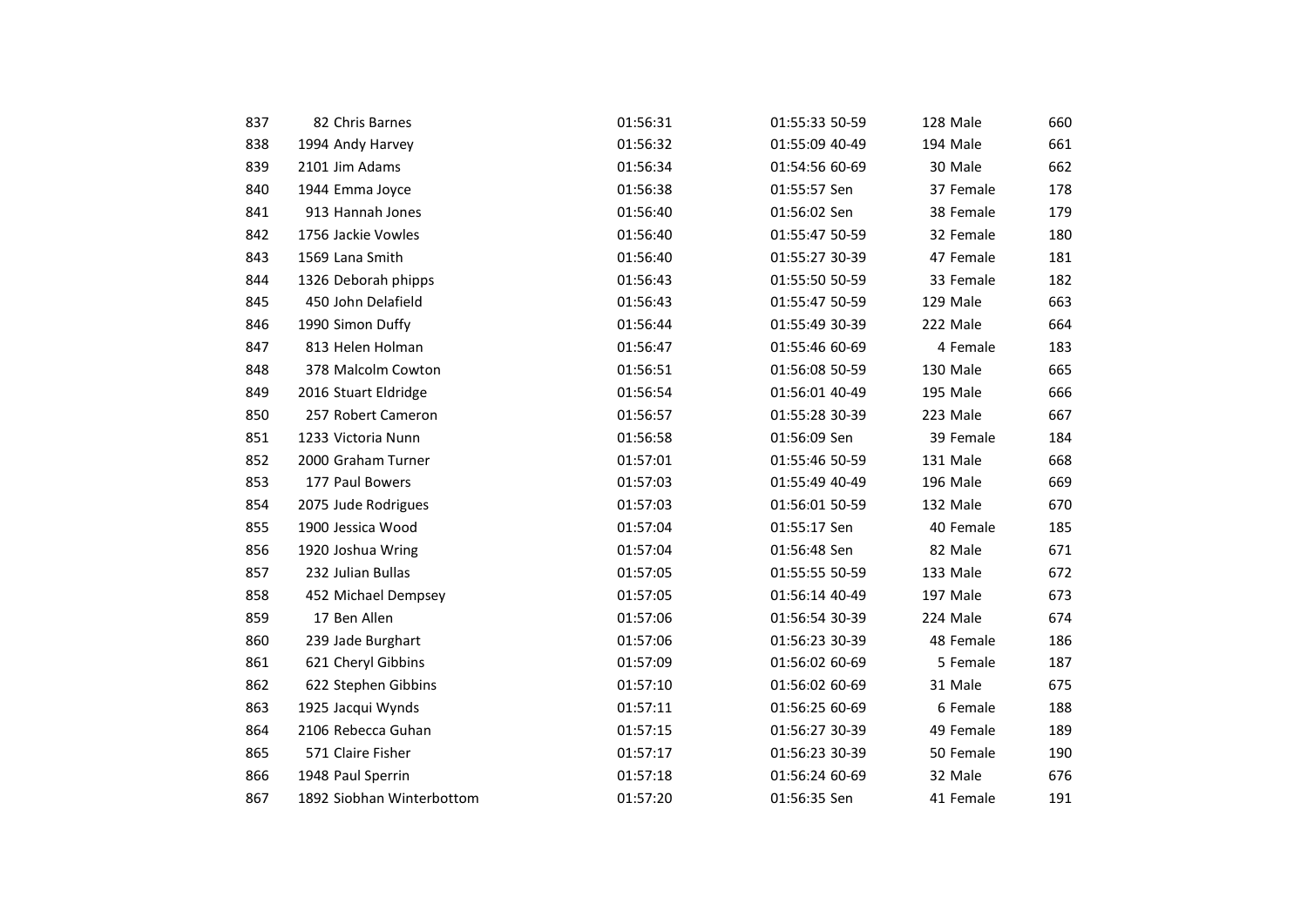| 837 | 82 Chris Barnes           | 01:56:31 | 01:55:33 50-59 | 128 Male  | 660 |
|-----|---------------------------|----------|----------------|-----------|-----|
| 838 | 1994 Andy Harvey          | 01:56:32 | 01:55:09 40-49 | 194 Male  | 661 |
| 839 | 2101 Jim Adams            | 01:56:34 | 01:54:56 60-69 | 30 Male   | 662 |
| 840 | 1944 Emma Joyce           | 01:56:38 | 01:55:57 Sen   | 37 Female | 178 |
| 841 | 913 Hannah Jones          | 01:56:40 | 01:56:02 Sen   | 38 Female | 179 |
| 842 | 1756 Jackie Vowles        | 01:56:40 | 01:55:47 50-59 | 32 Female | 180 |
| 843 | 1569 Lana Smith           | 01:56:40 | 01:55:27 30-39 | 47 Female | 181 |
| 844 | 1326 Deborah phipps       | 01:56:43 | 01:55:50 50-59 | 33 Female | 182 |
| 845 | 450 John Delafield        | 01:56:43 | 01:55:47 50-59 | 129 Male  | 663 |
| 846 | 1990 Simon Duffy          | 01:56:44 | 01:55:49 30-39 | 222 Male  | 664 |
| 847 | 813 Helen Holman          | 01:56:47 | 01:55:46 60-69 | 4 Female  | 183 |
| 848 | 378 Malcolm Cowton        | 01:56:51 | 01:56:08 50-59 | 130 Male  | 665 |
| 849 | 2016 Stuart Eldridge      | 01:56:54 | 01:56:01 40-49 | 195 Male  | 666 |
| 850 | 257 Robert Cameron        | 01:56:57 | 01:55:28 30-39 | 223 Male  | 667 |
| 851 | 1233 Victoria Nunn        | 01:56:58 | 01:56:09 Sen   | 39 Female | 184 |
| 852 | 2000 Graham Turner        | 01:57:01 | 01:55:46 50-59 | 131 Male  | 668 |
| 853 | 177 Paul Bowers           | 01:57:03 | 01:55:49 40-49 | 196 Male  | 669 |
| 854 | 2075 Jude Rodrigues       | 01:57:03 | 01:56:01 50-59 | 132 Male  | 670 |
| 855 | 1900 Jessica Wood         | 01:57:04 | 01:55:17 Sen   | 40 Female | 185 |
| 856 | 1920 Joshua Wring         | 01:57:04 | 01:56:48 Sen   | 82 Male   | 671 |
| 857 | 232 Julian Bullas         | 01:57:05 | 01:55:55 50-59 | 133 Male  | 672 |
| 858 | 452 Michael Dempsey       | 01:57:05 | 01:56:14 40-49 | 197 Male  | 673 |
| 859 | 17 Ben Allen              | 01:57:06 | 01:56:54 30-39 | 224 Male  | 674 |
| 860 | 239 Jade Burghart         | 01:57:06 | 01:56:23 30-39 | 48 Female | 186 |
| 861 | 621 Cheryl Gibbins        | 01:57:09 | 01:56:02 60-69 | 5 Female  | 187 |
| 862 | 622 Stephen Gibbins       | 01:57:10 | 01:56:02 60-69 | 31 Male   | 675 |
| 863 | 1925 Jacqui Wynds         | 01:57:11 | 01:56:25 60-69 | 6 Female  | 188 |
| 864 | 2106 Rebecca Guhan        | 01:57:15 | 01:56:27 30-39 | 49 Female | 189 |
| 865 | 571 Claire Fisher         | 01:57:17 | 01:56:23 30-39 | 50 Female | 190 |
| 866 | 1948 Paul Sperrin         | 01:57:18 | 01:56:24 60-69 | 32 Male   | 676 |
| 867 | 1892 Siobhan Winterbottom | 01:57:20 | 01:56:35 Sen   | 41 Female | 191 |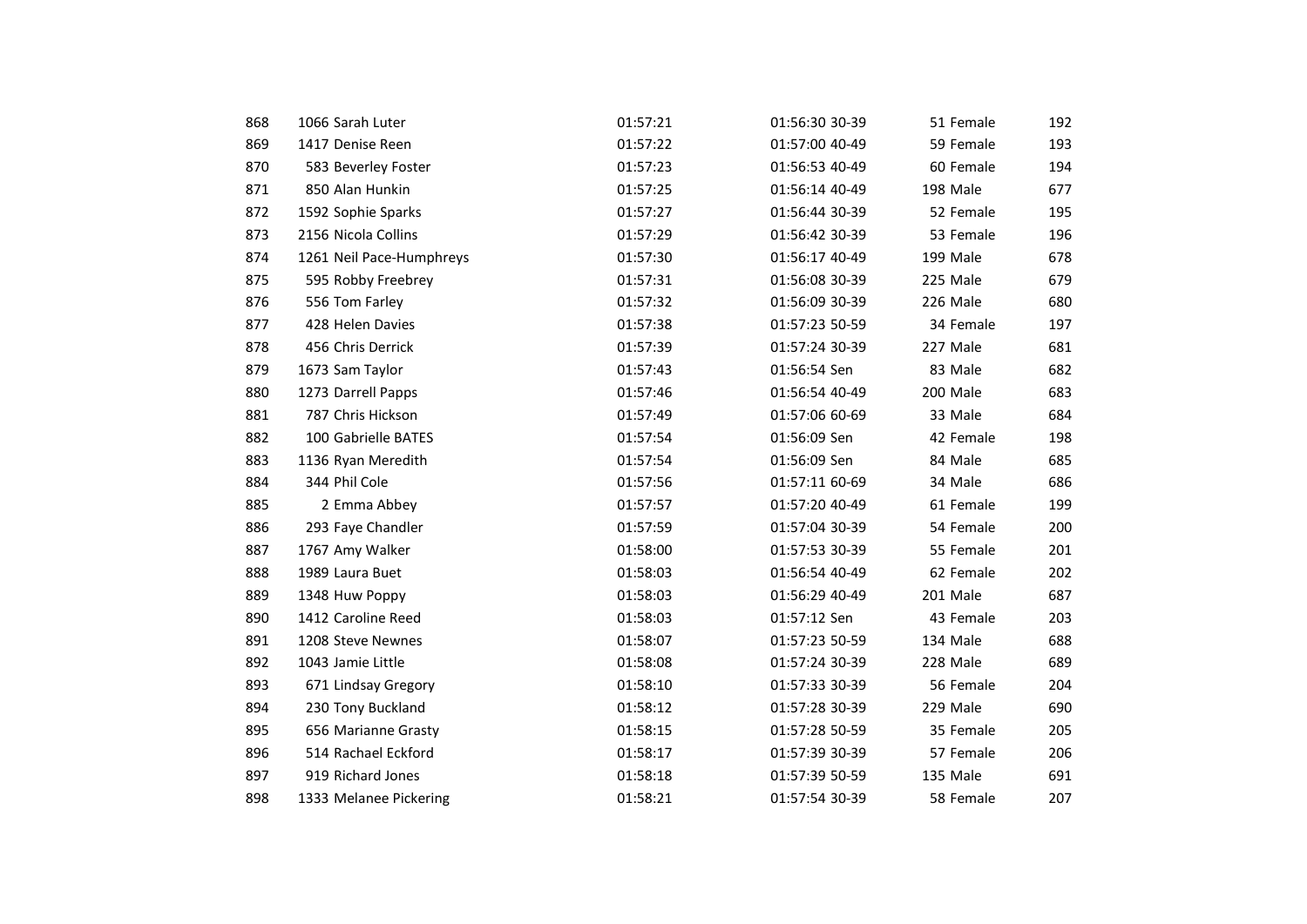| 868 | 1066 Sarah Luter         | 01:57:21 | 01:56:30 30-39 | 51 Female | 192 |
|-----|--------------------------|----------|----------------|-----------|-----|
| 869 | 1417 Denise Reen         | 01:57:22 | 01:57:00 40-49 | 59 Female | 193 |
| 870 | 583 Beverley Foster      | 01:57:23 | 01:56:53 40-49 | 60 Female | 194 |
| 871 | 850 Alan Hunkin          | 01:57:25 | 01:56:14 40-49 | 198 Male  | 677 |
| 872 | 1592 Sophie Sparks       | 01:57:27 | 01:56:44 30-39 | 52 Female | 195 |
| 873 | 2156 Nicola Collins      | 01:57:29 | 01:56:42 30-39 | 53 Female | 196 |
| 874 | 1261 Neil Pace-Humphreys | 01:57:30 | 01:56:17 40-49 | 199 Male  | 678 |
| 875 | 595 Robby Freebrey       | 01:57:31 | 01:56:08 30-39 | 225 Male  | 679 |
| 876 | 556 Tom Farley           | 01:57:32 | 01:56:09 30-39 | 226 Male  | 680 |
| 877 | 428 Helen Davies         | 01:57:38 | 01:57:23 50-59 | 34 Female | 197 |
| 878 | 456 Chris Derrick        | 01:57:39 | 01:57:24 30-39 | 227 Male  | 681 |
| 879 | 1673 Sam Taylor          | 01:57:43 | 01:56:54 Sen   | 83 Male   | 682 |
| 880 | 1273 Darrell Papps       | 01:57:46 | 01:56:54 40-49 | 200 Male  | 683 |
| 881 | 787 Chris Hickson        | 01:57:49 | 01:57:06 60-69 | 33 Male   | 684 |
| 882 | 100 Gabrielle BATES      | 01:57:54 | 01:56:09 Sen   | 42 Female | 198 |
| 883 | 1136 Ryan Meredith       | 01:57:54 | 01:56:09 Sen   | 84 Male   | 685 |
| 884 | 344 Phil Cole            | 01:57:56 | 01:57:11 60-69 | 34 Male   | 686 |
| 885 | 2 Emma Abbey             | 01:57:57 | 01:57:20 40-49 | 61 Female | 199 |
| 886 | 293 Faye Chandler        | 01:57:59 | 01:57:04 30-39 | 54 Female | 200 |
| 887 | 1767 Amy Walker          | 01:58:00 | 01:57:53 30-39 | 55 Female | 201 |
| 888 | 1989 Laura Buet          | 01:58:03 | 01:56:54 40-49 | 62 Female | 202 |
| 889 | 1348 Huw Poppy           | 01:58:03 | 01:56:29 40-49 | 201 Male  | 687 |
| 890 | 1412 Caroline Reed       | 01:58:03 | 01:57:12 Sen   | 43 Female | 203 |
| 891 | 1208 Steve Newnes        | 01:58:07 | 01:57:23 50-59 | 134 Male  | 688 |
| 892 | 1043 Jamie Little        | 01:58:08 | 01:57:24 30-39 | 228 Male  | 689 |
| 893 | 671 Lindsay Gregory      | 01:58:10 | 01:57:33 30-39 | 56 Female | 204 |
| 894 | 230 Tony Buckland        | 01:58:12 | 01:57:28 30-39 | 229 Male  | 690 |
| 895 | 656 Marianne Grasty      | 01:58:15 | 01:57:28 50-59 | 35 Female | 205 |
| 896 | 514 Rachael Eckford      | 01:58:17 | 01:57:39 30-39 | 57 Female | 206 |
| 897 | 919 Richard Jones        | 01:58:18 | 01:57:39 50-59 | 135 Male  | 691 |
| 898 | 1333 Melanee Pickering   | 01:58:21 | 01:57:54 30-39 | 58 Female | 207 |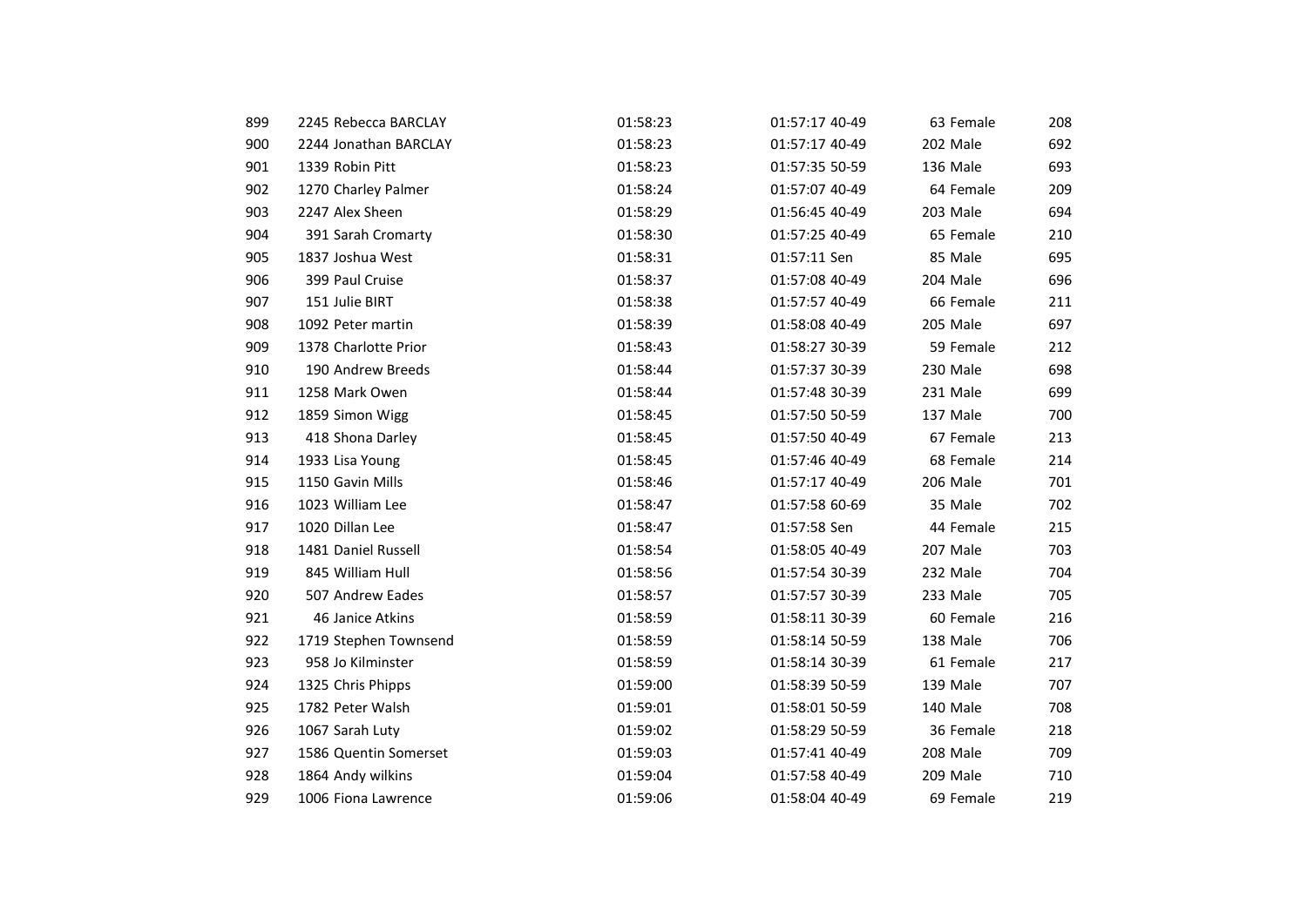| 899 | 2245 Rebecca BARCLAY  | 01:58:23 | 01:57:17 40-49 | 63 Female | 208 |
|-----|-----------------------|----------|----------------|-----------|-----|
| 900 | 2244 Jonathan BARCLAY | 01:58:23 | 01:57:17 40-49 | 202 Male  | 692 |
| 901 | 1339 Robin Pitt       | 01:58:23 | 01:57:35 50-59 | 136 Male  | 693 |
| 902 | 1270 Charley Palmer   | 01:58:24 | 01:57:07 40-49 | 64 Female | 209 |
| 903 | 2247 Alex Sheen       | 01:58:29 | 01:56:45 40-49 | 203 Male  | 694 |
| 904 | 391 Sarah Cromarty    | 01:58:30 | 01:57:25 40-49 | 65 Female | 210 |
| 905 | 1837 Joshua West      | 01:58:31 | 01:57:11 Sen   | 85 Male   | 695 |
| 906 | 399 Paul Cruise       | 01:58:37 | 01:57:08 40-49 | 204 Male  | 696 |
| 907 | 151 Julie BIRT        | 01:58:38 | 01:57:57 40-49 | 66 Female | 211 |
| 908 | 1092 Peter martin     | 01:58:39 | 01:58:08 40-49 | 205 Male  | 697 |
| 909 | 1378 Charlotte Prior  | 01:58:43 | 01:58:27 30-39 | 59 Female | 212 |
| 910 | 190 Andrew Breeds     | 01:58:44 | 01:57:37 30-39 | 230 Male  | 698 |
| 911 | 1258 Mark Owen        | 01:58:44 | 01:57:48 30-39 | 231 Male  | 699 |
| 912 | 1859 Simon Wigg       | 01:58:45 | 01:57:50 50-59 | 137 Male  | 700 |
| 913 | 418 Shona Darley      | 01:58:45 | 01:57:50 40-49 | 67 Female | 213 |
| 914 | 1933 Lisa Young       | 01:58:45 | 01:57:46 40-49 | 68 Female | 214 |
| 915 | 1150 Gavin Mills      | 01:58:46 | 01:57:17 40-49 | 206 Male  | 701 |
| 916 | 1023 William Lee      | 01:58:47 | 01:57:58 60-69 | 35 Male   | 702 |
| 917 | 1020 Dillan Lee       | 01:58:47 | 01:57:58 Sen   | 44 Female | 215 |
| 918 | 1481 Daniel Russell   | 01:58:54 | 01:58:05 40-49 | 207 Male  | 703 |
| 919 | 845 William Hull      | 01:58:56 | 01:57:54 30-39 | 232 Male  | 704 |
| 920 | 507 Andrew Eades      | 01:58:57 | 01:57:57 30-39 | 233 Male  | 705 |
| 921 | 46 Janice Atkins      | 01:58:59 | 01:58:11 30-39 | 60 Female | 216 |
| 922 | 1719 Stephen Townsend | 01:58:59 | 01:58:14 50-59 | 138 Male  | 706 |
| 923 | 958 Jo Kilminster     | 01:58:59 | 01:58:14 30-39 | 61 Female | 217 |
| 924 | 1325 Chris Phipps     | 01:59:00 | 01:58:39 50-59 | 139 Male  | 707 |
| 925 | 1782 Peter Walsh      | 01:59:01 | 01:58:01 50-59 | 140 Male  | 708 |
| 926 | 1067 Sarah Luty       | 01:59:02 | 01:58:29 50-59 | 36 Female | 218 |
| 927 | 1586 Quentin Somerset | 01:59:03 | 01:57:41 40-49 | 208 Male  | 709 |
| 928 | 1864 Andy wilkins     | 01:59:04 | 01:57:58 40-49 | 209 Male  | 710 |
| 929 | 1006 Fiona Lawrence   | 01:59:06 | 01:58:04 40-49 | 69 Female | 219 |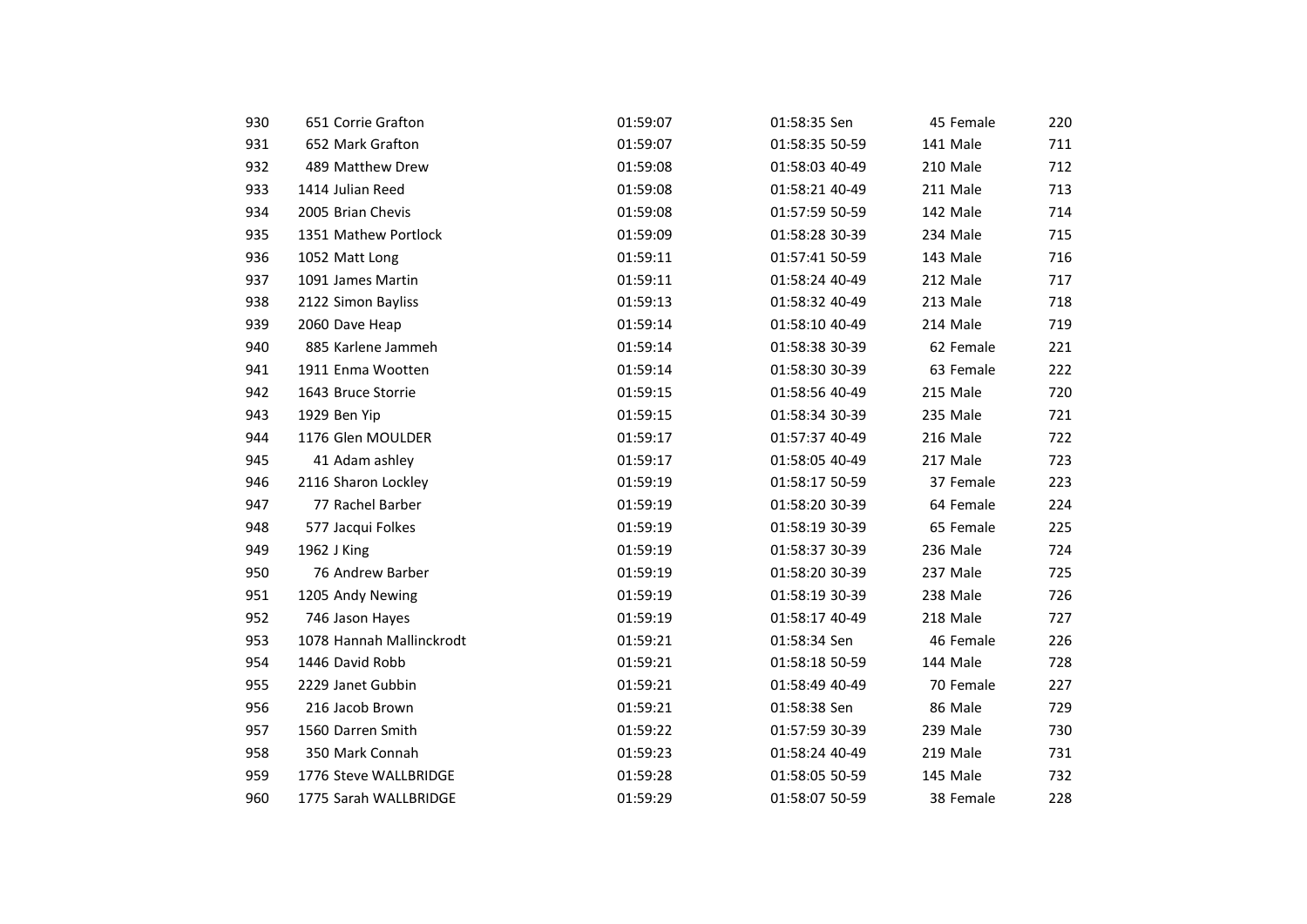| 930 | 651 Corrie Grafton       | 01:59:07 | 01:58:35 Sen   | 45 Female | 220 |
|-----|--------------------------|----------|----------------|-----------|-----|
| 931 | 652 Mark Grafton         | 01:59:07 | 01:58:35 50-59 | 141 Male  | 711 |
| 932 | 489 Matthew Drew         | 01:59:08 | 01:58:03 40-49 | 210 Male  | 712 |
| 933 | 1414 Julian Reed         | 01:59:08 | 01:58:21 40-49 | 211 Male  | 713 |
| 934 | 2005 Brian Chevis        | 01:59:08 | 01:57:59 50-59 | 142 Male  | 714 |
| 935 | 1351 Mathew Portlock     | 01:59:09 | 01:58:28 30-39 | 234 Male  | 715 |
| 936 | 1052 Matt Long           | 01:59:11 | 01:57:41 50-59 | 143 Male  | 716 |
| 937 | 1091 James Martin        | 01:59:11 | 01:58:24 40-49 | 212 Male  | 717 |
| 938 | 2122 Simon Bayliss       | 01:59:13 | 01:58:32 40-49 | 213 Male  | 718 |
| 939 | 2060 Dave Heap           | 01:59:14 | 01:58:10 40-49 | 214 Male  | 719 |
| 940 | 885 Karlene Jammeh       | 01:59:14 | 01:58:38 30-39 | 62 Female | 221 |
| 941 | 1911 Enma Wootten        | 01:59:14 | 01:58:30 30-39 | 63 Female | 222 |
| 942 | 1643 Bruce Storrie       | 01:59:15 | 01:58:56 40-49 | 215 Male  | 720 |
| 943 | 1929 Ben Yip             | 01:59:15 | 01:58:34 30-39 | 235 Male  | 721 |
| 944 | 1176 Glen MOULDER        | 01:59:17 | 01:57:37 40-49 | 216 Male  | 722 |
| 945 | 41 Adam ashley           | 01:59:17 | 01:58:05 40-49 | 217 Male  | 723 |
| 946 | 2116 Sharon Lockley      | 01:59:19 | 01:58:17 50-59 | 37 Female | 223 |
| 947 | 77 Rachel Barber         | 01:59:19 | 01:58:20 30-39 | 64 Female | 224 |
| 948 | 577 Jacqui Folkes        | 01:59:19 | 01:58:19 30-39 | 65 Female | 225 |
| 949 | 1962 J King              | 01:59:19 | 01:58:37 30-39 | 236 Male  | 724 |
| 950 | 76 Andrew Barber         | 01:59:19 | 01:58:20 30-39 | 237 Male  | 725 |
| 951 | 1205 Andy Newing         | 01:59:19 | 01:58:19 30-39 | 238 Male  | 726 |
| 952 | 746 Jason Hayes          | 01:59:19 | 01:58:17 40-49 | 218 Male  | 727 |
| 953 | 1078 Hannah Mallinckrodt | 01:59:21 | 01:58:34 Sen   | 46 Female | 226 |
| 954 | 1446 David Robb          | 01:59:21 | 01:58:18 50-59 | 144 Male  | 728 |
| 955 | 2229 Janet Gubbin        | 01:59:21 | 01:58:49 40-49 | 70 Female | 227 |
| 956 | 216 Jacob Brown          | 01:59:21 | 01:58:38 Sen   | 86 Male   | 729 |
| 957 | 1560 Darren Smith        | 01:59:22 | 01:57:59 30-39 | 239 Male  | 730 |
| 958 | 350 Mark Connah          | 01:59:23 | 01:58:24 40-49 | 219 Male  | 731 |
| 959 | 1776 Steve WALLBRIDGE    | 01:59:28 | 01:58:05 50-59 | 145 Male  | 732 |
| 960 | 1775 Sarah WALLBRIDGE    | 01:59:29 | 01:58:07 50-59 | 38 Female | 228 |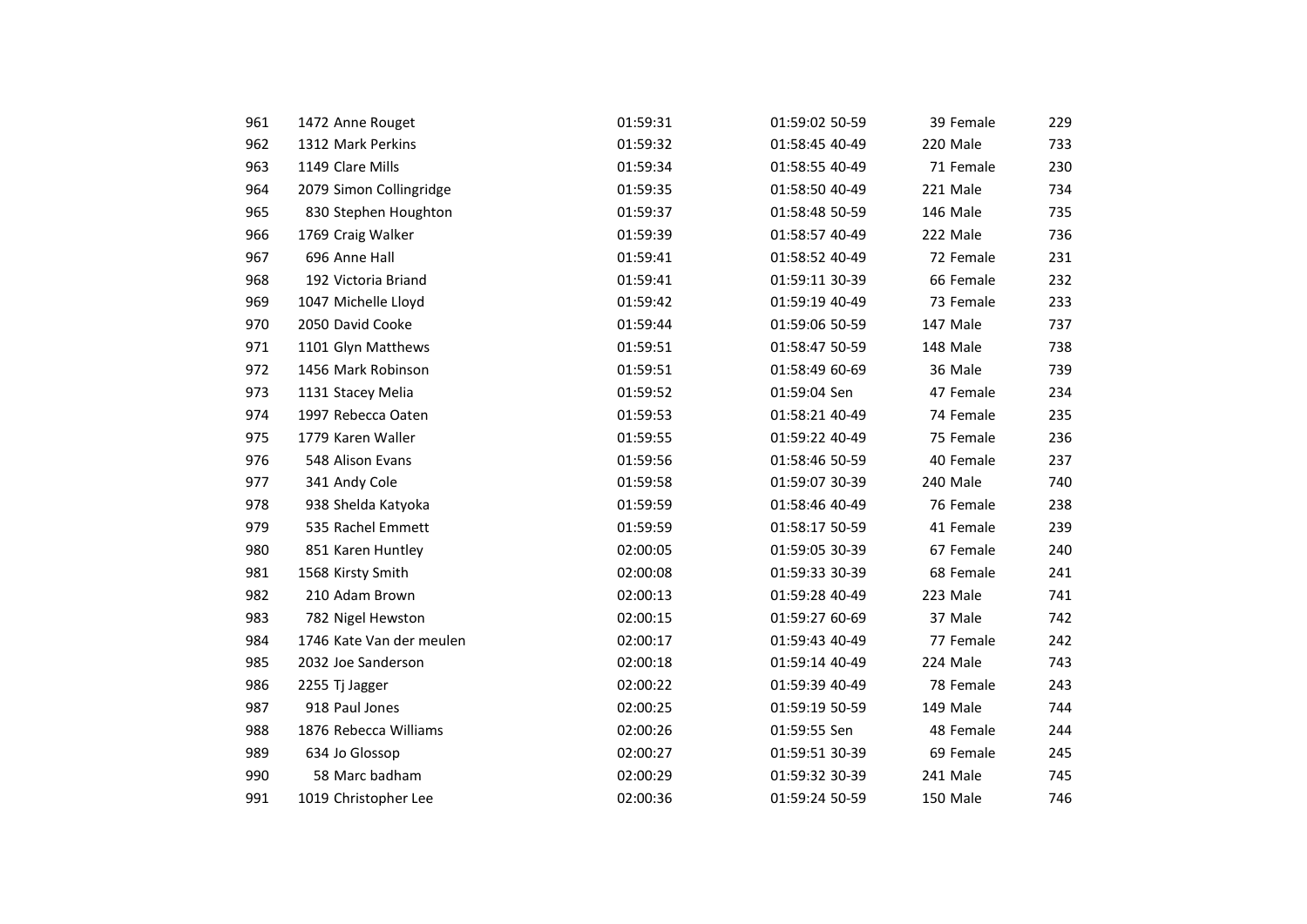| 961 | 1472 Anne Rouget         | 01:59:31 | 01:59:02 50-59 | 39 Female | 229 |
|-----|--------------------------|----------|----------------|-----------|-----|
| 962 | 1312 Mark Perkins        | 01:59:32 | 01:58:45 40-49 | 220 Male  | 733 |
| 963 | 1149 Clare Mills         | 01:59:34 | 01:58:55 40-49 | 71 Female | 230 |
| 964 | 2079 Simon Collingridge  | 01:59:35 | 01:58:50 40-49 | 221 Male  | 734 |
| 965 | 830 Stephen Houghton     | 01:59:37 | 01:58:48 50-59 | 146 Male  | 735 |
| 966 | 1769 Craig Walker        | 01:59:39 | 01:58:57 40-49 | 222 Male  | 736 |
| 967 | 696 Anne Hall            | 01:59:41 | 01:58:52 40-49 | 72 Female | 231 |
| 968 | 192 Victoria Briand      | 01:59:41 | 01:59:11 30-39 | 66 Female | 232 |
| 969 | 1047 Michelle Lloyd      | 01:59:42 | 01:59:19 40-49 | 73 Female | 233 |
| 970 | 2050 David Cooke         | 01:59:44 | 01:59:06 50-59 | 147 Male  | 737 |
| 971 | 1101 Glyn Matthews       | 01:59:51 | 01:58:47 50-59 | 148 Male  | 738 |
| 972 | 1456 Mark Robinson       | 01:59:51 | 01:58:49 60-69 | 36 Male   | 739 |
| 973 | 1131 Stacey Melia        | 01:59:52 | 01:59:04 Sen   | 47 Female | 234 |
| 974 | 1997 Rebecca Oaten       | 01:59:53 | 01:58:21 40-49 | 74 Female | 235 |
| 975 | 1779 Karen Waller        | 01:59:55 | 01:59:22 40-49 | 75 Female | 236 |
| 976 | 548 Alison Evans         | 01:59:56 | 01:58:46 50-59 | 40 Female | 237 |
| 977 | 341 Andy Cole            | 01:59:58 | 01:59:07 30-39 | 240 Male  | 740 |
| 978 | 938 Shelda Katyoka       | 01:59:59 | 01:58:46 40-49 | 76 Female | 238 |
| 979 | 535 Rachel Emmett        | 01:59:59 | 01:58:17 50-59 | 41 Female | 239 |
| 980 | 851 Karen Huntley        | 02:00:05 | 01:59:05 30-39 | 67 Female | 240 |
| 981 | 1568 Kirsty Smith        | 02:00:08 | 01:59:33 30-39 | 68 Female | 241 |
| 982 | 210 Adam Brown           | 02:00:13 | 01:59:28 40-49 | 223 Male  | 741 |
| 983 | 782 Nigel Hewston        | 02:00:15 | 01:59:27 60-69 | 37 Male   | 742 |
| 984 | 1746 Kate Van der meulen | 02:00:17 | 01:59:43 40-49 | 77 Female | 242 |
| 985 | 2032 Joe Sanderson       | 02:00:18 | 01:59:14 40-49 | 224 Male  | 743 |
| 986 | 2255 Tj Jagger           | 02:00:22 | 01:59:39 40-49 | 78 Female | 243 |
| 987 | 918 Paul Jones           | 02:00:25 | 01:59:19 50-59 | 149 Male  | 744 |
| 988 | 1876 Rebecca Williams    | 02:00:26 | 01:59:55 Sen   | 48 Female | 244 |
| 989 | 634 Jo Glossop           | 02:00:27 | 01:59:51 30-39 | 69 Female | 245 |
| 990 | 58 Marc badham           | 02:00:29 | 01:59:32 30-39 | 241 Male  | 745 |
| 991 | 1019 Christopher Lee     | 02:00:36 | 01:59:24 50-59 | 150 Male  | 746 |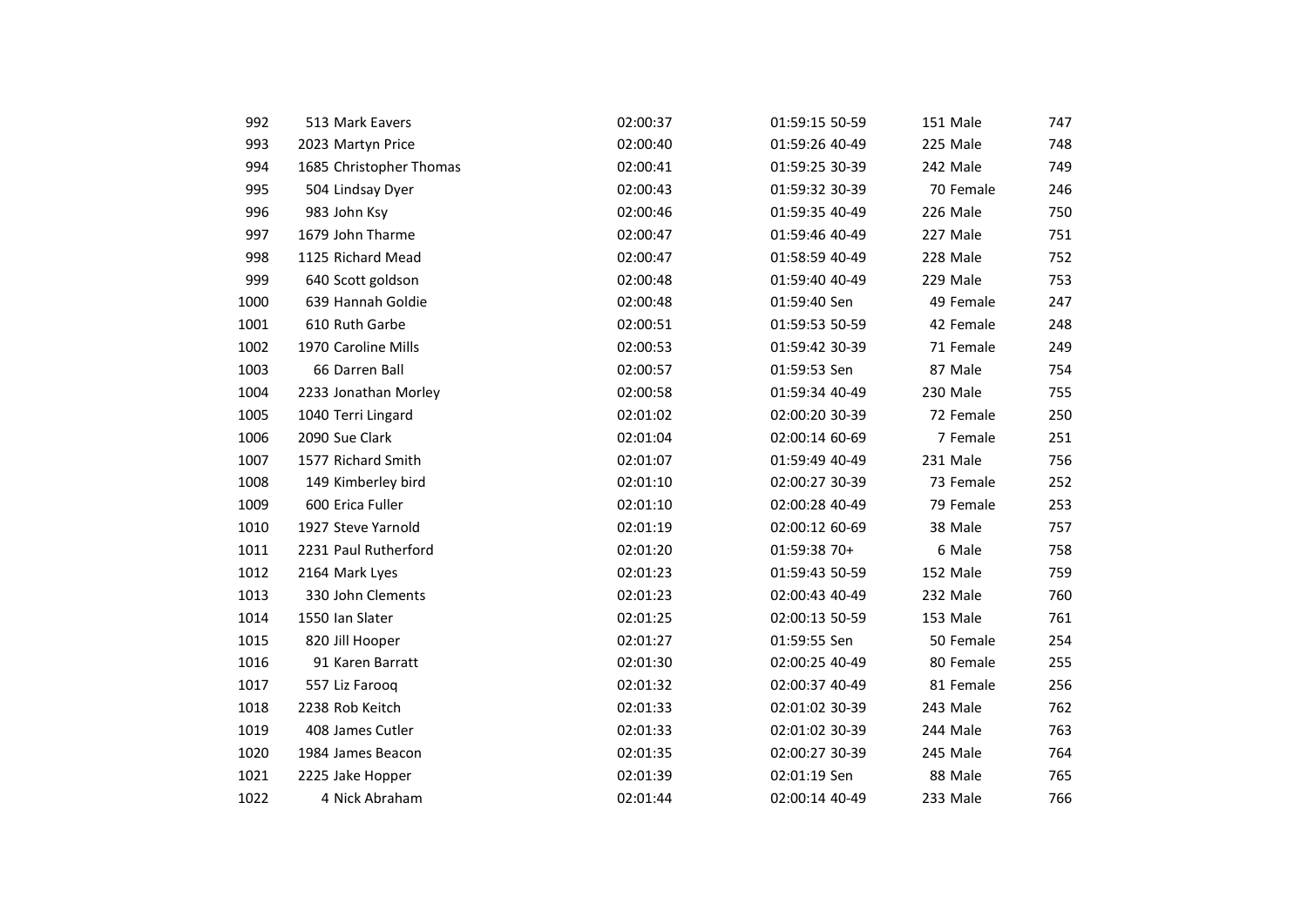| 992  | 513 Mark Eavers         | 02:00:37 | 01:59:15 50-59 | 151 Male  | 747 |
|------|-------------------------|----------|----------------|-----------|-----|
| 993  | 2023 Martyn Price       | 02:00:40 | 01:59:26 40-49 | 225 Male  | 748 |
| 994  | 1685 Christopher Thomas | 02:00:41 | 01:59:25 30-39 | 242 Male  | 749 |
| 995  | 504 Lindsay Dyer        | 02:00:43 | 01:59:32 30-39 | 70 Female | 246 |
| 996  | 983 John Ksy            | 02:00:46 | 01:59:35 40-49 | 226 Male  | 750 |
| 997  | 1679 John Tharme        | 02:00:47 | 01:59:46 40-49 | 227 Male  | 751 |
| 998  | 1125 Richard Mead       | 02:00:47 | 01:58:59 40-49 | 228 Male  | 752 |
| 999  | 640 Scott goldson       | 02:00:48 | 01:59:40 40-49 | 229 Male  | 753 |
| 1000 | 639 Hannah Goldie       | 02:00:48 | 01:59:40 Sen   | 49 Female | 247 |
| 1001 | 610 Ruth Garbe          | 02:00:51 | 01:59:53 50-59 | 42 Female | 248 |
| 1002 | 1970 Caroline Mills     | 02:00:53 | 01:59:42 30-39 | 71 Female | 249 |
| 1003 | 66 Darren Ball          | 02:00:57 | 01:59:53 Sen   | 87 Male   | 754 |
| 1004 | 2233 Jonathan Morley    | 02:00:58 | 01:59:34 40-49 | 230 Male  | 755 |
| 1005 | 1040 Terri Lingard      | 02:01:02 | 02:00:20 30-39 | 72 Female | 250 |
| 1006 | 2090 Sue Clark          | 02:01:04 | 02:00:14 60-69 | 7 Female  | 251 |
| 1007 | 1577 Richard Smith      | 02:01:07 | 01:59:49 40-49 | 231 Male  | 756 |
| 1008 | 149 Kimberley bird      | 02:01:10 | 02:00:27 30-39 | 73 Female | 252 |
| 1009 | 600 Erica Fuller        | 02:01:10 | 02:00:28 40-49 | 79 Female | 253 |
| 1010 | 1927 Steve Yarnold      | 02:01:19 | 02:00:12 60-69 | 38 Male   | 757 |
| 1011 | 2231 Paul Rutherford    | 02:01:20 | 01:59:38 70+   | 6 Male    | 758 |
| 1012 | 2164 Mark Lyes          | 02:01:23 | 01:59:43 50-59 | 152 Male  | 759 |
| 1013 | 330 John Clements       | 02:01:23 | 02:00:43 40-49 | 232 Male  | 760 |
| 1014 | 1550 Ian Slater         | 02:01:25 | 02:00:13 50-59 | 153 Male  | 761 |
| 1015 | 820 Jill Hooper         | 02:01:27 | 01:59:55 Sen   | 50 Female | 254 |
| 1016 | 91 Karen Barratt        | 02:01:30 | 02:00:25 40-49 | 80 Female | 255 |
| 1017 | 557 Liz Farooq          | 02:01:32 | 02:00:37 40-49 | 81 Female | 256 |
| 1018 | 2238 Rob Keitch         | 02:01:33 | 02:01:02 30-39 | 243 Male  | 762 |
| 1019 | 408 James Cutler        | 02:01:33 | 02:01:02 30-39 | 244 Male  | 763 |
| 1020 | 1984 James Beacon       | 02:01:35 | 02:00:27 30-39 | 245 Male  | 764 |
| 1021 | 2225 Jake Hopper        | 02:01:39 | 02:01:19 Sen   | 88 Male   | 765 |
| 1022 | 4 Nick Abraham          | 02:01:44 | 02:00:14 40-49 | 233 Male  | 766 |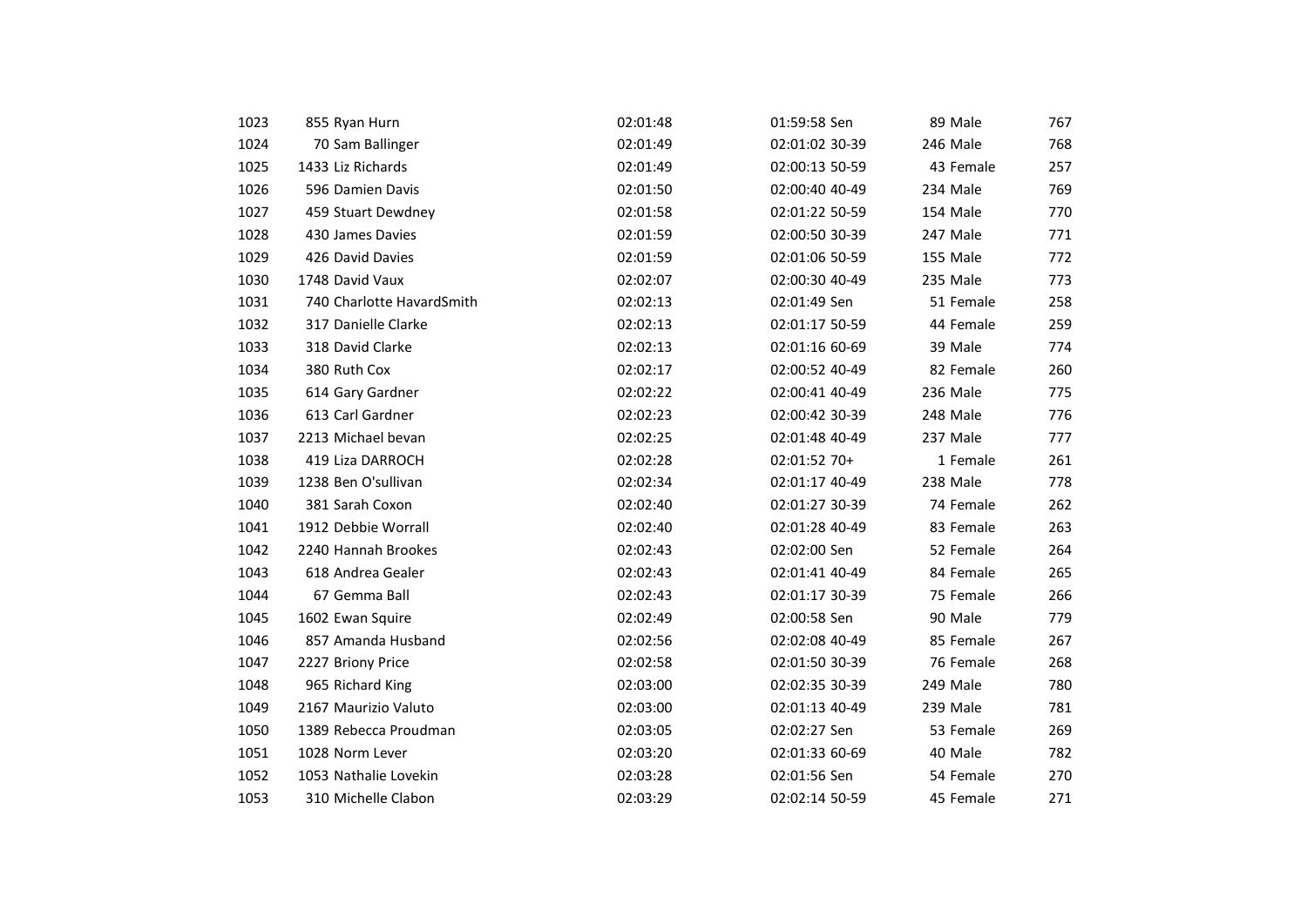| 1023 | 855 Ryan Hurn             | 02:01:48 | 01:59:58 Sen   | 89 Male   | 767 |
|------|---------------------------|----------|----------------|-----------|-----|
| 1024 | 70 Sam Ballinger          | 02:01:49 | 02:01:02 30-39 | 246 Male  | 768 |
| 1025 | 1433 Liz Richards         | 02:01:49 | 02:00:13 50-59 | 43 Female | 257 |
| 1026 | 596 Damien Davis          | 02:01:50 | 02:00:40 40-49 | 234 Male  | 769 |
| 1027 | 459 Stuart Dewdney        | 02:01:58 | 02:01:22 50-59 | 154 Male  | 770 |
| 1028 | 430 James Davies          | 02:01:59 | 02:00:50 30-39 | 247 Male  | 771 |
| 1029 | 426 David Davies          | 02:01:59 | 02:01:06 50-59 | 155 Male  | 772 |
| 1030 | 1748 David Vaux           | 02:02:07 | 02:00:30 40-49 | 235 Male  | 773 |
| 1031 | 740 Charlotte HavardSmith | 02:02:13 | 02:01:49 Sen   | 51 Female | 258 |
| 1032 | 317 Danielle Clarke       | 02:02:13 | 02:01:17 50-59 | 44 Female | 259 |
| 1033 | 318 David Clarke          | 02:02:13 | 02:01:16 60-69 | 39 Male   | 774 |
| 1034 | 380 Ruth Cox              | 02:02:17 | 02:00:52 40-49 | 82 Female | 260 |
| 1035 | 614 Gary Gardner          | 02:02:22 | 02:00:41 40-49 | 236 Male  | 775 |
| 1036 | 613 Carl Gardner          | 02:02:23 | 02:00:42 30-39 | 248 Male  | 776 |
| 1037 | 2213 Michael bevan        | 02:02:25 | 02:01:48 40-49 | 237 Male  | 777 |
| 1038 | 419 Liza DARROCH          | 02:02:28 | 02:01:52 70+   | 1 Female  | 261 |
| 1039 | 1238 Ben O'sullivan       | 02:02:34 | 02:01:17 40-49 | 238 Male  | 778 |
| 1040 | 381 Sarah Coxon           | 02:02:40 | 02:01:27 30-39 | 74 Female | 262 |
| 1041 | 1912 Debbie Worrall       | 02:02:40 | 02:01:28 40-49 | 83 Female | 263 |
| 1042 | 2240 Hannah Brookes       | 02:02:43 | 02:02:00 Sen   | 52 Female | 264 |
| 1043 | 618 Andrea Gealer         | 02:02:43 | 02:01:41 40-49 | 84 Female | 265 |
| 1044 | 67 Gemma Ball             | 02:02:43 | 02:01:17 30-39 | 75 Female | 266 |
| 1045 | 1602 Ewan Squire          | 02:02:49 | 02:00:58 Sen   | 90 Male   | 779 |
| 1046 | 857 Amanda Husband        | 02:02:56 | 02:02:08 40-49 | 85 Female | 267 |
| 1047 | 2227 Briony Price         | 02:02:58 | 02:01:50 30-39 | 76 Female | 268 |
| 1048 | 965 Richard King          | 02:03:00 | 02:02:35 30-39 | 249 Male  | 780 |
| 1049 | 2167 Maurizio Valuto      | 02:03:00 | 02:01:13 40-49 | 239 Male  | 781 |
| 1050 | 1389 Rebecca Proudman     | 02:03:05 | 02:02:27 Sen   | 53 Female | 269 |
| 1051 | 1028 Norm Lever           | 02:03:20 | 02:01:33 60-69 | 40 Male   | 782 |
| 1052 | 1053 Nathalie Lovekin     | 02:03:28 | 02:01:56 Sen   | 54 Female | 270 |
| 1053 | 310 Michelle Clabon       | 02:03:29 | 02:02:14 50-59 | 45 Female | 271 |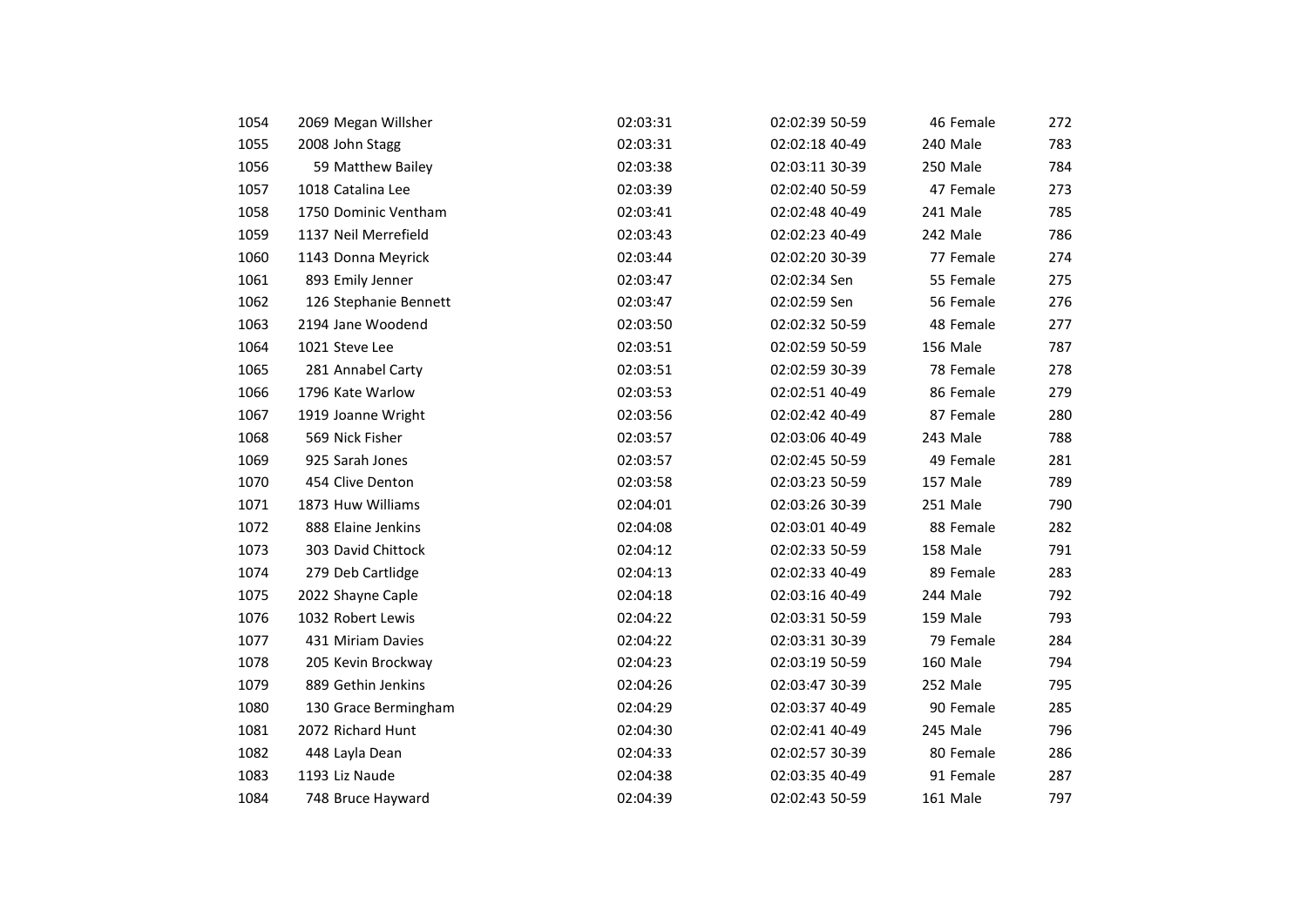| 1054 | 2069 Megan Willsher   | 02:03:31 | 02:02:39 50-59 | 46 Female | 272 |
|------|-----------------------|----------|----------------|-----------|-----|
| 1055 | 2008 John Stagg       | 02:03:31 | 02:02:18 40-49 | 240 Male  | 783 |
| 1056 | 59 Matthew Bailey     | 02:03:38 | 02:03:11 30-39 | 250 Male  | 784 |
| 1057 | 1018 Catalina Lee     | 02:03:39 | 02:02:40 50-59 | 47 Female | 273 |
| 1058 | 1750 Dominic Ventham  | 02:03:41 | 02:02:48 40-49 | 241 Male  | 785 |
| 1059 | 1137 Neil Merrefield  | 02:03:43 | 02:02:23 40-49 | 242 Male  | 786 |
| 1060 | 1143 Donna Meyrick    | 02:03:44 | 02:02:20 30-39 | 77 Female | 274 |
| 1061 | 893 Emily Jenner      | 02:03:47 | 02:02:34 Sen   | 55 Female | 275 |
| 1062 | 126 Stephanie Bennett | 02:03:47 | 02:02:59 Sen   | 56 Female | 276 |
| 1063 | 2194 Jane Woodend     | 02:03:50 | 02:02:32 50-59 | 48 Female | 277 |
| 1064 | 1021 Steve Lee        | 02:03:51 | 02:02:59 50-59 | 156 Male  | 787 |
| 1065 | 281 Annabel Carty     | 02:03:51 | 02:02:59 30-39 | 78 Female | 278 |
| 1066 | 1796 Kate Warlow      | 02:03:53 | 02:02:51 40-49 | 86 Female | 279 |
| 1067 | 1919 Joanne Wright    | 02:03:56 | 02:02:42 40-49 | 87 Female | 280 |
| 1068 | 569 Nick Fisher       | 02:03:57 | 02:03:06 40-49 | 243 Male  | 788 |
| 1069 | 925 Sarah Jones       | 02:03:57 | 02:02:45 50-59 | 49 Female | 281 |
| 1070 | 454 Clive Denton      | 02:03:58 | 02:03:23 50-59 | 157 Male  | 789 |
| 1071 | 1873 Huw Williams     | 02:04:01 | 02:03:26 30-39 | 251 Male  | 790 |
| 1072 | 888 Elaine Jenkins    | 02:04:08 | 02:03:01 40-49 | 88 Female | 282 |
| 1073 | 303 David Chittock    | 02:04:12 | 02:02:33 50-59 | 158 Male  | 791 |
| 1074 | 279 Deb Cartlidge     | 02:04:13 | 02:02:33 40-49 | 89 Female | 283 |
| 1075 | 2022 Shayne Caple     | 02:04:18 | 02:03:16 40-49 | 244 Male  | 792 |
| 1076 | 1032 Robert Lewis     | 02:04:22 | 02:03:31 50-59 | 159 Male  | 793 |
| 1077 | 431 Miriam Davies     | 02:04:22 | 02:03:31 30-39 | 79 Female | 284 |
| 1078 | 205 Kevin Brockway    | 02:04:23 | 02:03:19 50-59 | 160 Male  | 794 |
| 1079 | 889 Gethin Jenkins    | 02:04:26 | 02:03:47 30-39 | 252 Male  | 795 |
| 1080 | 130 Grace Bermingham  | 02:04:29 | 02:03:37 40-49 | 90 Female | 285 |
| 1081 | 2072 Richard Hunt     | 02:04:30 | 02:02:41 40-49 | 245 Male  | 796 |
| 1082 | 448 Layla Dean        | 02:04:33 | 02:02:57 30-39 | 80 Female | 286 |
| 1083 | 1193 Liz Naude        | 02:04:38 | 02:03:35 40-49 | 91 Female | 287 |
| 1084 | 748 Bruce Hayward     | 02:04:39 | 02:02:43 50-59 | 161 Male  | 797 |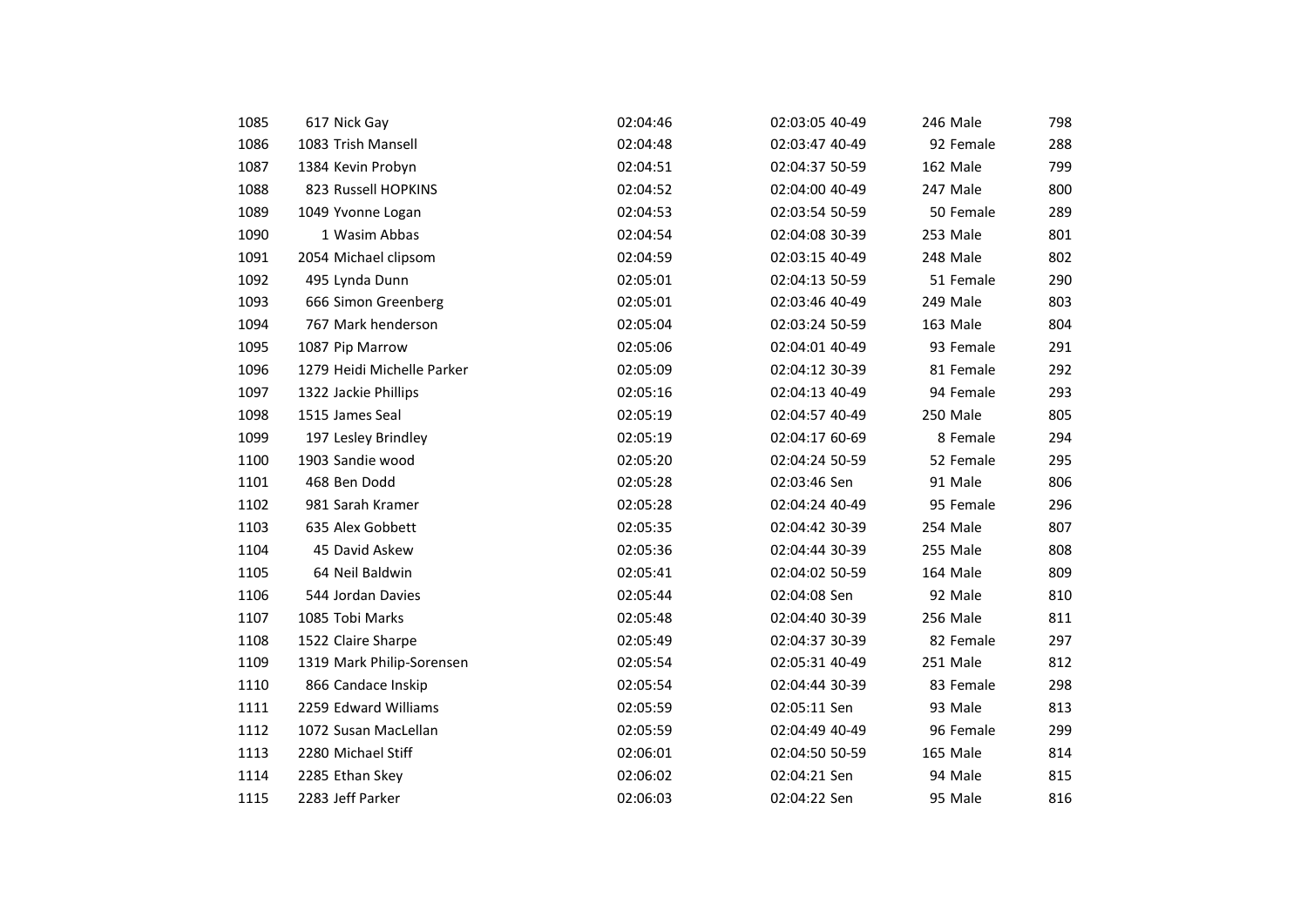| 1085 | 617 Nick Gay               | 02:04:46 | 02:03:05 40-49 | 246 Male  | 798 |
|------|----------------------------|----------|----------------|-----------|-----|
| 1086 | 1083 Trish Mansell         | 02:04:48 | 02:03:47 40-49 | 92 Female | 288 |
| 1087 | 1384 Kevin Probyn          | 02:04:51 | 02:04:37 50-59 | 162 Male  | 799 |
| 1088 | 823 Russell HOPKINS        | 02:04:52 | 02:04:00 40-49 | 247 Male  | 800 |
| 1089 | 1049 Yvonne Logan          | 02:04:53 | 02:03:54 50-59 | 50 Female | 289 |
| 1090 | 1 Wasim Abbas              | 02:04:54 | 02:04:08 30-39 | 253 Male  | 801 |
| 1091 | 2054 Michael clipsom       | 02:04:59 | 02:03:15 40-49 | 248 Male  | 802 |
| 1092 | 495 Lynda Dunn             | 02:05:01 | 02:04:13 50-59 | 51 Female | 290 |
| 1093 | 666 Simon Greenberg        | 02:05:01 | 02:03:46 40-49 | 249 Male  | 803 |
| 1094 | 767 Mark henderson         | 02:05:04 | 02:03:24 50-59 | 163 Male  | 804 |
| 1095 | 1087 Pip Marrow            | 02:05:06 | 02:04:01 40-49 | 93 Female | 291 |
| 1096 | 1279 Heidi Michelle Parker | 02:05:09 | 02:04:12 30-39 | 81 Female | 292 |
| 1097 | 1322 Jackie Phillips       | 02:05:16 | 02:04:13 40-49 | 94 Female | 293 |
| 1098 | 1515 James Seal            | 02:05:19 | 02:04:57 40-49 | 250 Male  | 805 |
| 1099 | 197 Lesley Brindley        | 02:05:19 | 02:04:17 60-69 | 8 Female  | 294 |
| 1100 | 1903 Sandie wood           | 02:05:20 | 02:04:24 50-59 | 52 Female | 295 |
| 1101 | 468 Ben Dodd               | 02:05:28 | 02:03:46 Sen   | 91 Male   | 806 |
| 1102 | 981 Sarah Kramer           | 02:05:28 | 02:04:24 40-49 | 95 Female | 296 |
| 1103 | 635 Alex Gobbett           | 02:05:35 | 02:04:42 30-39 | 254 Male  | 807 |
| 1104 | 45 David Askew             | 02:05:36 | 02:04:44 30-39 | 255 Male  | 808 |
| 1105 | 64 Neil Baldwin            | 02:05:41 | 02:04:02 50-59 | 164 Male  | 809 |
| 1106 | 544 Jordan Davies          | 02:05:44 | 02:04:08 Sen   | 92 Male   | 810 |
| 1107 | 1085 Tobi Marks            | 02:05:48 | 02:04:40 30-39 | 256 Male  | 811 |
| 1108 | 1522 Claire Sharpe         | 02:05:49 | 02:04:37 30-39 | 82 Female | 297 |
| 1109 | 1319 Mark Philip-Sorensen  | 02:05:54 | 02:05:31 40-49 | 251 Male  | 812 |
| 1110 | 866 Candace Inskip         | 02:05:54 | 02:04:44 30-39 | 83 Female | 298 |
| 1111 | 2259 Edward Williams       | 02:05:59 | 02:05:11 Sen   | 93 Male   | 813 |
| 1112 | 1072 Susan MacLellan       | 02:05:59 | 02:04:49 40-49 | 96 Female | 299 |
| 1113 | 2280 Michael Stiff         | 02:06:01 | 02:04:50 50-59 | 165 Male  | 814 |
| 1114 | 2285 Ethan Skey            | 02:06:02 | 02:04:21 Sen   | 94 Male   | 815 |
| 1115 | 2283 Jeff Parker           | 02:06:03 | 02:04:22 Sen   | 95 Male   | 816 |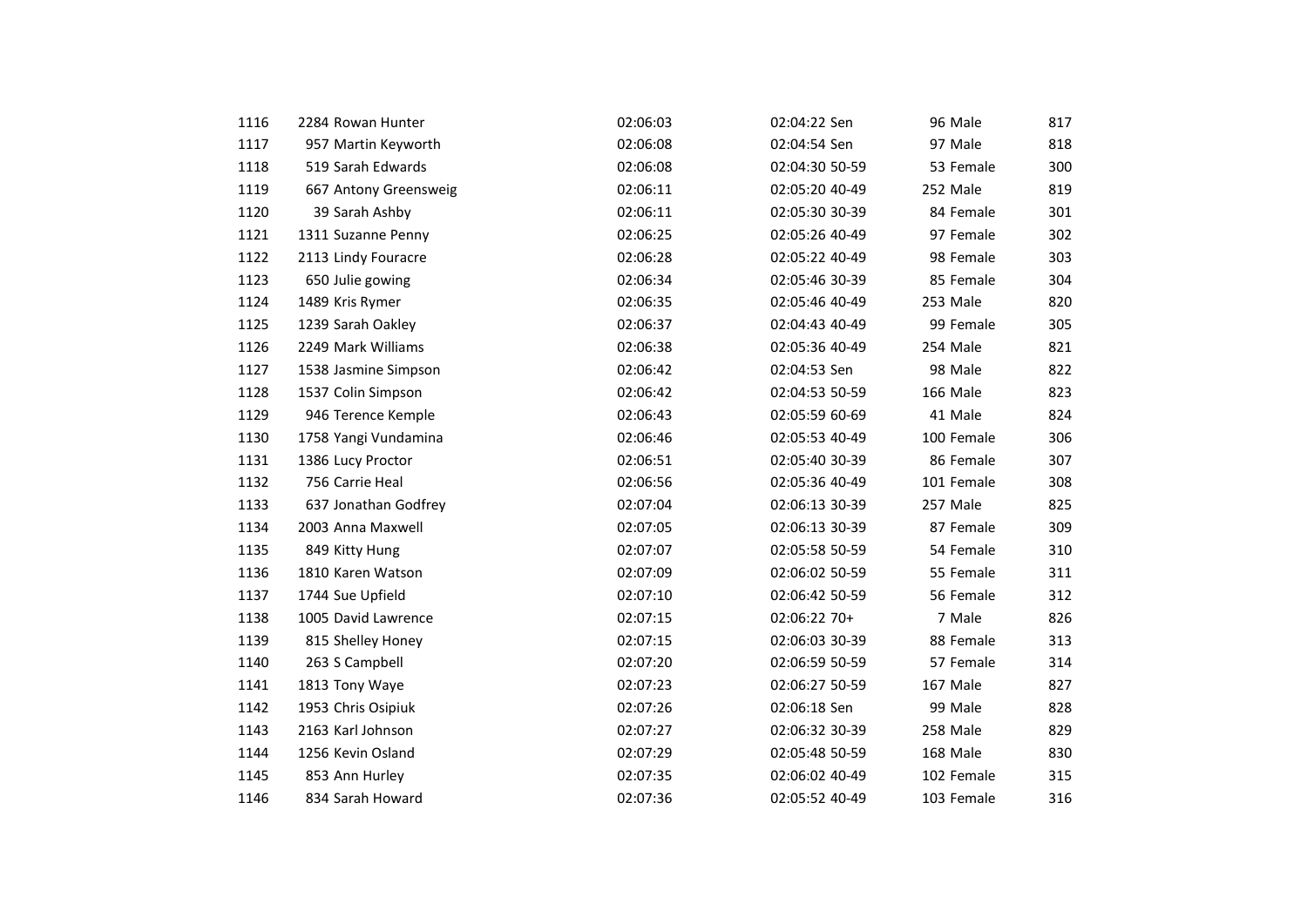| 1116 | 2284 Rowan Hunter     | 02:06:03 | 02:04:22 Sen   | 96 Male    | 817 |
|------|-----------------------|----------|----------------|------------|-----|
| 1117 | 957 Martin Keyworth   | 02:06:08 | 02:04:54 Sen   | 97 Male    | 818 |
| 1118 | 519 Sarah Edwards     | 02:06:08 | 02:04:30 50-59 | 53 Female  | 300 |
| 1119 | 667 Antony Greensweig | 02:06:11 | 02:05:20 40-49 | 252 Male   | 819 |
| 1120 | 39 Sarah Ashby        | 02:06:11 | 02:05:30 30-39 | 84 Female  | 301 |
| 1121 | 1311 Suzanne Penny    | 02:06:25 | 02:05:26 40-49 | 97 Female  | 302 |
| 1122 | 2113 Lindy Fouracre   | 02:06:28 | 02:05:22 40-49 | 98 Female  | 303 |
| 1123 | 650 Julie gowing      | 02:06:34 | 02:05:46 30-39 | 85 Female  | 304 |
| 1124 | 1489 Kris Rymer       | 02:06:35 | 02:05:46 40-49 | 253 Male   | 820 |
| 1125 | 1239 Sarah Oakley     | 02:06:37 | 02:04:43 40-49 | 99 Female  | 305 |
| 1126 | 2249 Mark Williams    | 02:06:38 | 02:05:36 40-49 | 254 Male   | 821 |
| 1127 | 1538 Jasmine Simpson  | 02:06:42 | 02:04:53 Sen   | 98 Male    | 822 |
| 1128 | 1537 Colin Simpson    | 02:06:42 | 02:04:53 50-59 | 166 Male   | 823 |
| 1129 | 946 Terence Kemple    | 02:06:43 | 02:05:59 60-69 | 41 Male    | 824 |
| 1130 | 1758 Yangi Vundamina  | 02:06:46 | 02:05:53 40-49 | 100 Female | 306 |
| 1131 | 1386 Lucy Proctor     | 02:06:51 | 02:05:40 30-39 | 86 Female  | 307 |
| 1132 | 756 Carrie Heal       | 02:06:56 | 02:05:36 40-49 | 101 Female | 308 |
| 1133 | 637 Jonathan Godfrey  | 02:07:04 | 02:06:13 30-39 | 257 Male   | 825 |
| 1134 | 2003 Anna Maxwell     | 02:07:05 | 02:06:13 30-39 | 87 Female  | 309 |
| 1135 | 849 Kitty Hung        | 02:07:07 | 02:05:58 50-59 | 54 Female  | 310 |
| 1136 | 1810 Karen Watson     | 02:07:09 | 02:06:02 50-59 | 55 Female  | 311 |
| 1137 | 1744 Sue Upfield      | 02:07:10 | 02:06:42 50-59 | 56 Female  | 312 |
| 1138 | 1005 David Lawrence   | 02:07:15 | 02:06:22 70+   | 7 Male     | 826 |
| 1139 | 815 Shelley Honey     | 02:07:15 | 02:06:03 30-39 | 88 Female  | 313 |
| 1140 | 263 S Campbell        | 02:07:20 | 02:06:59 50-59 | 57 Female  | 314 |
| 1141 | 1813 Tony Waye        | 02:07:23 | 02:06:27 50-59 | 167 Male   | 827 |
| 1142 | 1953 Chris Osipiuk    | 02:07:26 | 02:06:18 Sen   | 99 Male    | 828 |
| 1143 | 2163 Karl Johnson     | 02:07:27 | 02:06:32 30-39 | 258 Male   | 829 |
| 1144 | 1256 Kevin Osland     | 02:07:29 | 02:05:48 50-59 | 168 Male   | 830 |
| 1145 | 853 Ann Hurley        | 02:07:35 | 02:06:02 40-49 | 102 Female | 315 |
| 1146 | 834 Sarah Howard      | 02:07:36 | 02:05:52 40-49 | 103 Female | 316 |
|      |                       |          |                |            |     |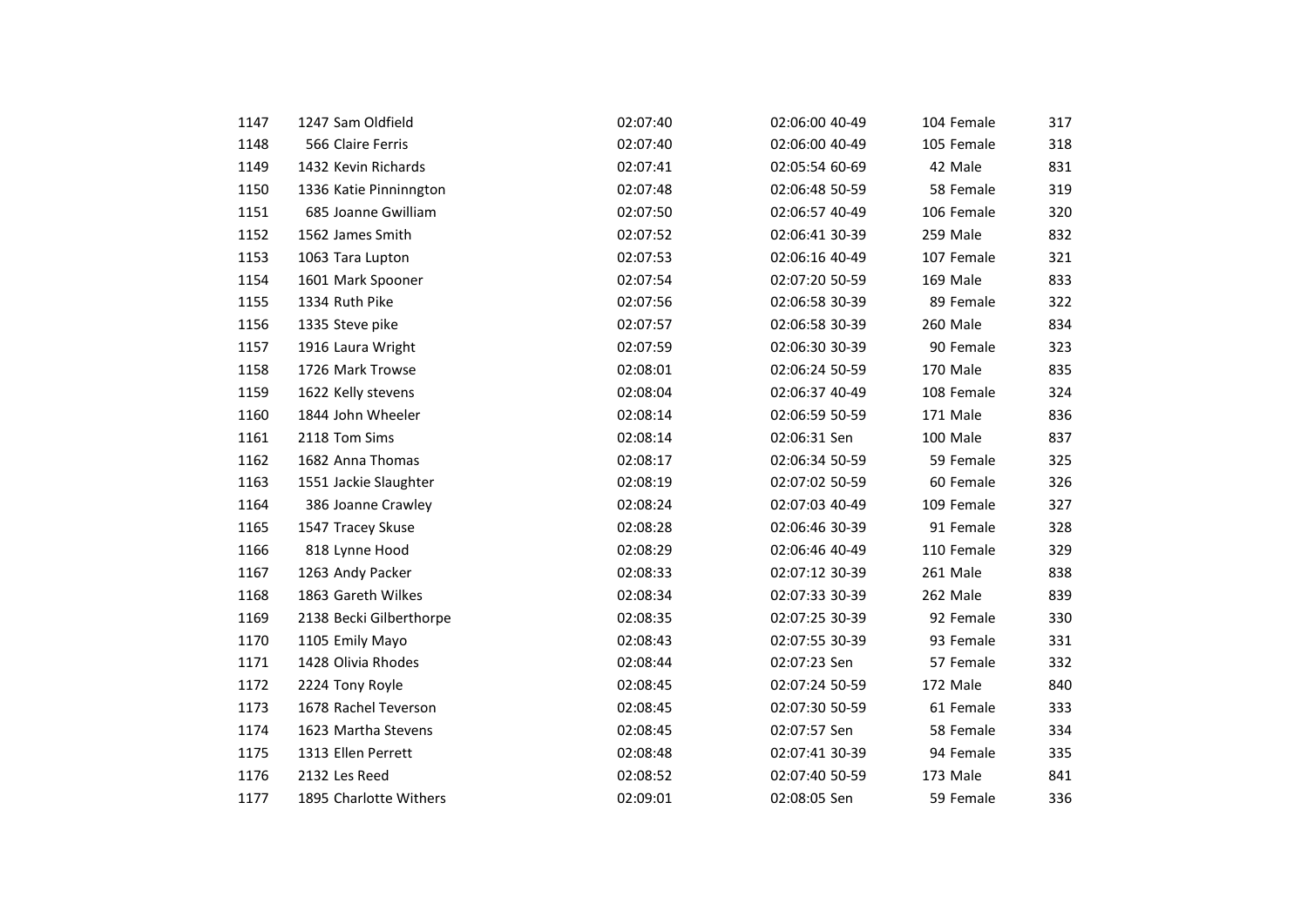| 1147 | 1247 Sam Oldfield       | 02:07:40 | 02:06:00 40-49 | 104 Female | 317 |
|------|-------------------------|----------|----------------|------------|-----|
| 1148 | 566 Claire Ferris       | 02:07:40 | 02:06:00 40-49 | 105 Female | 318 |
| 1149 | 1432 Kevin Richards     | 02:07:41 | 02:05:54 60-69 | 42 Male    | 831 |
| 1150 | 1336 Katie Pinninngton  | 02:07:48 | 02:06:48 50-59 | 58 Female  | 319 |
| 1151 | 685 Joanne Gwilliam     | 02:07:50 | 02:06:57 40-49 | 106 Female | 320 |
| 1152 | 1562 James Smith        | 02:07:52 | 02:06:41 30-39 | 259 Male   | 832 |
| 1153 | 1063 Tara Lupton        | 02:07:53 | 02:06:16 40-49 | 107 Female | 321 |
| 1154 | 1601 Mark Spooner       | 02:07:54 | 02:07:20 50-59 | 169 Male   | 833 |
| 1155 | 1334 Ruth Pike          | 02:07:56 | 02:06:58 30-39 | 89 Female  | 322 |
| 1156 | 1335 Steve pike         | 02:07:57 | 02:06:58 30-39 | 260 Male   | 834 |
| 1157 | 1916 Laura Wright       | 02:07:59 | 02:06:30 30-39 | 90 Female  | 323 |
| 1158 | 1726 Mark Trowse        | 02:08:01 | 02:06:24 50-59 | 170 Male   | 835 |
| 1159 | 1622 Kelly stevens      | 02:08:04 | 02:06:37 40-49 | 108 Female | 324 |
| 1160 | 1844 John Wheeler       | 02:08:14 | 02:06:59 50-59 | 171 Male   | 836 |
| 1161 | 2118 Tom Sims           | 02:08:14 | 02:06:31 Sen   | 100 Male   | 837 |
| 1162 | 1682 Anna Thomas        | 02:08:17 | 02:06:34 50-59 | 59 Female  | 325 |
| 1163 | 1551 Jackie Slaughter   | 02:08:19 | 02:07:02 50-59 | 60 Female  | 326 |
| 1164 | 386 Joanne Crawley      | 02:08:24 | 02:07:03 40-49 | 109 Female | 327 |
| 1165 | 1547 Tracey Skuse       | 02:08:28 | 02:06:46 30-39 | 91 Female  | 328 |
| 1166 | 818 Lynne Hood          | 02:08:29 | 02:06:46 40-49 | 110 Female | 329 |
| 1167 | 1263 Andy Packer        | 02:08:33 | 02:07:12 30-39 | 261 Male   | 838 |
| 1168 | 1863 Gareth Wilkes      | 02:08:34 | 02:07:33 30-39 | 262 Male   | 839 |
| 1169 | 2138 Becki Gilberthorpe | 02:08:35 | 02:07:25 30-39 | 92 Female  | 330 |
| 1170 | 1105 Emily Mayo         | 02:08:43 | 02:07:55 30-39 | 93 Female  | 331 |
| 1171 | 1428 Olivia Rhodes      | 02:08:44 | 02:07:23 Sen   | 57 Female  | 332 |
| 1172 | 2224 Tony Royle         | 02:08:45 | 02:07:24 50-59 | 172 Male   | 840 |
| 1173 | 1678 Rachel Teverson    | 02:08:45 | 02:07:30 50-59 | 61 Female  | 333 |
| 1174 | 1623 Martha Stevens     | 02:08:45 | 02:07:57 Sen   | 58 Female  | 334 |
| 1175 | 1313 Ellen Perrett      | 02:08:48 | 02:07:41 30-39 | 94 Female  | 335 |
| 1176 | 2132 Les Reed           | 02:08:52 | 02:07:40 50-59 | 173 Male   | 841 |
| 1177 | 1895 Charlotte Withers  | 02:09:01 | 02:08:05 Sen   | 59 Female  | 336 |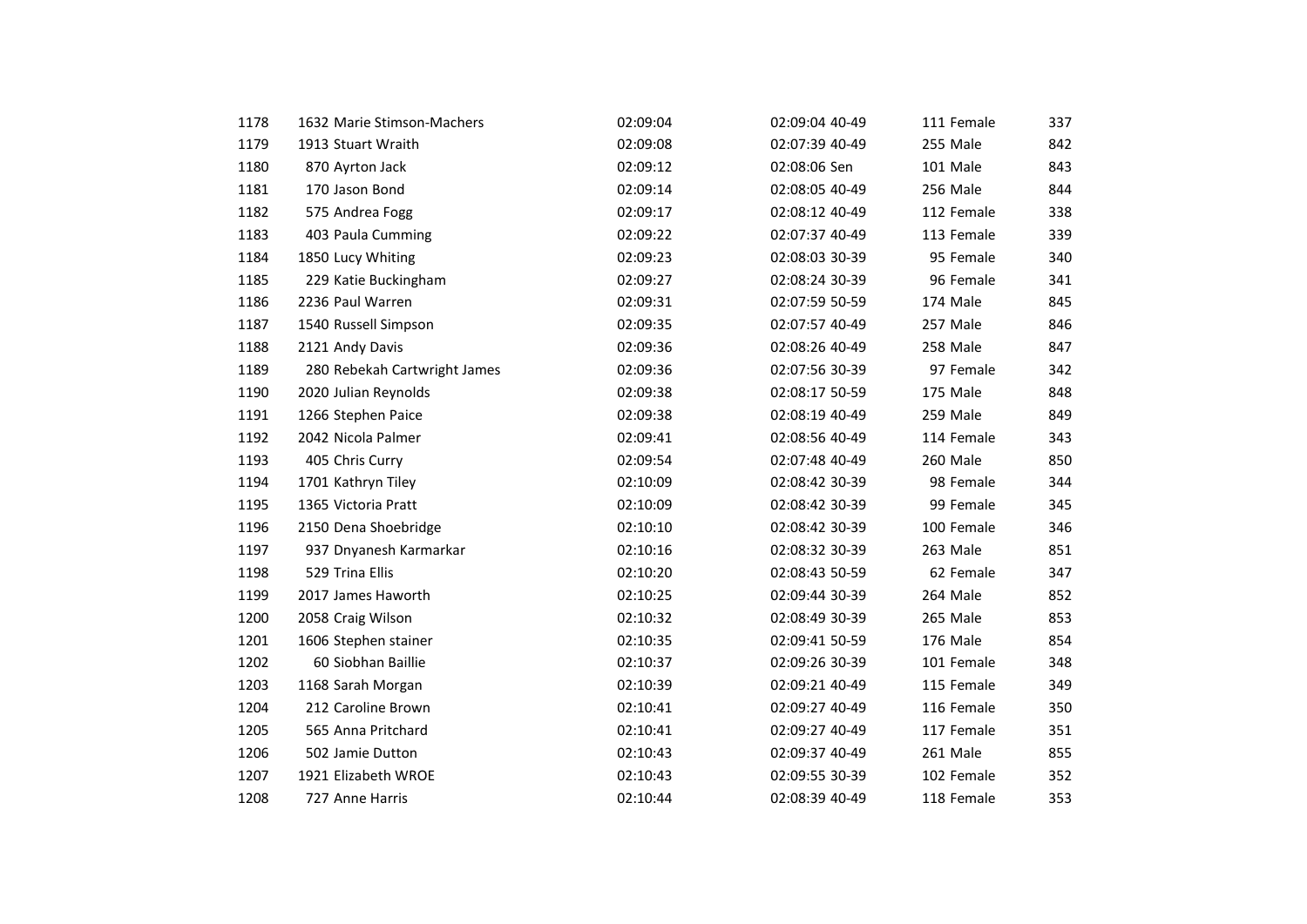| 1178 | 1632 Marie Stimson-Machers   | 02:09:04 | 02:09:04 40-49 | 111 Female | 337 |
|------|------------------------------|----------|----------------|------------|-----|
| 1179 | 1913 Stuart Wraith           | 02:09:08 | 02:07:39 40-49 | 255 Male   | 842 |
| 1180 | 870 Ayrton Jack              | 02:09:12 | 02:08:06 Sen   | 101 Male   | 843 |
| 1181 |                              | 02:09:14 | 02:08:05 40-49 | 256 Male   |     |
|      | 170 Jason Bond               |          |                |            | 844 |
| 1182 | 575 Andrea Fogg              | 02:09:17 | 02:08:12 40-49 | 112 Female | 338 |
| 1183 | 403 Paula Cumming            | 02:09:22 | 02:07:37 40-49 | 113 Female | 339 |
| 1184 | 1850 Lucy Whiting            | 02:09:23 | 02:08:03 30-39 | 95 Female  | 340 |
| 1185 | 229 Katie Buckingham         | 02:09:27 | 02:08:24 30-39 | 96 Female  | 341 |
| 1186 | 2236 Paul Warren             | 02:09:31 | 02:07:59 50-59 | 174 Male   | 845 |
| 1187 | 1540 Russell Simpson         | 02:09:35 | 02:07:57 40-49 | 257 Male   | 846 |
| 1188 | 2121 Andy Davis              | 02:09:36 | 02:08:26 40-49 | 258 Male   | 847 |
| 1189 | 280 Rebekah Cartwright James | 02:09:36 | 02:07:56 30-39 | 97 Female  | 342 |
| 1190 | 2020 Julian Reynolds         | 02:09:38 | 02:08:17 50-59 | 175 Male   | 848 |
| 1191 | 1266 Stephen Paice           | 02:09:38 | 02:08:19 40-49 | 259 Male   | 849 |
| 1192 | 2042 Nicola Palmer           | 02:09:41 | 02:08:56 40-49 | 114 Female | 343 |
| 1193 | 405 Chris Curry              | 02:09:54 | 02:07:48 40-49 | 260 Male   | 850 |
| 1194 | 1701 Kathryn Tiley           | 02:10:09 | 02:08:42 30-39 | 98 Female  | 344 |
| 1195 | 1365 Victoria Pratt          | 02:10:09 | 02:08:42 30-39 | 99 Female  | 345 |
| 1196 | 2150 Dena Shoebridge         | 02:10:10 | 02:08:42 30-39 | 100 Female | 346 |
| 1197 | 937 Dnyanesh Karmarkar       | 02:10:16 | 02:08:32 30-39 | 263 Male   | 851 |
| 1198 | 529 Trina Ellis              | 02:10:20 | 02:08:43 50-59 | 62 Female  | 347 |
| 1199 | 2017 James Haworth           | 02:10:25 | 02:09:44 30-39 | 264 Male   | 852 |
| 1200 | 2058 Craig Wilson            | 02:10:32 | 02:08:49 30-39 | 265 Male   | 853 |
| 1201 | 1606 Stephen stainer         | 02:10:35 | 02:09:41 50-59 | 176 Male   | 854 |
| 1202 | 60 Siobhan Baillie           | 02:10:37 | 02:09:26 30-39 | 101 Female | 348 |
| 1203 | 1168 Sarah Morgan            | 02:10:39 | 02:09:21 40-49 | 115 Female | 349 |
| 1204 | 212 Caroline Brown           | 02:10:41 | 02:09:27 40-49 | 116 Female | 350 |
| 1205 | 565 Anna Pritchard           | 02:10:41 | 02:09:27 40-49 | 117 Female | 351 |
| 1206 | 502 Jamie Dutton             | 02:10:43 | 02:09:37 40-49 | 261 Male   | 855 |
| 1207 | 1921 Elizabeth WROE          | 02:10:43 | 02:09:55 30-39 | 102 Female | 352 |
| 1208 | 727 Anne Harris              | 02:10:44 | 02:08:39 40-49 | 118 Female | 353 |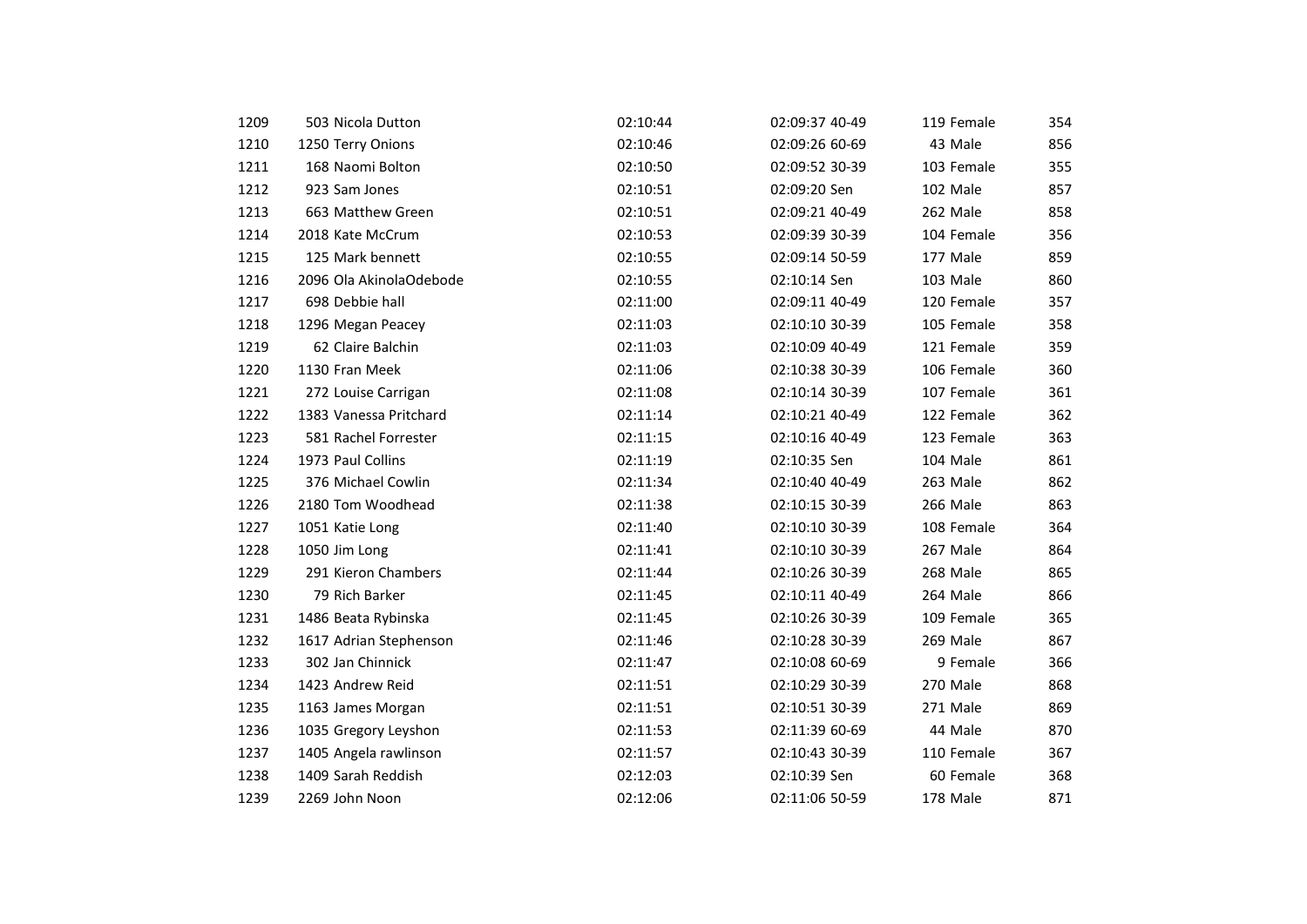| 1209 | 503 Nicola Dutton       | 02:10:44 | 02:09:37 40-49 | 119 Female | 354 |
|------|-------------------------|----------|----------------|------------|-----|
| 1210 | 1250 Terry Onions       | 02:10:46 | 02:09:26 60-69 | 43 Male    | 856 |
| 1211 | 168 Naomi Bolton        | 02:10:50 | 02:09:52 30-39 | 103 Female | 355 |
| 1212 |                         |          | 02:09:20 Sen   | 102 Male   | 857 |
|      | 923 Sam Jones           | 02:10:51 |                |            |     |
| 1213 | 663 Matthew Green       | 02:10:51 | 02:09:21 40-49 | 262 Male   | 858 |
| 1214 | 2018 Kate McCrum        | 02:10:53 | 02:09:39 30-39 | 104 Female | 356 |
| 1215 | 125 Mark bennett        | 02:10:55 | 02:09:14 50-59 | 177 Male   | 859 |
| 1216 | 2096 Ola AkinolaOdebode | 02:10:55 | 02:10:14 Sen   | 103 Male   | 860 |
| 1217 | 698 Debbie hall         | 02:11:00 | 02:09:11 40-49 | 120 Female | 357 |
| 1218 | 1296 Megan Peacey       | 02:11:03 | 02:10:10 30-39 | 105 Female | 358 |
| 1219 | 62 Claire Balchin       | 02:11:03 | 02:10:09 40-49 | 121 Female | 359 |
| 1220 | 1130 Fran Meek          | 02:11:06 | 02:10:38 30-39 | 106 Female | 360 |
| 1221 | 272 Louise Carrigan     | 02:11:08 | 02:10:14 30-39 | 107 Female | 361 |
| 1222 | 1383 Vanessa Pritchard  | 02:11:14 | 02:10:21 40-49 | 122 Female | 362 |
| 1223 | 581 Rachel Forrester    | 02:11:15 | 02:10:16 40-49 | 123 Female | 363 |
| 1224 | 1973 Paul Collins       | 02:11:19 | 02:10:35 Sen   | 104 Male   | 861 |
| 1225 | 376 Michael Cowlin      | 02:11:34 | 02:10:40 40-49 | 263 Male   | 862 |
| 1226 | 2180 Tom Woodhead       | 02:11:38 | 02:10:15 30-39 | 266 Male   | 863 |
| 1227 | 1051 Katie Long         | 02:11:40 | 02:10:10 30-39 | 108 Female | 364 |
| 1228 | 1050 Jim Long           | 02:11:41 | 02:10:10 30-39 | 267 Male   | 864 |
| 1229 | 291 Kieron Chambers     | 02:11:44 | 02:10:26 30-39 | 268 Male   | 865 |
| 1230 | 79 Rich Barker          | 02:11:45 | 02:10:11 40-49 | 264 Male   | 866 |
| 1231 | 1486 Beata Rybinska     | 02:11:45 | 02:10:26 30-39 | 109 Female | 365 |
| 1232 | 1617 Adrian Stephenson  | 02:11:46 | 02:10:28 30-39 | 269 Male   | 867 |
| 1233 | 302 Jan Chinnick        | 02:11:47 | 02:10:08 60-69 | 9 Female   | 366 |
| 1234 | 1423 Andrew Reid        | 02:11:51 | 02:10:29 30-39 | 270 Male   | 868 |
| 1235 | 1163 James Morgan       | 02:11:51 | 02:10:51 30-39 | 271 Male   | 869 |
| 1236 | 1035 Gregory Leyshon    | 02:11:53 | 02:11:39 60-69 | 44 Male    | 870 |
| 1237 | 1405 Angela rawlinson   | 02:11:57 | 02:10:43 30-39 | 110 Female | 367 |
| 1238 | 1409 Sarah Reddish      | 02:12:03 | 02:10:39 Sen   | 60 Female  | 368 |
| 1239 | 2269 John Noon          | 02:12:06 | 02:11:06 50-59 | 178 Male   | 871 |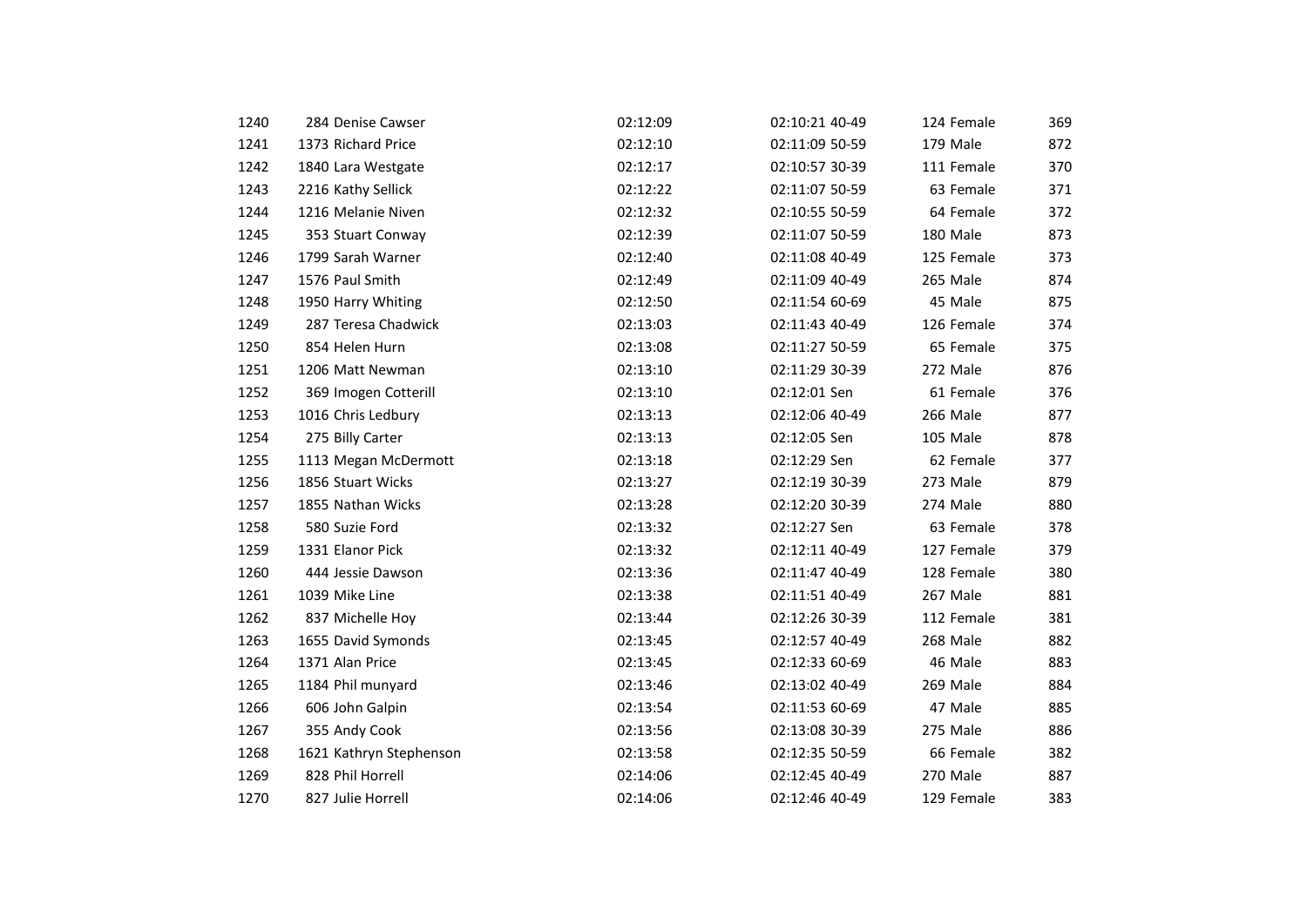| 1240 | 284 Denise Cawser       | 02:12:09 | 02:10:21 40-49 | 124 Female | 369 |
|------|-------------------------|----------|----------------|------------|-----|
|      | 1373 Richard Price      |          |                | 179 Male   | 872 |
| 1241 |                         | 02:12:10 | 02:11:09 50-59 |            |     |
| 1242 | 1840 Lara Westgate      | 02:12:17 | 02:10:57 30-39 | 111 Female | 370 |
| 1243 | 2216 Kathy Sellick      | 02:12:22 | 02:11:07 50-59 | 63 Female  | 371 |
| 1244 | 1216 Melanie Niven      | 02:12:32 | 02:10:55 50-59 | 64 Female  | 372 |
| 1245 | 353 Stuart Conway       | 02:12:39 | 02:11:07 50-59 | 180 Male   | 873 |
| 1246 | 1799 Sarah Warner       | 02:12:40 | 02:11:08 40-49 | 125 Female | 373 |
| 1247 | 1576 Paul Smith         | 02:12:49 | 02:11:09 40-49 | 265 Male   | 874 |
| 1248 | 1950 Harry Whiting      | 02:12:50 | 02:11:54 60-69 | 45 Male    | 875 |
| 1249 | 287 Teresa Chadwick     | 02:13:03 | 02:11:43 40-49 | 126 Female | 374 |
| 1250 | 854 Helen Hurn          | 02:13:08 | 02:11:27 50-59 | 65 Female  | 375 |
| 1251 | 1206 Matt Newman        | 02:13:10 | 02:11:29 30-39 | 272 Male   | 876 |
| 1252 | 369 Imogen Cotterill    | 02:13:10 | 02:12:01 Sen   | 61 Female  | 376 |
| 1253 | 1016 Chris Ledbury      | 02:13:13 | 02:12:06 40-49 | 266 Male   | 877 |
| 1254 | 275 Billy Carter        | 02:13:13 | 02:12:05 Sen   | 105 Male   | 878 |
| 1255 | 1113 Megan McDermott    | 02:13:18 | 02:12:29 Sen   | 62 Female  | 377 |
| 1256 | 1856 Stuart Wicks       | 02:13:27 | 02:12:19 30-39 | 273 Male   | 879 |
| 1257 | 1855 Nathan Wicks       | 02:13:28 | 02:12:20 30-39 | 274 Male   | 880 |
| 1258 | 580 Suzie Ford          | 02:13:32 | 02:12:27 Sen   | 63 Female  | 378 |
| 1259 | 1331 Elanor Pick        | 02:13:32 | 02:12:11 40-49 | 127 Female | 379 |
| 1260 | 444 Jessie Dawson       | 02:13:36 | 02:11:47 40-49 | 128 Female | 380 |
| 1261 | 1039 Mike Line          | 02:13:38 | 02:11:51 40-49 | 267 Male   | 881 |
| 1262 | 837 Michelle Hoy        | 02:13:44 | 02:12:26 30-39 | 112 Female | 381 |
| 1263 | 1655 David Symonds      | 02:13:45 | 02:12:57 40-49 | 268 Male   | 882 |
| 1264 | 1371 Alan Price         | 02:13:45 | 02:12:33 60-69 | 46 Male    | 883 |
| 1265 | 1184 Phil munyard       | 02:13:46 | 02:13:02 40-49 | 269 Male   | 884 |
| 1266 | 606 John Galpin         | 02:13:54 | 02:11:53 60-69 | 47 Male    | 885 |
| 1267 | 355 Andy Cook           | 02:13:56 | 02:13:08 30-39 | 275 Male   | 886 |
| 1268 | 1621 Kathryn Stephenson | 02:13:58 | 02:12:35 50-59 | 66 Female  | 382 |
| 1269 | 828 Phil Horrell        | 02:14:06 | 02:12:45 40-49 | 270 Male   | 887 |
| 1270 | 827 Julie Horrell       | 02:14:06 | 02:12:46 40-49 | 129 Female | 383 |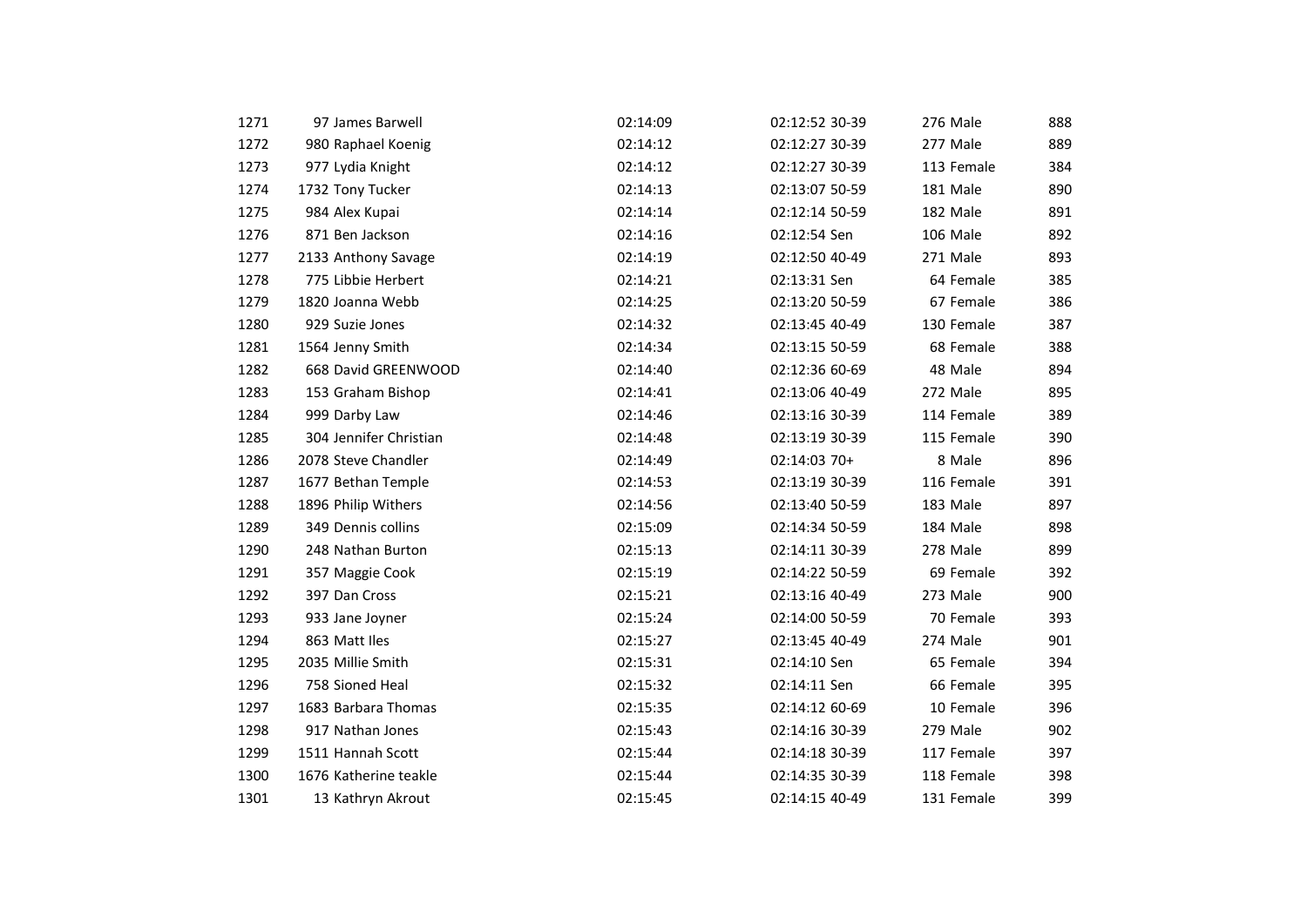| 1271 | 97 James Barwell       | 02:14:09 | 02:12:52 30-39 | 276 Male   | 888 |
|------|------------------------|----------|----------------|------------|-----|
| 1272 | 980 Raphael Koenig     | 02:14:12 | 02:12:27 30-39 | 277 Male   | 889 |
| 1273 | 977 Lydia Knight       | 02:14:12 | 02:12:27 30-39 | 113 Female | 384 |
| 1274 | 1732 Tony Tucker       | 02:14:13 | 02:13:07 50-59 | 181 Male   | 890 |
| 1275 | 984 Alex Kupai         | 02:14:14 | 02:12:14 50-59 | 182 Male   | 891 |
| 1276 | 871 Ben Jackson        | 02:14:16 | 02:12:54 Sen   | 106 Male   | 892 |
| 1277 | 2133 Anthony Savage    | 02:14:19 | 02:12:50 40-49 | 271 Male   | 893 |
| 1278 | 775 Libbie Herbert     | 02:14:21 | 02:13:31 Sen   | 64 Female  | 385 |
| 1279 | 1820 Joanna Webb       | 02:14:25 | 02:13:20 50-59 | 67 Female  | 386 |
| 1280 | 929 Suzie Jones        | 02:14:32 | 02:13:45 40-49 | 130 Female | 387 |
| 1281 | 1564 Jenny Smith       | 02:14:34 | 02:13:15 50-59 | 68 Female  | 388 |
| 1282 | 668 David GREENWOOD    | 02:14:40 | 02:12:36 60-69 | 48 Male    | 894 |
| 1283 | 153 Graham Bishop      | 02:14:41 | 02:13:06 40-49 | 272 Male   | 895 |
| 1284 | 999 Darby Law          | 02:14:46 | 02:13:16 30-39 | 114 Female | 389 |
| 1285 | 304 Jennifer Christian | 02:14:48 | 02:13:19 30-39 | 115 Female | 390 |
| 1286 | 2078 Steve Chandler    | 02:14:49 | 02:14:03 70+   | 8 Male     | 896 |
| 1287 | 1677 Bethan Temple     | 02:14:53 | 02:13:19 30-39 | 116 Female | 391 |
| 1288 | 1896 Philip Withers    | 02:14:56 | 02:13:40 50-59 | 183 Male   | 897 |
| 1289 | 349 Dennis collins     | 02:15:09 | 02:14:34 50-59 | 184 Male   | 898 |
| 1290 | 248 Nathan Burton      | 02:15:13 | 02:14:11 30-39 | 278 Male   | 899 |
| 1291 | 357 Maggie Cook        | 02:15:19 | 02:14:22 50-59 | 69 Female  | 392 |
| 1292 | 397 Dan Cross          | 02:15:21 | 02:13:16 40-49 | 273 Male   | 900 |
| 1293 | 933 Jane Joyner        | 02:15:24 | 02:14:00 50-59 | 70 Female  | 393 |
| 1294 | 863 Matt Iles          | 02:15:27 | 02:13:45 40-49 | 274 Male   | 901 |
| 1295 | 2035 Millie Smith      | 02:15:31 | 02:14:10 Sen   | 65 Female  | 394 |
| 1296 | 758 Sioned Heal        | 02:15:32 | 02:14:11 Sen   | 66 Female  | 395 |
| 1297 | 1683 Barbara Thomas    | 02:15:35 | 02:14:12 60-69 | 10 Female  | 396 |
| 1298 | 917 Nathan Jones       | 02:15:43 | 02:14:16 30-39 | 279 Male   | 902 |
| 1299 | 1511 Hannah Scott      | 02:15:44 | 02:14:18 30-39 | 117 Female | 397 |
| 1300 | 1676 Katherine teakle  | 02:15:44 | 02:14:35 30-39 | 118 Female | 398 |
| 1301 | 13 Kathryn Akrout      | 02:15:45 | 02:14:15 40-49 | 131 Female | 399 |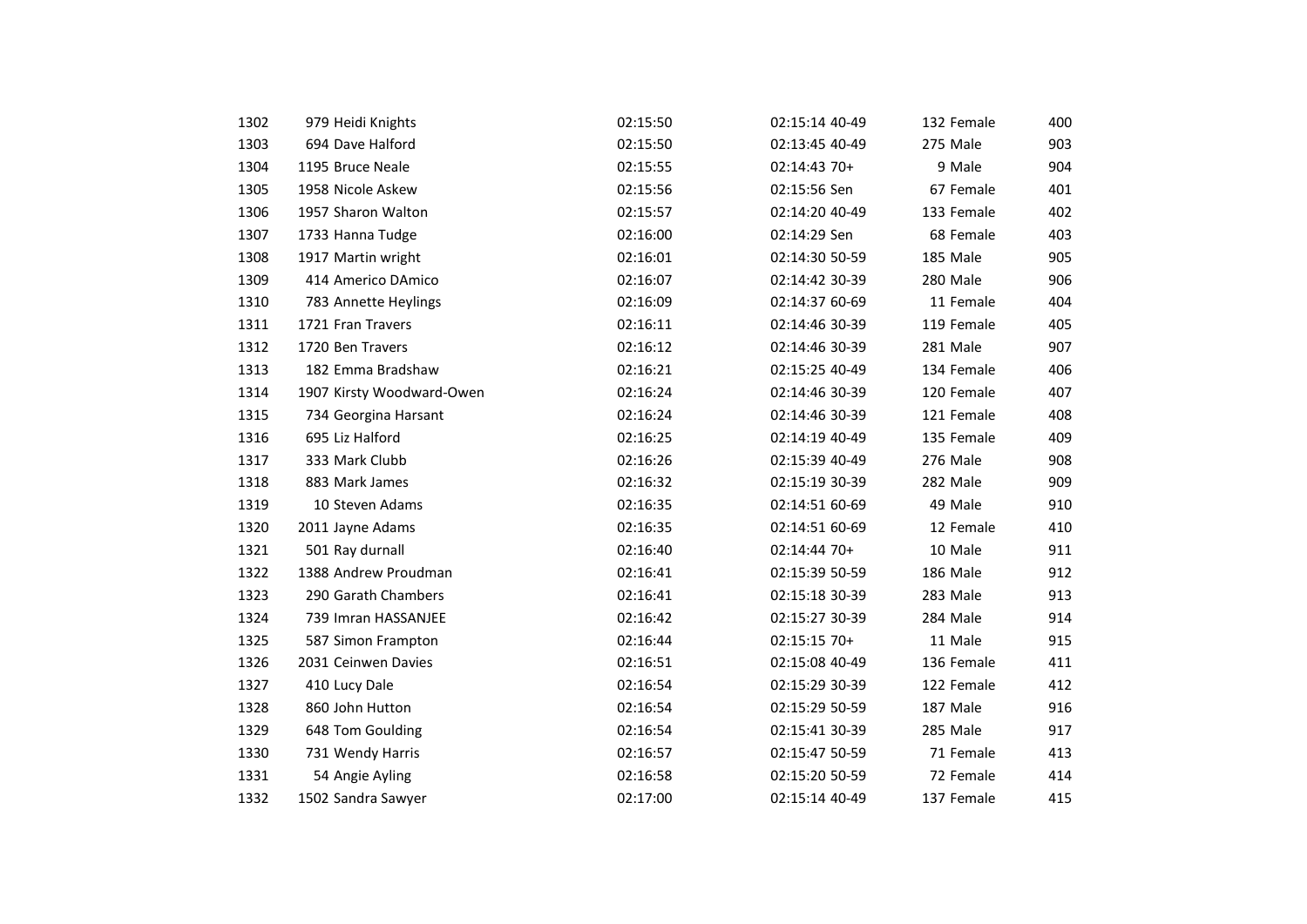| 1302 | 979 Heidi Knights         | 02:15:50 | 02:15:14 40-49 | 132 Female | 400 |
|------|---------------------------|----------|----------------|------------|-----|
| 1303 | 694 Dave Halford          | 02:15:50 | 02:13:45 40-49 | 275 Male   | 903 |
| 1304 | 1195 Bruce Neale          | 02:15:55 | 02:14:43 70+   | 9 Male     | 904 |
| 1305 | 1958 Nicole Askew         | 02:15:56 | 02:15:56 Sen   | 67 Female  | 401 |
| 1306 |                           |          | 02:14:20 40-49 | 133 Female |     |
|      | 1957 Sharon Walton        | 02:15:57 |                |            | 402 |
| 1307 | 1733 Hanna Tudge          | 02:16:00 | 02:14:29 Sen   | 68 Female  | 403 |
| 1308 | 1917 Martin wright        | 02:16:01 | 02:14:30 50-59 | 185 Male   | 905 |
| 1309 | 414 Americo DAmico        | 02:16:07 | 02:14:42 30-39 | 280 Male   | 906 |
| 1310 | 783 Annette Heylings      | 02:16:09 | 02:14:37 60-69 | 11 Female  | 404 |
| 1311 | 1721 Fran Travers         | 02:16:11 | 02:14:46 30-39 | 119 Female | 405 |
| 1312 | 1720 Ben Travers          | 02:16:12 | 02:14:46 30-39 | 281 Male   | 907 |
| 1313 | 182 Emma Bradshaw         | 02:16:21 | 02:15:25 40-49 | 134 Female | 406 |
| 1314 | 1907 Kirsty Woodward-Owen | 02:16:24 | 02:14:46 30-39 | 120 Female | 407 |
| 1315 | 734 Georgina Harsant      | 02:16:24 | 02:14:46 30-39 | 121 Female | 408 |
| 1316 | 695 Liz Halford           | 02:16:25 | 02:14:19 40-49 | 135 Female | 409 |
| 1317 | 333 Mark Clubb            | 02:16:26 | 02:15:39 40-49 | 276 Male   | 908 |
| 1318 | 883 Mark James            | 02:16:32 | 02:15:19 30-39 | 282 Male   | 909 |
| 1319 | 10 Steven Adams           | 02:16:35 | 02:14:51 60-69 | 49 Male    | 910 |
| 1320 | 2011 Jayne Adams          | 02:16:35 | 02:14:51 60-69 | 12 Female  | 410 |
| 1321 | 501 Ray durnall           | 02:16:40 | 02:14:44 70+   | 10 Male    | 911 |
| 1322 | 1388 Andrew Proudman      | 02:16:41 | 02:15:39 50-59 | 186 Male   | 912 |
| 1323 | 290 Garath Chambers       | 02:16:41 | 02:15:18 30-39 | 283 Male   | 913 |
| 1324 | 739 Imran HASSANJEE       | 02:16:42 | 02:15:27 30-39 | 284 Male   | 914 |
| 1325 | 587 Simon Frampton        | 02:16:44 | 02:15:15 70+   | 11 Male    | 915 |
| 1326 | 2031 Ceinwen Davies       | 02:16:51 | 02:15:08 40-49 | 136 Female | 411 |
| 1327 | 410 Lucy Dale             | 02:16:54 | 02:15:29 30-39 | 122 Female | 412 |
| 1328 | 860 John Hutton           | 02:16:54 | 02:15:29 50-59 | 187 Male   | 916 |
| 1329 | 648 Tom Goulding          | 02:16:54 | 02:15:41 30-39 | 285 Male   | 917 |
| 1330 | 731 Wendy Harris          | 02:16:57 | 02:15:47 50-59 | 71 Female  | 413 |
| 1331 | 54 Angie Ayling           | 02:16:58 | 02:15:20 50-59 | 72 Female  | 414 |
| 1332 | 1502 Sandra Sawyer        | 02:17:00 | 02:15:14 40-49 | 137 Female | 415 |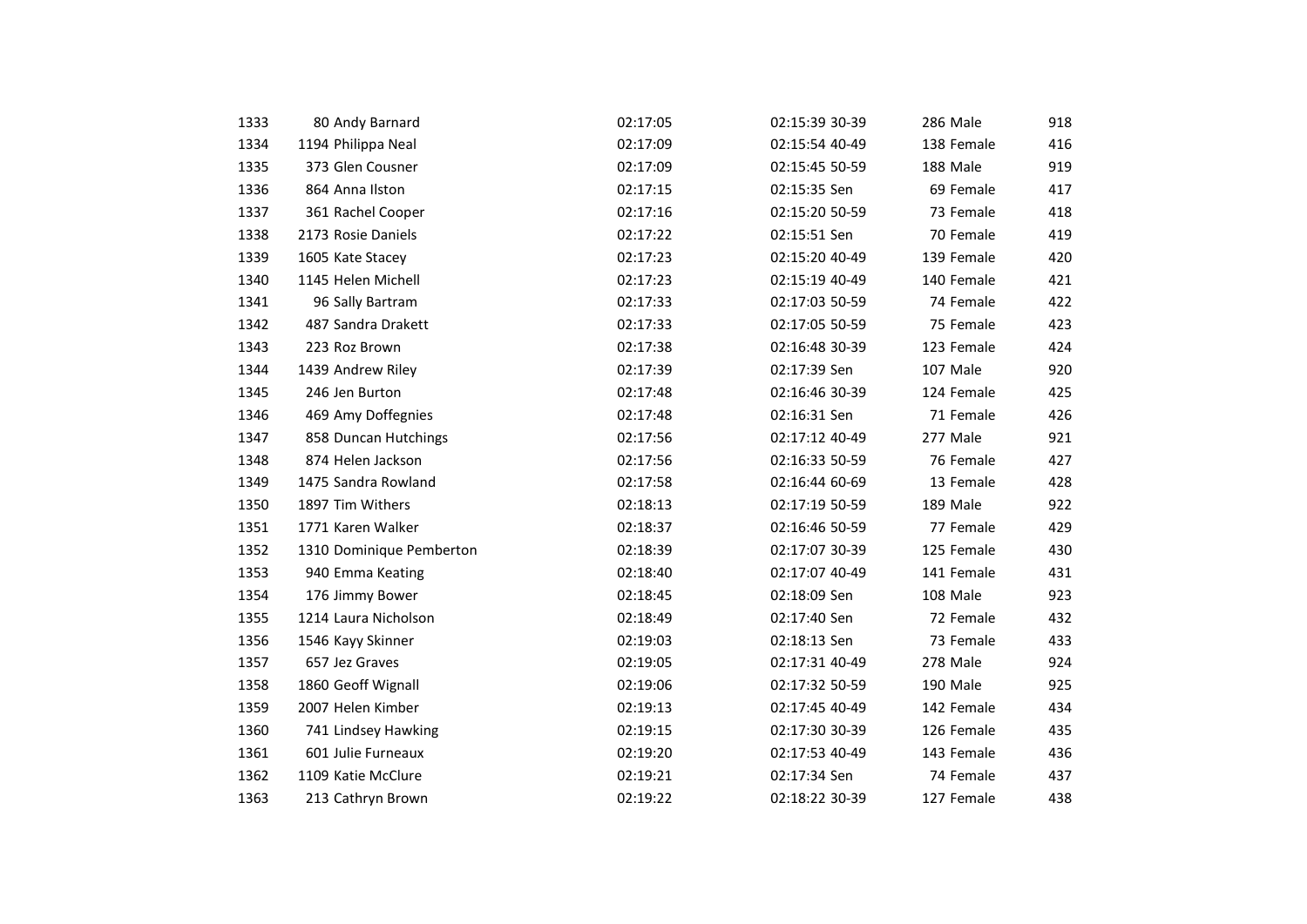| 1333 | 80 Andy Barnard          | 02:17:05 | 02:15:39 30-39 | 286 Male   | 918 |
|------|--------------------------|----------|----------------|------------|-----|
| 1334 | 1194 Philippa Neal       | 02:17:09 | 02:15:54 40-49 | 138 Female | 416 |
| 1335 | 373 Glen Cousner         | 02:17:09 | 02:15:45 50-59 | 188 Male   | 919 |
| 1336 | 864 Anna Ilston          | 02:17:15 | 02:15:35 Sen   | 69 Female  | 417 |
| 1337 | 361 Rachel Cooper        | 02:17:16 | 02:15:20 50-59 | 73 Female  | 418 |
| 1338 | 2173 Rosie Daniels       | 02:17:22 | 02:15:51 Sen   | 70 Female  | 419 |
| 1339 | 1605 Kate Stacey         | 02:17:23 | 02:15:20 40-49 | 139 Female | 420 |
| 1340 | 1145 Helen Michell       | 02:17:23 | 02:15:19 40-49 | 140 Female | 421 |
| 1341 | 96 Sally Bartram         | 02:17:33 | 02:17:03 50-59 | 74 Female  | 422 |
| 1342 | 487 Sandra Drakett       | 02:17:33 | 02:17:05 50-59 | 75 Female  | 423 |
| 1343 | 223 Roz Brown            | 02:17:38 | 02:16:48 30-39 | 123 Female | 424 |
| 1344 | 1439 Andrew Riley        | 02:17:39 | 02:17:39 Sen   | 107 Male   | 920 |
| 1345 | 246 Jen Burton           | 02:17:48 | 02:16:46 30-39 | 124 Female | 425 |
| 1346 | 469 Amy Doffegnies       | 02:17:48 | 02:16:31 Sen   | 71 Female  | 426 |
| 1347 | 858 Duncan Hutchings     | 02:17:56 | 02:17:12 40-49 | 277 Male   | 921 |
| 1348 | 874 Helen Jackson        | 02:17:56 | 02:16:33 50-59 | 76 Female  | 427 |
| 1349 | 1475 Sandra Rowland      | 02:17:58 | 02:16:44 60-69 | 13 Female  | 428 |
| 1350 | 1897 Tim Withers         | 02:18:13 | 02:17:19 50-59 | 189 Male   | 922 |
| 1351 | 1771 Karen Walker        | 02:18:37 | 02:16:46 50-59 | 77 Female  | 429 |
| 1352 | 1310 Dominique Pemberton | 02:18:39 | 02:17:07 30-39 | 125 Female | 430 |
| 1353 | 940 Emma Keating         | 02:18:40 | 02:17:07 40-49 | 141 Female | 431 |
| 1354 | 176 Jimmy Bower          | 02:18:45 | 02:18:09 Sen   | 108 Male   | 923 |
| 1355 | 1214 Laura Nicholson     | 02:18:49 | 02:17:40 Sen   | 72 Female  | 432 |
| 1356 | 1546 Kayy Skinner        | 02:19:03 | 02:18:13 Sen   | 73 Female  | 433 |
| 1357 | 657 Jez Graves           | 02:19:05 | 02:17:31 40-49 | 278 Male   | 924 |
| 1358 | 1860 Geoff Wignall       | 02:19:06 | 02:17:32 50-59 | 190 Male   | 925 |
| 1359 | 2007 Helen Kimber        | 02:19:13 | 02:17:45 40-49 | 142 Female | 434 |
| 1360 | 741 Lindsey Hawking      | 02:19:15 | 02:17:30 30-39 | 126 Female | 435 |
| 1361 | 601 Julie Furneaux       | 02:19:20 | 02:17:53 40-49 | 143 Female | 436 |
| 1362 | 1109 Katie McClure       | 02:19:21 | 02:17:34 Sen   | 74 Female  | 437 |
| 1363 | 213 Cathryn Brown        | 02:19:22 | 02:18:22 30-39 | 127 Female | 438 |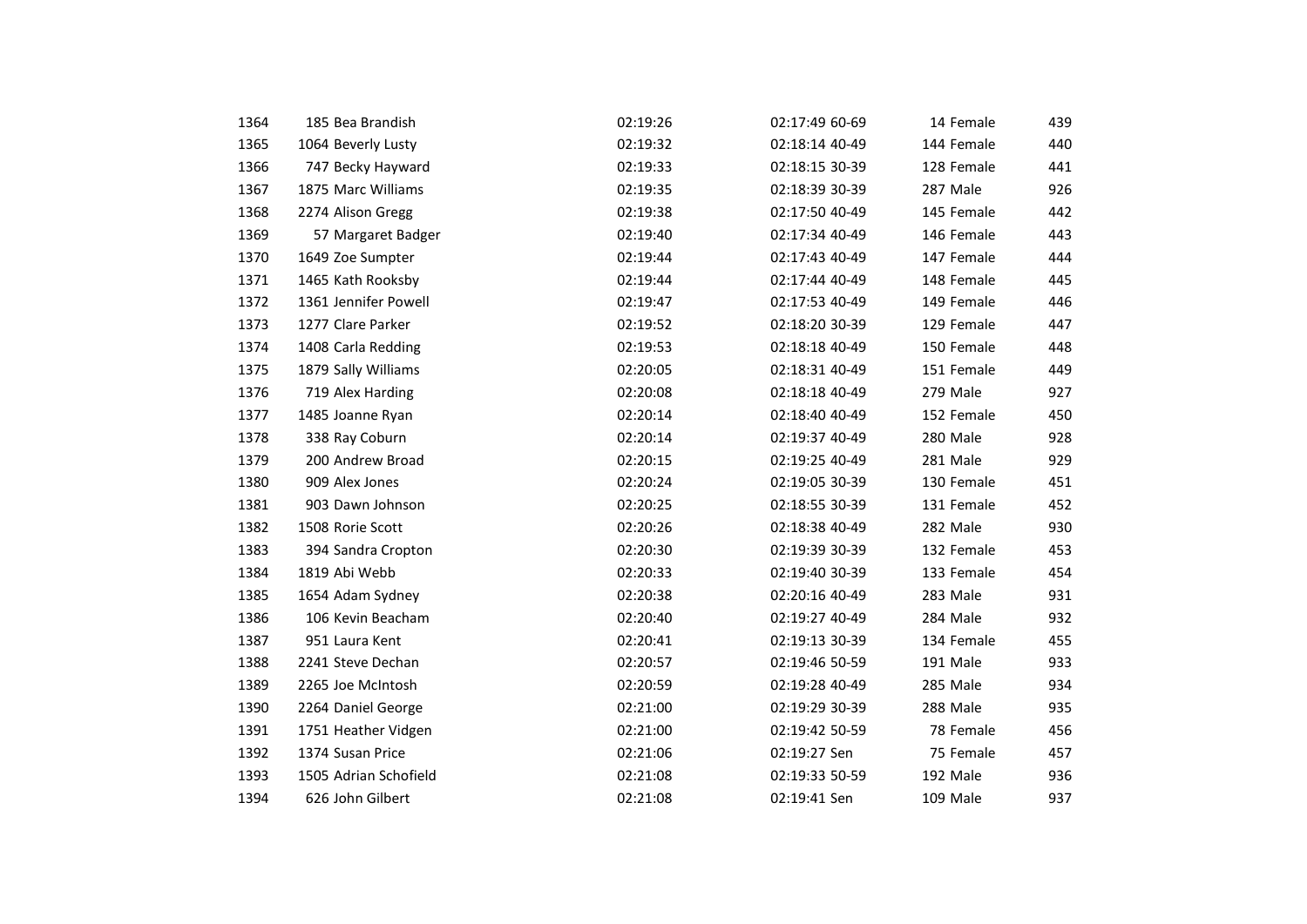| 1364 | 185 Bea Brandish      | 02:19:26 | 02:17:49 60-69 | 14 Female  | 439 |
|------|-----------------------|----------|----------------|------------|-----|
| 1365 | 1064 Beverly Lusty    | 02:19:32 | 02:18:14 40-49 | 144 Female | 440 |
| 1366 |                       |          |                |            |     |
|      | 747 Becky Hayward     | 02:19:33 | 02:18:15 30-39 | 128 Female | 441 |
| 1367 | 1875 Marc Williams    | 02:19:35 | 02:18:39 30-39 | 287 Male   | 926 |
| 1368 | 2274 Alison Gregg     | 02:19:38 | 02:17:50 40-49 | 145 Female | 442 |
| 1369 | 57 Margaret Badger    | 02:19:40 | 02:17:34 40-49 | 146 Female | 443 |
| 1370 | 1649 Zoe Sumpter      | 02:19:44 | 02:17:43 40-49 | 147 Female | 444 |
| 1371 | 1465 Kath Rooksby     | 02:19:44 | 02:17:44 40-49 | 148 Female | 445 |
| 1372 | 1361 Jennifer Powell  | 02:19:47 | 02:17:53 40-49 | 149 Female | 446 |
| 1373 | 1277 Clare Parker     | 02:19:52 | 02:18:20 30-39 | 129 Female | 447 |
| 1374 | 1408 Carla Redding    | 02:19:53 | 02:18:18 40-49 | 150 Female | 448 |
| 1375 | 1879 Sally Williams   | 02:20:05 | 02:18:31 40-49 | 151 Female | 449 |
| 1376 | 719 Alex Harding      | 02:20:08 | 02:18:18 40-49 | 279 Male   | 927 |
| 1377 | 1485 Joanne Ryan      | 02:20:14 | 02:18:40 40-49 | 152 Female | 450 |
| 1378 | 338 Ray Coburn        | 02:20:14 | 02:19:37 40-49 | 280 Male   | 928 |
| 1379 | 200 Andrew Broad      | 02:20:15 | 02:19:25 40-49 | 281 Male   | 929 |
| 1380 | 909 Alex Jones        | 02:20:24 | 02:19:05 30-39 | 130 Female | 451 |
| 1381 | 903 Dawn Johnson      | 02:20:25 | 02:18:55 30-39 | 131 Female | 452 |
| 1382 | 1508 Rorie Scott      | 02:20:26 | 02:18:38 40-49 | 282 Male   | 930 |
| 1383 | 394 Sandra Cropton    | 02:20:30 | 02:19:39 30-39 | 132 Female | 453 |
| 1384 | 1819 Abi Webb         | 02:20:33 | 02:19:40 30-39 | 133 Female | 454 |
| 1385 | 1654 Adam Sydney      | 02:20:38 | 02:20:16 40-49 | 283 Male   | 931 |
| 1386 | 106 Kevin Beacham     | 02:20:40 | 02:19:27 40-49 | 284 Male   | 932 |
| 1387 | 951 Laura Kent        | 02:20:41 | 02:19:13 30-39 | 134 Female | 455 |
| 1388 | 2241 Steve Dechan     | 02:20:57 | 02:19:46 50-59 | 191 Male   | 933 |
| 1389 | 2265 Joe McIntosh     | 02:20:59 | 02:19:28 40-49 | 285 Male   | 934 |
| 1390 | 2264 Daniel George    | 02:21:00 | 02:19:29 30-39 | 288 Male   | 935 |
| 1391 | 1751 Heather Vidgen   | 02:21:00 | 02:19:42 50-59 | 78 Female  | 456 |
| 1392 | 1374 Susan Price      | 02:21:06 | 02:19:27 Sen   | 75 Female  | 457 |
| 1393 | 1505 Adrian Schofield | 02:21:08 | 02:19:33 50-59 | 192 Male   | 936 |
| 1394 | 626 John Gilbert      | 02:21:08 | 02:19:41 Sen   | 109 Male   | 937 |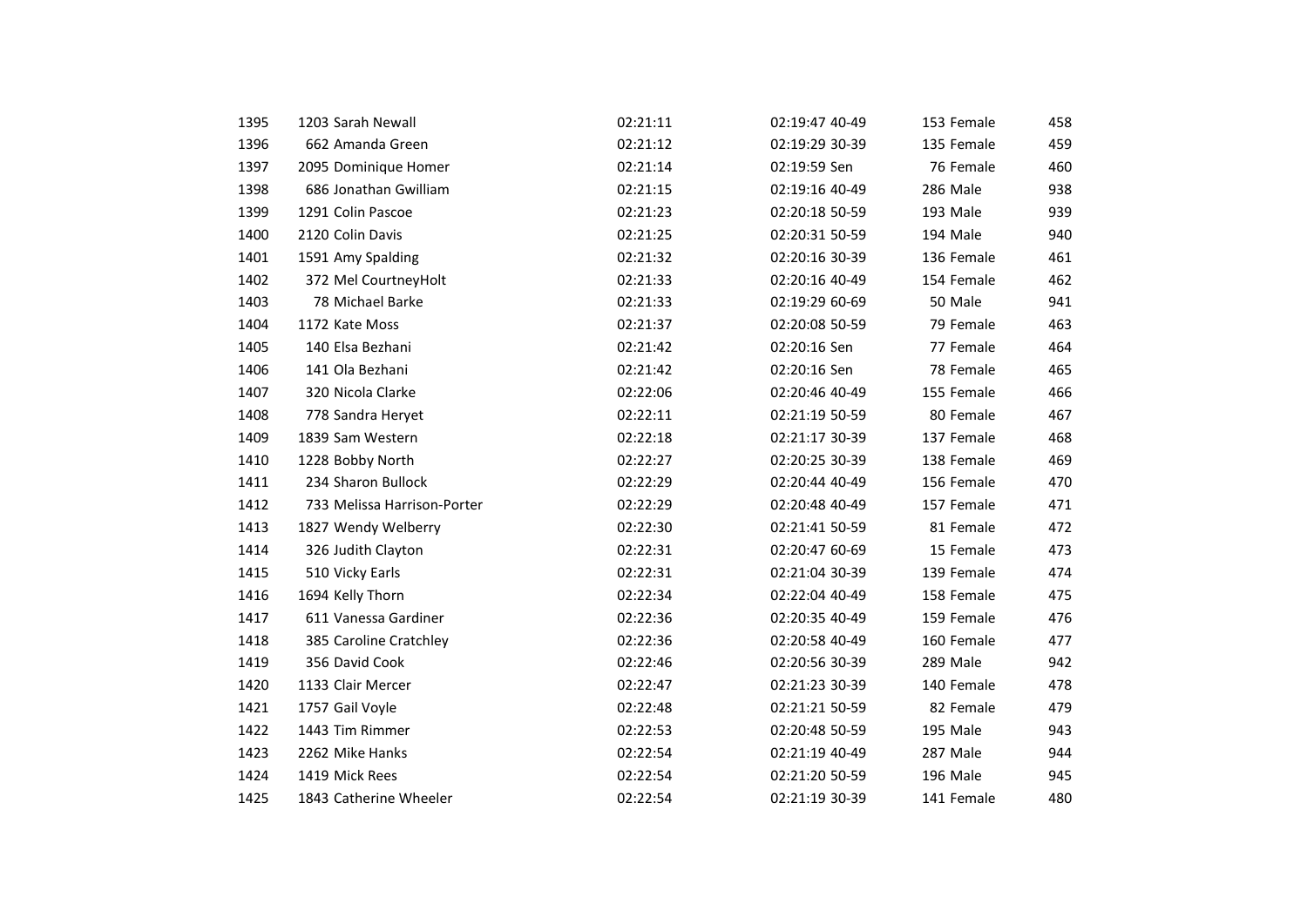| 1395 | 1203 Sarah Newall           | 02:21:11 | 02:19:47 40-49 | 153 Female | 458 |
|------|-----------------------------|----------|----------------|------------|-----|
| 1396 | 662 Amanda Green            | 02:21:12 | 02:19:29 30-39 | 135 Female | 459 |
| 1397 | 2095 Dominique Homer        | 02:21:14 | 02:19:59 Sen   | 76 Female  | 460 |
| 1398 | 686 Jonathan Gwilliam       | 02:21:15 | 02:19:16 40-49 | 286 Male   | 938 |
| 1399 | 1291 Colin Pascoe           | 02:21:23 | 02:20:18 50-59 | 193 Male   | 939 |
|      | 2120 Colin Davis            |          |                |            |     |
| 1400 |                             | 02:21:25 | 02:20:31 50-59 | 194 Male   | 940 |
| 1401 | 1591 Amy Spalding           | 02:21:32 | 02:20:16 30-39 | 136 Female | 461 |
| 1402 | 372 Mel CourtneyHolt        | 02:21:33 | 02:20:16 40-49 | 154 Female | 462 |
| 1403 | 78 Michael Barke            | 02:21:33 | 02:19:29 60-69 | 50 Male    | 941 |
| 1404 | 1172 Kate Moss              | 02:21:37 | 02:20:08 50-59 | 79 Female  | 463 |
| 1405 | 140 Elsa Bezhani            | 02:21:42 | 02:20:16 Sen   | 77 Female  | 464 |
| 1406 | 141 Ola Bezhani             | 02:21:42 | 02:20:16 Sen   | 78 Female  | 465 |
| 1407 | 320 Nicola Clarke           | 02:22:06 | 02:20:46 40-49 | 155 Female | 466 |
| 1408 | 778 Sandra Heryet           | 02:22:11 | 02:21:19 50-59 | 80 Female  | 467 |
| 1409 | 1839 Sam Western            | 02:22:18 | 02:21:17 30-39 | 137 Female | 468 |
| 1410 | 1228 Bobby North            | 02:22:27 | 02:20:25 30-39 | 138 Female | 469 |
| 1411 | 234 Sharon Bullock          | 02:22:29 | 02:20:44 40-49 | 156 Female | 470 |
| 1412 | 733 Melissa Harrison-Porter | 02:22:29 | 02:20:48 40-49 | 157 Female | 471 |
| 1413 | 1827 Wendy Welberry         | 02:22:30 | 02:21:41 50-59 | 81 Female  | 472 |
| 1414 | 326 Judith Clayton          | 02:22:31 | 02:20:47 60-69 | 15 Female  | 473 |
| 1415 | 510 Vicky Earls             | 02:22:31 | 02:21:04 30-39 | 139 Female | 474 |
| 1416 | 1694 Kelly Thorn            | 02:22:34 | 02:22:04 40-49 | 158 Female | 475 |
| 1417 | 611 Vanessa Gardiner        | 02:22:36 | 02:20:35 40-49 | 159 Female | 476 |
| 1418 | 385 Caroline Cratchley      | 02:22:36 | 02:20:58 40-49 | 160 Female | 477 |
| 1419 | 356 David Cook              | 02:22:46 | 02:20:56 30-39 | 289 Male   | 942 |
| 1420 | 1133 Clair Mercer           | 02:22:47 | 02:21:23 30-39 | 140 Female | 478 |
| 1421 | 1757 Gail Voyle             | 02:22:48 | 02:21:21 50-59 | 82 Female  | 479 |
| 1422 | 1443 Tim Rimmer             | 02:22:53 | 02:20:48 50-59 | 195 Male   | 943 |
| 1423 | 2262 Mike Hanks             | 02:22:54 | 02:21:19 40-49 | 287 Male   | 944 |
| 1424 | 1419 Mick Rees              | 02:22:54 | 02:21:20 50-59 | 196 Male   | 945 |
| 1425 | 1843 Catherine Wheeler      | 02:22:54 | 02:21:19 30-39 | 141 Female | 480 |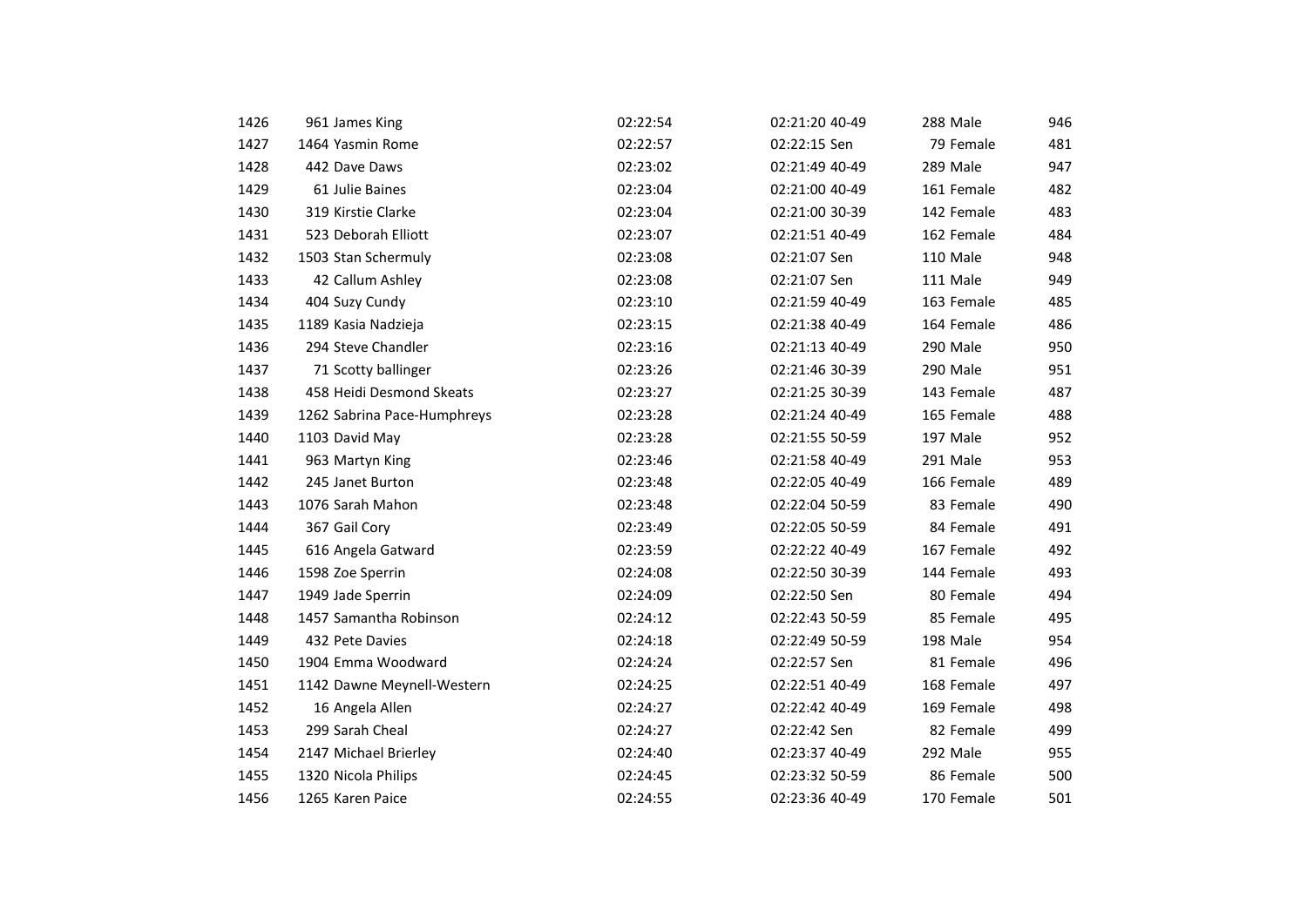| 1426 | 961 James King              | 02:22:54 | 02:21:20 40-49 | 288 Male   | 946 |
|------|-----------------------------|----------|----------------|------------|-----|
| 1427 | 1464 Yasmin Rome            | 02:22:57 | 02:22:15 Sen   | 79 Female  | 481 |
| 1428 | 442 Dave Daws               | 02:23:02 | 02:21:49 40-49 | 289 Male   | 947 |
| 1429 | 61 Julie Baines             | 02:23:04 | 02:21:00 40-49 | 161 Female | 482 |
| 1430 | 319 Kirstie Clarke          | 02:23:04 | 02:21:00 30-39 | 142 Female | 483 |
| 1431 | 523 Deborah Elliott         | 02:23:07 | 02:21:51 40-49 | 162 Female | 484 |
| 1432 | 1503 Stan Schermuly         | 02:23:08 | 02:21:07 Sen   | 110 Male   | 948 |
| 1433 | 42 Callum Ashley            | 02:23:08 | 02:21:07 Sen   | 111 Male   | 949 |
| 1434 | 404 Suzy Cundy              | 02:23:10 | 02:21:59 40-49 | 163 Female | 485 |
| 1435 | 1189 Kasia Nadzieja         | 02:23:15 | 02:21:38 40-49 | 164 Female | 486 |
| 1436 | 294 Steve Chandler          | 02:23:16 | 02:21:13 40-49 | 290 Male   | 950 |
| 1437 | 71 Scotty ballinger         | 02:23:26 | 02:21:46 30-39 | 290 Male   | 951 |
| 1438 | 458 Heidi Desmond Skeats    | 02:23:27 | 02:21:25 30-39 | 143 Female | 487 |
| 1439 | 1262 Sabrina Pace-Humphreys | 02:23:28 | 02:21:24 40-49 | 165 Female | 488 |
| 1440 | 1103 David May              | 02:23:28 | 02:21:55 50-59 | 197 Male   | 952 |
| 1441 | 963 Martyn King             | 02:23:46 | 02:21:58 40-49 | 291 Male   | 953 |
| 1442 | 245 Janet Burton            | 02:23:48 | 02:22:05 40-49 | 166 Female | 489 |
| 1443 | 1076 Sarah Mahon            | 02:23:48 | 02:22:04 50-59 | 83 Female  | 490 |
| 1444 | 367 Gail Cory               | 02:23:49 | 02:22:05 50-59 | 84 Female  | 491 |
| 1445 | 616 Angela Gatward          | 02:23:59 | 02:22:22 40-49 | 167 Female | 492 |
| 1446 | 1598 Zoe Sperrin            | 02:24:08 | 02:22:50 30-39 | 144 Female | 493 |
| 1447 | 1949 Jade Sperrin           | 02:24:09 | 02:22:50 Sen   | 80 Female  | 494 |
| 1448 | 1457 Samantha Robinson      | 02:24:12 | 02:22:43 50-59 | 85 Female  | 495 |
| 1449 | 432 Pete Davies             | 02:24:18 | 02:22:49 50-59 | 198 Male   | 954 |
| 1450 | 1904 Emma Woodward          | 02:24:24 | 02:22:57 Sen   | 81 Female  | 496 |
| 1451 | 1142 Dawne Meynell-Western  | 02:24:25 | 02:22:51 40-49 | 168 Female | 497 |
| 1452 | 16 Angela Allen             | 02:24:27 | 02:22:42 40-49 | 169 Female | 498 |
| 1453 | 299 Sarah Cheal             | 02:24:27 | 02:22:42 Sen   | 82 Female  | 499 |
| 1454 | 2147 Michael Brierley       | 02:24:40 | 02:23:37 40-49 | 292 Male   | 955 |
| 1455 | 1320 Nicola Philips         | 02:24:45 | 02:23:32 50-59 | 86 Female  | 500 |
| 1456 | 1265 Karen Paice            | 02:24:55 | 02:23:36 40-49 | 170 Female | 501 |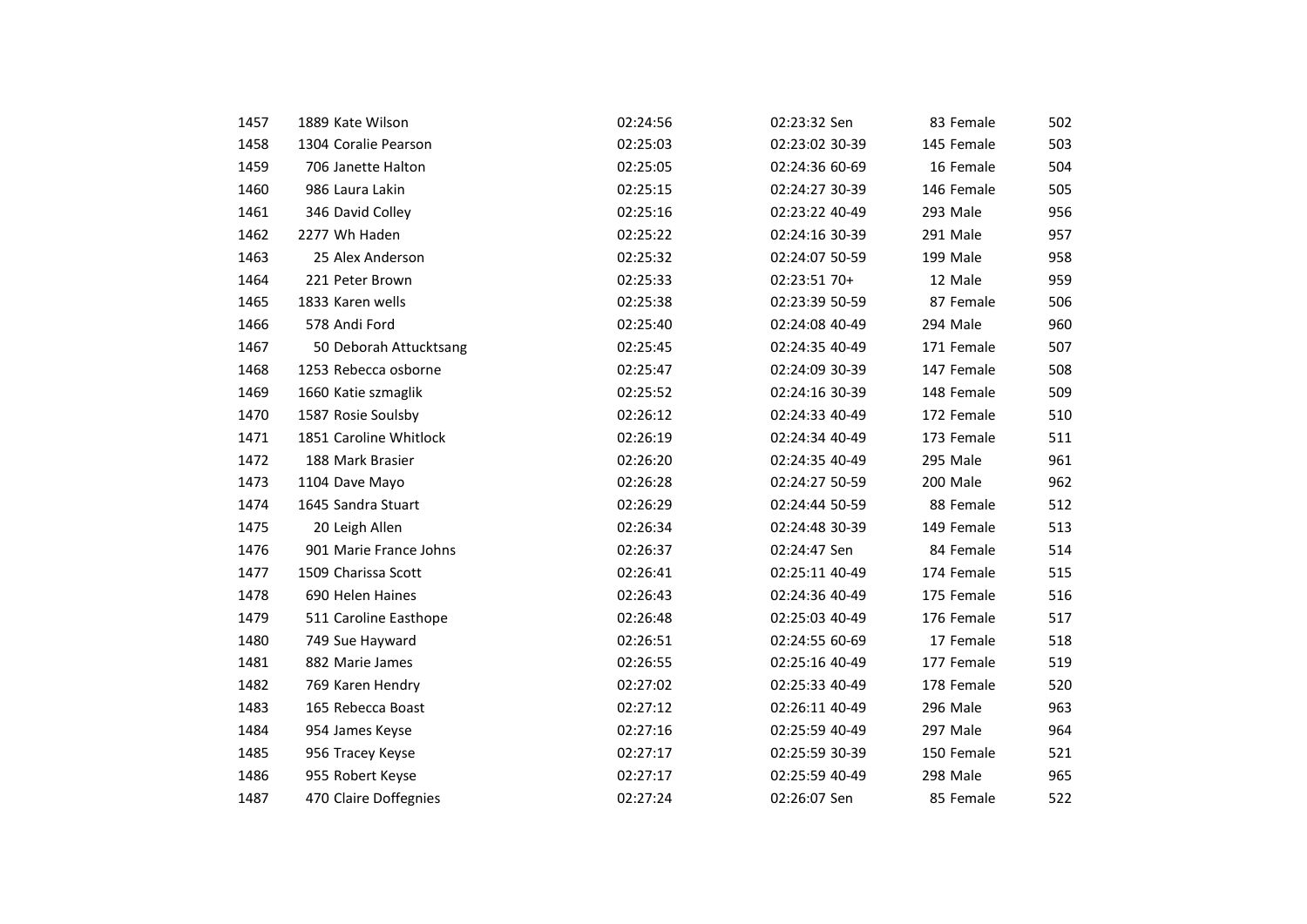| 1457 | 1889 Kate Wilson       | 02:24:56 | 02:23:32 Sen   | 83 Female  | 502 |
|------|------------------------|----------|----------------|------------|-----|
| 1458 | 1304 Coralie Pearson   | 02:25:03 | 02:23:02 30-39 | 145 Female | 503 |
| 1459 | 706 Janette Halton     | 02:25:05 | 02:24:36 60-69 | 16 Female  | 504 |
| 1460 | 986 Laura Lakin        | 02:25:15 | 02:24:27 30-39 | 146 Female | 505 |
| 1461 | 346 David Colley       | 02:25:16 | 02:23:22 40-49 | 293 Male   | 956 |
| 1462 | 2277 Wh Haden          | 02:25:22 | 02:24:16 30-39 | 291 Male   | 957 |
| 1463 | 25 Alex Anderson       | 02:25:32 | 02:24:07 50-59 | 199 Male   | 958 |
| 1464 | 221 Peter Brown        | 02:25:33 | 02:23:51 70+   | 12 Male    | 959 |
| 1465 | 1833 Karen wells       | 02:25:38 | 02:23:39 50-59 | 87 Female  | 506 |
| 1466 | 578 Andi Ford          | 02:25:40 | 02:24:08 40-49 | 294 Male   | 960 |
| 1467 | 50 Deborah Attucktsang | 02:25:45 | 02:24:35 40-49 | 171 Female | 507 |
| 1468 | 1253 Rebecca osborne   | 02:25:47 | 02:24:09 30-39 | 147 Female | 508 |
| 1469 | 1660 Katie szmaglik    | 02:25:52 | 02:24:16 30-39 | 148 Female | 509 |
| 1470 | 1587 Rosie Soulsby     | 02:26:12 | 02:24:33 40-49 | 172 Female | 510 |
| 1471 | 1851 Caroline Whitlock | 02:26:19 | 02:24:34 40-49 | 173 Female | 511 |
| 1472 | 188 Mark Brasier       | 02:26:20 | 02:24:35 40-49 | 295 Male   | 961 |
| 1473 | 1104 Dave Mayo         | 02:26:28 | 02:24:27 50-59 | 200 Male   | 962 |
| 1474 | 1645 Sandra Stuart     | 02:26:29 | 02:24:44 50-59 | 88 Female  | 512 |
| 1475 | 20 Leigh Allen         | 02:26:34 | 02:24:48 30-39 | 149 Female | 513 |
| 1476 | 901 Marie France Johns | 02:26:37 | 02:24:47 Sen   | 84 Female  | 514 |
| 1477 | 1509 Charissa Scott    | 02:26:41 | 02:25:11 40-49 | 174 Female | 515 |
| 1478 | 690 Helen Haines       | 02:26:43 | 02:24:36 40-49 | 175 Female | 516 |
| 1479 | 511 Caroline Easthope  | 02:26:48 | 02:25:03 40-49 | 176 Female | 517 |
| 1480 | 749 Sue Hayward        | 02:26:51 | 02:24:55 60-69 | 17 Female  | 518 |
| 1481 | 882 Marie James        | 02:26:55 | 02:25:16 40-49 | 177 Female | 519 |
| 1482 | 769 Karen Hendry       | 02:27:02 | 02:25:33 40-49 | 178 Female | 520 |
| 1483 | 165 Rebecca Boast      | 02:27:12 | 02:26:11 40-49 | 296 Male   | 963 |
| 1484 | 954 James Keyse        | 02:27:16 | 02:25:59 40-49 | 297 Male   | 964 |
| 1485 | 956 Tracey Keyse       | 02:27:17 | 02:25:59 30-39 | 150 Female | 521 |
| 1486 | 955 Robert Keyse       | 02:27:17 | 02:25:59 40-49 | 298 Male   | 965 |
| 1487 | 470 Claire Doffegnies  | 02:27:24 | 02:26:07 Sen   | 85 Female  | 522 |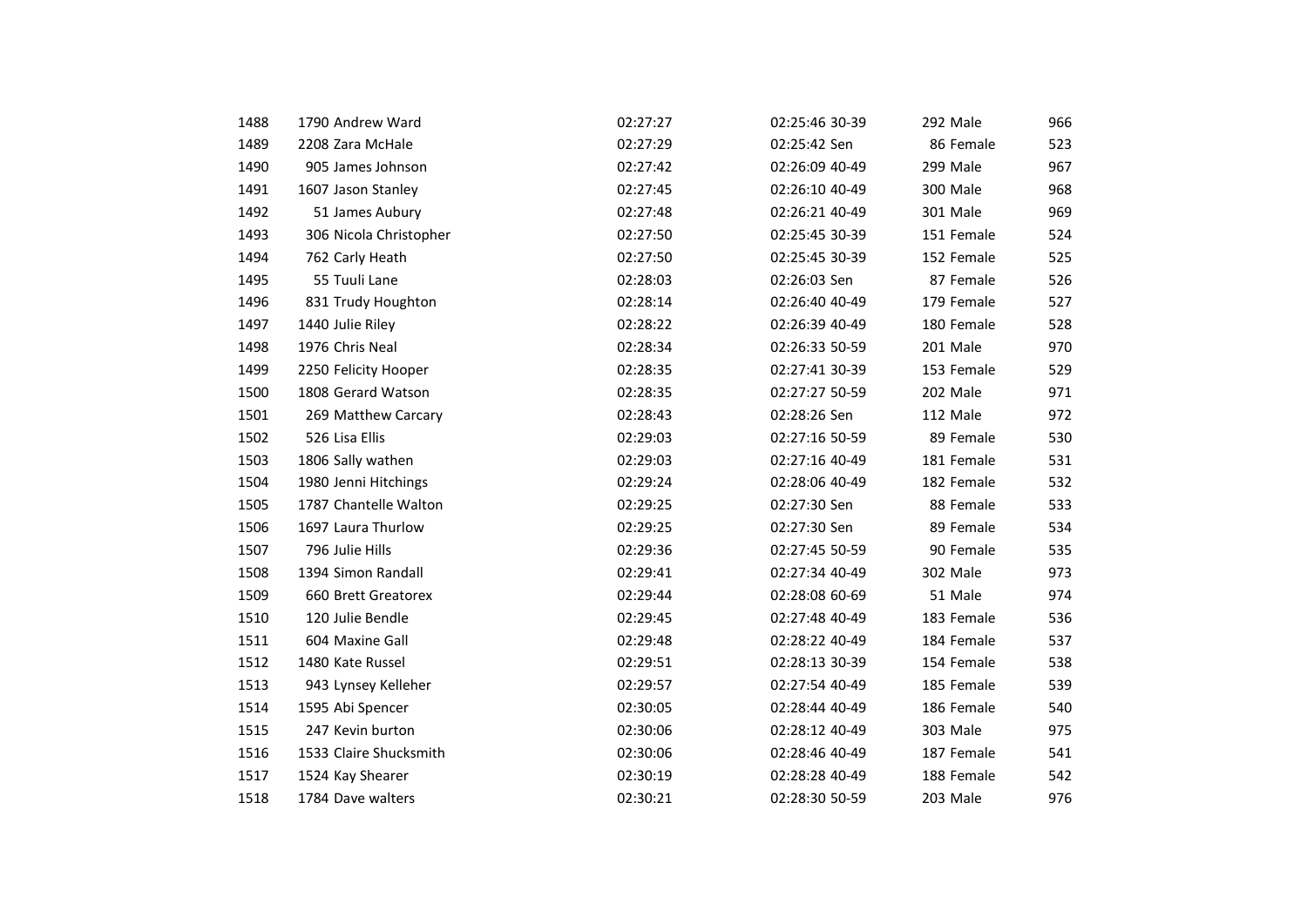| 1488 | 1790 Andrew Ward       | 02:27:27 | 02:25:46 30-39 | 292 Male   | 966 |
|------|------------------------|----------|----------------|------------|-----|
| 1489 | 2208 Zara McHale       | 02:27:29 | 02:25:42 Sen   | 86 Female  | 523 |
| 1490 | 905 James Johnson      | 02:27:42 | 02:26:09 40-49 | 299 Male   | 967 |
| 1491 | 1607 Jason Stanley     | 02:27:45 | 02:26:10 40-49 | 300 Male   | 968 |
| 1492 | 51 James Aubury        | 02:27:48 | 02:26:21 40-49 | 301 Male   | 969 |
| 1493 | 306 Nicola Christopher | 02:27:50 | 02:25:45 30-39 | 151 Female | 524 |
| 1494 | 762 Carly Heath        | 02:27:50 | 02:25:45 30-39 | 152 Female | 525 |
| 1495 | 55 Tuuli Lane          | 02:28:03 | 02:26:03 Sen   | 87 Female  | 526 |
| 1496 | 831 Trudy Houghton     | 02:28:14 | 02:26:40 40-49 | 179 Female | 527 |
| 1497 | 1440 Julie Riley       | 02:28:22 | 02:26:39 40-49 | 180 Female | 528 |
| 1498 | 1976 Chris Neal        | 02:28:34 | 02:26:33 50-59 | 201 Male   | 970 |
| 1499 | 2250 Felicity Hooper   | 02:28:35 | 02:27:41 30-39 | 153 Female | 529 |
| 1500 | 1808 Gerard Watson     | 02:28:35 | 02:27:27 50-59 | 202 Male   | 971 |
| 1501 | 269 Matthew Carcary    | 02:28:43 | 02:28:26 Sen   | 112 Male   | 972 |
| 1502 | 526 Lisa Ellis         | 02:29:03 | 02:27:16 50-59 | 89 Female  | 530 |
| 1503 | 1806 Sally wathen      | 02:29:03 | 02:27:16 40-49 | 181 Female | 531 |
| 1504 | 1980 Jenni Hitchings   | 02:29:24 | 02:28:06 40-49 | 182 Female | 532 |
| 1505 | 1787 Chantelle Walton  | 02:29:25 | 02:27:30 Sen   | 88 Female  | 533 |
| 1506 | 1697 Laura Thurlow     | 02:29:25 | 02:27:30 Sen   | 89 Female  | 534 |
| 1507 | 796 Julie Hills        | 02:29:36 | 02:27:45 50-59 | 90 Female  | 535 |
| 1508 | 1394 Simon Randall     | 02:29:41 | 02:27:34 40-49 | 302 Male   | 973 |
| 1509 | 660 Brett Greatorex    | 02:29:44 | 02:28:08 60-69 | 51 Male    | 974 |
| 1510 | 120 Julie Bendle       | 02:29:45 | 02:27:48 40-49 | 183 Female | 536 |
| 1511 | 604 Maxine Gall        | 02:29:48 | 02:28:22 40-49 | 184 Female | 537 |
| 1512 | 1480 Kate Russel       | 02:29:51 | 02:28:13 30-39 | 154 Female | 538 |
| 1513 | 943 Lynsey Kelleher    | 02:29:57 | 02:27:54 40-49 | 185 Female | 539 |
| 1514 | 1595 Abi Spencer       | 02:30:05 | 02:28:44 40-49 | 186 Female | 540 |
| 1515 | 247 Kevin burton       | 02:30:06 | 02:28:12 40-49 | 303 Male   | 975 |
| 1516 | 1533 Claire Shucksmith | 02:30:06 | 02:28:46 40-49 | 187 Female | 541 |
| 1517 | 1524 Kay Shearer       | 02:30:19 | 02:28:28 40-49 | 188 Female | 542 |
| 1518 | 1784 Dave walters      | 02:30:21 | 02:28:30 50-59 | 203 Male   | 976 |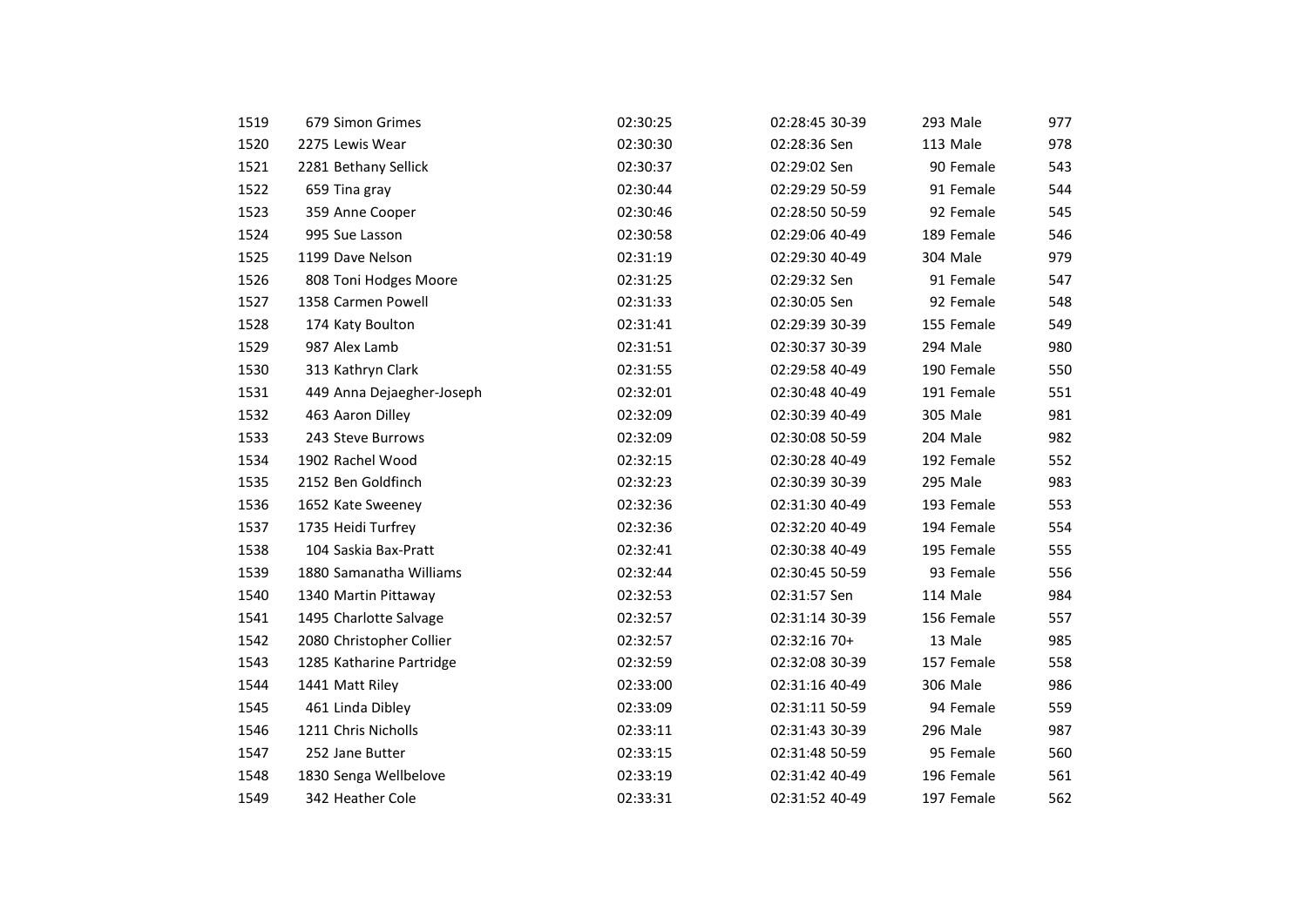| 1519 | 679 Simon Grimes          | 02:30:25 | 02:28:45 30-39 | 293 Male   | 977 |
|------|---------------------------|----------|----------------|------------|-----|
| 1520 | 2275 Lewis Wear           | 02:30:30 | 02:28:36 Sen   | 113 Male   | 978 |
| 1521 | 2281 Bethany Sellick      | 02:30:37 | 02:29:02 Sen   | 90 Female  | 543 |
| 1522 | 659 Tina gray             | 02:30:44 | 02:29:29 50-59 | 91 Female  | 544 |
| 1523 | 359 Anne Cooper           | 02:30:46 | 02:28:50 50-59 | 92 Female  | 545 |
| 1524 | 995 Sue Lasson            | 02:30:58 | 02:29:06 40-49 | 189 Female | 546 |
| 1525 | 1199 Dave Nelson          | 02:31:19 | 02:29:30 40-49 | 304 Male   | 979 |
| 1526 | 808 Toni Hodges Moore     | 02:31:25 | 02:29:32 Sen   | 91 Female  | 547 |
| 1527 | 1358 Carmen Powell        | 02:31:33 | 02:30:05 Sen   | 92 Female  | 548 |
| 1528 | 174 Katy Boulton          | 02:31:41 | 02:29:39 30-39 | 155 Female | 549 |
| 1529 | 987 Alex Lamb             | 02:31:51 | 02:30:37 30-39 | 294 Male   | 980 |
| 1530 | 313 Kathryn Clark         | 02:31:55 | 02:29:58 40-49 | 190 Female | 550 |
| 1531 | 449 Anna Dejaegher-Joseph | 02:32:01 | 02:30:48 40-49 | 191 Female | 551 |
| 1532 | 463 Aaron Dilley          | 02:32:09 | 02:30:39 40-49 | 305 Male   | 981 |
| 1533 | 243 Steve Burrows         | 02:32:09 | 02:30:08 50-59 | 204 Male   | 982 |
| 1534 | 1902 Rachel Wood          | 02:32:15 | 02:30:28 40-49 | 192 Female | 552 |
| 1535 | 2152 Ben Goldfinch        | 02:32:23 | 02:30:39 30-39 | 295 Male   | 983 |
| 1536 | 1652 Kate Sweeney         | 02:32:36 | 02:31:30 40-49 | 193 Female | 553 |
| 1537 | 1735 Heidi Turfrey        | 02:32:36 | 02:32:20 40-49 | 194 Female | 554 |
| 1538 | 104 Saskia Bax-Pratt      | 02:32:41 | 02:30:38 40-49 | 195 Female | 555 |
| 1539 | 1880 Samanatha Williams   | 02:32:44 | 02:30:45 50-59 | 93 Female  | 556 |
| 1540 | 1340 Martin Pittaway      | 02:32:53 | 02:31:57 Sen   | 114 Male   | 984 |
| 1541 | 1495 Charlotte Salvage    | 02:32:57 | 02:31:14 30-39 | 156 Female | 557 |
| 1542 | 2080 Christopher Collier  | 02:32:57 | 02:32:16 70+   | 13 Male    | 985 |
| 1543 | 1285 Katharine Partridge  | 02:32:59 | 02:32:08 30-39 | 157 Female | 558 |
| 1544 | 1441 Matt Riley           | 02:33:00 | 02:31:16 40-49 | 306 Male   | 986 |
| 1545 | 461 Linda Dibley          | 02:33:09 | 02:31:11 50-59 | 94 Female  | 559 |
| 1546 | 1211 Chris Nicholls       | 02:33:11 | 02:31:43 30-39 | 296 Male   | 987 |
| 1547 | 252 Jane Butter           | 02:33:15 | 02:31:48 50-59 | 95 Female  | 560 |
| 1548 | 1830 Senga Wellbelove     | 02:33:19 | 02:31:42 40-49 | 196 Female | 561 |
| 1549 | 342 Heather Cole          | 02:33:31 | 02:31:52 40-49 | 197 Female | 562 |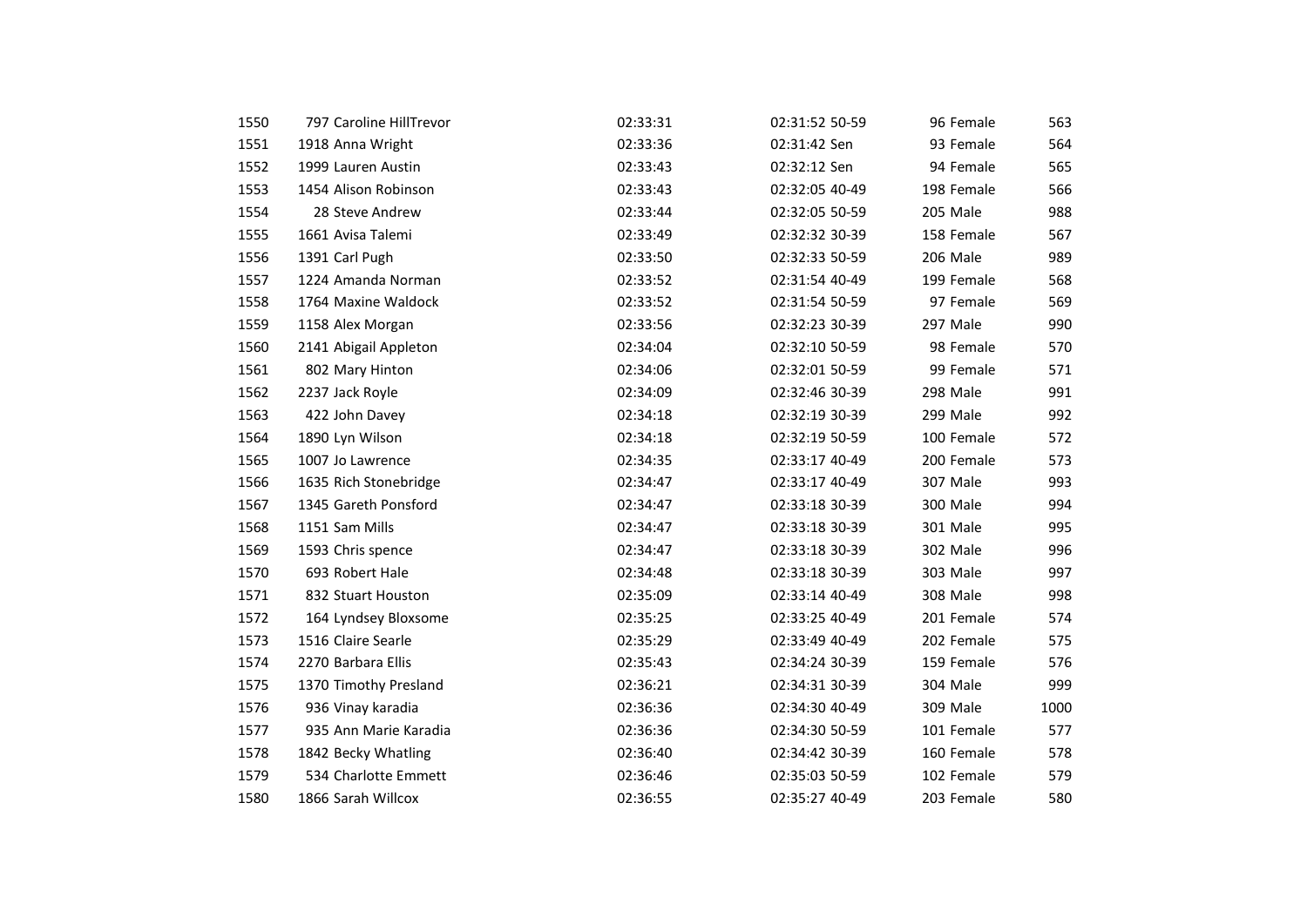| 1550 | 797 Caroline HillTrevor | 02:33:31 | 02:31:52 50-59 | 96 Female  | 563  |
|------|-------------------------|----------|----------------|------------|------|
| 1551 | 1918 Anna Wright        | 02:33:36 | 02:31:42 Sen   | 93 Female  | 564  |
| 1552 | 1999 Lauren Austin      | 02:33:43 | 02:32:12 Sen   | 94 Female  | 565  |
| 1553 | 1454 Alison Robinson    | 02:33:43 | 02:32:05 40-49 | 198 Female | 566  |
| 1554 | 28 Steve Andrew         | 02:33:44 | 02:32:05 50-59 | 205 Male   | 988  |
| 1555 | 1661 Avisa Talemi       | 02:33:49 | 02:32:32 30-39 | 158 Female | 567  |
| 1556 | 1391 Carl Pugh          | 02:33:50 | 02:32:33 50-59 | 206 Male   | 989  |
| 1557 | 1224 Amanda Norman      | 02:33:52 | 02:31:54 40-49 | 199 Female | 568  |
| 1558 | 1764 Maxine Waldock     | 02:33:52 | 02:31:54 50-59 | 97 Female  | 569  |
| 1559 | 1158 Alex Morgan        | 02:33:56 | 02:32:23 30-39 | 297 Male   | 990  |
| 1560 | 2141 Abigail Appleton   | 02:34:04 | 02:32:10 50-59 | 98 Female  | 570  |
| 1561 | 802 Mary Hinton         | 02:34:06 | 02:32:01 50-59 | 99 Female  | 571  |
| 1562 | 2237 Jack Royle         | 02:34:09 | 02:32:46 30-39 | 298 Male   | 991  |
| 1563 | 422 John Davey          | 02:34:18 | 02:32:19 30-39 | 299 Male   | 992  |
| 1564 | 1890 Lyn Wilson         | 02:34:18 | 02:32:19 50-59 | 100 Female | 572  |
| 1565 | 1007 Jo Lawrence        | 02:34:35 | 02:33:17 40-49 | 200 Female | 573  |
| 1566 | 1635 Rich Stonebridge   | 02:34:47 | 02:33:17 40-49 | 307 Male   | 993  |
| 1567 | 1345 Gareth Ponsford    | 02:34:47 | 02:33:18 30-39 | 300 Male   | 994  |
| 1568 | 1151 Sam Mills          | 02:34:47 | 02:33:18 30-39 | 301 Male   | 995  |
| 1569 | 1593 Chris spence       | 02:34:47 | 02:33:18 30-39 | 302 Male   | 996  |
| 1570 | 693 Robert Hale         | 02:34:48 | 02:33:18 30-39 | 303 Male   | 997  |
| 1571 | 832 Stuart Houston      | 02:35:09 | 02:33:14 40-49 | 308 Male   | 998  |
| 1572 | 164 Lyndsey Bloxsome    | 02:35:25 | 02:33:25 40-49 | 201 Female | 574  |
| 1573 | 1516 Claire Searle      | 02:35:29 | 02:33:49 40-49 | 202 Female | 575  |
| 1574 | 2270 Barbara Ellis      | 02:35:43 | 02:34:24 30-39 | 159 Female | 576  |
| 1575 | 1370 Timothy Presland   | 02:36:21 | 02:34:31 30-39 | 304 Male   | 999  |
| 1576 | 936 Vinay karadia       | 02:36:36 | 02:34:30 40-49 | 309 Male   | 1000 |
| 1577 | 935 Ann Marie Karadia   | 02:36:36 | 02:34:30 50-59 | 101 Female | 577  |
| 1578 | 1842 Becky Whatling     | 02:36:40 | 02:34:42 30-39 | 160 Female | 578  |
| 1579 | 534 Charlotte Emmett    | 02:36:46 | 02:35:03 50-59 | 102 Female | 579  |
| 1580 | 1866 Sarah Willcox      | 02:36:55 | 02:35:27 40-49 | 203 Female | 580  |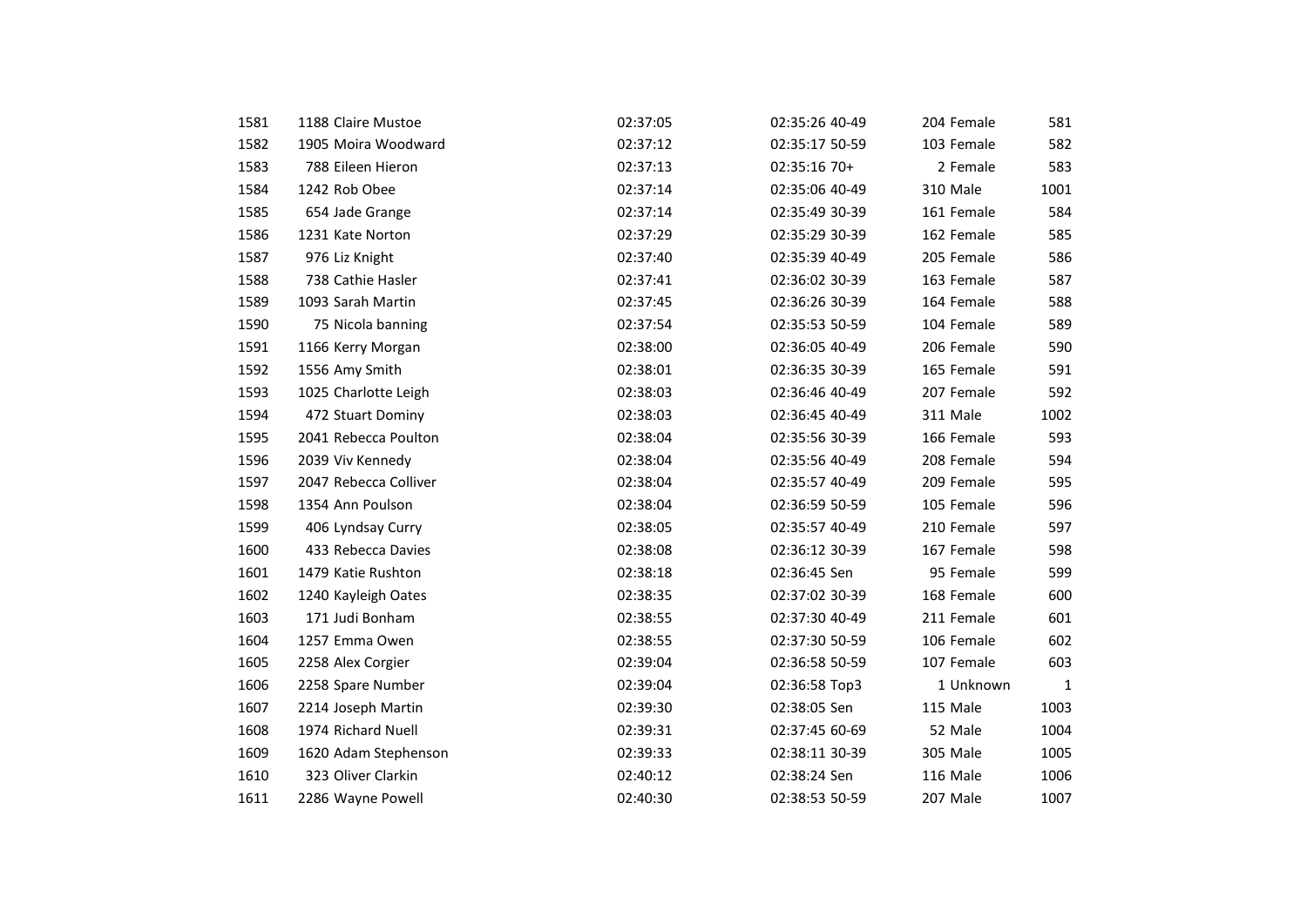| 1581 | 1188 Claire Mustoe    | 02:37:05 | 02:35:26 40-49 | 204 Female | 581          |
|------|-----------------------|----------|----------------|------------|--------------|
| 1582 | 1905 Moira Woodward   | 02:37:12 | 02:35:17 50-59 | 103 Female | 582          |
| 1583 | 788 Eileen Hieron     | 02:37:13 | 02:35:16 70+   | 2 Female   | 583          |
|      | 1242 Rob Obee         |          | 02:35:06 40-49 |            |              |
| 1584 |                       | 02:37:14 |                | 310 Male   | 1001         |
| 1585 | 654 Jade Grange       | 02:37:14 | 02:35:49 30-39 | 161 Female | 584          |
| 1586 | 1231 Kate Norton      | 02:37:29 | 02:35:29 30-39 | 162 Female | 585          |
| 1587 | 976 Liz Knight        | 02:37:40 | 02:35:39 40-49 | 205 Female | 586          |
| 1588 | 738 Cathie Hasler     | 02:37:41 | 02:36:02 30-39 | 163 Female | 587          |
| 1589 | 1093 Sarah Martin     | 02:37:45 | 02:36:26 30-39 | 164 Female | 588          |
| 1590 | 75 Nicola banning     | 02:37:54 | 02:35:53 50-59 | 104 Female | 589          |
| 1591 | 1166 Kerry Morgan     | 02:38:00 | 02:36:05 40-49 | 206 Female | 590          |
| 1592 | 1556 Amy Smith        | 02:38:01 | 02:36:35 30-39 | 165 Female | 591          |
| 1593 | 1025 Charlotte Leigh  | 02:38:03 | 02:36:46 40-49 | 207 Female | 592          |
| 1594 | 472 Stuart Dominy     | 02:38:03 | 02:36:45 40-49 | 311 Male   | 1002         |
| 1595 | 2041 Rebecca Poulton  | 02:38:04 | 02:35:56 30-39 | 166 Female | 593          |
| 1596 | 2039 Viv Kennedy      | 02:38:04 | 02:35:56 40-49 | 208 Female | 594          |
| 1597 | 2047 Rebecca Colliver | 02:38:04 | 02:35:57 40-49 | 209 Female | 595          |
| 1598 | 1354 Ann Poulson      | 02:38:04 | 02:36:59 50-59 | 105 Female | 596          |
| 1599 | 406 Lyndsay Curry     | 02:38:05 | 02:35:57 40-49 | 210 Female | 597          |
| 1600 | 433 Rebecca Davies    | 02:38:08 | 02:36:12 30-39 | 167 Female | 598          |
| 1601 | 1479 Katie Rushton    | 02:38:18 | 02:36:45 Sen   | 95 Female  | 599          |
| 1602 | 1240 Kayleigh Oates   | 02:38:35 | 02:37:02 30-39 | 168 Female | 600          |
| 1603 | 171 Judi Bonham       | 02:38:55 | 02:37:30 40-49 | 211 Female | 601          |
| 1604 | 1257 Emma Owen        | 02:38:55 | 02:37:30 50-59 | 106 Female | 602          |
| 1605 | 2258 Alex Corgier     | 02:39:04 | 02:36:58 50-59 | 107 Female | 603          |
| 1606 | 2258 Spare Number     | 02:39:04 | 02:36:58 Top3  | 1 Unknown  | $\mathbf{1}$ |
| 1607 | 2214 Joseph Martin    | 02:39:30 | 02:38:05 Sen   | 115 Male   | 1003         |
| 1608 | 1974 Richard Nuell    | 02:39:31 | 02:37:45 60-69 | 52 Male    | 1004         |
| 1609 | 1620 Adam Stephenson  | 02:39:33 | 02:38:11 30-39 | 305 Male   | 1005         |
| 1610 | 323 Oliver Clarkin    | 02:40:12 | 02:38:24 Sen   | 116 Male   | 1006         |
| 1611 | 2286 Wayne Powell     | 02:40:30 | 02:38:53 50-59 | 207 Male   | 1007         |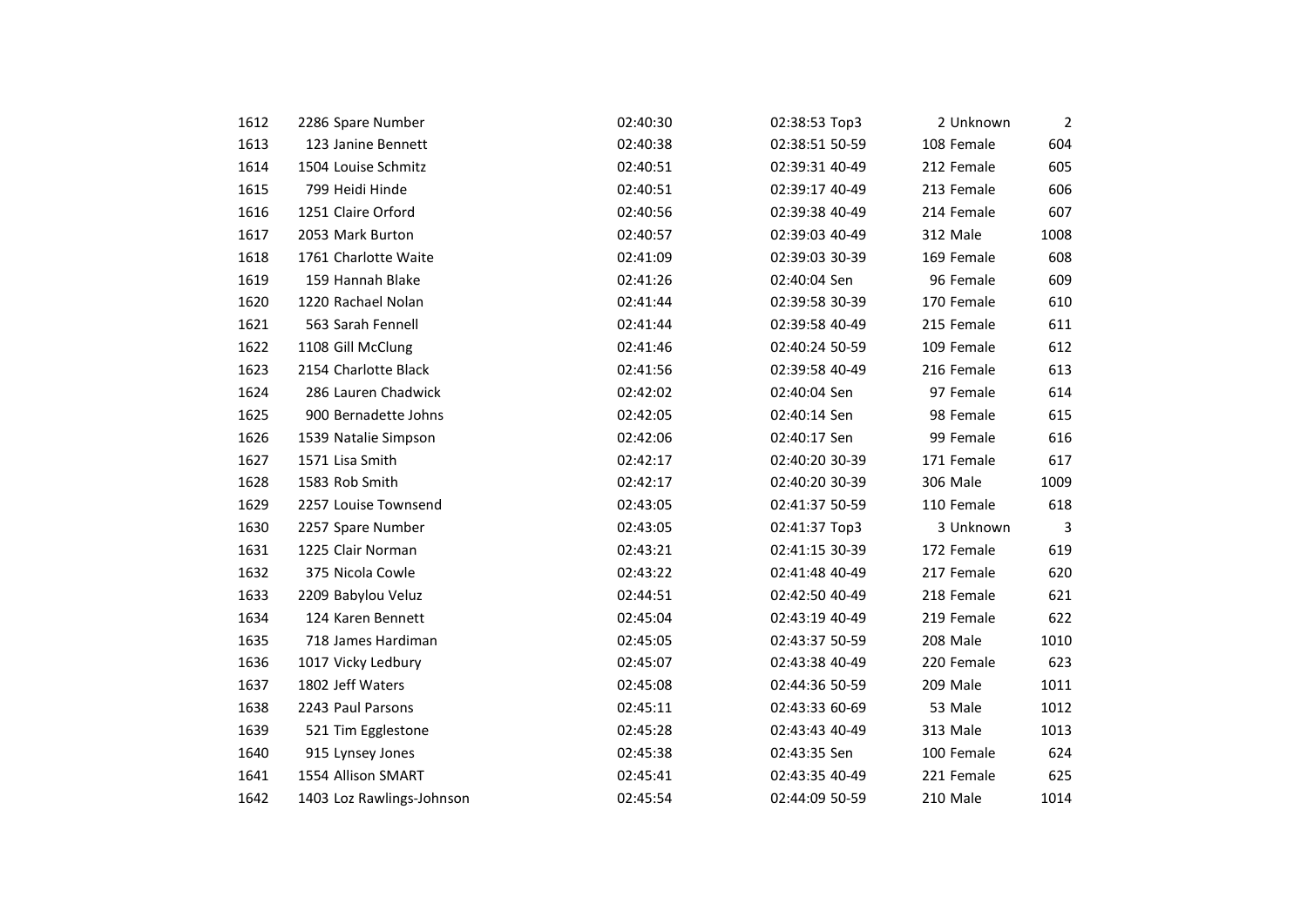| 1612 | 2286 Spare Number         | 02:40:30 | 02:38:53 Top3  | 2 Unknown  | $\overline{2}$ |
|------|---------------------------|----------|----------------|------------|----------------|
| 1613 | 123 Janine Bennett        | 02:40:38 | 02:38:51 50-59 | 108 Female | 604            |
| 1614 | 1504 Louise Schmitz       | 02:40:51 | 02:39:31 40-49 | 212 Female | 605            |
| 1615 | 799 Heidi Hinde           | 02:40:51 | 02:39:17 40-49 | 213 Female | 606            |
| 1616 | 1251 Claire Orford        | 02:40:56 | 02:39:38 40-49 | 214 Female | 607            |
| 1617 | 2053 Mark Burton          | 02:40:57 | 02:39:03 40-49 | 312 Male   | 1008           |
| 1618 | 1761 Charlotte Waite      | 02:41:09 | 02:39:03 30-39 | 169 Female | 608            |
| 1619 | 159 Hannah Blake          | 02:41:26 | 02:40:04 Sen   | 96 Female  | 609            |
| 1620 | 1220 Rachael Nolan        | 02:41:44 | 02:39:58 30-39 | 170 Female | 610            |
| 1621 | 563 Sarah Fennell         | 02:41:44 | 02:39:58 40-49 | 215 Female | 611            |
| 1622 | 1108 Gill McClung         | 02:41:46 | 02:40:24 50-59 | 109 Female | 612            |
| 1623 | 2154 Charlotte Black      | 02:41:56 | 02:39:58 40-49 | 216 Female | 613            |
| 1624 | 286 Lauren Chadwick       | 02:42:02 | 02:40:04 Sen   | 97 Female  | 614            |
| 1625 | 900 Bernadette Johns      | 02:42:05 | 02:40:14 Sen   | 98 Female  | 615            |
| 1626 | 1539 Natalie Simpson      | 02:42:06 | 02:40:17 Sen   | 99 Female  | 616            |
| 1627 | 1571 Lisa Smith           | 02:42:17 | 02:40:20 30-39 | 171 Female | 617            |
| 1628 | 1583 Rob Smith            | 02:42:17 | 02:40:20 30-39 | 306 Male   | 1009           |
| 1629 | 2257 Louise Townsend      | 02:43:05 | 02:41:37 50-59 | 110 Female | 618            |
| 1630 | 2257 Spare Number         | 02:43:05 | 02:41:37 Top3  | 3 Unknown  | 3              |
| 1631 | 1225 Clair Norman         | 02:43:21 | 02:41:15 30-39 | 172 Female | 619            |
| 1632 | 375 Nicola Cowle          | 02:43:22 | 02:41:48 40-49 | 217 Female | 620            |
| 1633 | 2209 Babylou Veluz        | 02:44:51 | 02:42:50 40-49 | 218 Female | 621            |
| 1634 | 124 Karen Bennett         | 02:45:04 | 02:43:19 40-49 | 219 Female | 622            |
| 1635 | 718 James Hardiman        | 02:45:05 | 02:43:37 50-59 | 208 Male   | 1010           |
| 1636 | 1017 Vicky Ledbury        | 02:45:07 | 02:43:38 40-49 | 220 Female | 623            |
| 1637 | 1802 Jeff Waters          | 02:45:08 | 02:44:36 50-59 | 209 Male   | 1011           |
| 1638 | 2243 Paul Parsons         | 02:45:11 | 02:43:33 60-69 | 53 Male    | 1012           |
| 1639 | 521 Tim Egglestone        | 02:45:28 | 02:43:43 40-49 | 313 Male   | 1013           |
| 1640 | 915 Lynsey Jones          | 02:45:38 | 02:43:35 Sen   | 100 Female | 624            |
| 1641 | 1554 Allison SMART        | 02:45:41 | 02:43:35 40-49 | 221 Female | 625            |
| 1642 | 1403 Loz Rawlings-Johnson | 02:45:54 | 02:44:09 50-59 | 210 Male   | 1014           |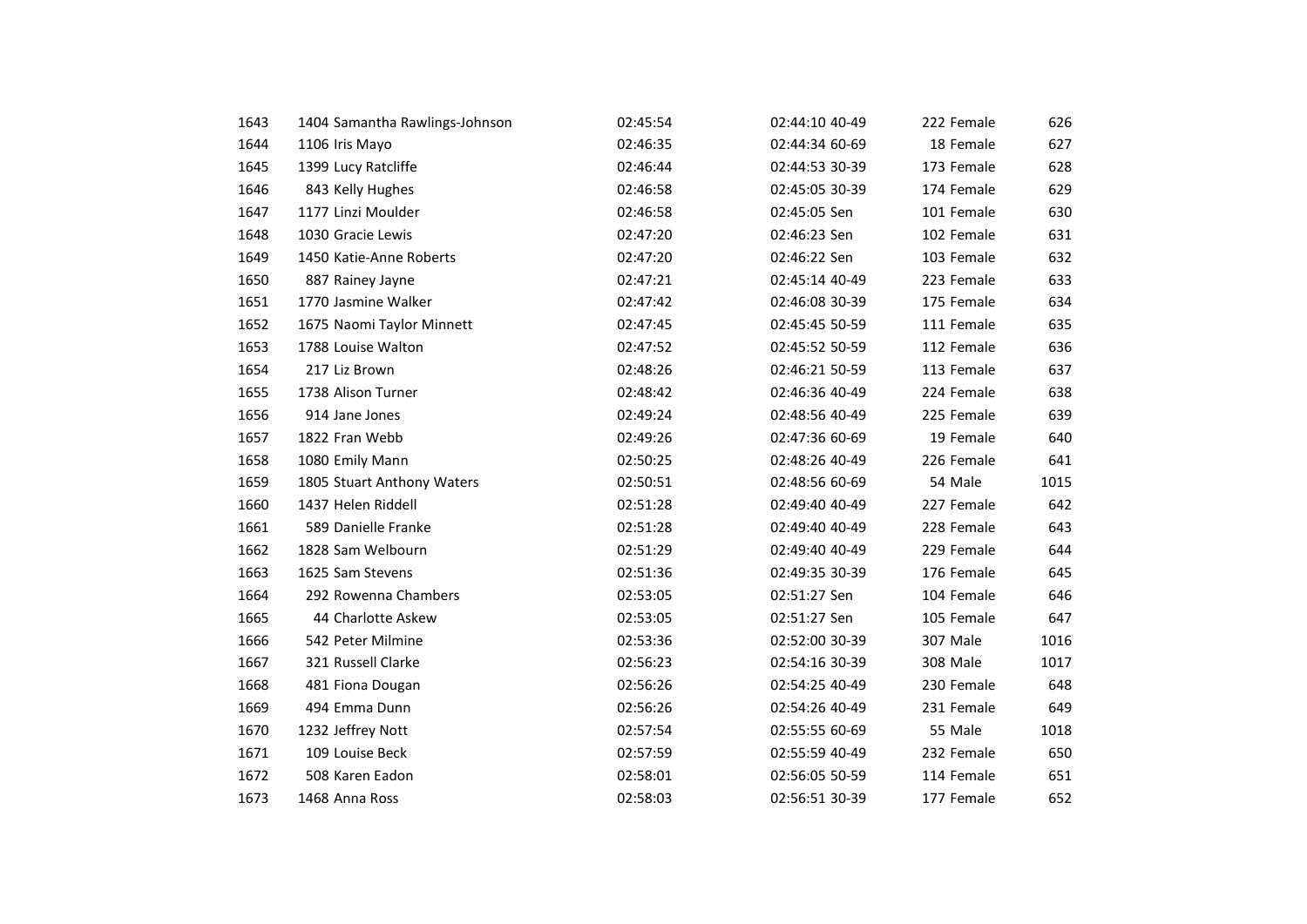| 1643 | 1404 Samantha Rawlings-Johnson | 02:45:54 | 02:44:10 40-49 | 222 Female | 626  |
|------|--------------------------------|----------|----------------|------------|------|
| 1644 | 1106 Iris Mayo                 | 02:46:35 | 02:44:34 60-69 | 18 Female  | 627  |
| 1645 | 1399 Lucy Ratcliffe            | 02:46:44 | 02:44:53 30-39 | 173 Female | 628  |
| 1646 | 843 Kelly Hughes               | 02:46:58 | 02:45:05 30-39 | 174 Female | 629  |
| 1647 | 1177 Linzi Moulder             | 02:46:58 | 02:45:05 Sen   | 101 Female | 630  |
| 1648 | 1030 Gracie Lewis              | 02:47:20 | 02:46:23 Sen   | 102 Female | 631  |
| 1649 | 1450 Katie-Anne Roberts        | 02:47:20 | 02:46:22 Sen   | 103 Female | 632  |
| 1650 | 887 Rainey Jayne               | 02:47:21 | 02:45:14 40-49 | 223 Female | 633  |
| 1651 | 1770 Jasmine Walker            | 02:47:42 | 02:46:08 30-39 | 175 Female | 634  |
| 1652 | 1675 Naomi Taylor Minnett      | 02:47:45 | 02:45:45 50-59 | 111 Female | 635  |
| 1653 | 1788 Louise Walton             | 02:47:52 | 02:45:52 50-59 | 112 Female | 636  |
| 1654 | 217 Liz Brown                  | 02:48:26 | 02:46:21 50-59 | 113 Female | 637  |
| 1655 | 1738 Alison Turner             | 02:48:42 | 02:46:36 40-49 | 224 Female | 638  |
| 1656 | 914 Jane Jones                 | 02:49:24 | 02:48:56 40-49 | 225 Female | 639  |
| 1657 | 1822 Fran Webb                 | 02:49:26 | 02:47:36 60-69 | 19 Female  | 640  |
| 1658 | 1080 Emily Mann                | 02:50:25 | 02:48:26 40-49 | 226 Female | 641  |
| 1659 | 1805 Stuart Anthony Waters     | 02:50:51 | 02:48:56 60-69 | 54 Male    | 1015 |
| 1660 | 1437 Helen Riddell             | 02:51:28 | 02:49:40 40-49 | 227 Female | 642  |
| 1661 | 589 Danielle Franke            | 02:51:28 | 02:49:40 40-49 | 228 Female | 643  |
| 1662 | 1828 Sam Welbourn              | 02:51:29 | 02:49:40 40-49 | 229 Female | 644  |
| 1663 | 1625 Sam Stevens               | 02:51:36 | 02:49:35 30-39 | 176 Female | 645  |
| 1664 | 292 Rowenna Chambers           | 02:53:05 | 02:51:27 Sen   | 104 Female | 646  |
| 1665 | 44 Charlotte Askew             | 02:53:05 | 02:51:27 Sen   | 105 Female | 647  |
| 1666 | 542 Peter Milmine              | 02:53:36 | 02:52:00 30-39 | 307 Male   | 1016 |
| 1667 | 321 Russell Clarke             | 02:56:23 | 02:54:16 30-39 | 308 Male   | 1017 |
| 1668 | 481 Fiona Dougan               | 02:56:26 | 02:54:25 40-49 | 230 Female | 648  |
| 1669 | 494 Emma Dunn                  | 02:56:26 | 02:54:26 40-49 | 231 Female | 649  |
| 1670 | 1232 Jeffrey Nott              | 02:57:54 | 02:55:55 60-69 | 55 Male    | 1018 |
| 1671 | 109 Louise Beck                | 02:57:59 | 02:55:59 40-49 | 232 Female | 650  |
| 1672 | 508 Karen Eadon                | 02:58:01 | 02:56:05 50-59 | 114 Female | 651  |
| 1673 | 1468 Anna Ross                 | 02:58:03 | 02:56:51 30-39 | 177 Female | 652  |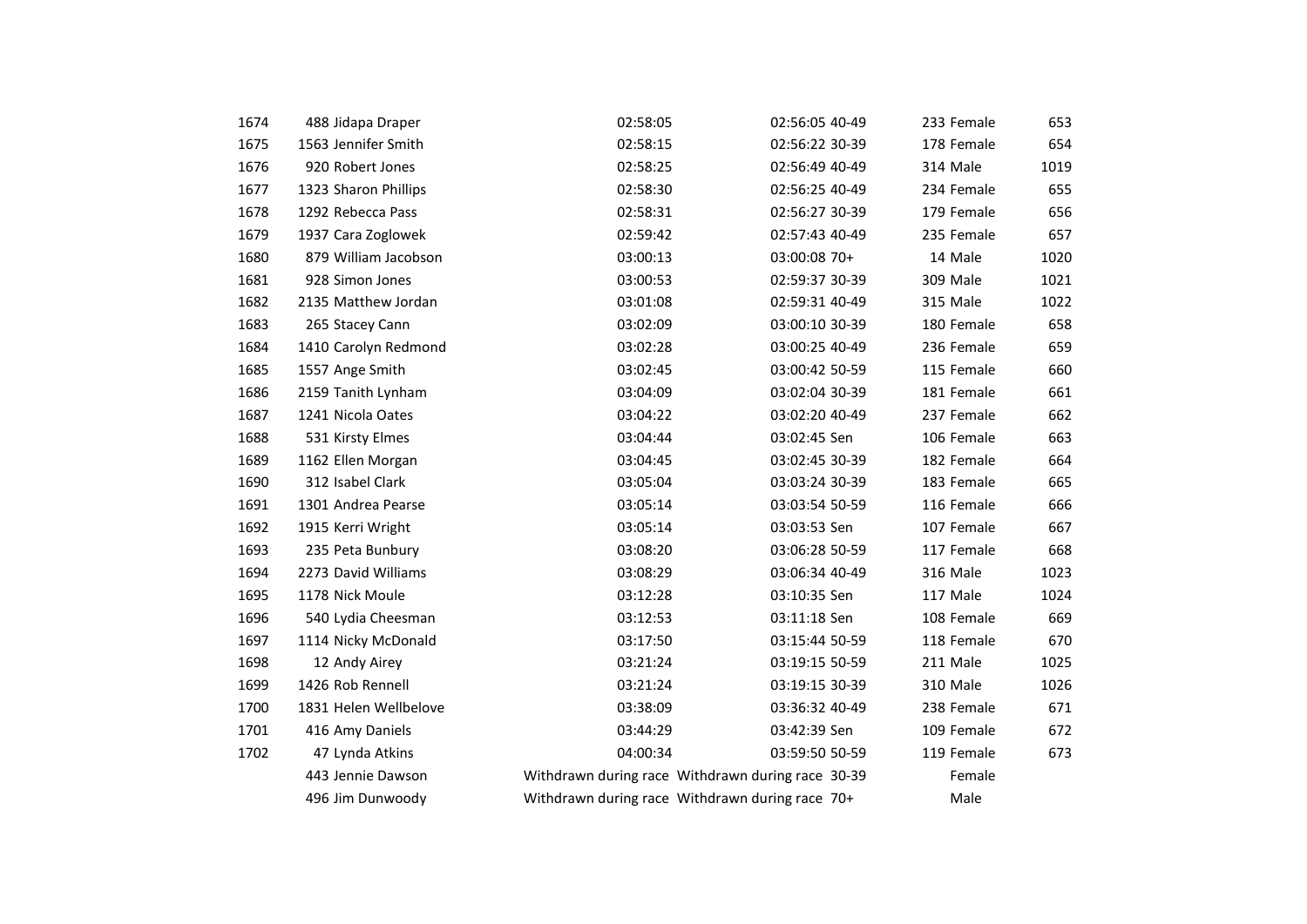| 1674 | 488 Jidapa Draper     | 02:58:05                                          | 02:56:05 40-49 | 233 Female | 653  |
|------|-----------------------|---------------------------------------------------|----------------|------------|------|
| 1675 | 1563 Jennifer Smith   | 02:58:15                                          | 02:56:22 30-39 | 178 Female | 654  |
| 1676 | 920 Robert Jones      | 02:58:25                                          | 02:56:49 40-49 | 314 Male   | 1019 |
| 1677 | 1323 Sharon Phillips  | 02:58:30                                          | 02:56:25 40-49 | 234 Female | 655  |
| 1678 | 1292 Rebecca Pass     | 02:58:31                                          | 02:56:27 30-39 | 179 Female | 656  |
| 1679 | 1937 Cara Zoglowek    | 02:59:42                                          | 02:57:43 40-49 | 235 Female | 657  |
| 1680 | 879 William Jacobson  | 03:00:13                                          | 03:00:08 70+   | 14 Male    | 1020 |
| 1681 | 928 Simon Jones       | 03:00:53                                          | 02:59:37 30-39 | 309 Male   | 1021 |
| 1682 | 2135 Matthew Jordan   | 03:01:08                                          | 02:59:31 40-49 | 315 Male   | 1022 |
| 1683 | 265 Stacey Cann       | 03:02:09                                          | 03:00:10 30-39 | 180 Female | 658  |
| 1684 | 1410 Carolyn Redmond  | 03:02:28                                          | 03:00:25 40-49 | 236 Female | 659  |
| 1685 | 1557 Ange Smith       | 03:02:45                                          | 03:00:42 50-59 | 115 Female | 660  |
| 1686 | 2159 Tanith Lynham    | 03:04:09                                          | 03:02:04 30-39 | 181 Female | 661  |
| 1687 | 1241 Nicola Oates     | 03:04:22                                          | 03:02:20 40-49 | 237 Female | 662  |
| 1688 | 531 Kirsty Elmes      | 03:04:44                                          | 03:02:45 Sen   | 106 Female | 663  |
| 1689 | 1162 Ellen Morgan     | 03:04:45                                          | 03:02:45 30-39 | 182 Female | 664  |
| 1690 | 312 Isabel Clark      | 03:05:04                                          | 03:03:24 30-39 | 183 Female | 665  |
| 1691 | 1301 Andrea Pearse    | 03:05:14                                          | 03:03:54 50-59 | 116 Female | 666  |
| 1692 | 1915 Kerri Wright     | 03:05:14                                          | 03:03:53 Sen   | 107 Female | 667  |
| 1693 | 235 Peta Bunbury      | 03:08:20                                          | 03:06:28 50-59 | 117 Female | 668  |
| 1694 | 2273 David Williams   | 03:08:29                                          | 03:06:34 40-49 | 316 Male   | 1023 |
| 1695 | 1178 Nick Moule       | 03:12:28                                          | 03:10:35 Sen   | 117 Male   | 1024 |
| 1696 | 540 Lydia Cheesman    | 03:12:53                                          | 03:11:18 Sen   | 108 Female | 669  |
| 1697 | 1114 Nicky McDonald   | 03:17:50                                          | 03:15:44 50-59 | 118 Female | 670  |
| 1698 | 12 Andy Airey         | 03:21:24                                          | 03:19:15 50-59 | 211 Male   | 1025 |
| 1699 | 1426 Rob Rennell      | 03:21:24                                          | 03:19:15 30-39 | 310 Male   | 1026 |
| 1700 | 1831 Helen Wellbelove | 03:38:09                                          | 03:36:32 40-49 | 238 Female | 671  |
| 1701 | 416 Amy Daniels       | 03:44:29                                          | 03:42:39 Sen   | 109 Female | 672  |
| 1702 | 47 Lynda Atkins       | 04:00:34                                          | 03:59:50 50-59 | 119 Female | 673  |
|      | 443 Jennie Dawson     | Withdrawn during race Withdrawn during race 30-39 |                | Female     |      |
|      | 496 Jim Dunwoody      | Withdrawn during race Withdrawn during race 70+   |                | Male       |      |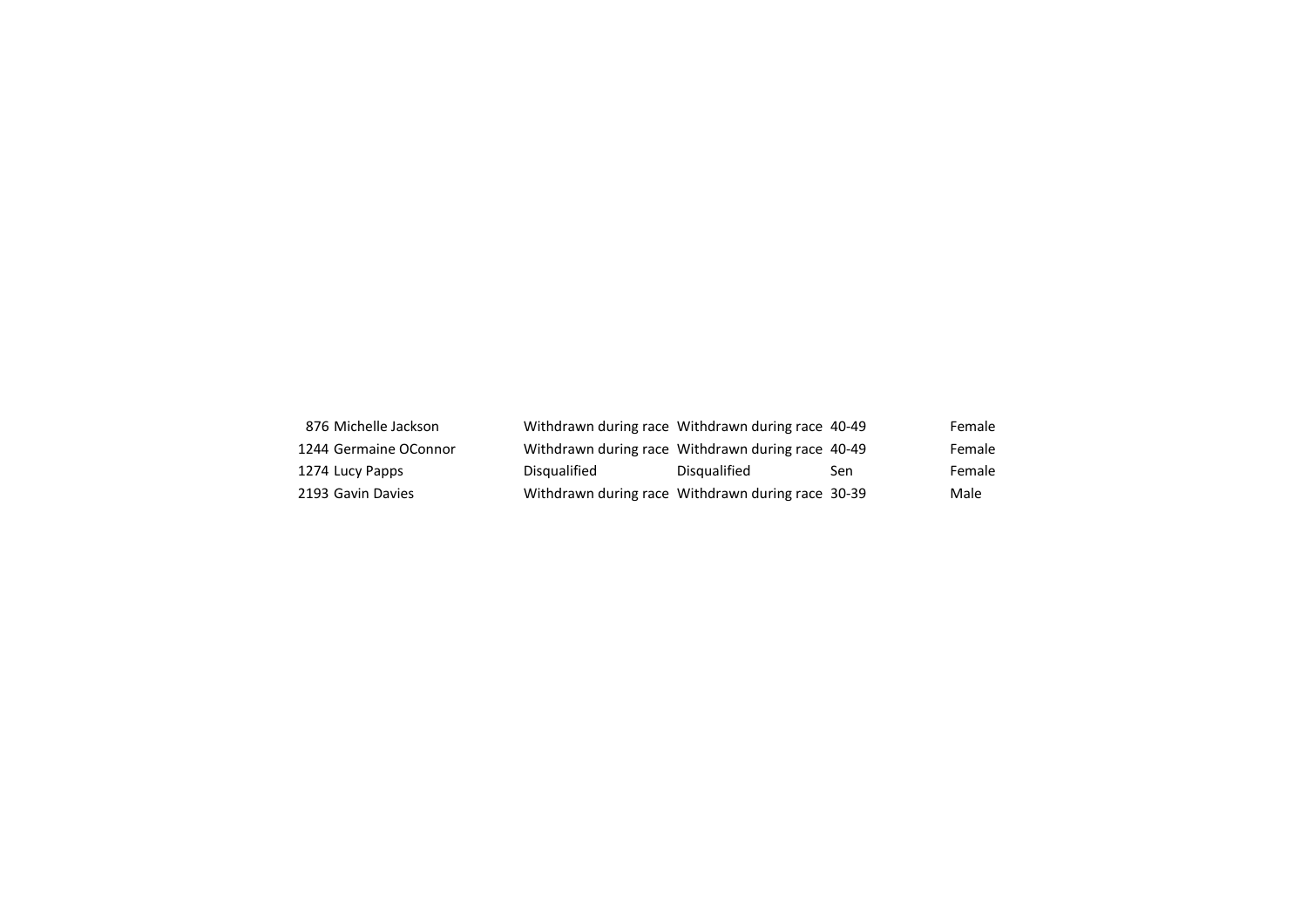| 876 Michelle Jackson  | Withdrawn during race Withdrawn during race 40-49 |              |     | Female |
|-----------------------|---------------------------------------------------|--------------|-----|--------|
| 1244 Germaine OConnor | Withdrawn during race Withdrawn during race 40-49 |              |     | Female |
| 1274 Lucy Papps       | Disqualified                                      | Disqualified | Sen | Female |
| 2193 Gavin Davies     | Withdrawn during race Withdrawn during race 30-39 |              |     | Male   |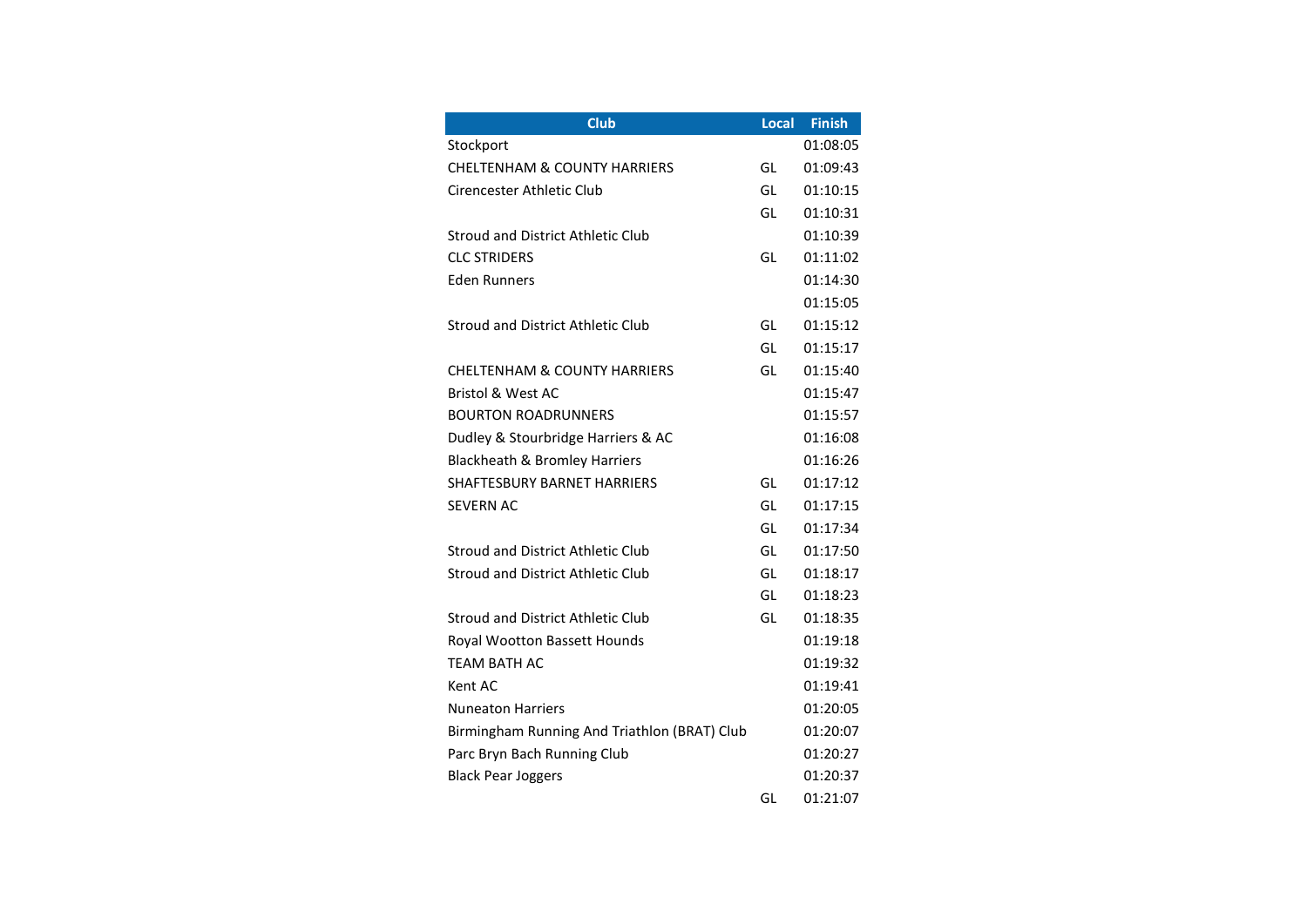| Club                                         | Local | <b>Finish</b> |
|----------------------------------------------|-------|---------------|
| Stockport                                    |       | 01:08:05      |
| <b>CHELTENHAM &amp; COUNTY HARRIERS</b>      | GL    | 01:09:43      |
| Cirencester Athletic Club                    | GL    | 01:10:15      |
|                                              | GL    | 01:10:31      |
| Stroud and District Athletic Club            |       | 01:10:39      |
| <b>CLC STRIDERS</b>                          | GL    | 01:11:02      |
| <b>Eden Runners</b>                          |       | 01:14:30      |
|                                              |       | 01:15:05      |
| Stroud and District Athletic Club            | GL    | 01:15:12      |
|                                              | GL    | 01:15:17      |
| <b>CHELTENHAM &amp; COUNTY HARRIERS</b>      | GL    | 01:15:40      |
| <b>Bristol &amp; West AC</b>                 |       | 01:15:47      |
| <b>BOURTON ROADRUNNERS</b>                   |       | 01:15:57      |
| Dudley & Stourbridge Harriers & AC           |       | 01:16:08      |
| Blackheath & Bromley Harriers                |       | 01:16:26      |
| SHAFTESBURY BARNET HARRIERS                  | GL    | 01:17:12      |
| <b>SEVERN AC</b>                             | GL    | 01:17:15      |
|                                              | GL    | 01:17:34      |
| Stroud and District Athletic Club            | GL    | 01:17:50      |
| Stroud and District Athletic Club            | GL    | 01:18:17      |
|                                              | GL    | 01:18:23      |
| <b>Stroud and District Athletic Club</b>     | GL    | 01:18:35      |
| Royal Wootton Bassett Hounds                 |       | 01:19:18      |
| TEAM BATH AC                                 |       | 01:19:32      |
| Kent AC                                      |       | 01:19:41      |
| <b>Nuneaton Harriers</b>                     |       | 01:20:05      |
| Birmingham Running And Triathlon (BRAT) Club |       | 01:20:07      |
| Parc Bryn Bach Running Club                  |       | 01:20:27      |
| <b>Black Pear Joggers</b>                    |       | 01:20:37      |
|                                              | GL    | 01:21:07      |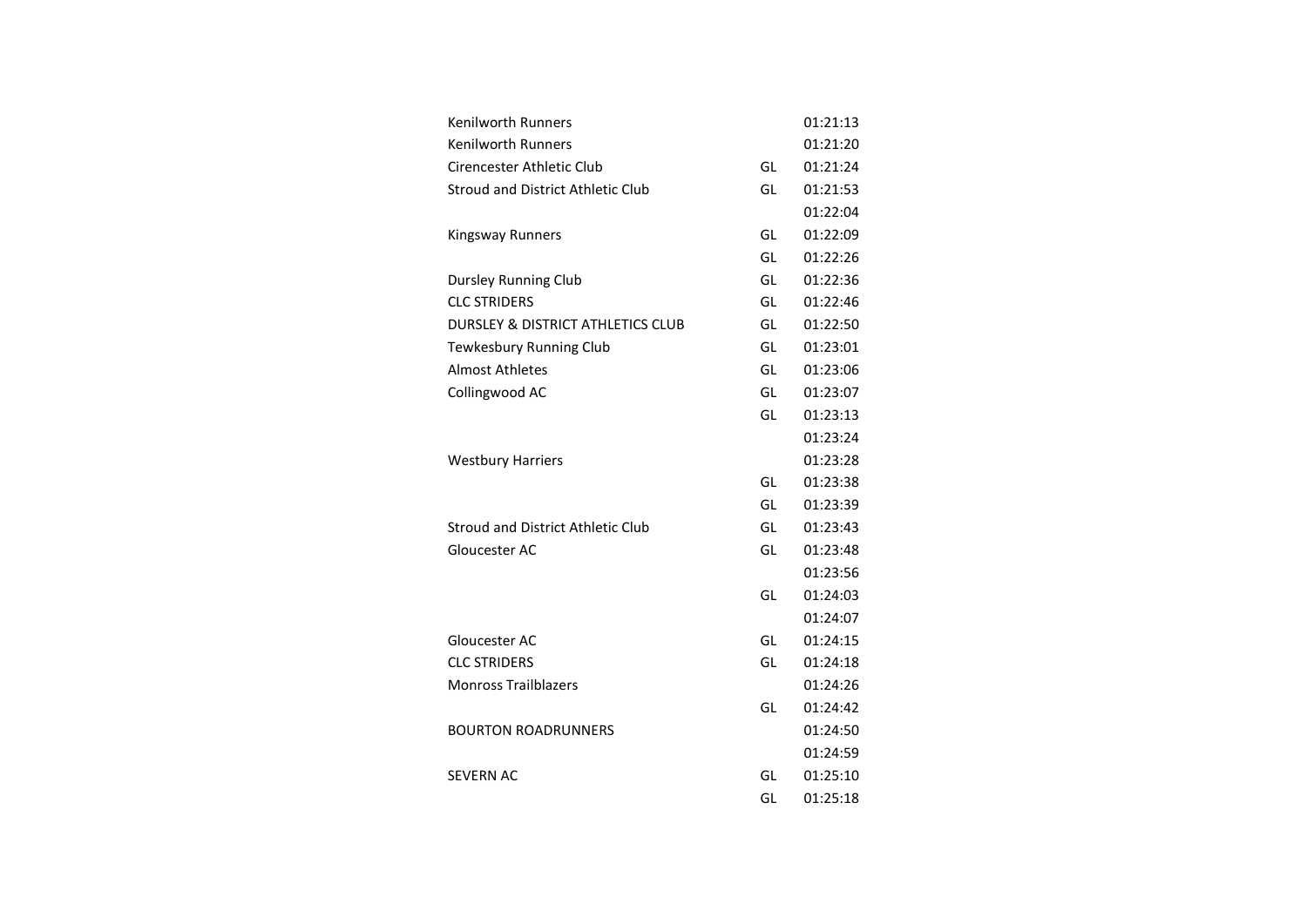| <b>Kenilworth Runners</b>                    |    | 01:21:13 |
|----------------------------------------------|----|----------|
| <b>Kenilworth Runners</b>                    |    | 01:21:20 |
| Cirencester Athletic Club                    | GL | 01:21:24 |
| <b>Stroud and District Athletic Club</b>     | GL | 01:21:53 |
|                                              |    | 01:22:04 |
| <b>Kingsway Runners</b>                      | GL | 01:22:09 |
|                                              | GL | 01:22:26 |
| Dursley Running Club                         | GL | 01:22:36 |
| <b>CLC STRIDERS</b>                          | GL | 01:22:46 |
| <b>DURSLEY &amp; DISTRICT ATHLETICS CLUB</b> | GL | 01:22:50 |
| Tewkesbury Running Club                      | GL | 01:23:01 |
| <b>Almost Athletes</b>                       | GL | 01:23:06 |
| Collingwood AC                               | GL | 01:23:07 |
|                                              | GL | 01:23:13 |
|                                              |    | 01:23:24 |
| <b>Westbury Harriers</b>                     |    | 01:23:28 |
|                                              | GL | 01:23:38 |
|                                              | GL | 01:23:39 |
| Stroud and District Athletic Club            | GL | 01:23:43 |
| Gloucester AC                                | GL | 01:23:48 |
|                                              |    | 01:23:56 |
|                                              | GL | 01:24:03 |
|                                              |    | 01:24:07 |
| Gloucester AC                                | GL | 01:24:15 |
| <b>CLC STRIDERS</b>                          | GL | 01:24:18 |
| <b>Monross Trailblazers</b>                  |    | 01:24:26 |
|                                              | GL | 01:24:42 |
| <b>BOURTON ROADRUNNERS</b>                   |    | 01:24:50 |
|                                              |    | 01:24:59 |
| SEVERN AC                                    | GL | 01:25:10 |
|                                              | GL | 01:25:18 |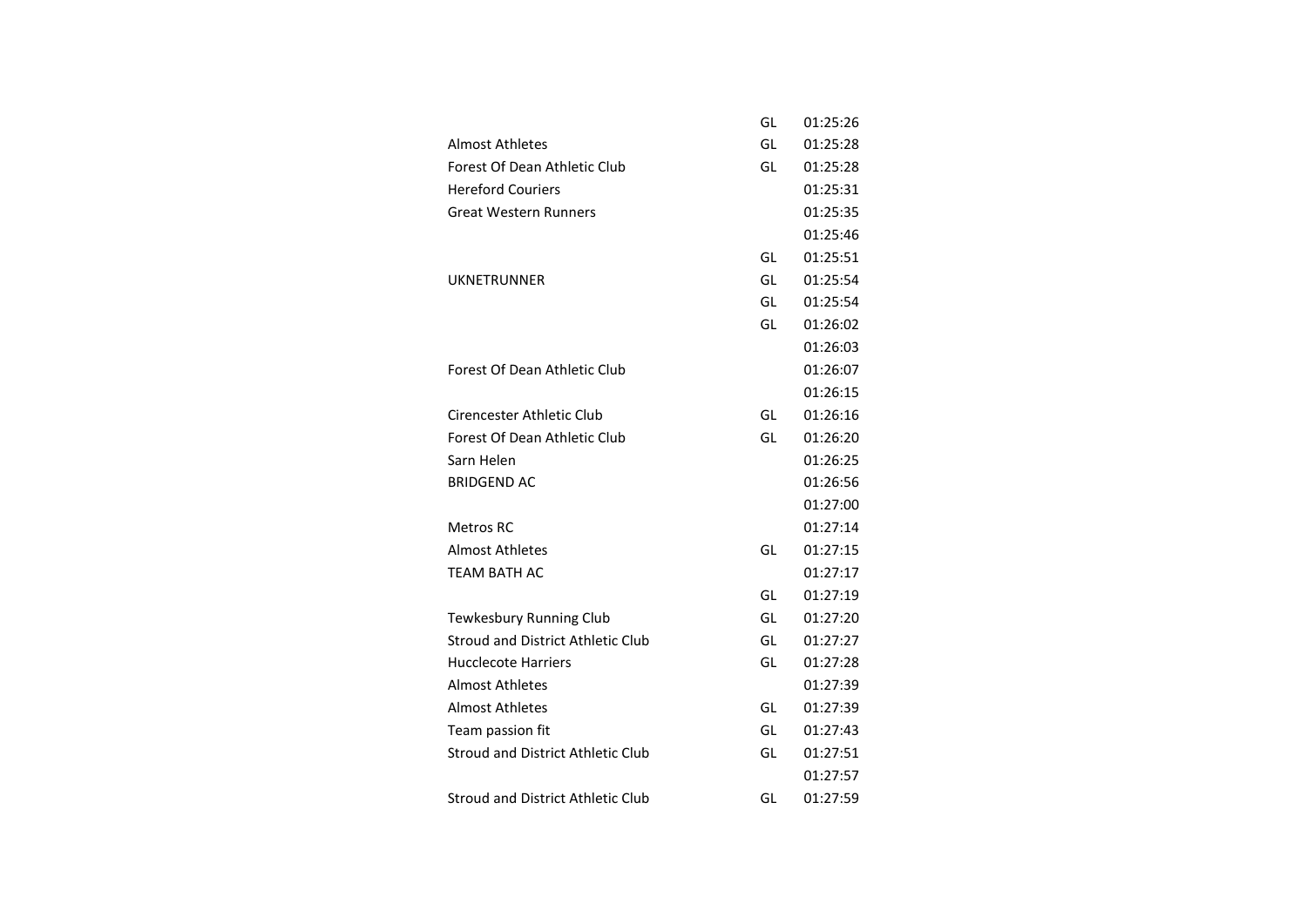|                                          | GL | 01:25:26 |
|------------------------------------------|----|----------|
| <b>Almost Athletes</b>                   | GL | 01:25:28 |
| Forest Of Dean Athletic Club             | GL | 01:25:28 |
| <b>Hereford Couriers</b>                 |    | 01:25:31 |
| <b>Great Western Runners</b>             |    | 01:25:35 |
|                                          |    | 01:25:46 |
|                                          | GL | 01:25:51 |
| UKNETRUNNER                              | GL | 01:25:54 |
|                                          | GL | 01:25:54 |
|                                          | GL | 01:26:02 |
|                                          |    | 01:26:03 |
| Forest Of Dean Athletic Club             |    | 01:26:07 |
|                                          |    | 01:26:15 |
| Cirencester Athletic Club                | GL | 01:26:16 |
| Forest Of Dean Athletic Club             | GL | 01:26:20 |
| Sarn Helen                               |    | 01:26:25 |
| <b>BRIDGEND AC</b>                       |    | 01:26:56 |
|                                          |    | 01:27:00 |
| Metros RC                                |    | 01:27:14 |
| Almost Athletes                          | GL | 01:27:15 |
| <b>TEAM BATH AC</b>                      |    | 01:27:17 |
|                                          | GL | 01:27:19 |
| Tewkesbury Running Club                  | GL | 01:27:20 |
| <b>Stroud and District Athletic Club</b> | GL | 01:27:27 |
| Hucclecote Harriers                      | GL | 01:27:28 |
| <b>Almost Athletes</b>                   |    | 01:27:39 |
| Almost Athletes                          | GL | 01:27:39 |
| Team passion fit                         | GL | 01:27:43 |
| <b>Stroud and District Athletic Club</b> | GL | 01:27:51 |
|                                          |    | 01:27:57 |
| <b>Stroud and District Athletic Club</b> | GL | 01:27:59 |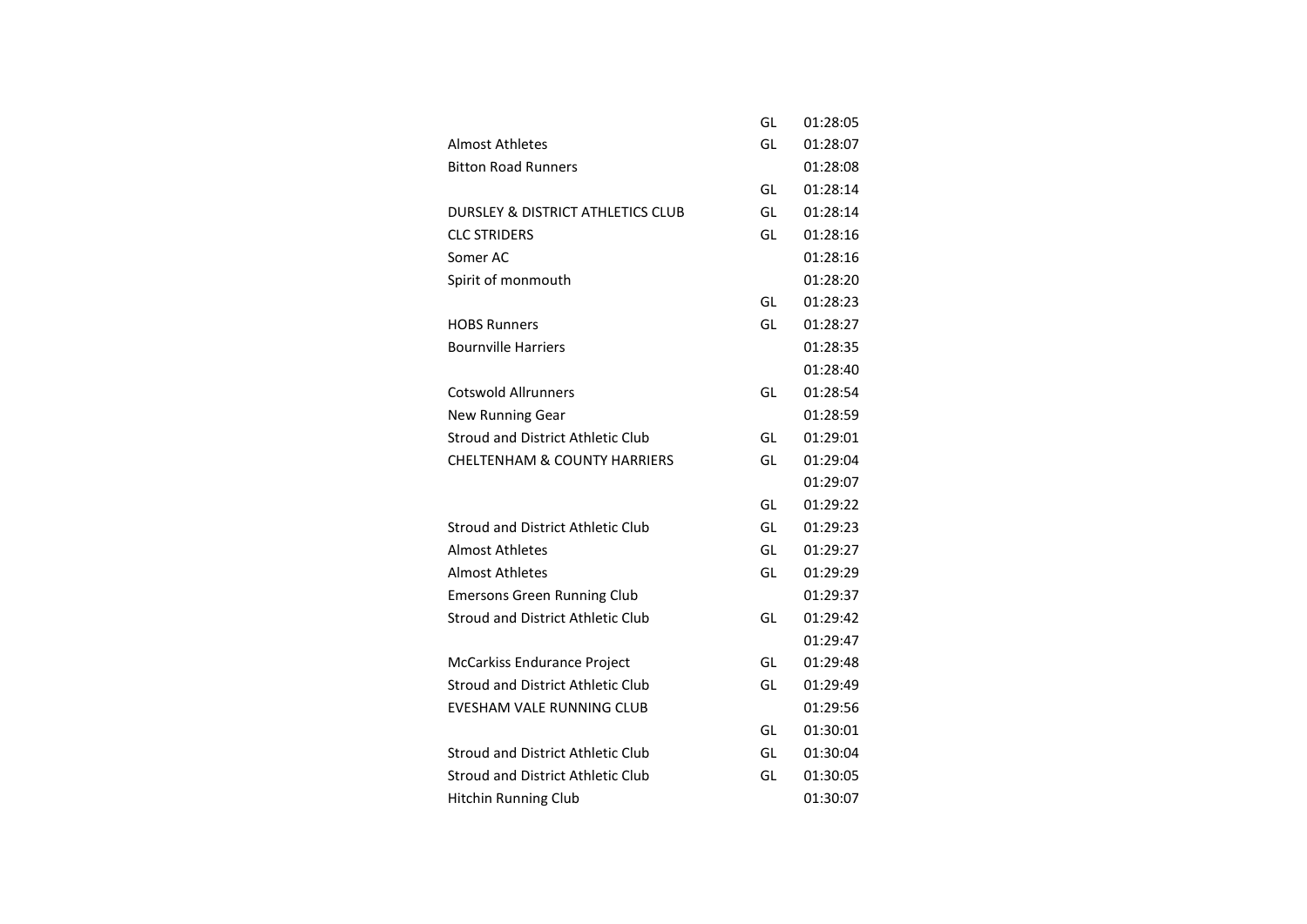|                                              | GL | 01:28:05 |
|----------------------------------------------|----|----------|
| <b>Almost Athletes</b>                       | GL | 01:28:07 |
| <b>Bitton Road Runners</b>                   |    | 01:28:08 |
|                                              | GL | 01:28:14 |
| <b>DURSLEY &amp; DISTRICT ATHLETICS CLUB</b> | GL | 01:28:14 |
| <b>CLC STRIDERS</b>                          | GL | 01:28:16 |
| Somer AC                                     |    | 01:28:16 |
| Spirit of monmouth                           |    | 01:28:20 |
|                                              | GL | 01:28:23 |
| <b>HOBS Runners</b>                          | GL | 01:28:27 |
| <b>Bournville Harriers</b>                   |    | 01:28:35 |
|                                              |    | 01:28:40 |
| <b>Cotswold Allrunners</b>                   | GL | 01:28:54 |
| <b>New Running Gear</b>                      |    | 01:28:59 |
| <b>Stroud and District Athletic Club</b>     | GL | 01:29:01 |
| <b>CHELTENHAM &amp; COUNTY HARRIERS</b>      | GL | 01:29:04 |
|                                              |    | 01:29:07 |
|                                              | GL | 01:29:22 |
| <b>Stroud and District Athletic Club</b>     | GL | 01:29:23 |
| Almost Athletes                              | GL | 01:29:27 |
| <b>Almost Athletes</b>                       | GL | 01:29:29 |
| <b>Emersons Green Running Club</b>           |    | 01:29:37 |
| <b>Stroud and District Athletic Club</b>     | GL | 01:29:42 |
|                                              |    | 01:29:47 |
| McCarkiss Endurance Project                  | GL | 01:29:48 |
| <b>Stroud and District Athletic Club</b>     | GL | 01:29:49 |
| EVESHAM VALE RUNNING CLUB                    |    | 01:29:56 |
|                                              | GL | 01:30:01 |
| Stroud and District Athletic Club            | GL | 01:30:04 |
| <b>Stroud and District Athletic Club</b>     | GL | 01:30:05 |
| <b>Hitchin Running Club</b>                  |    | 01:30:07 |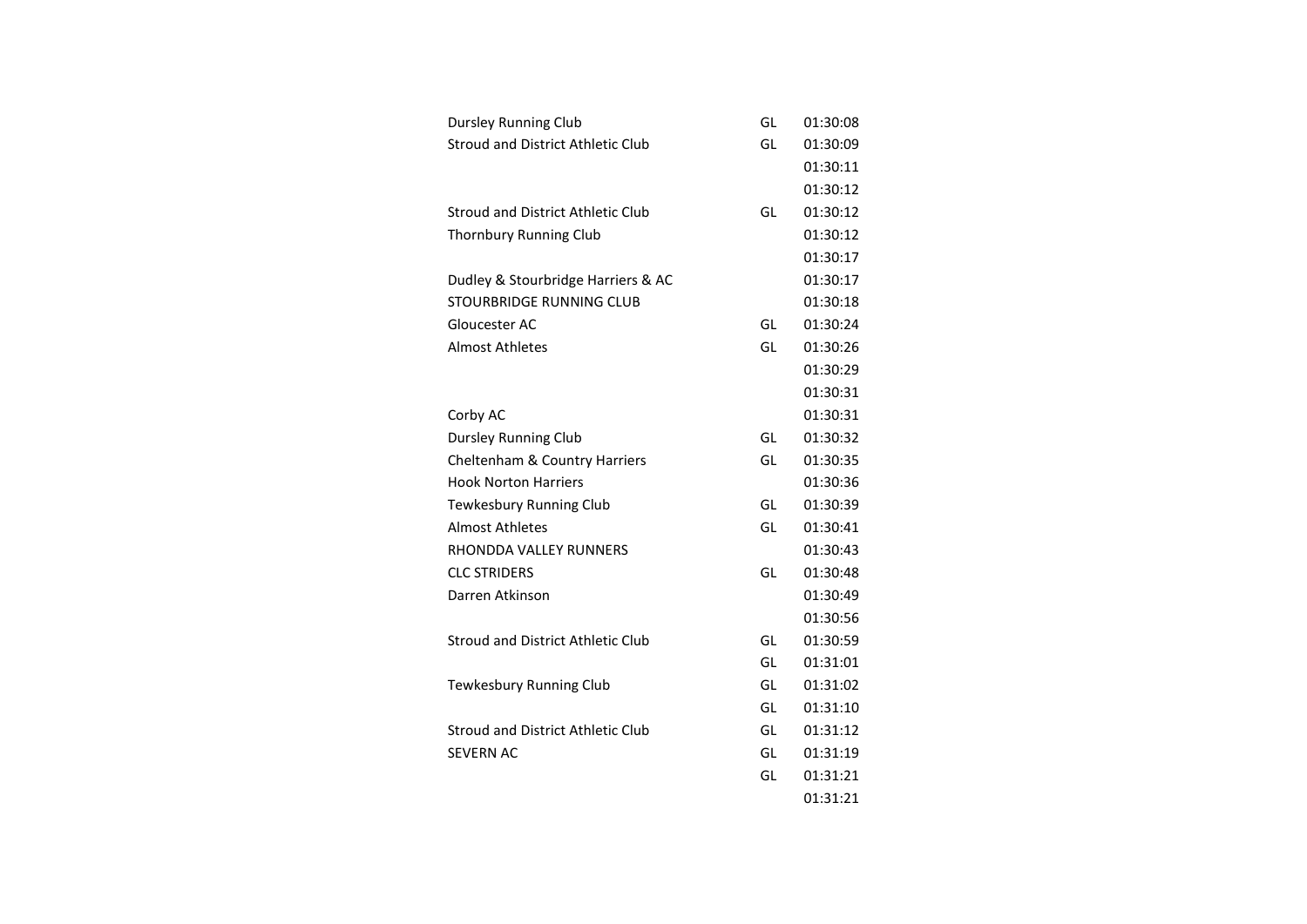| <b>Dursley Running Club</b>              | GL | 01:30:08 |
|------------------------------------------|----|----------|
| Stroud and District Athletic Club        | GL | 01:30:09 |
|                                          |    | 01:30:11 |
|                                          |    | 01:30:12 |
| Stroud and District Athletic Club        | GL | 01:30:12 |
| <b>Thornbury Running Club</b>            |    | 01:30:12 |
|                                          |    | 01:30:17 |
| Dudley & Stourbridge Harriers & AC       |    | 01:30:17 |
| STOURBRIDGE RUNNING CLUB                 |    | 01:30:18 |
| Gloucester AC                            | GL | 01:30:24 |
| <b>Almost Athletes</b>                   | GL | 01:30:26 |
|                                          |    | 01:30:29 |
|                                          |    | 01:30:31 |
| Corby AC                                 |    | 01:30:31 |
| <b>Dursley Running Club</b>              | GL | 01:30:32 |
| Cheltenham & Country Harriers            | GL | 01:30:35 |
| <b>Hook Norton Harriers</b>              |    | 01:30:36 |
| Tewkesbury Running Club                  | GL | 01:30:39 |
| <b>Almost Athletes</b>                   | GL | 01:30:41 |
| RHONDDA VALLEY RUNNERS                   |    | 01:30:43 |
| <b>CLC STRIDERS</b>                      | GL | 01:30:48 |
| Darren Atkinson                          |    | 01:30:49 |
|                                          |    | 01:30:56 |
| Stroud and District Athletic Club        | GL | 01:30:59 |
|                                          | GL | 01:31:01 |
| Tewkesbury Running Club                  | GL | 01:31:02 |
|                                          | GL | 01:31:10 |
| <b>Stroud and District Athletic Club</b> | GL | 01:31:12 |
| <b>SEVERN AC</b>                         | GL | 01:31:19 |
|                                          | GL | 01:31:21 |
|                                          |    | 01:31:21 |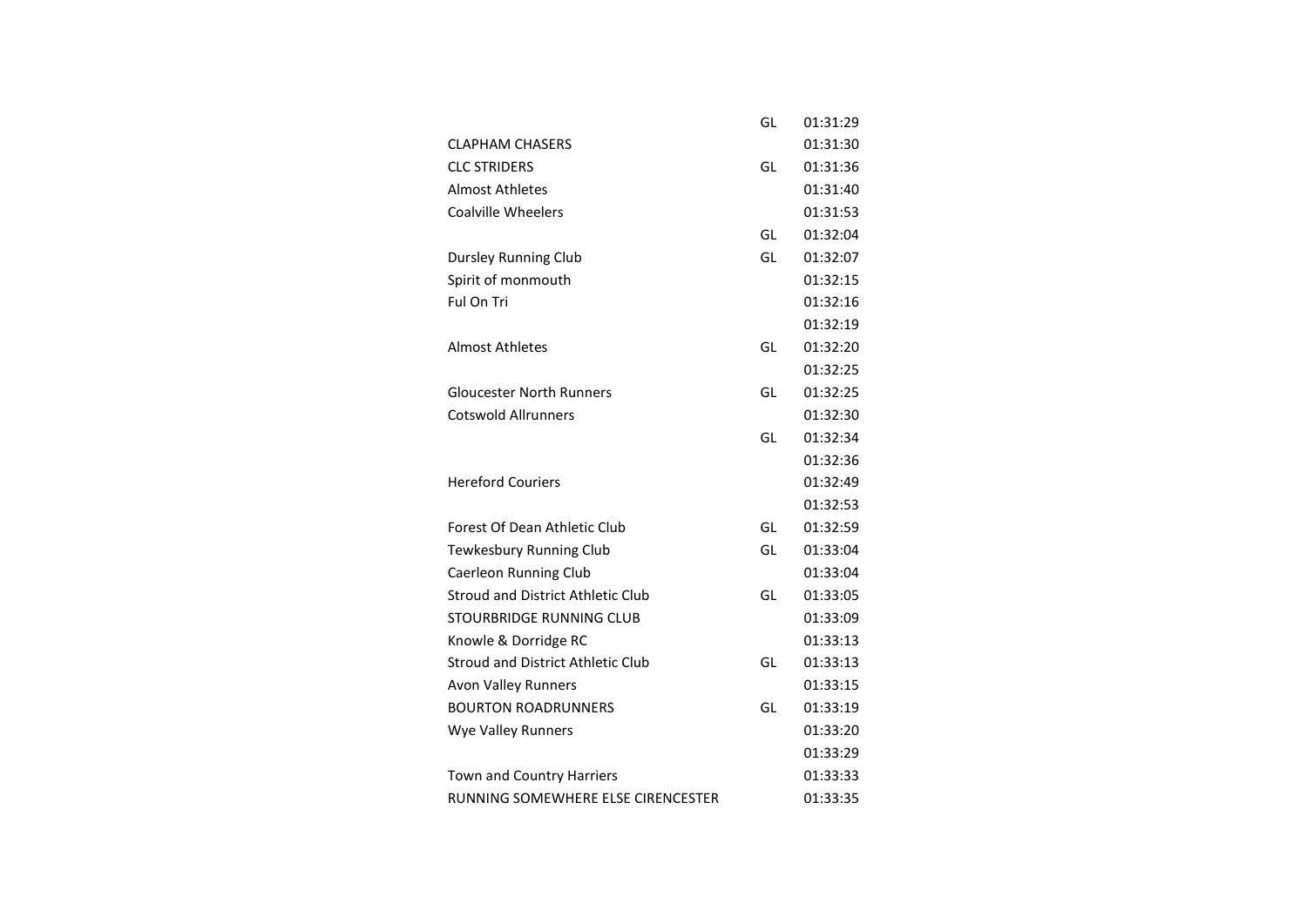|                                          | GL | 01:31:29 |
|------------------------------------------|----|----------|
| <b>CLAPHAM CHASERS</b>                   |    | 01:31:30 |
| <b>CLC STRIDERS</b>                      | GL | 01:31:36 |
| <b>Almost Athletes</b>                   |    | 01:31:40 |
| <b>Coalville Wheelers</b>                |    | 01:31:53 |
|                                          | GL | 01:32:04 |
| Dursley Running Club                     | GL | 01:32:07 |
| Spirit of monmouth                       |    | 01:32:15 |
| Ful On Tri                               |    | 01:32:16 |
|                                          |    | 01:32:19 |
| <b>Almost Athletes</b>                   | GL | 01:32:20 |
|                                          |    | 01:32:25 |
| <b>Gloucester North Runners</b>          | GL | 01:32:25 |
| <b>Cotswold Allrunners</b>               |    | 01:32:30 |
|                                          | GL | 01:32:34 |
|                                          |    | 01:32:36 |
| <b>Hereford Couriers</b>                 |    | 01:32:49 |
|                                          |    | 01:32:53 |
| Forest Of Dean Athletic Club             | GL | 01:32:59 |
| Tewkesbury Running Club                  | GL | 01:33:04 |
| <b>Caerleon Running Club</b>             |    | 01:33:04 |
| <b>Stroud and District Athletic Club</b> | GL | 01:33:05 |
| STOURBRIDGE RUNNING CLUB                 |    | 01:33:09 |
| Knowle & Dorridge RC                     |    | 01:33:13 |
| <b>Stroud and District Athletic Club</b> | GL | 01:33:13 |
| <b>Avon Valley Runners</b>               |    | 01:33:15 |
| <b>BOURTON ROADRUNNERS</b>               | GL | 01:33:19 |
| Wye Valley Runners                       |    | 01:33:20 |
|                                          |    | 01:33:29 |
| Town and Country Harriers                |    | 01:33:33 |
| RUNNING SOMEWHERE ELSE CIRENCESTER       |    | 01:33:35 |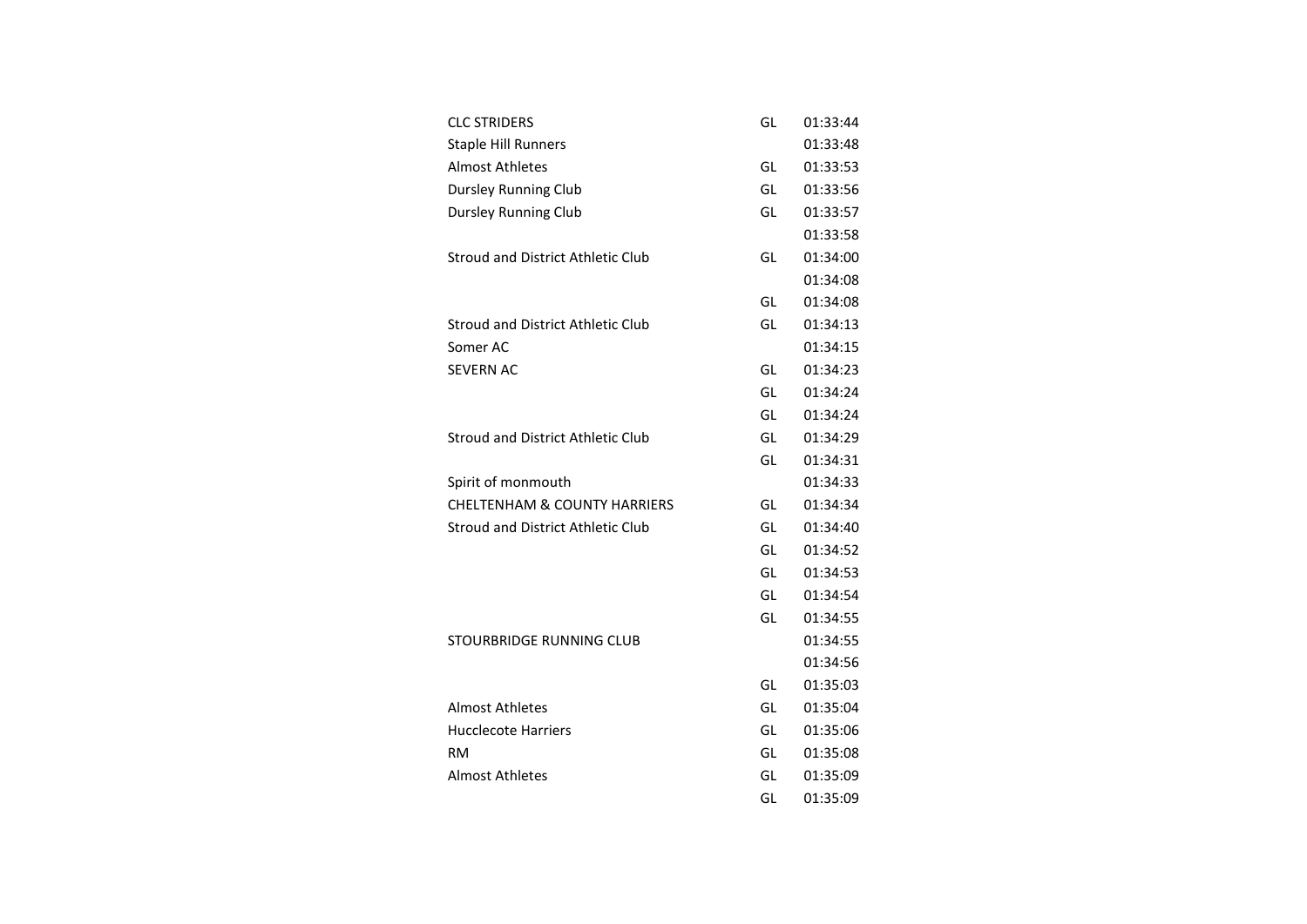| <b>CLC STRIDERS</b>                      | GL | 01:33:44 |
|------------------------------------------|----|----------|
| <b>Staple Hill Runners</b>               |    | 01:33:48 |
| <b>Almost Athletes</b>                   | GL | 01:33:53 |
| <b>Dursley Running Club</b>              | GL | 01:33:56 |
| <b>Dursley Running Club</b>              | GL | 01:33:57 |
|                                          |    | 01:33:58 |
| Stroud and District Athletic Club        | GL | 01:34:00 |
|                                          |    | 01:34:08 |
|                                          | GL | 01:34:08 |
| Stroud and District Athletic Club        | GL | 01:34:13 |
| Somer AC                                 |    | 01:34:15 |
| <b>SEVERN AC</b>                         | GL | 01:34:23 |
|                                          | GL | 01:34:24 |
|                                          | GL | 01:34:24 |
| <b>Stroud and District Athletic Club</b> | GL | 01:34:29 |
|                                          | GL | 01:34:31 |
| Spirit of monmouth                       |    | 01:34:33 |
| <b>CHELTENHAM &amp; COUNTY HARRIERS</b>  | GL | 01:34:34 |
| <b>Stroud and District Athletic Club</b> | GL | 01:34:40 |
|                                          | GL | 01:34:52 |
|                                          | GL | 01:34:53 |
|                                          | GL | 01:34:54 |
|                                          | GL | 01:34:55 |
| STOURBRIDGE RUNNING CLUB                 |    | 01:34:55 |
|                                          |    | 01:34:56 |
|                                          | GL | 01:35:03 |
| <b>Almost Athletes</b>                   | GL | 01:35:04 |
| <b>Hucclecote Harriers</b>               | GL | 01:35:06 |
| RM                                       | GL | 01:35:08 |
| <b>Almost Athletes</b>                   | GL | 01:35:09 |
|                                          | GL | 01:35:09 |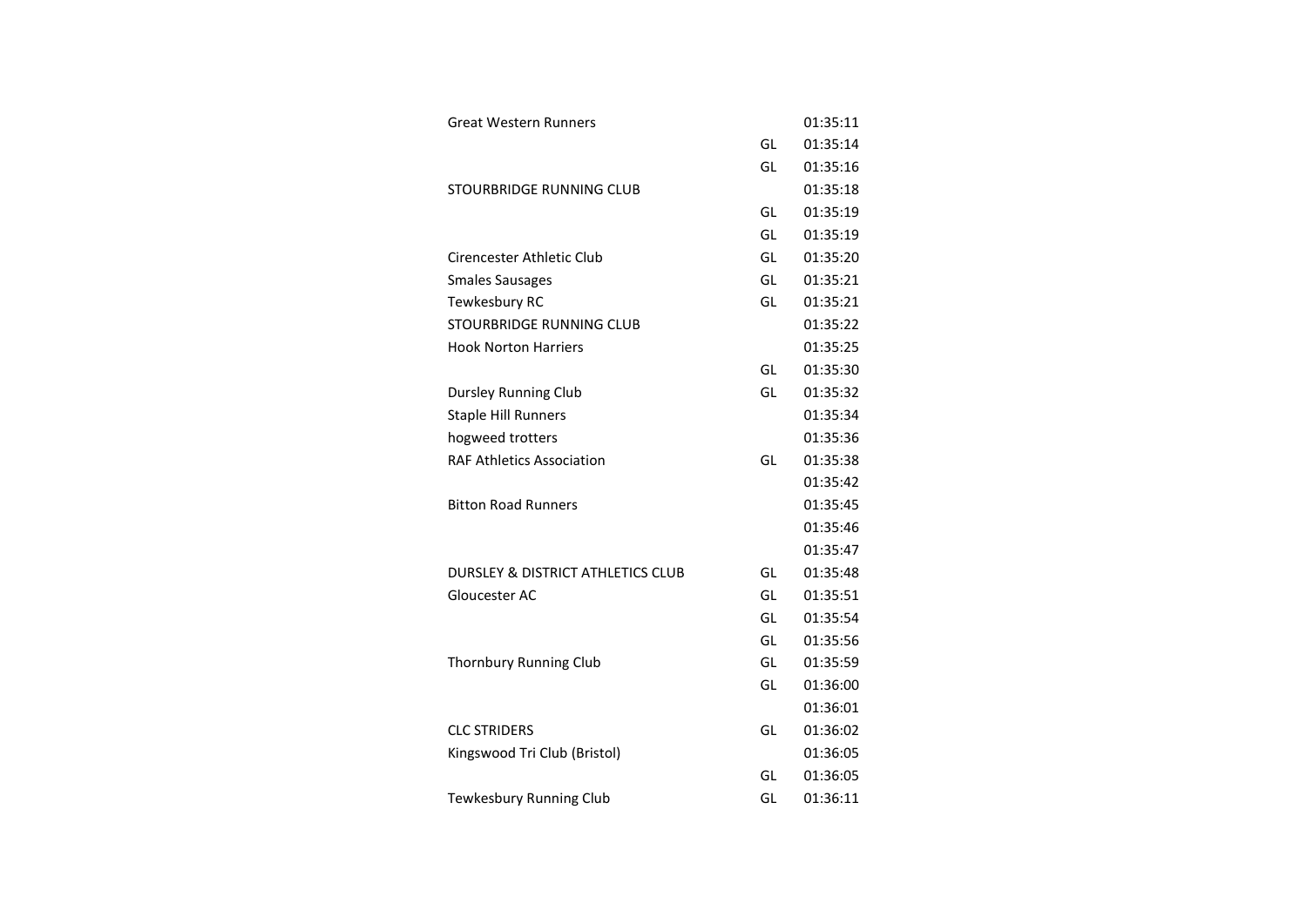| <b>Great Western Runners</b>                 |    | 01:35:11 |
|----------------------------------------------|----|----------|
|                                              | GL | 01:35:14 |
|                                              | GL | 01:35:16 |
| STOURBRIDGE RUNNING CLUB                     |    | 01:35:18 |
|                                              | GL | 01:35:19 |
|                                              | GL | 01:35:19 |
| Cirencester Athletic Club                    | GL | 01:35:20 |
| <b>Smales Sausages</b>                       | GL | 01:35:21 |
| Tewkesbury RC                                | GL | 01:35:21 |
| STOURBRIDGE RUNNING CLUB                     |    | 01:35:22 |
| <b>Hook Norton Harriers</b>                  |    | 01:35:25 |
|                                              | GL | 01:35:30 |
| <b>Dursley Running Club</b>                  | GL | 01:35:32 |
| <b>Staple Hill Runners</b>                   |    | 01:35:34 |
| hogweed trotters                             |    | 01:35:36 |
| <b>RAF Athletics Association</b>             | GL | 01:35:38 |
|                                              |    | 01:35:42 |
| <b>Bitton Road Runners</b>                   |    | 01:35:45 |
|                                              |    | 01:35:46 |
|                                              |    | 01:35:47 |
| <b>DURSLEY &amp; DISTRICT ATHLETICS CLUB</b> | GL | 01:35:48 |
| Gloucester AC                                | GL | 01:35:51 |
|                                              | GL | 01:35:54 |
|                                              | GL | 01:35:56 |
| Thornbury Running Club                       | GL | 01:35:59 |
|                                              | GL | 01:36:00 |
|                                              |    | 01:36:01 |
| <b>CLC STRIDERS</b>                          | GL | 01:36:02 |
| Kingswood Tri Club (Bristol)                 |    | 01:36:05 |
|                                              | GL | 01:36:05 |
| Tewkesbury Running Club                      | GL | 01:36:11 |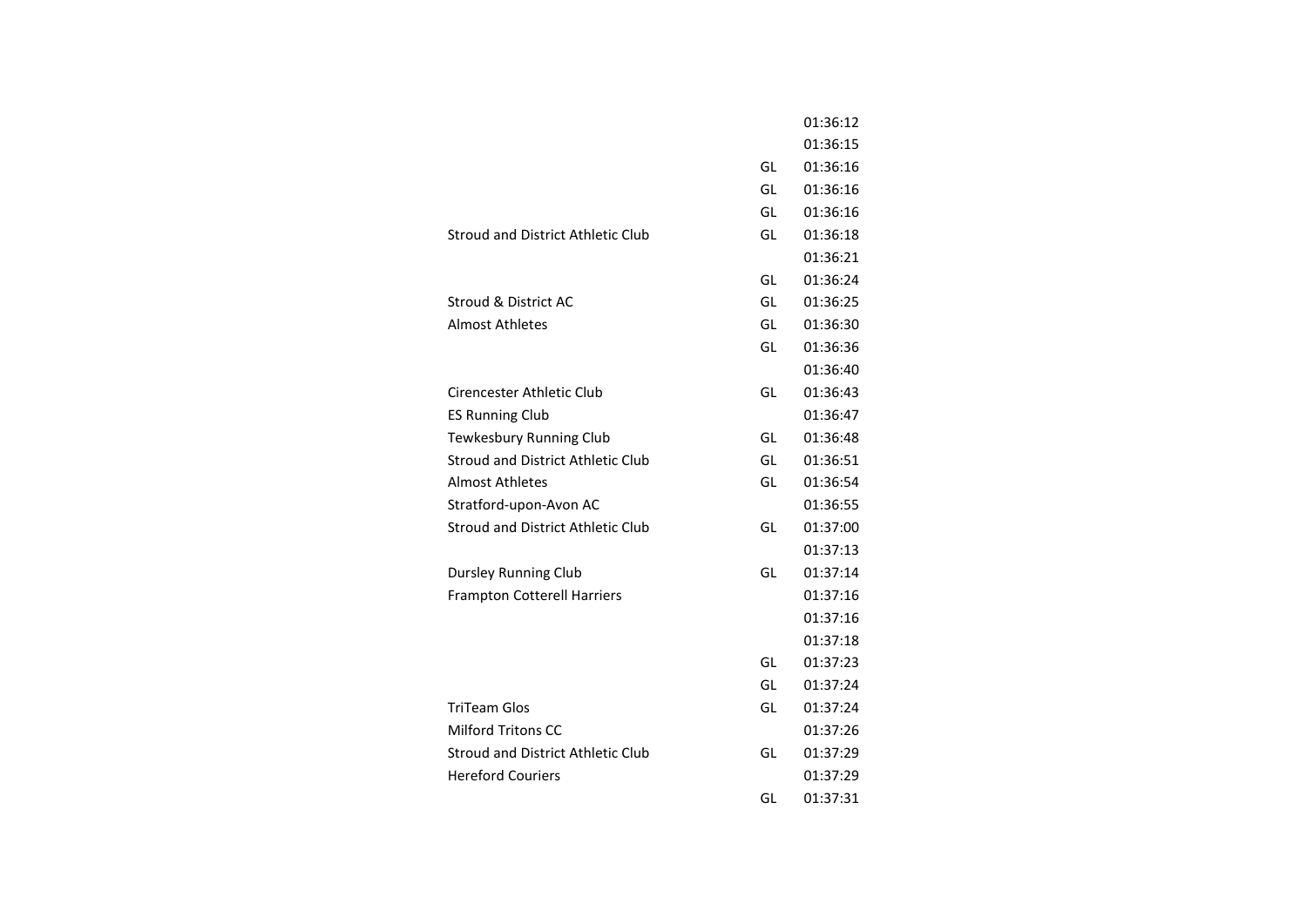|                                          |    | 01:36:12 |
|------------------------------------------|----|----------|
|                                          |    | 01:36:15 |
|                                          | GL | 01:36:16 |
|                                          | GL | 01:36:16 |
|                                          | GL | 01:36:16 |
| Stroud and District Athletic Club        | GL | 01:36:18 |
|                                          |    | 01:36:21 |
|                                          | GL | 01:36:24 |
| Stroud & District AC                     | GL | 01:36:25 |
| <b>Almost Athletes</b>                   | GL | 01:36:30 |
|                                          | GL | 01:36:36 |
|                                          |    | 01:36:40 |
| Cirencester Athletic Club                | GL | 01:36:43 |
| <b>ES Running Club</b>                   |    | 01:36:47 |
| Tewkesbury Running Club                  | GL | 01:36:48 |
| Stroud and District Athletic Club        | GL | 01:36:51 |
| <b>Almost Athletes</b>                   | GL | 01:36:54 |
| Stratford-upon-Avon AC                   |    | 01:36:55 |
| <b>Stroud and District Athletic Club</b> | GL | 01:37:00 |
|                                          |    | 01:37:13 |
| Dursley Running Club                     | GL | 01:37:14 |
| <b>Frampton Cotterell Harriers</b>       |    | 01:37:16 |
|                                          |    | 01:37:16 |
|                                          |    | 01:37:18 |
|                                          | GL | 01:37:23 |
|                                          | GL | 01:37:24 |
| <b>TriTeam Glos</b>                      | GL | 01:37:24 |
| <b>Milford Tritons CC</b>                |    | 01:37:26 |
| <b>Stroud and District Athletic Club</b> | GL | 01:37:29 |
| <b>Hereford Couriers</b>                 |    | 01:37:29 |
|                                          | GL | 01:37:31 |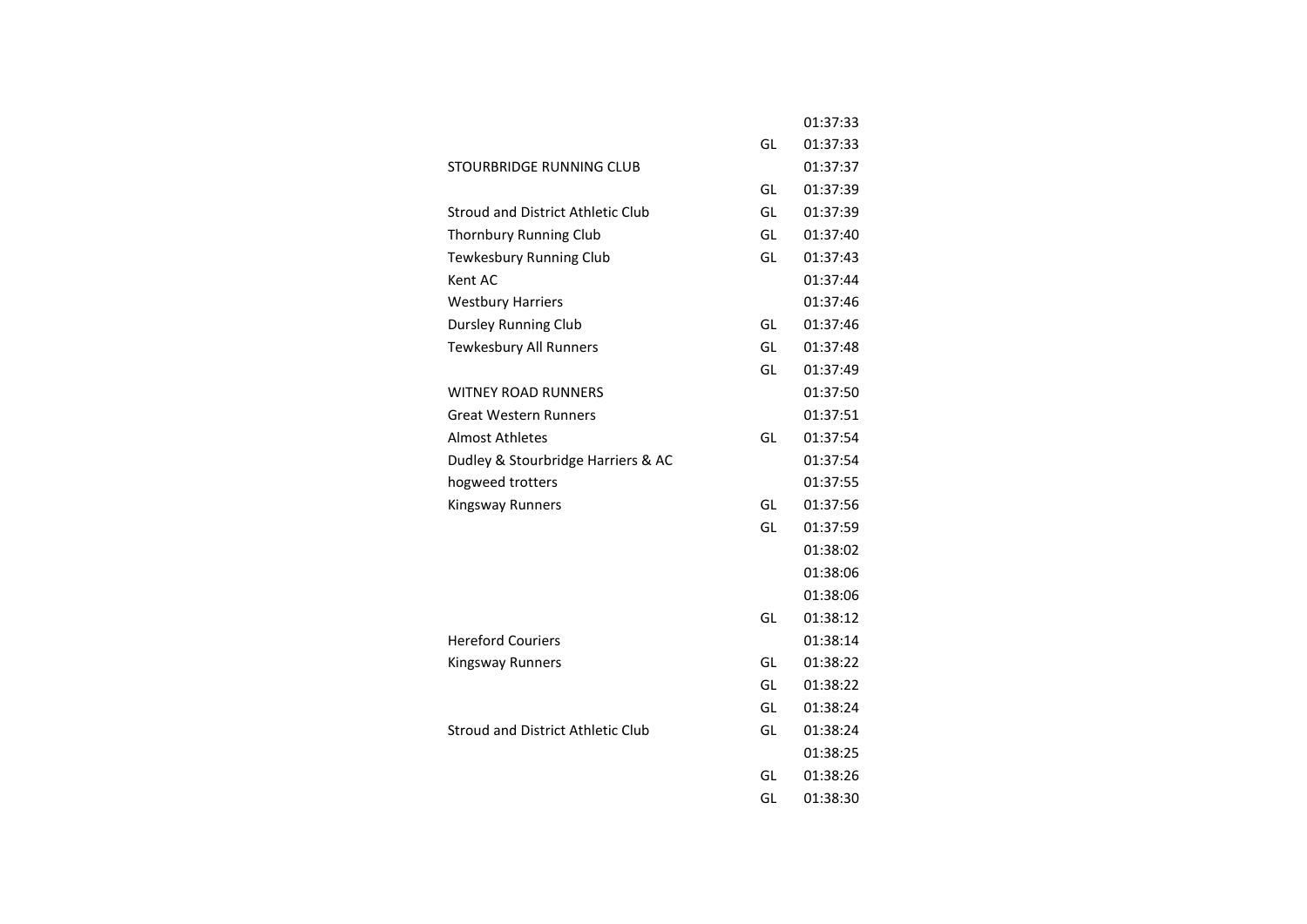|                                    |    | 01:37:33 |
|------------------------------------|----|----------|
|                                    | GL | 01:37:33 |
| STOURBRIDGE RUNNING CLUB           |    | 01:37:37 |
|                                    | GL | 01:37:39 |
| Stroud and District Athletic Club  | GL | 01:37:39 |
| Thornbury Running Club             | GL | 01:37:40 |
| Tewkesbury Running Club            | GL | 01:37:43 |
| Kent AC                            |    | 01:37:44 |
| <b>Westbury Harriers</b>           |    | 01:37:46 |
| <b>Dursley Running Club</b>        | GL | 01:37:46 |
| <b>Tewkesbury All Runners</b>      | GL | 01:37:48 |
|                                    | GL | 01:37:49 |
| <b>WITNEY ROAD RUNNERS</b>         |    | 01:37:50 |
| <b>Great Western Runners</b>       |    | 01:37:51 |
| <b>Almost Athletes</b>             | GL | 01:37:54 |
| Dudley & Stourbridge Harriers & AC |    | 01:37:54 |
| hogweed trotters                   |    | 01:37:55 |
| Kingsway Runners                   | GL | 01:37:56 |
|                                    | GL | 01:37:59 |
|                                    |    | 01:38:02 |
|                                    |    | 01:38:06 |
|                                    |    | 01:38:06 |
|                                    | GL | 01:38:12 |
| <b>Hereford Couriers</b>           |    | 01:38:14 |
| Kingsway Runners                   | GL | 01:38:22 |
|                                    | GL | 01:38:22 |
|                                    | GL | 01:38:24 |
| Stroud and District Athletic Club  | GL | 01:38:24 |
|                                    |    | 01:38:25 |
|                                    | GL | 01:38:26 |
|                                    | GL | 01:38:30 |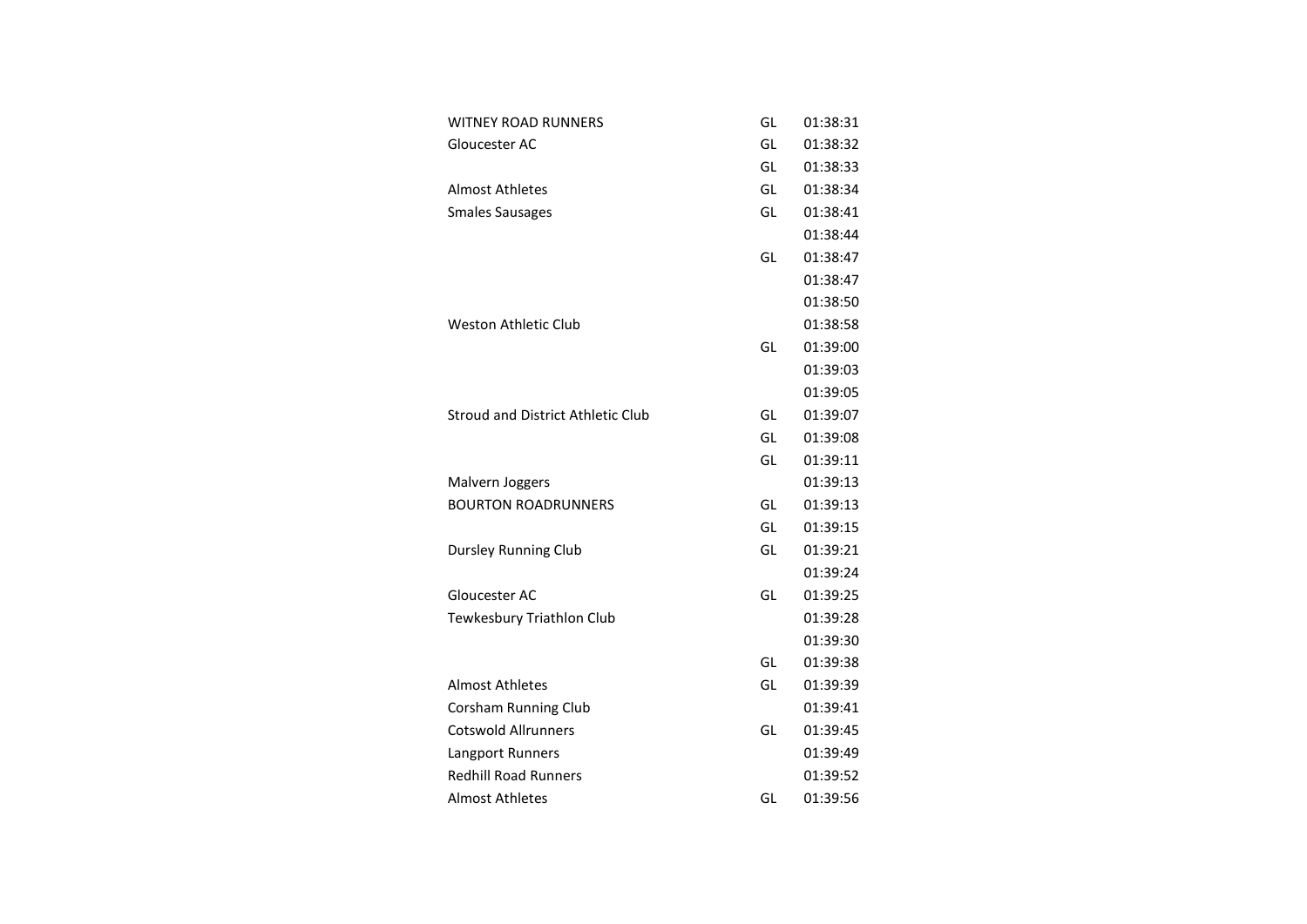| <b>WITNEY ROAD RUNNERS</b>        | GL | 01:38:31 |
|-----------------------------------|----|----------|
| Gloucester AC                     | GL | 01:38:32 |
|                                   | GL | 01:38:33 |
| <b>Almost Athletes</b>            | GL | 01:38:34 |
| <b>Smales Sausages</b>            | GL | 01:38:41 |
|                                   |    | 01:38:44 |
|                                   | GL | 01:38:47 |
|                                   |    | 01:38:47 |
|                                   |    | 01:38:50 |
| <b>Weston Athletic Club</b>       |    | 01:38:58 |
|                                   | GL | 01:39:00 |
|                                   |    | 01:39:03 |
|                                   |    | 01:39:05 |
| Stroud and District Athletic Club | GL | 01:39:07 |
|                                   | GL | 01:39:08 |
|                                   | GL | 01:39:11 |
| Malvern Joggers                   |    | 01:39:13 |
| <b>BOURTON ROADRUNNERS</b>        | GL | 01:39:13 |
|                                   | GL | 01:39:15 |
| <b>Dursley Running Club</b>       | GL | 01:39:21 |
|                                   |    | 01:39:24 |
| Gloucester AC                     | GL | 01:39:25 |
| Tewkesbury Triathlon Club         |    | 01:39:28 |
|                                   |    | 01:39:30 |
|                                   | GL | 01:39:38 |
| <b>Almost Athletes</b>            | GL | 01:39:39 |
| <b>Corsham Running Club</b>       |    | 01:39:41 |
| <b>Cotswold Allrunners</b>        | GL | 01:39:45 |
| Langport Runners                  |    | 01:39:49 |
| <b>Redhill Road Runners</b>       |    | 01:39:52 |
| <b>Almost Athletes</b>            | GL | 01:39:56 |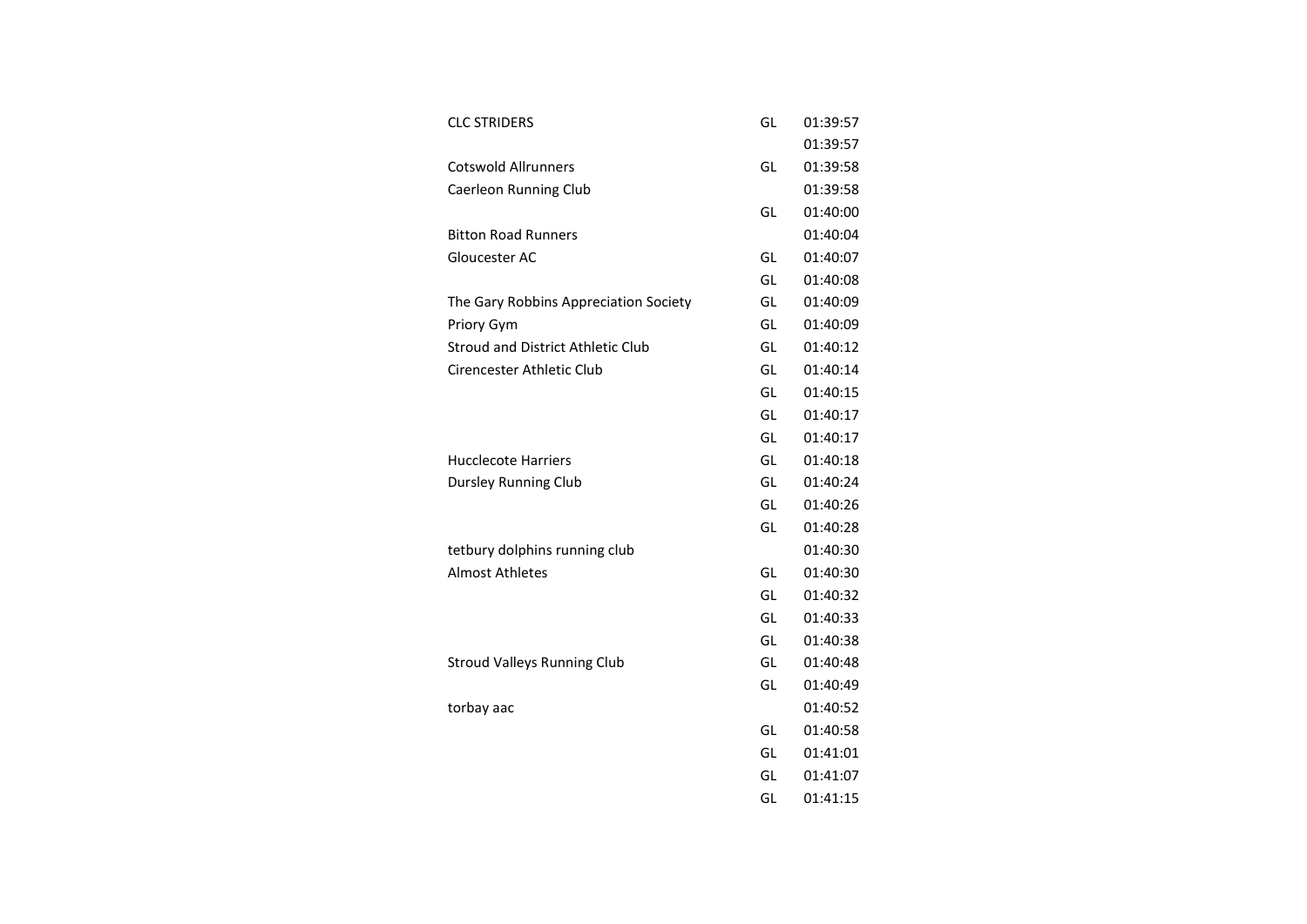| <b>CLC STRIDERS</b>                      | GL | 01:39:57 |
|------------------------------------------|----|----------|
|                                          |    | 01:39:57 |
| <b>Cotswold Allrunners</b>               | GL | 01:39:58 |
| Caerleon Running Club                    |    | 01:39:58 |
|                                          | GL | 01:40:00 |
| <b>Bitton Road Runners</b>               |    | 01:40:04 |
| Gloucester AC                            | GL | 01:40:07 |
|                                          | GL | 01:40:08 |
| The Gary Robbins Appreciation Society    | GL | 01:40:09 |
| Priory Gym                               | GL | 01:40:09 |
| <b>Stroud and District Athletic Club</b> | GL | 01:40:12 |
| Cirencester Athletic Club                | GL | 01:40:14 |
|                                          | GL | 01:40:15 |
|                                          | GL | 01:40:17 |
|                                          | GL | 01:40:17 |
| <b>Hucclecote Harriers</b>               | GL | 01:40:18 |
| <b>Dursley Running Club</b>              | GL | 01:40:24 |
|                                          | GL | 01:40:26 |
|                                          | GL | 01:40:28 |
| tetbury dolphins running club            |    | 01:40:30 |
| <b>Almost Athletes</b>                   | GL | 01:40:30 |
|                                          | GL | 01:40:32 |
|                                          | GL | 01:40:33 |
|                                          | GL | 01:40:38 |
| <b>Stroud Valleys Running Club</b>       | GL | 01:40:48 |
|                                          | GL | 01:40:49 |
| torbay aac                               |    | 01:40:52 |
|                                          | GL | 01:40:58 |
|                                          | GL | 01:41:01 |
|                                          | GL | 01:41:07 |
|                                          | GL | 01:41:15 |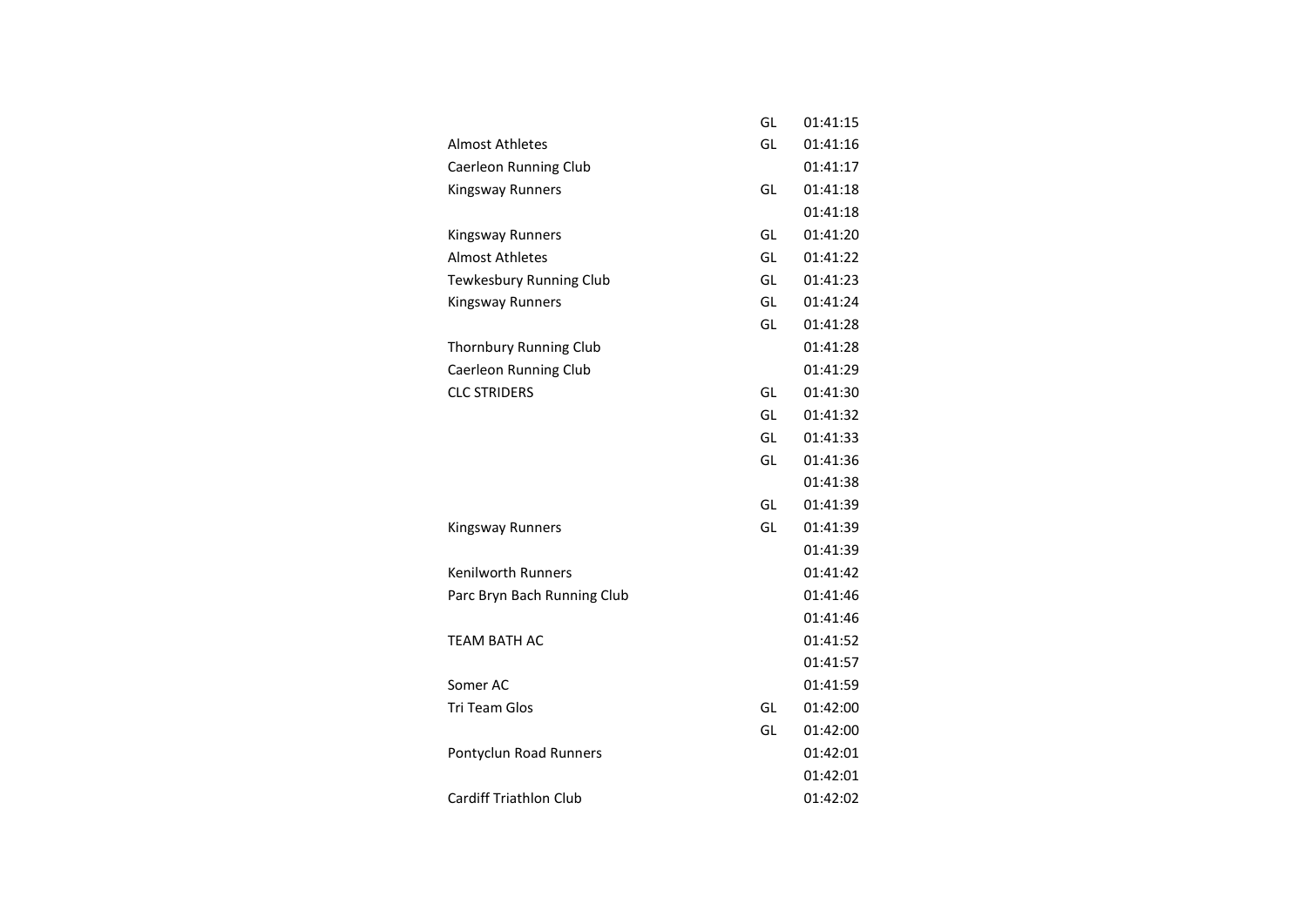|                               | GL | 01:41:15 |
|-------------------------------|----|----------|
| <b>Almost Athletes</b>        | GL | 01:41:16 |
| Caerleon Running Club         |    | 01:41:17 |
| Kingsway Runners              | GL | 01:41:18 |
|                               |    | 01:41:18 |
| <b>Kingsway Runners</b>       | GL | 01:41:20 |
| <b>Almost Athletes</b>        | GL | 01:41:22 |
| Tewkesbury Running Club       | GL | 01:41:23 |
| <b>Kingsway Runners</b>       | GL | 01:41:24 |
|                               | GL | 01:41:28 |
| Thornbury Running Club        |    | 01:41:28 |
| Caerleon Running Club         |    | 01:41:29 |
| <b>CLC STRIDERS</b>           | GL | 01:41:30 |
|                               | GL | 01:41:32 |
|                               | GL | 01:41:33 |
|                               | GL | 01:41:36 |
|                               |    | 01:41:38 |
|                               | GL | 01:41:39 |
| Kingsway Runners              | GL | 01:41:39 |
|                               |    | 01:41:39 |
| <b>Kenilworth Runners</b>     |    | 01:41:42 |
| Parc Bryn Bach Running Club   |    | 01:41:46 |
|                               |    | 01:41:46 |
| <b>TEAM BATH AC</b>           |    | 01:41:52 |
|                               |    | 01:41:57 |
| Somer AC                      |    | 01:41:59 |
| Tri Team Glos                 | GL | 01:42:00 |
|                               | GL | 01:42:00 |
| Pontyclun Road Runners        |    | 01:42:01 |
|                               |    | 01:42:01 |
| <b>Cardiff Triathlon Club</b> |    | 01:42:02 |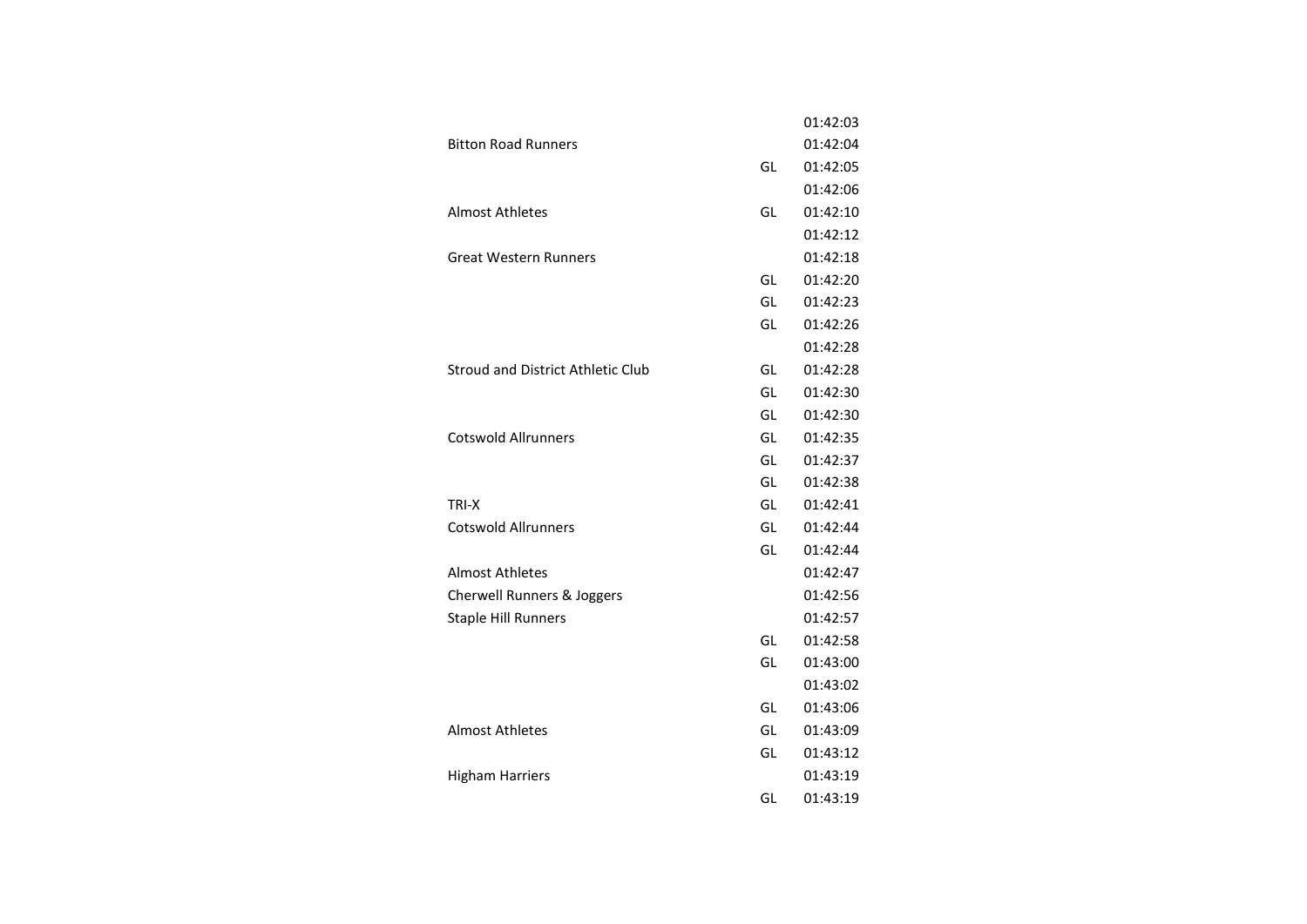|                                          |    | 01:42:03 |
|------------------------------------------|----|----------|
| <b>Bitton Road Runners</b>               |    | 01:42:04 |
|                                          | GL | 01:42:05 |
|                                          |    | 01:42:06 |
| <b>Almost Athletes</b>                   | GL | 01:42:10 |
|                                          |    | 01:42:12 |
| <b>Great Western Runners</b>             |    | 01:42:18 |
|                                          | GL | 01:42:20 |
|                                          | GL | 01:42:23 |
|                                          | GL | 01:42:26 |
|                                          |    | 01:42:28 |
| <b>Stroud and District Athletic Club</b> | GL | 01:42:28 |
|                                          | GL | 01:42:30 |
|                                          | GL | 01:42:30 |
| <b>Cotswold Allrunners</b>               | GL | 01:42:35 |
|                                          | GL | 01:42:37 |
|                                          | GL | 01:42:38 |
| TRI-X                                    | GL | 01:42:41 |
| <b>Cotswold Allrunners</b>               | GL | 01:42:44 |
|                                          | GL | 01:42:44 |
| <b>Almost Athletes</b>                   |    | 01:42:47 |
| <b>Cherwell Runners &amp; Joggers</b>    |    | 01:42:56 |
| <b>Staple Hill Runners</b>               |    | 01:42:57 |
|                                          | GL | 01:42:58 |
|                                          | GL | 01:43:00 |
|                                          |    | 01:43:02 |
|                                          | GL | 01:43:06 |
| <b>Almost Athletes</b>                   | GL | 01:43:09 |
|                                          | GL | 01:43:12 |
| <b>Higham Harriers</b>                   |    | 01:43:19 |
|                                          | GL | 01:43:19 |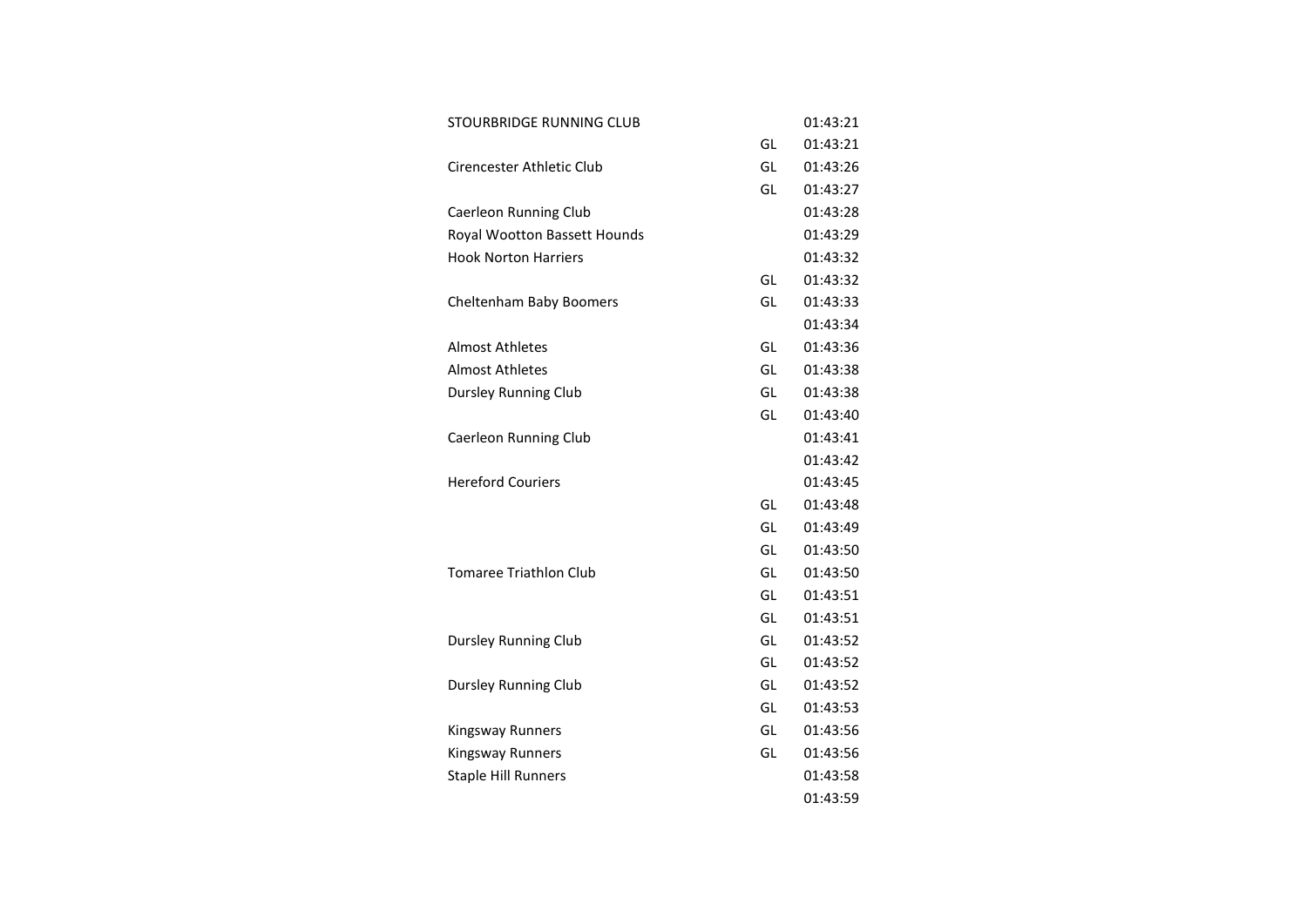| STOURBRIDGE RUNNING CLUB      |    | 01:43:21 |
|-------------------------------|----|----------|
|                               | GL | 01:43:21 |
| Cirencester Athletic Club     | GL | 01:43:26 |
|                               | GL | 01:43:27 |
| Caerleon Running Club         |    | 01:43:28 |
| Royal Wootton Bassett Hounds  |    | 01:43:29 |
| <b>Hook Norton Harriers</b>   |    | 01:43:32 |
|                               | GL | 01:43:32 |
| Cheltenham Baby Boomers       | GL | 01:43:33 |
|                               |    | 01:43:34 |
| <b>Almost Athletes</b>        | GL | 01:43:36 |
| <b>Almost Athletes</b>        | GL | 01:43:38 |
| <b>Dursley Running Club</b>   | GL | 01:43:38 |
|                               | GL | 01:43:40 |
| Caerleon Running Club         |    | 01:43:41 |
|                               |    | 01:43:42 |
| <b>Hereford Couriers</b>      |    | 01:43:45 |
|                               | GL | 01:43:48 |
|                               | GL | 01:43:49 |
|                               | GL | 01:43:50 |
| <b>Tomaree Triathlon Club</b> | GL | 01:43:50 |
|                               | GL | 01:43:51 |
|                               | GL | 01:43:51 |
| <b>Dursley Running Club</b>   | GL | 01:43:52 |
|                               | GL | 01:43:52 |
| <b>Dursley Running Club</b>   | GL | 01:43:52 |
|                               | GL | 01:43:53 |
| Kingsway Runners              | GL | 01:43:56 |
| Kingsway Runners              | GL | 01:43:56 |
| <b>Staple Hill Runners</b>    |    | 01:43:58 |
|                               |    | 01:43:59 |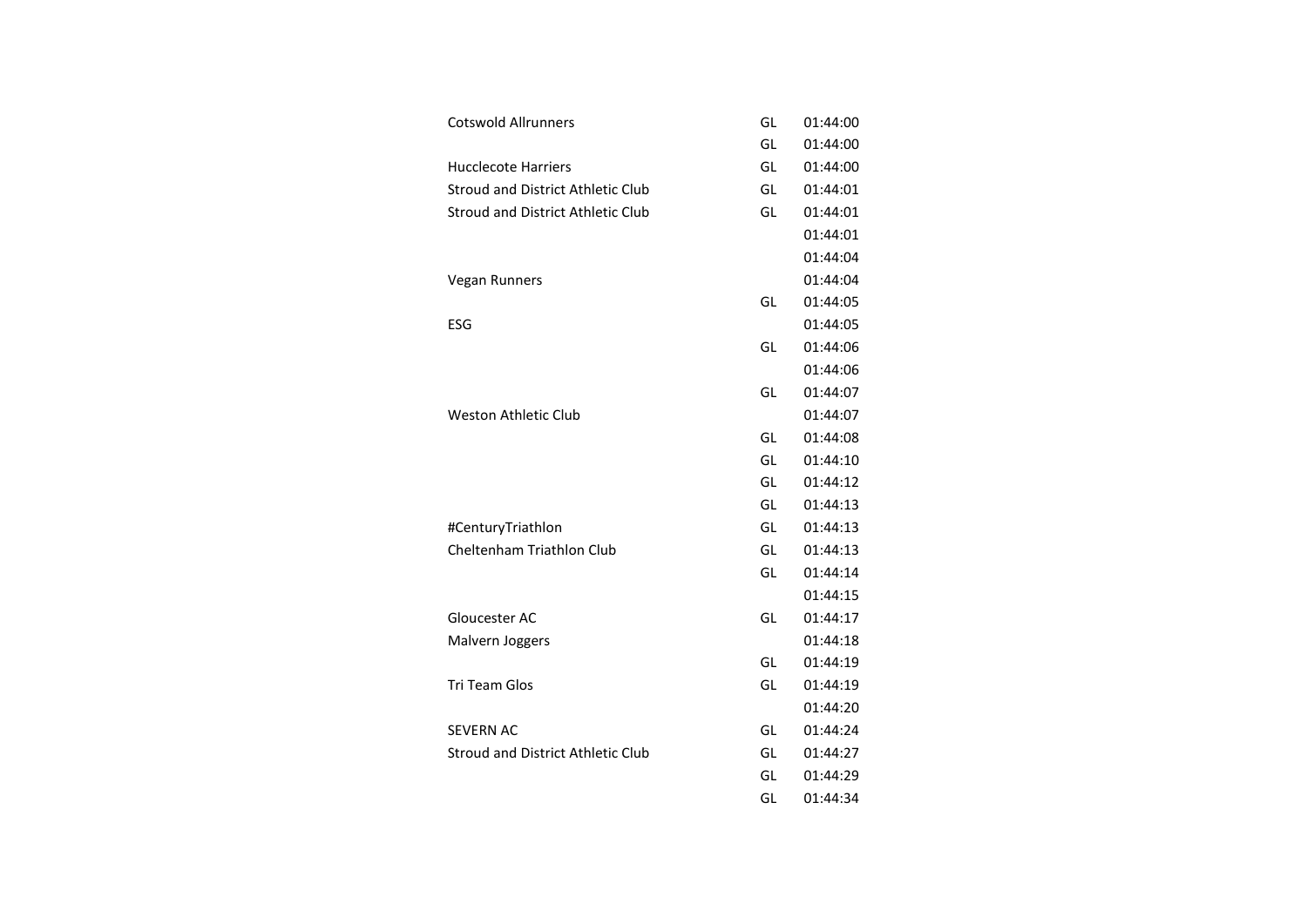| <b>Cotswold Allrunners</b>               | GL | 01:44:00 |
|------------------------------------------|----|----------|
|                                          | GL | 01:44:00 |
| <b>Hucclecote Harriers</b>               | GL | 01:44:00 |
| <b>Stroud and District Athletic Club</b> | GL | 01:44:01 |
| <b>Stroud and District Athletic Club</b> | GL | 01:44:01 |
|                                          |    | 01:44:01 |
|                                          |    | 01:44:04 |
| Vegan Runners                            |    | 01:44:04 |
|                                          | GL | 01:44:05 |
| ESG                                      |    | 01:44:05 |
|                                          | GL | 01:44:06 |
|                                          |    | 01:44:06 |
|                                          | GL | 01:44:07 |
| <b>Weston Athletic Club</b>              |    | 01:44:07 |
|                                          | GL | 01:44:08 |
|                                          | GL | 01:44:10 |
|                                          | GL | 01:44:12 |
|                                          | GL | 01:44:13 |
| #CenturyTriathlon                        | GL | 01:44:13 |
| Cheltenham Triathlon Club                | GL | 01:44:13 |
|                                          | GL | 01:44:14 |
|                                          |    | 01:44:15 |
| Gloucester AC                            | GL | 01:44:17 |
| Malvern Joggers                          |    | 01:44:18 |
|                                          | GL | 01:44:19 |
| <b>Tri Team Glos</b>                     | GL | 01:44:19 |
|                                          |    | 01:44:20 |
| <b>SEVERN AC</b>                         | GL | 01:44:24 |
| <b>Stroud and District Athletic Club</b> | GL | 01:44:27 |
|                                          | GL | 01:44:29 |
|                                          | GL | 01:44:34 |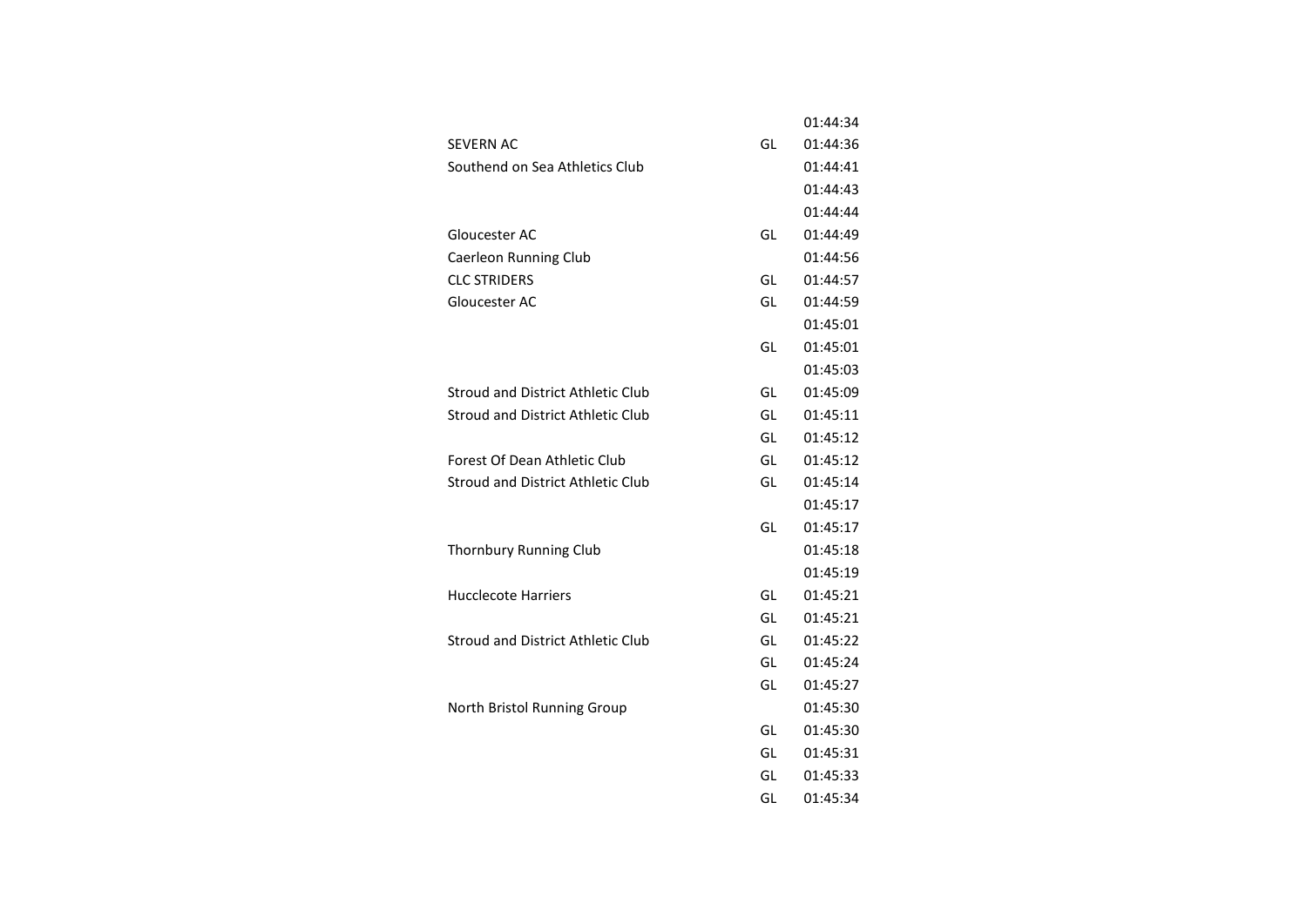|                                          |    | 01:44:34 |
|------------------------------------------|----|----------|
| <b>SEVERN AC</b>                         | GL | 01:44:36 |
| Southend on Sea Athletics Club           |    | 01:44:41 |
|                                          |    | 01:44:43 |
|                                          |    | 01:44:44 |
| Gloucester AC                            | GL | 01:44:49 |
| Caerleon Running Club                    |    | 01:44:56 |
| <b>CLC STRIDERS</b>                      | GL | 01:44:57 |
| Gloucester AC                            | GL | 01:44:59 |
|                                          |    | 01:45:01 |
|                                          | GL | 01:45:01 |
|                                          |    | 01:45:03 |
| <b>Stroud and District Athletic Club</b> | GL | 01:45:09 |
| <b>Stroud and District Athletic Club</b> | GL | 01:45:11 |
|                                          | GL | 01:45:12 |
| Forest Of Dean Athletic Club             | GL | 01:45:12 |
| Stroud and District Athletic Club        | GL | 01:45:14 |
|                                          |    | 01:45:17 |
|                                          | GL | 01:45:17 |
| Thornbury Running Club                   |    | 01:45:18 |
|                                          |    | 01:45:19 |
| Hucclecote Harriers                      | GL | 01:45:21 |
|                                          | GL | 01:45:21 |
| Stroud and District Athletic Club        | GL | 01:45:22 |
|                                          | GL | 01:45:24 |
|                                          | GL | 01:45:27 |
| North Bristol Running Group              |    | 01:45:30 |
|                                          | GL | 01:45:30 |
|                                          | GL | 01:45:31 |
|                                          | GL | 01:45:33 |
|                                          | GL | 01:45:34 |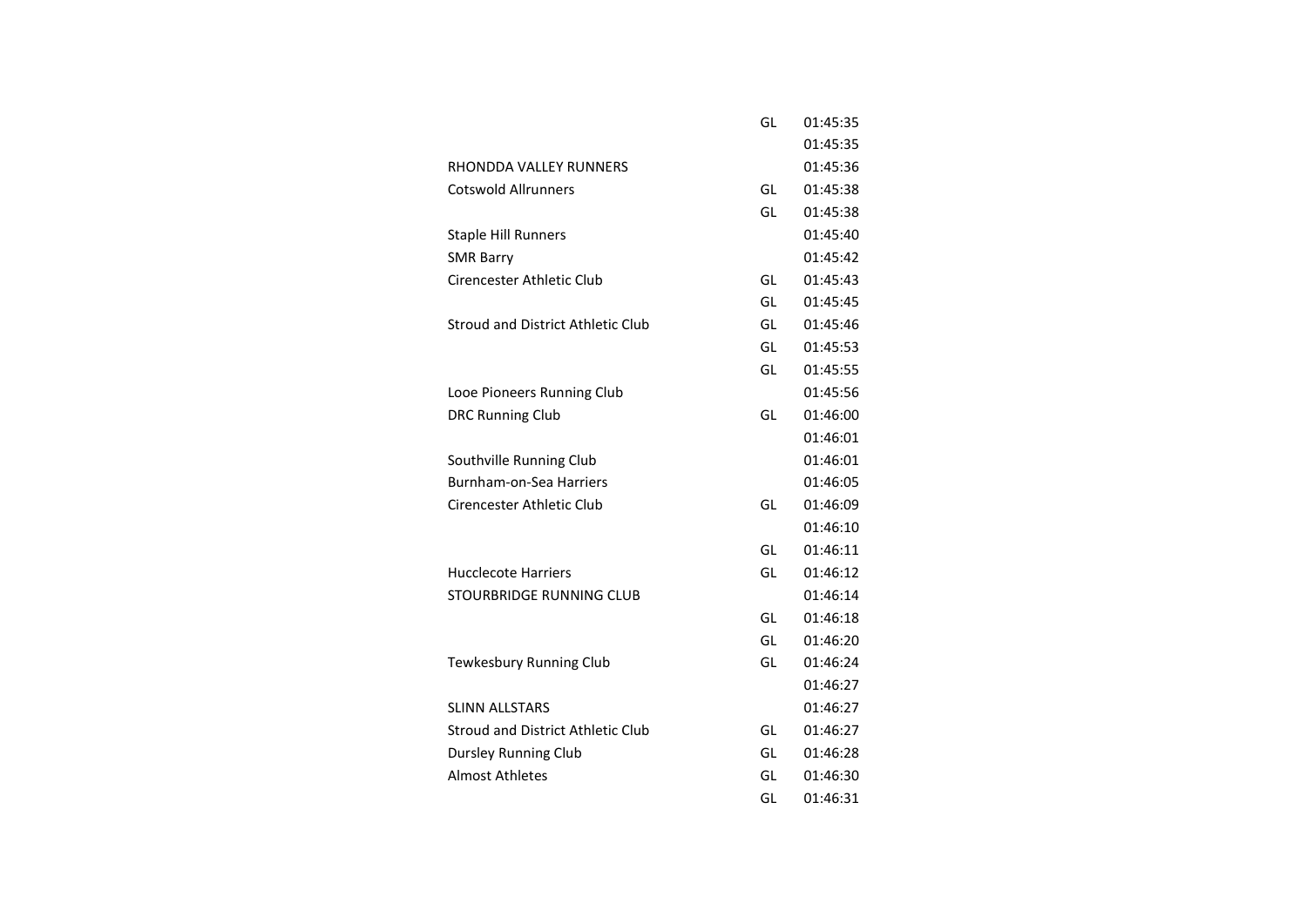|                                          | GL | 01:45:35 |
|------------------------------------------|----|----------|
|                                          |    | 01:45:35 |
| RHONDDA VALLEY RUNNERS                   |    | 01:45:36 |
| <b>Cotswold Allrunners</b>               | GL | 01:45:38 |
|                                          | GL | 01:45:38 |
| <b>Staple Hill Runners</b>               |    | 01:45:40 |
| <b>SMR Barry</b>                         |    | 01:45:42 |
| Cirencester Athletic Club                | GL | 01:45:43 |
|                                          | GL | 01:45:45 |
| Stroud and District Athletic Club        | GL | 01:45:46 |
|                                          | GL | 01:45:53 |
|                                          | GL | 01:45:55 |
| Looe Pioneers Running Club               |    | 01:45:56 |
| <b>DRC Running Club</b>                  | GL | 01:46:00 |
|                                          |    | 01:46:01 |
| Southville Running Club                  |    | 01:46:01 |
| Burnham-on-Sea Harriers                  |    | 01:46:05 |
| Cirencester Athletic Club                | GL | 01:46:09 |
|                                          |    | 01:46:10 |
|                                          | GL | 01:46:11 |
| Hucclecote Harriers                      | GL | 01:46:12 |
| STOURBRIDGE RUNNING CLUB                 |    | 01:46:14 |
|                                          | GL | 01:46:18 |
|                                          | GL | 01:46:20 |
| Tewkesbury Running Club                  | GL | 01:46:24 |
|                                          |    | 01:46:27 |
| <b>SLINN ALLSTARS</b>                    |    | 01:46:27 |
| <b>Stroud and District Athletic Club</b> | GL | 01:46:27 |
| <b>Dursley Running Club</b>              | GL | 01:46:28 |
| <b>Almost Athletes</b>                   | GL | 01:46:30 |
|                                          | GL | 01:46:31 |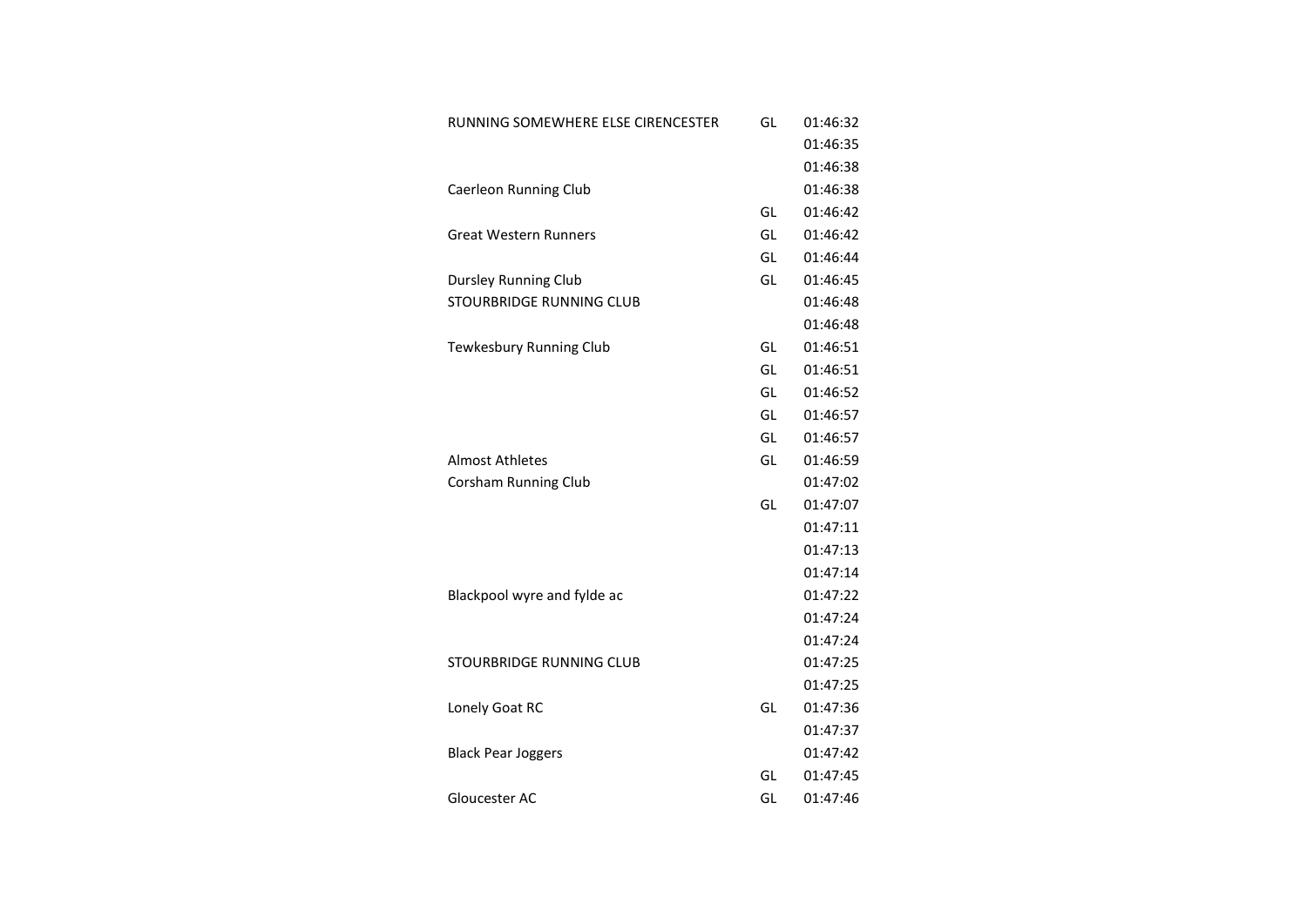| RUNNING SOMEWHERE ELSE CIRENCESTER | GL | 01:46:32 |
|------------------------------------|----|----------|
|                                    |    | 01:46:35 |
|                                    |    | 01:46:38 |
| Caerleon Running Club              |    | 01:46:38 |
|                                    | GL | 01:46:42 |
| <b>Great Western Runners</b>       | GL | 01:46:42 |
|                                    | GL | 01:46:44 |
| <b>Dursley Running Club</b>        | GL | 01:46:45 |
| <b>STOURBRIDGE RUNNING CLUB</b>    |    | 01:46:48 |
|                                    |    | 01:46:48 |
| Tewkesbury Running Club            | GL | 01:46:51 |
|                                    | GL | 01:46:51 |
|                                    | GL | 01:46:52 |
|                                    | GL | 01:46:57 |
|                                    | GL | 01:46:57 |
| <b>Almost Athletes</b>             | GL | 01:46:59 |
| <b>Corsham Running Club</b>        |    | 01:47:02 |
|                                    | GL | 01:47:07 |
|                                    |    | 01:47:11 |
|                                    |    | 01:47:13 |
|                                    |    | 01:47:14 |
| Blackpool wyre and fylde ac        |    | 01:47:22 |
|                                    |    | 01:47:24 |
|                                    |    | 01:47:24 |
| <b>STOURBRIDGE RUNNING CLUB</b>    |    | 01:47:25 |
|                                    |    | 01:47:25 |
| Lonely Goat RC                     | GL | 01:47:36 |
|                                    |    | 01:47:37 |
| <b>Black Pear Joggers</b>          |    | 01:47:42 |
|                                    | GL | 01:47:45 |
| Gloucester AC                      | GL | 01:47:46 |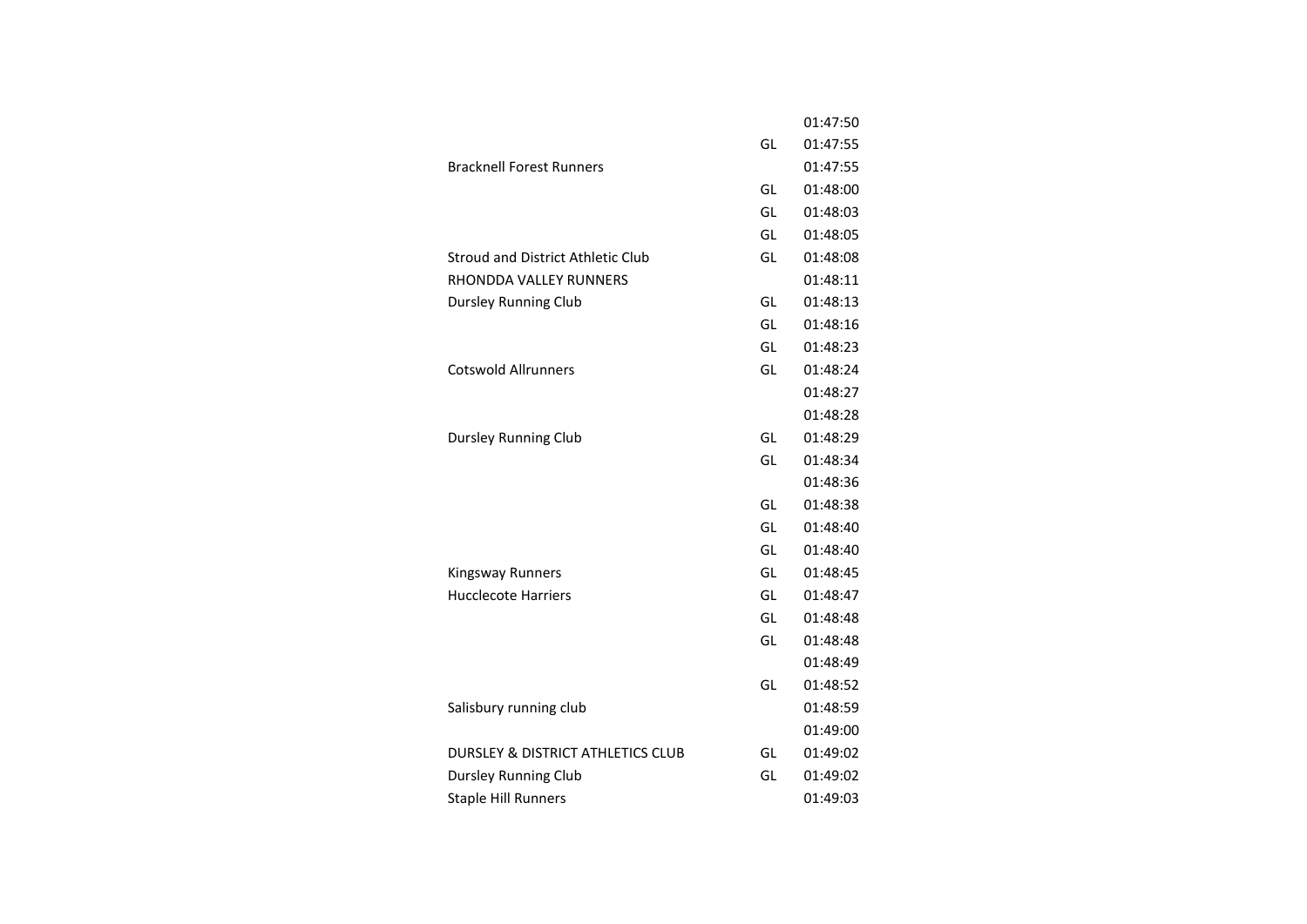|                                              |    | 01:47:50 |
|----------------------------------------------|----|----------|
|                                              | GL | 01:47:55 |
| <b>Bracknell Forest Runners</b>              |    | 01:47:55 |
|                                              | GL | 01:48:00 |
|                                              | GL | 01:48:03 |
|                                              | GL | 01:48:05 |
| <b>Stroud and District Athletic Club</b>     | GL | 01:48:08 |
| RHONDDA VALLEY RUNNERS                       |    | 01:48:11 |
| Dursley Running Club                         | GL | 01:48:13 |
|                                              | GL | 01:48:16 |
|                                              | GL | 01:48:23 |
| <b>Cotswold Allrunners</b>                   | GL | 01:48:24 |
|                                              |    | 01:48:27 |
|                                              |    | 01:48:28 |
| <b>Dursley Running Club</b>                  | GL | 01:48:29 |
|                                              | GL | 01:48:34 |
|                                              |    | 01:48:36 |
|                                              | GL | 01:48:38 |
|                                              | GL | 01:48:40 |
|                                              | GL | 01:48:40 |
| <b>Kingsway Runners</b>                      | GL | 01:48:45 |
| <b>Hucclecote Harriers</b>                   | GL | 01:48:47 |
|                                              | GL | 01:48:48 |
|                                              | GL | 01:48:48 |
|                                              |    | 01:48:49 |
|                                              | GL | 01:48:52 |
| Salisbury running club                       |    | 01:48:59 |
|                                              |    | 01:49:00 |
| <b>DURSLEY &amp; DISTRICT ATHLETICS CLUB</b> | GL | 01:49:02 |
| Dursley Running Club                         | GL | 01:49:02 |
| <b>Staple Hill Runners</b>                   |    | 01:49:03 |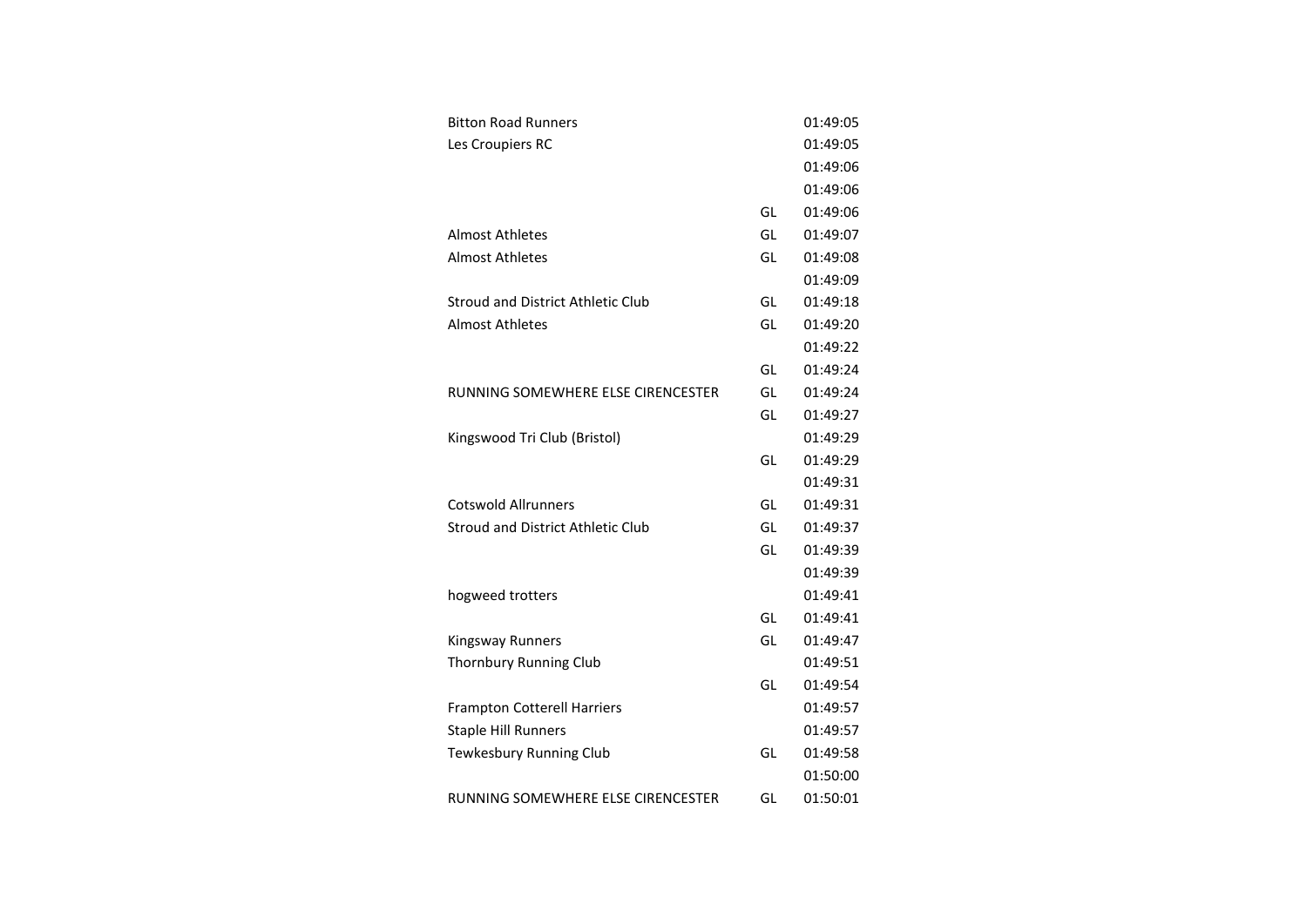| <b>Bitton Road Runners</b>         |    | 01:49:05 |
|------------------------------------|----|----------|
| Les Croupiers RC                   |    | 01:49:05 |
|                                    |    | 01:49:06 |
|                                    |    | 01:49:06 |
|                                    | GL | 01:49:06 |
| <b>Almost Athletes</b>             | GL | 01:49:07 |
| <b>Almost Athletes</b>             | GL | 01:49:08 |
|                                    |    | 01:49:09 |
| Stroud and District Athletic Club  | GL | 01:49:18 |
| Almost Athletes                    | GL | 01:49:20 |
|                                    |    | 01:49:22 |
|                                    | GL | 01:49:24 |
| RUNNING SOMEWHERE ELSE CIRENCESTER | GL | 01:49:24 |
|                                    | GL | 01:49:27 |
| Kingswood Tri Club (Bristol)       |    | 01:49:29 |
|                                    | GL | 01:49:29 |
|                                    |    | 01:49:31 |
| <b>Cotswold Allrunners</b>         | GL | 01:49:31 |
| Stroud and District Athletic Club  | GL | 01:49:37 |
|                                    | GL | 01:49:39 |
|                                    |    | 01:49:39 |
| hogweed trotters                   |    | 01:49:41 |
|                                    | GL | 01:49:41 |
| <b>Kingsway Runners</b>            | GL | 01:49:47 |
| <b>Thornbury Running Club</b>      |    | 01:49:51 |
|                                    | GL | 01:49:54 |
| <b>Frampton Cotterell Harriers</b> |    | 01:49:57 |
| <b>Staple Hill Runners</b>         |    | 01:49:57 |
| Tewkesbury Running Club            | GL | 01:49:58 |
|                                    |    | 01:50:00 |
| RUNNING SOMEWHERE ELSE CIRENCESTER | GL | 01:50:01 |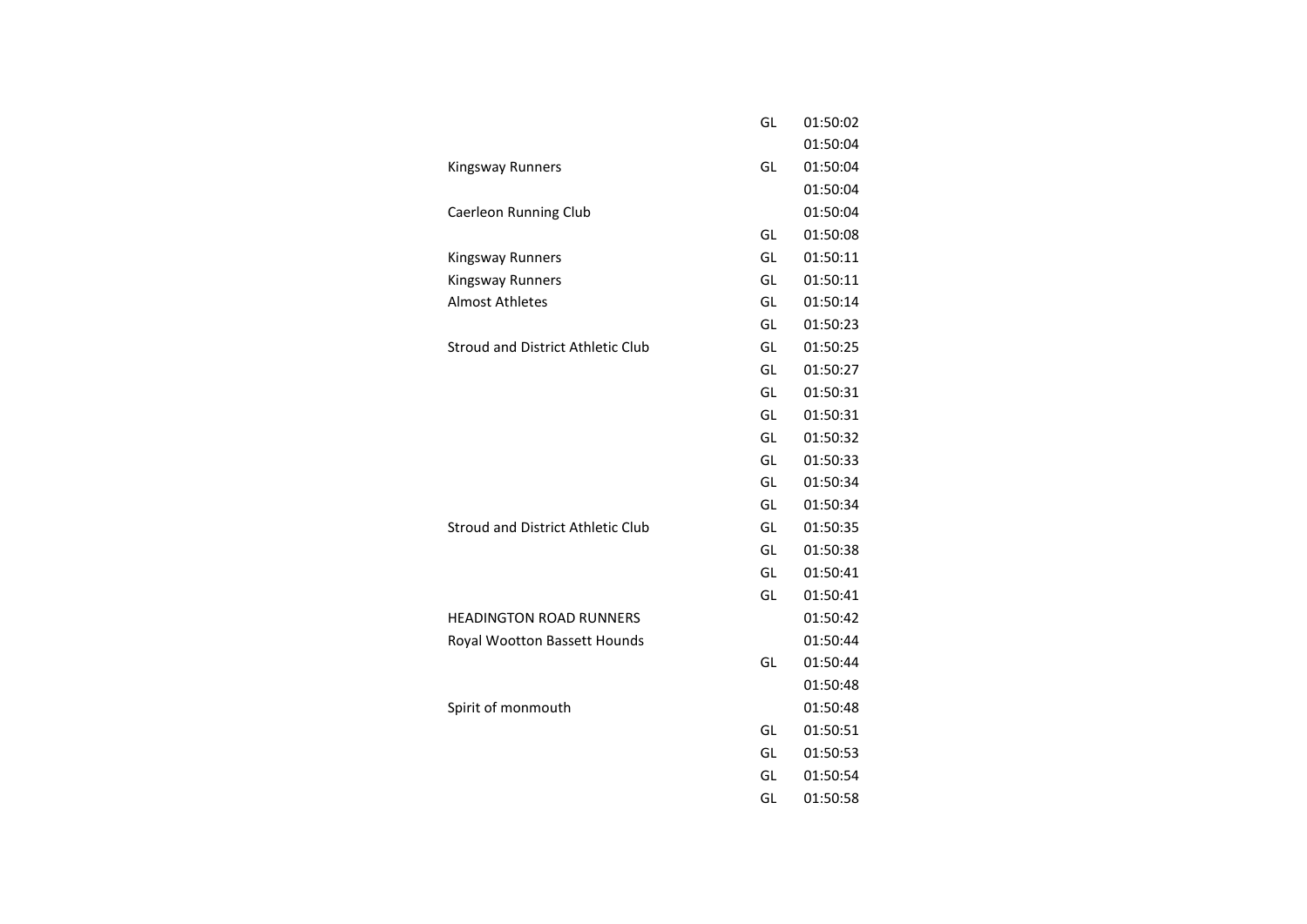|                                          | GL | 01:50:02 |
|------------------------------------------|----|----------|
|                                          |    | 01:50:04 |
| Kingsway Runners                         | GL | 01:50:04 |
|                                          |    | 01:50:04 |
| Caerleon Running Club                    |    | 01:50:04 |
|                                          | GL | 01:50:08 |
| Kingsway Runners                         | GL | 01:50:11 |
| Kingsway Runners                         | GL | 01:50:11 |
| <b>Almost Athletes</b>                   | GL | 01:50:14 |
|                                          | GL | 01:50:23 |
| <b>Stroud and District Athletic Club</b> | GL | 01:50:25 |
|                                          | GL | 01:50:27 |
|                                          | GL | 01:50:31 |
|                                          | GL | 01:50:31 |
|                                          | GL | 01:50:32 |
|                                          | GL | 01:50:33 |
|                                          | GL | 01:50:34 |
|                                          | GL | 01:50:34 |
| <b>Stroud and District Athletic Club</b> | GL | 01:50:35 |
|                                          | GL | 01:50:38 |
|                                          | GL | 01:50:41 |
|                                          | GL | 01:50:41 |
| <b>HEADINGTON ROAD RUNNERS</b>           |    | 01:50:42 |
| Royal Wootton Bassett Hounds             |    | 01:50:44 |
|                                          | GL | 01:50:44 |
|                                          |    | 01:50:48 |
| Spirit of monmouth                       |    | 01:50:48 |
|                                          | GL | 01:50:51 |
|                                          | GL | 01:50:53 |
|                                          | GL | 01:50:54 |
|                                          | GL | 01:50:58 |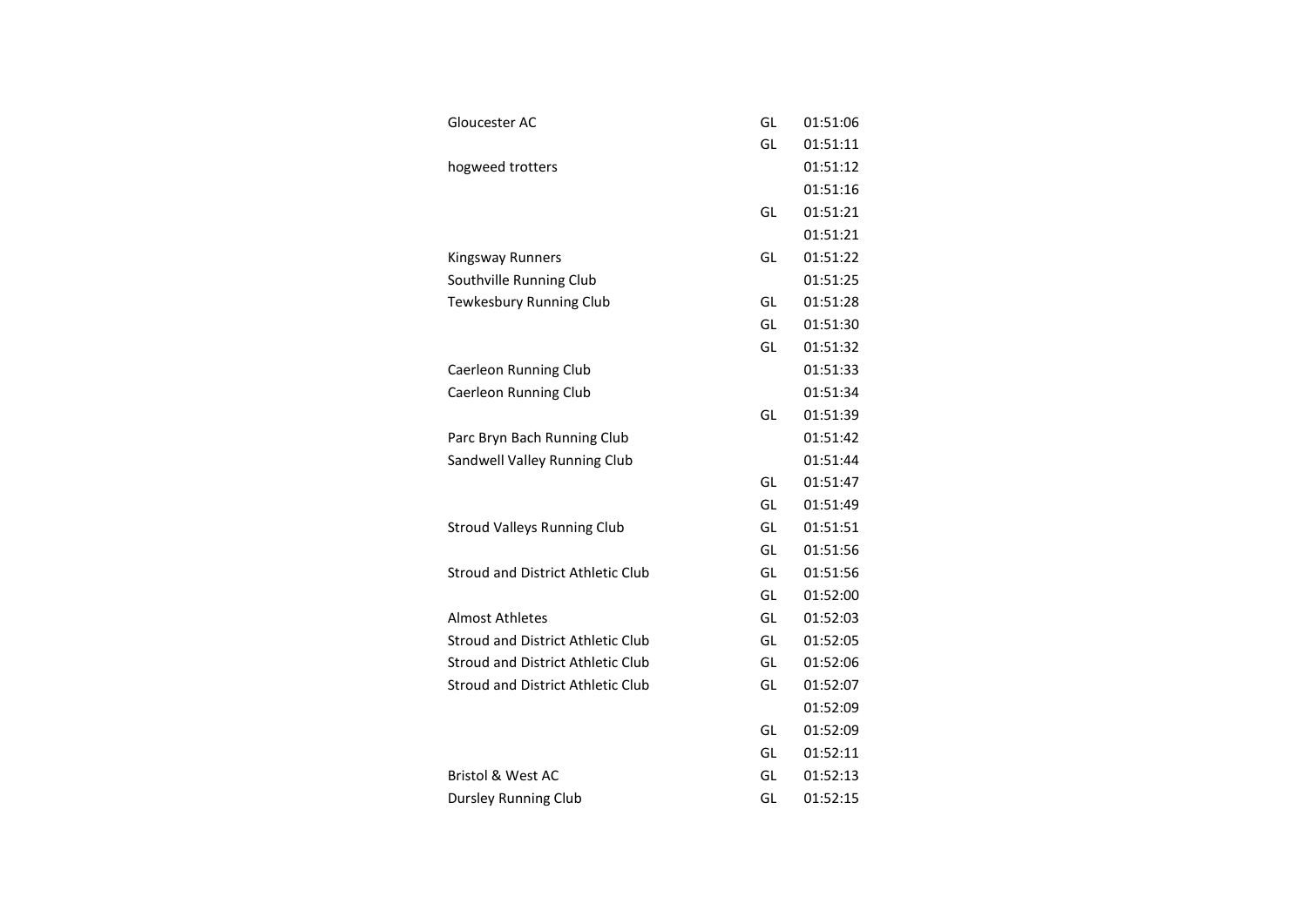| Gloucester AC                            | GL | 01:51:06 |
|------------------------------------------|----|----------|
|                                          | GL | 01:51:11 |
| hogweed trotters                         |    | 01:51:12 |
|                                          |    | 01:51:16 |
|                                          | GL | 01:51:21 |
|                                          |    | 01:51:21 |
| <b>Kingsway Runners</b>                  | GL | 01:51:22 |
| Southville Running Club                  |    | 01:51:25 |
| Tewkesbury Running Club                  | GL | 01:51:28 |
|                                          | GL | 01:51:30 |
|                                          | GL | 01:51:32 |
| Caerleon Running Club                    |    | 01:51:33 |
| Caerleon Running Club                    |    | 01:51:34 |
|                                          | GL | 01:51:39 |
| Parc Bryn Bach Running Club              |    | 01:51:42 |
| Sandwell Valley Running Club             |    | 01:51:44 |
|                                          | GL | 01:51:47 |
|                                          | GL | 01:51:49 |
| <b>Stroud Valleys Running Club</b>       | GL | 01:51:51 |
|                                          | GL | 01:51:56 |
| <b>Stroud and District Athletic Club</b> | GL | 01:51:56 |
|                                          | GL | 01:52:00 |
| <b>Almost Athletes</b>                   | GL | 01:52:03 |
| Stroud and District Athletic Club        | GL | 01:52:05 |
| Stroud and District Athletic Club        | GL | 01:52:06 |
| <b>Stroud and District Athletic Club</b> | GL | 01:52:07 |
|                                          |    | 01:52:09 |
|                                          | GL | 01:52:09 |
|                                          | GL | 01:52:11 |
| <b>Bristol &amp; West AC</b>             | GL | 01:52:13 |
| <b>Dursley Running Club</b>              | GL | 01:52:15 |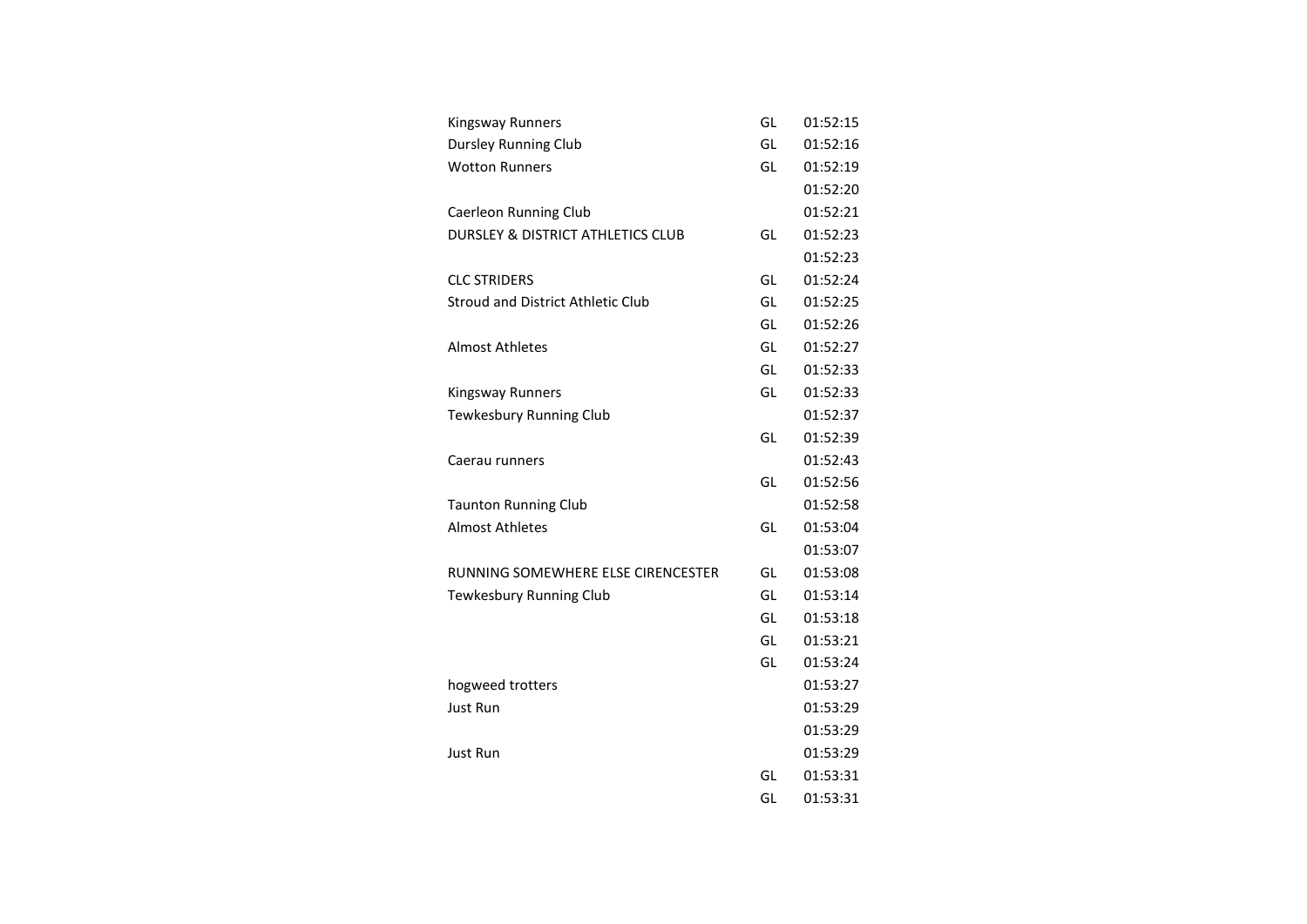| <b>Kingsway Runners</b>                      | GL | 01:52:15 |
|----------------------------------------------|----|----------|
| <b>Dursley Running Club</b>                  | GL | 01:52:16 |
| <b>Wotton Runners</b>                        | GL | 01:52:19 |
|                                              |    | 01:52:20 |
| Caerleon Running Club                        |    | 01:52:21 |
| <b>DURSLEY &amp; DISTRICT ATHLETICS CLUB</b> | GL | 01:52:23 |
|                                              |    | 01:52:23 |
| <b>CLC STRIDERS</b>                          | GL | 01:52:24 |
| Stroud and District Athletic Club            | GL | 01:52:25 |
|                                              | GL | 01:52:26 |
| <b>Almost Athletes</b>                       | GL | 01:52:27 |
|                                              | GL | 01:52:33 |
| <b>Kingsway Runners</b>                      | GL | 01:52:33 |
| Tewkesbury Running Club                      |    | 01:52:37 |
|                                              | GL | 01:52:39 |
| Caerau runners                               |    | 01:52:43 |
|                                              | GL | 01:52:56 |
| <b>Taunton Running Club</b>                  |    | 01:52:58 |
| <b>Almost Athletes</b>                       | GL | 01:53:04 |
|                                              |    | 01:53:07 |
| RUNNING SOMEWHERE ELSE CIRENCESTER           | GL | 01:53:08 |
| Tewkesbury Running Club                      | GL | 01:53:14 |
|                                              | GL | 01:53:18 |
|                                              | GL | 01:53:21 |
|                                              | GL | 01:53:24 |
| hogweed trotters                             |    | 01:53:27 |
| Just Run                                     |    | 01:53:29 |
|                                              |    | 01:53:29 |
| Just Run                                     |    | 01:53:29 |
|                                              | GL | 01:53:31 |
|                                              | GL | 01:53:31 |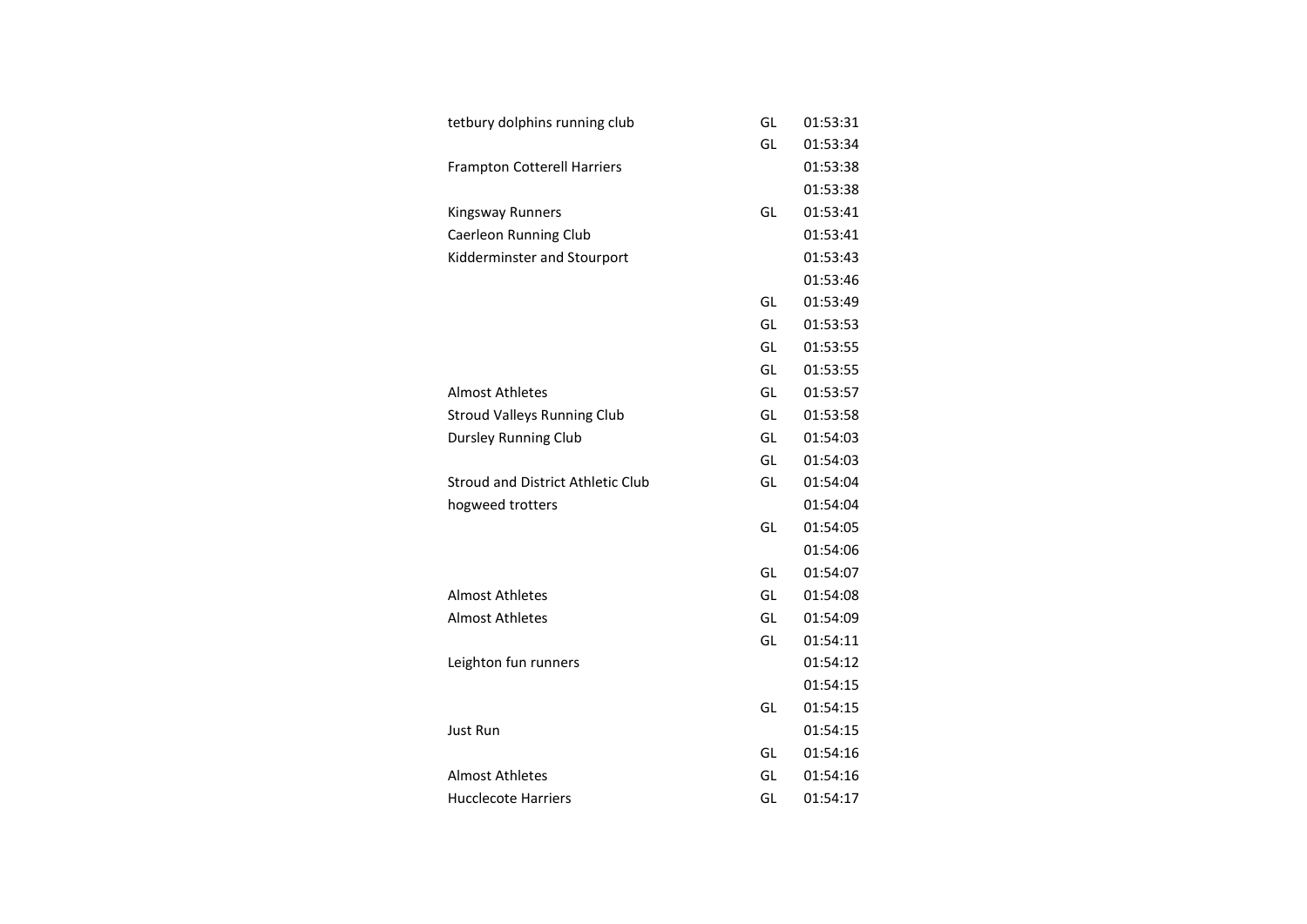| tetbury dolphins running club            | GL | 01:53:31 |
|------------------------------------------|----|----------|
|                                          | GL | 01:53:34 |
| <b>Frampton Cotterell Harriers</b>       |    | 01:53:38 |
|                                          |    | 01:53:38 |
| Kingsway Runners                         | GL | 01:53:41 |
| Caerleon Running Club                    |    | 01:53:41 |
| Kidderminster and Stourport              |    | 01:53:43 |
|                                          |    | 01:53:46 |
|                                          | GL | 01:53:49 |
|                                          | GL | 01:53:53 |
|                                          | GL | 01:53:55 |
|                                          | GL | 01:53:55 |
| Almost Athletes                          | GL | 01:53:57 |
| <b>Stroud Valleys Running Club</b>       | GL | 01:53:58 |
| <b>Dursley Running Club</b>              | GL | 01:54:03 |
|                                          | GL | 01:54:03 |
| <b>Stroud and District Athletic Club</b> | GL | 01:54:04 |
| hogweed trotters                         |    | 01:54:04 |
|                                          | GL | 01:54:05 |
|                                          |    | 01:54:06 |
|                                          | GL | 01:54:07 |
| Almost Athletes                          | GL | 01:54:08 |
| <b>Almost Athletes</b>                   | GL | 01:54:09 |
|                                          | GL | 01:54:11 |
| Leighton fun runners                     |    | 01:54:12 |
|                                          |    | 01:54:15 |
|                                          | GL | 01:54:15 |
| <b>Just Run</b>                          |    | 01:54:15 |
|                                          | GL | 01:54:16 |
| <b>Almost Athletes</b>                   | GL | 01:54:16 |
| <b>Hucclecote Harriers</b>               | GL | 01:54:17 |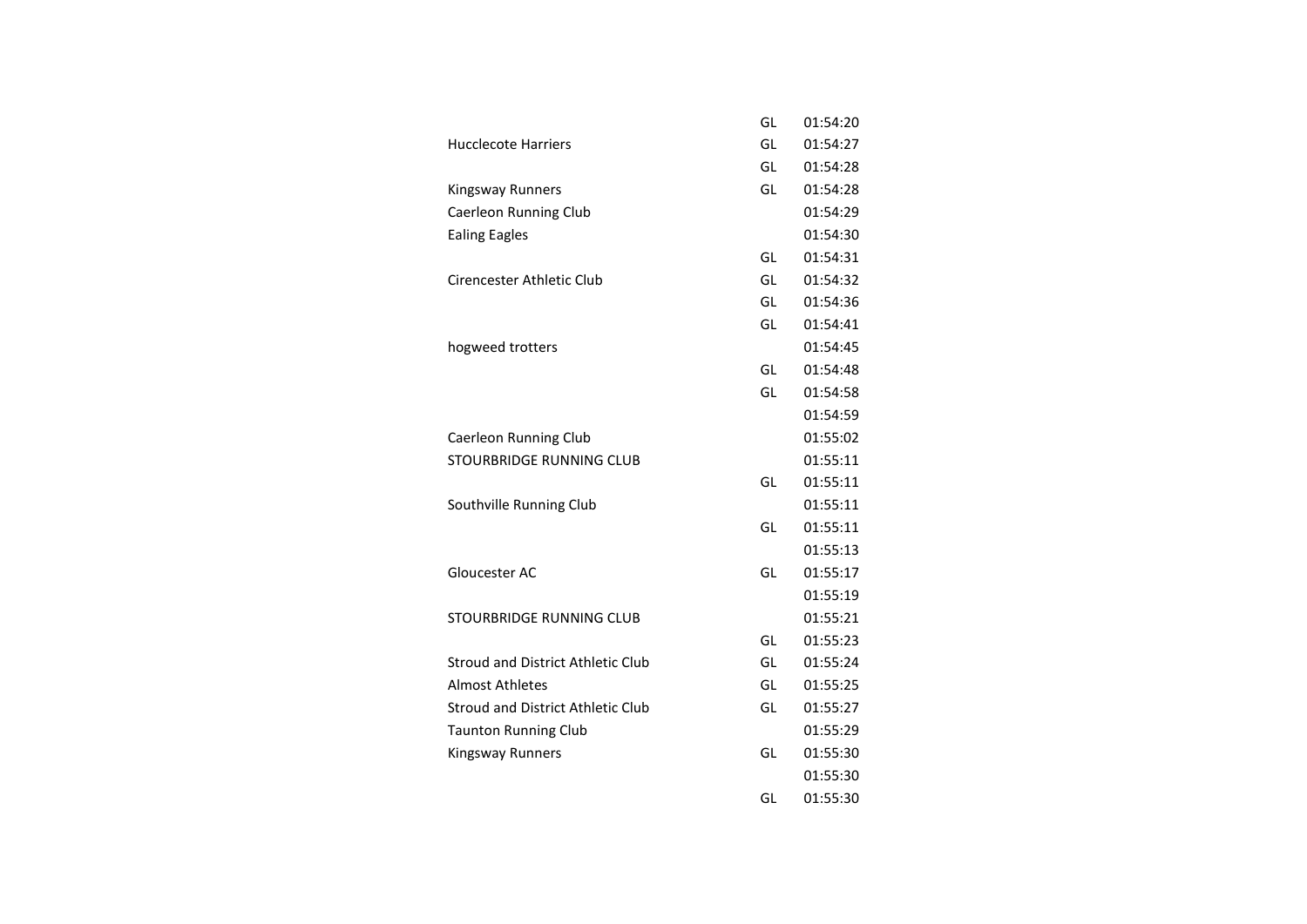|                                          | GL | 01:54:20 |
|------------------------------------------|----|----------|
| <b>Hucclecote Harriers</b>               | GL | 01:54:27 |
|                                          | GL | 01:54:28 |
| Kingsway Runners                         | GL | 01:54:28 |
| <b>Caerleon Running Club</b>             |    | 01:54:29 |
| <b>Ealing Eagles</b>                     |    | 01:54:30 |
|                                          | GL | 01:54:31 |
| Cirencester Athletic Club                | GL | 01:54:32 |
|                                          | GL | 01:54:36 |
|                                          | GL | 01:54:41 |
| hogweed trotters                         |    | 01:54:45 |
|                                          | GL | 01:54:48 |
|                                          | GL | 01:54:58 |
|                                          |    | 01:54:59 |
| Caerleon Running Club                    |    | 01:55:02 |
| STOURBRIDGE RUNNING CLUB                 |    | 01:55:11 |
|                                          | GL | 01:55:11 |
| Southville Running Club                  |    | 01:55:11 |
|                                          | GL | 01:55:11 |
|                                          |    | 01:55:13 |
| Gloucester AC                            | GL | 01:55:17 |
|                                          |    | 01:55:19 |
| <b>STOURBRIDGE RUNNING CLUB</b>          |    | 01:55:21 |
|                                          | GL | 01:55:23 |
| <b>Stroud and District Athletic Club</b> | GL | 01:55:24 |
| <b>Almost Athletes</b>                   | GL | 01:55:25 |
| <b>Stroud and District Athletic Club</b> | GL | 01:55:27 |
| <b>Taunton Running Club</b>              |    | 01:55:29 |
| Kingsway Runners                         | GL | 01:55:30 |
|                                          |    | 01:55:30 |
|                                          | GL | 01:55:30 |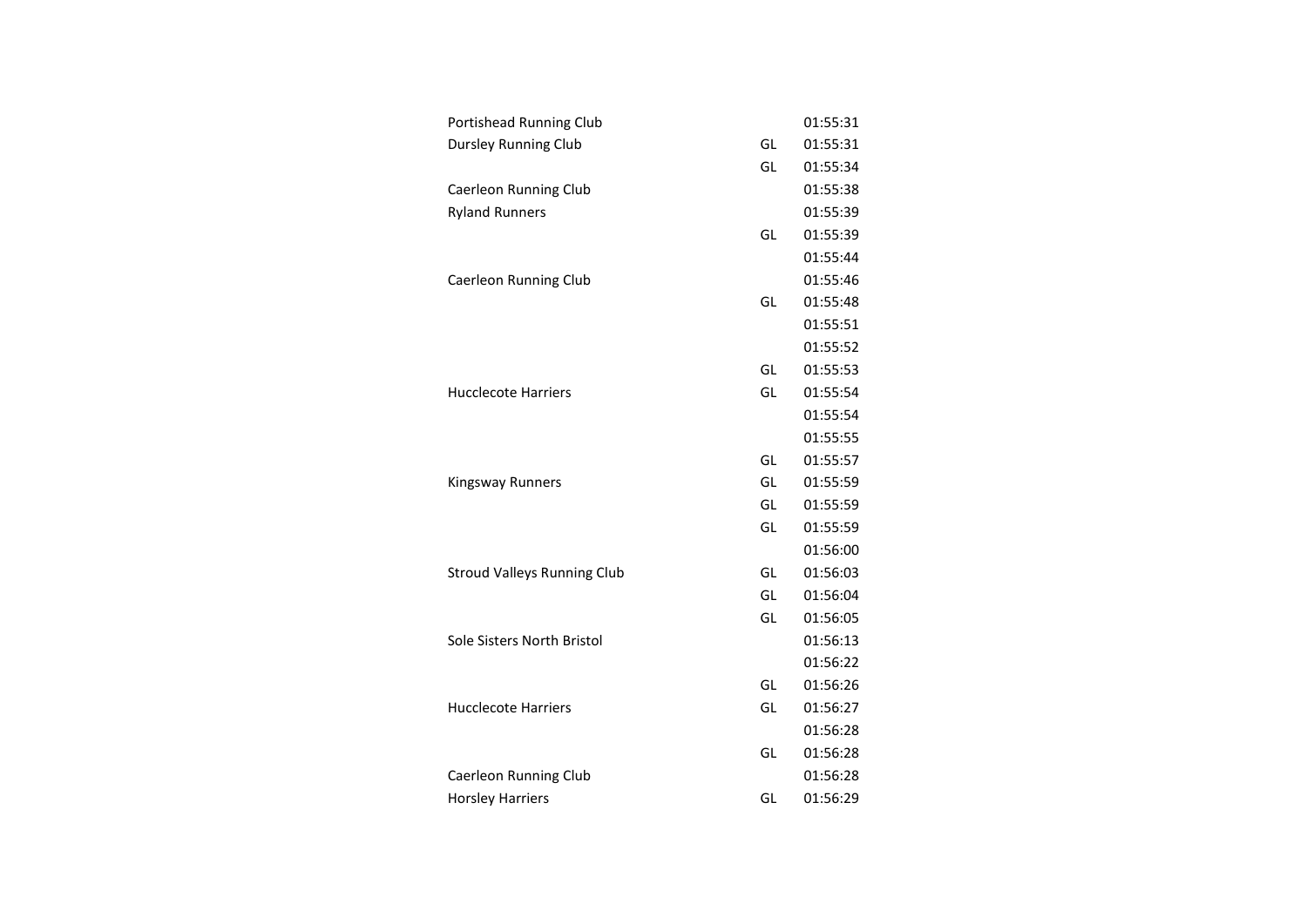| Portishead Running Club            |    | 01:55:31 |
|------------------------------------|----|----------|
| <b>Dursley Running Club</b>        | GL | 01:55:31 |
|                                    | GL | 01:55:34 |
| Caerleon Running Club              |    | 01:55:38 |
| <b>Ryland Runners</b>              |    | 01:55:39 |
|                                    | GL | 01:55:39 |
|                                    |    | 01:55:44 |
| Caerleon Running Club              |    | 01:55:46 |
|                                    | GL | 01:55:48 |
|                                    |    | 01:55:51 |
|                                    |    | 01:55:52 |
|                                    | GL | 01:55:53 |
| <b>Hucclecote Harriers</b>         | GL | 01:55:54 |
|                                    |    | 01:55:54 |
|                                    |    | 01:55:55 |
|                                    | GL | 01:55:57 |
| Kingsway Runners                   | GL | 01:55:59 |
|                                    | GL | 01:55:59 |
|                                    | GL | 01:55:59 |
|                                    |    | 01:56:00 |
| <b>Stroud Valleys Running Club</b> | GL | 01:56:03 |
|                                    | GL | 01:56:04 |
|                                    | GL | 01:56:05 |
| Sole Sisters North Bristol         |    | 01:56:13 |
|                                    |    | 01:56:22 |
|                                    | GL | 01:56:26 |
| <b>Hucclecote Harriers</b>         | GL | 01:56:27 |
|                                    |    | 01:56:28 |
|                                    | GL | 01:56:28 |
| Caerleon Running Club              |    | 01:56:28 |
| <b>Horsley Harriers</b>            | GL | 01:56:29 |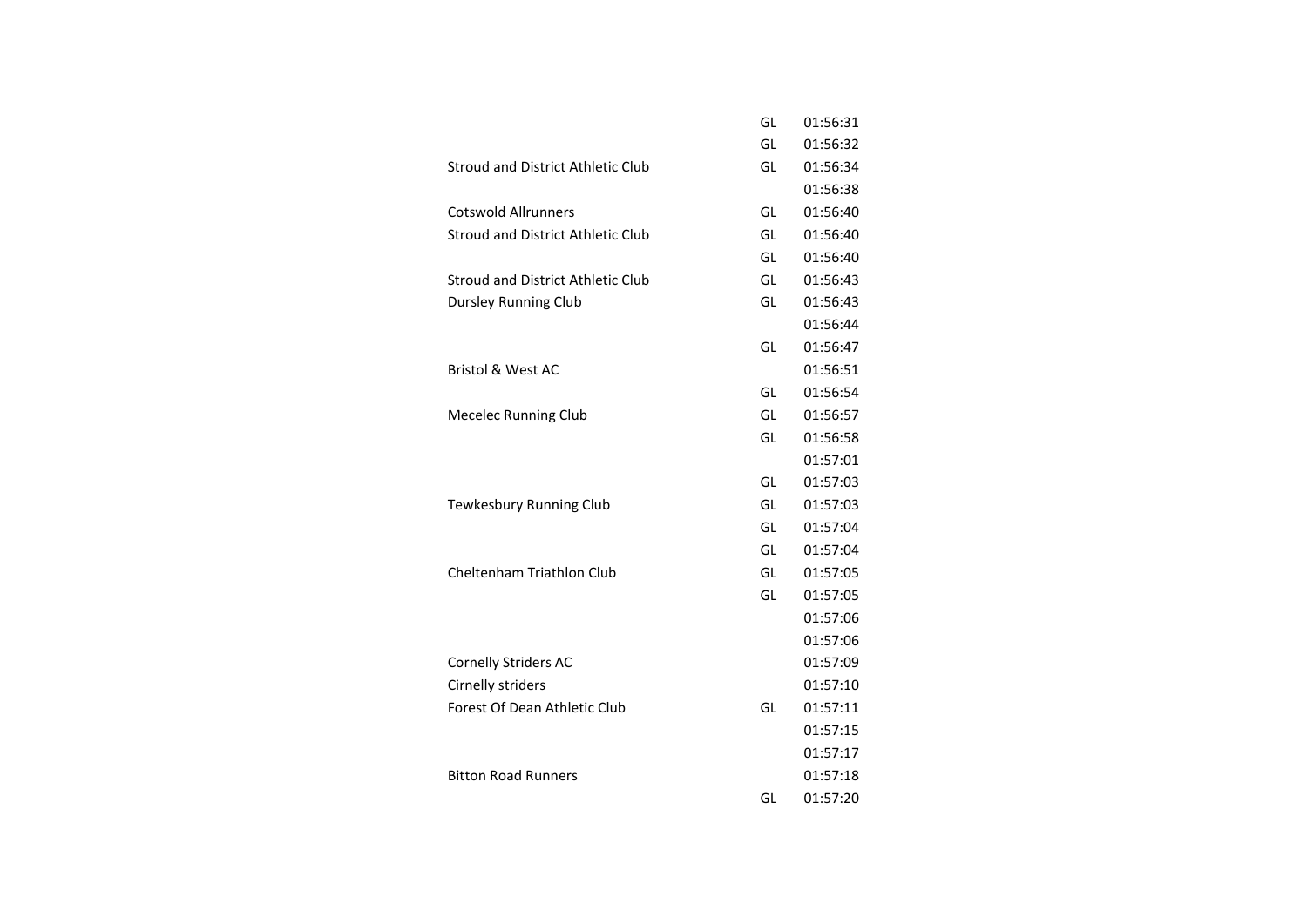|                                          | GL | 01:56:31 |
|------------------------------------------|----|----------|
|                                          | GL | 01:56:32 |
| <b>Stroud and District Athletic Club</b> | GL | 01:56:34 |
|                                          |    | 01:56:38 |
| <b>Cotswold Allrunners</b>               | GL | 01:56:40 |
| Stroud and District Athletic Club        | GL | 01:56:40 |
|                                          | GL | 01:56:40 |
| <b>Stroud and District Athletic Club</b> | GL | 01:56:43 |
| <b>Dursley Running Club</b>              | GL | 01:56:43 |
|                                          |    | 01:56:44 |
|                                          | GL | 01:56:47 |
| <b>Bristol &amp; West AC</b>             |    | 01:56:51 |
|                                          | GL | 01:56:54 |
| <b>Mecelec Running Club</b>              | GL | 01:56:57 |
|                                          | GL | 01:56:58 |
|                                          |    | 01:57:01 |
|                                          | GL | 01:57:03 |
| Tewkesbury Running Club                  | GL | 01:57:03 |
|                                          | GL | 01:57:04 |
|                                          | GL | 01:57:04 |
| <b>Cheltenham Triathlon Club</b>         | GL | 01:57:05 |
|                                          | GL | 01:57:05 |
|                                          |    | 01:57:06 |
|                                          |    | 01:57:06 |
| <b>Cornelly Striders AC</b>              |    | 01:57:09 |
| Cirnelly striders                        |    | 01:57:10 |
| Forest Of Dean Athletic Club             | GL | 01:57:11 |
|                                          |    | 01:57:15 |
|                                          |    | 01:57:17 |
| <b>Bitton Road Runners</b>               |    | 01:57:18 |
|                                          | GL | 01:57:20 |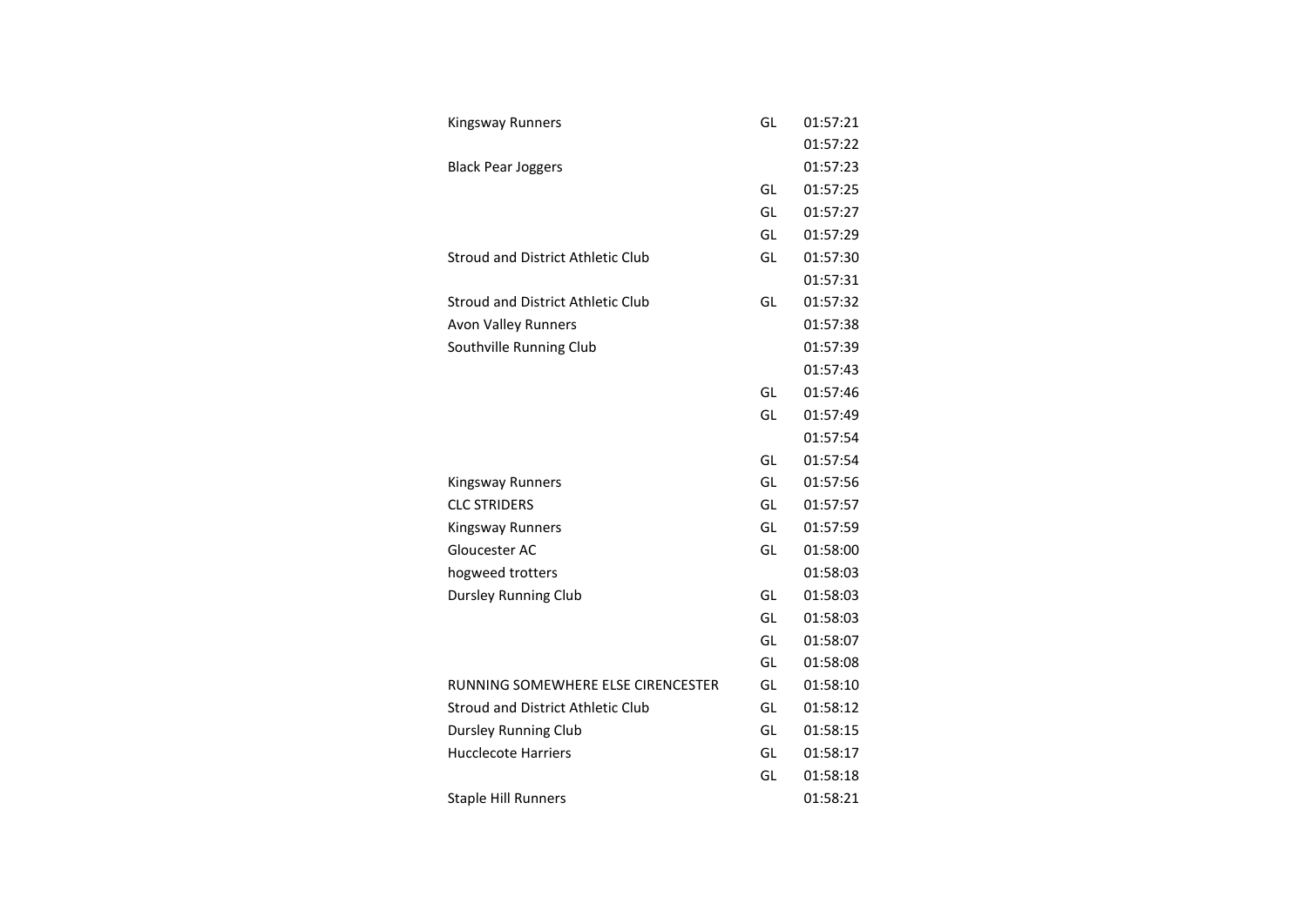| Kingsway Runners                         | GL | 01:57:21 |
|------------------------------------------|----|----------|
|                                          |    | 01:57:22 |
| <b>Black Pear Joggers</b>                |    | 01:57:23 |
|                                          | GL | 01:57:25 |
|                                          | GL | 01:57:27 |
|                                          | GL | 01:57:29 |
| Stroud and District Athletic Club        | GL | 01:57:30 |
|                                          |    | 01:57:31 |
| <b>Stroud and District Athletic Club</b> | GL | 01:57:32 |
| <b>Avon Valley Runners</b>               |    | 01:57:38 |
| Southville Running Club                  |    | 01:57:39 |
|                                          |    | 01:57:43 |
|                                          | GL | 01:57:46 |
|                                          | GL | 01:57:49 |
|                                          |    | 01:57:54 |
|                                          | GL | 01:57:54 |
| Kingsway Runners                         | GL | 01:57:56 |
| <b>CLC STRIDERS</b>                      | GL | 01:57:57 |
| <b>Kingsway Runners</b>                  | GL | 01:57:59 |
| Gloucester AC                            | GL | 01:58:00 |
| hogweed trotters                         |    | 01:58:03 |
| <b>Dursley Running Club</b>              | GL | 01:58:03 |
|                                          | GL | 01:58:03 |
|                                          | GL | 01:58:07 |
|                                          | GL | 01:58:08 |
| RUNNING SOMEWHERE ELSE CIRENCESTER       | GL | 01:58:10 |
| <b>Stroud and District Athletic Club</b> | GL | 01:58:12 |
| <b>Dursley Running Club</b>              | GL | 01:58:15 |
| <b>Hucclecote Harriers</b>               | GL | 01:58:17 |
|                                          | GL | 01:58:18 |
| <b>Staple Hill Runners</b>               |    | 01:58:21 |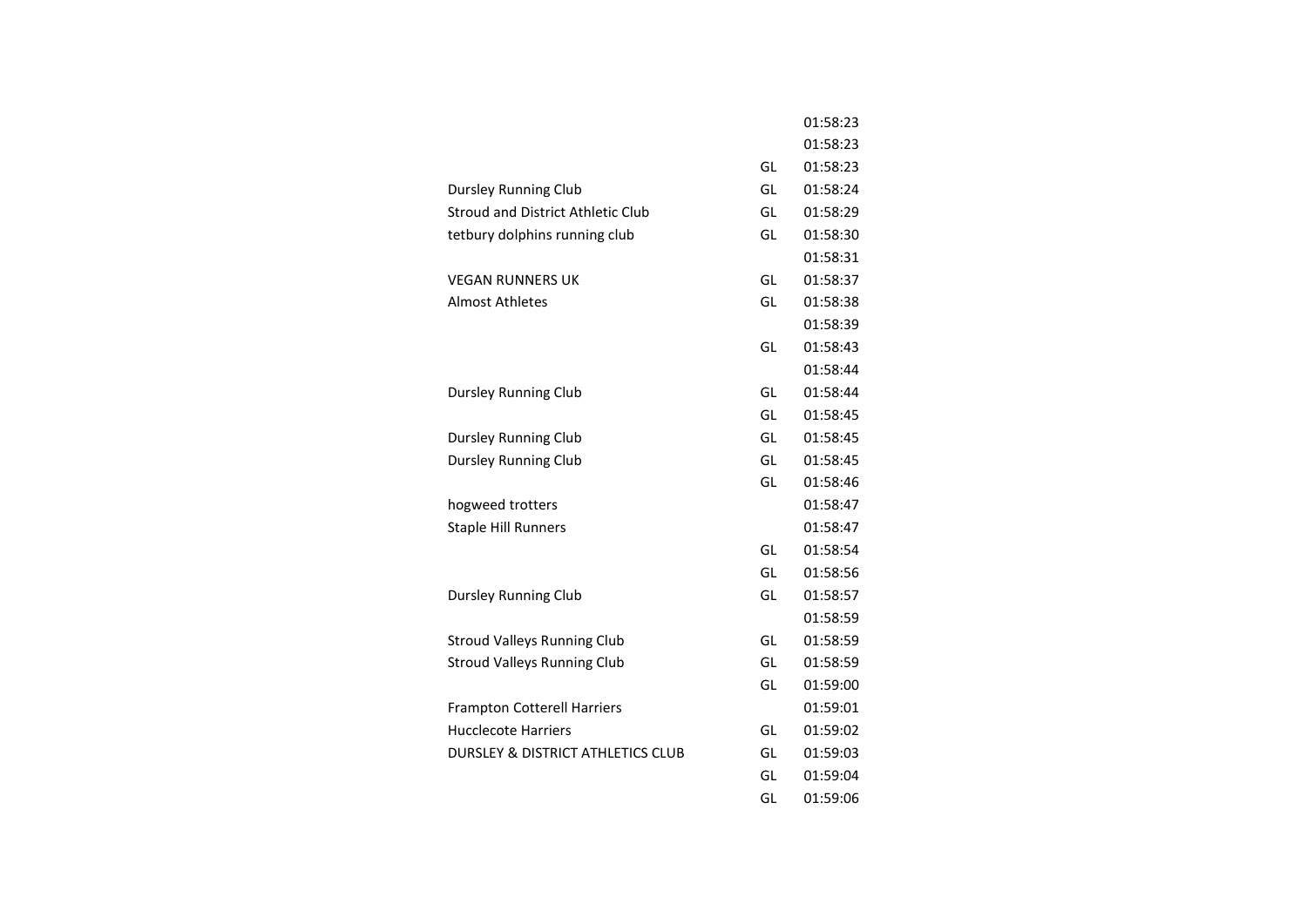|                                          |    | 01:58:23 |
|------------------------------------------|----|----------|
|                                          |    | 01:58:23 |
|                                          | GL | 01:58:23 |
| Dursley Running Club                     | GL | 01:58:24 |
| <b>Stroud and District Athletic Club</b> | GL | 01:58:29 |
| tetbury dolphins running club            | GL | 01:58:30 |
|                                          |    | 01:58:31 |
| <b>VEGAN RUNNERS UK</b>                  | GL | 01:58:37 |
| <b>Almost Athletes</b>                   | GL | 01:58:38 |
|                                          |    | 01:58:39 |
|                                          | GL | 01:58:43 |
|                                          |    | 01:58:44 |
| <b>Dursley Running Club</b>              | GL | 01:58:44 |
|                                          | GL | 01:58:45 |
| <b>Dursley Running Club</b>              | GL | 01:58:45 |
| Dursley Running Club                     | GL | 01:58:45 |
|                                          | GL | 01:58:46 |
| hogweed trotters                         |    | 01:58:47 |
| <b>Staple Hill Runners</b>               |    | 01:58:47 |
|                                          | GL | 01:58:54 |
|                                          | GL | 01:58:56 |
| <b>Dursley Running Club</b>              | GL | 01:58:57 |
|                                          |    | 01:58:59 |
| <b>Stroud Valleys Running Club</b>       | GL | 01:58:59 |
| <b>Stroud Valleys Running Club</b>       | GL | 01:58:59 |
|                                          | GL | 01:59:00 |
| <b>Frampton Cotterell Harriers</b>       |    | 01:59:01 |
| <b>Hucclecote Harriers</b>               | GL | 01:59:02 |
| DURSLEY & DISTRICT ATHLETICS CLUB        | GL | 01:59:03 |
|                                          | GL | 01:59:04 |
|                                          | GL | 01:59:06 |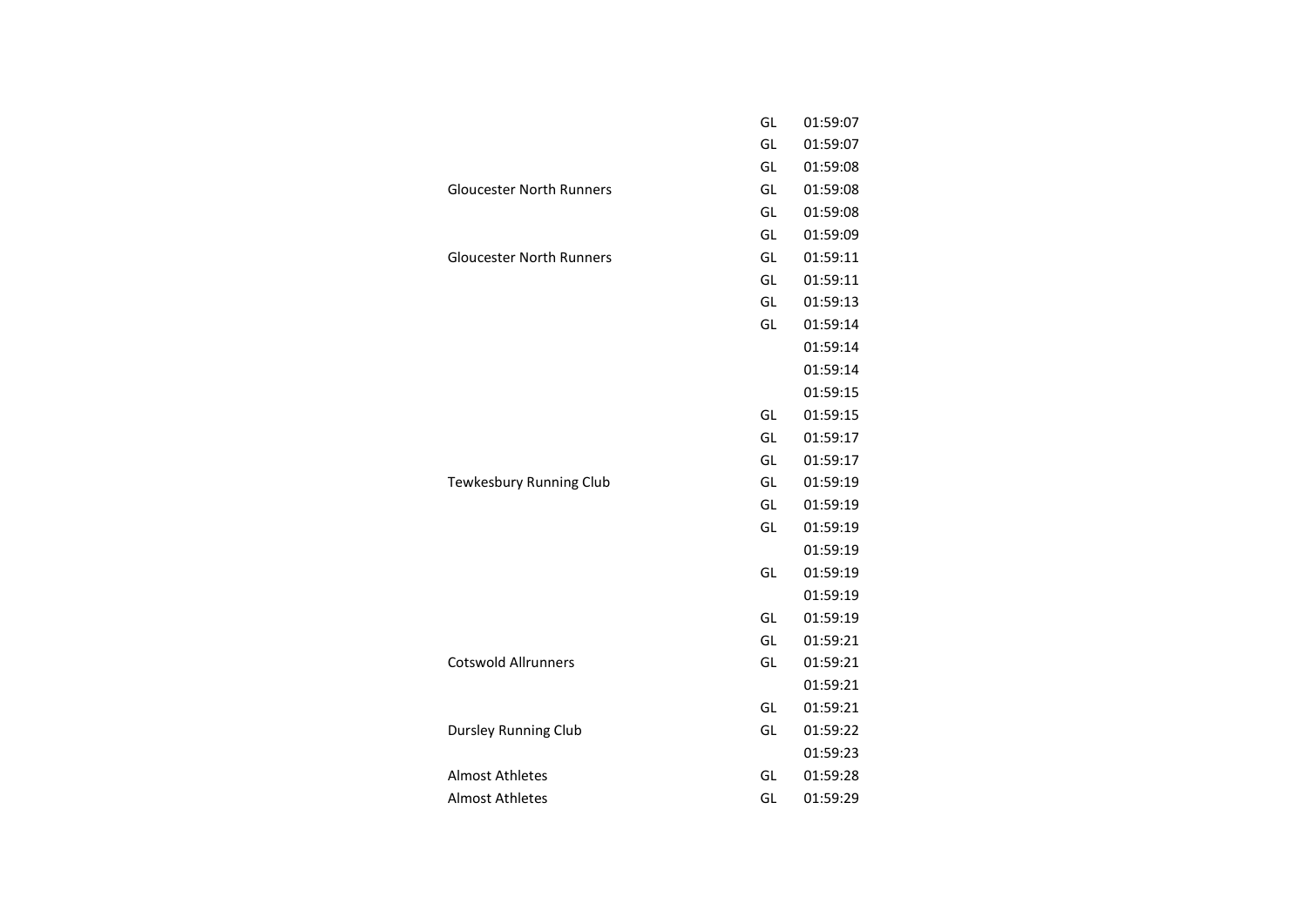|                                 | GL | 01:59:07 |
|---------------------------------|----|----------|
|                                 | GL | 01:59:07 |
|                                 | GL | 01:59:08 |
| <b>Gloucester North Runners</b> | GL | 01:59:08 |
|                                 | GL | 01:59:08 |
|                                 | GL | 01:59:09 |
| <b>Gloucester North Runners</b> | GL | 01:59:11 |
|                                 | GL | 01:59:11 |
|                                 | GL | 01:59:13 |
|                                 | GL | 01:59:14 |
|                                 |    | 01:59:14 |
|                                 |    | 01:59:14 |
|                                 |    | 01:59:15 |
|                                 | GL | 01:59:15 |
|                                 | GL | 01:59:17 |
|                                 | GL | 01:59:17 |
| Tewkesbury Running Club         | GL | 01:59:19 |
|                                 | GL | 01:59:19 |
|                                 | GL | 01:59:19 |
|                                 |    | 01:59:19 |
|                                 | GL | 01:59:19 |
|                                 |    | 01:59:19 |
|                                 | GL | 01:59:19 |
|                                 | GL | 01:59:21 |
| <b>Cotswold Allrunners</b>      | GL | 01:59:21 |
|                                 |    | 01:59:21 |
|                                 | GL | 01:59:21 |
| <b>Dursley Running Club</b>     | GL | 01:59:22 |
|                                 |    | 01:59:23 |
| <b>Almost Athletes</b>          | GL | 01:59:28 |
| <b>Almost Athletes</b>          | GL | 01:59:29 |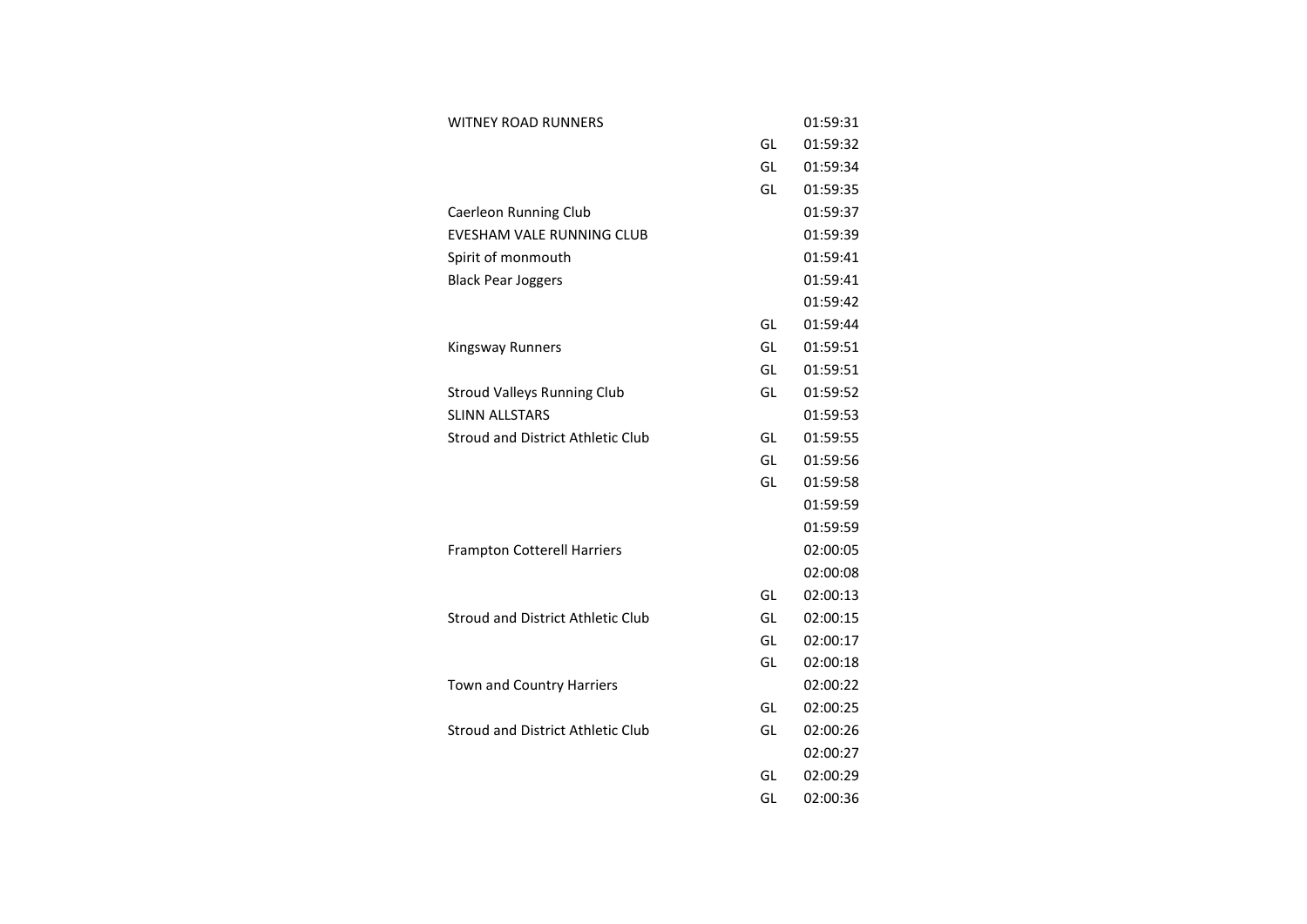| <b>WITNEY ROAD RUNNERS</b>               |    | 01:59:31 |
|------------------------------------------|----|----------|
|                                          | GL | 01:59:32 |
|                                          | GL | 01:59:34 |
|                                          | GL | 01:59:35 |
| Caerleon Running Club                    |    | 01:59:37 |
| <b>EVESHAM VALE RUNNING CLUB</b>         |    | 01:59:39 |
| Spirit of monmouth                       |    | 01:59:41 |
| <b>Black Pear Joggers</b>                |    | 01:59:41 |
|                                          |    | 01:59:42 |
|                                          | GL | 01:59:44 |
| <b>Kingsway Runners</b>                  | GL | 01:59:51 |
|                                          | GL | 01:59:51 |
| <b>Stroud Valleys Running Club</b>       | GL | 01:59:52 |
| <b>SLINN ALLSTARS</b>                    |    | 01:59:53 |
| <b>Stroud and District Athletic Club</b> | GL | 01:59:55 |
|                                          | GL | 01:59:56 |
|                                          | GL | 01:59:58 |
|                                          |    | 01:59:59 |
|                                          |    | 01:59:59 |
| <b>Frampton Cotterell Harriers</b>       |    | 02:00:05 |
|                                          |    | 02:00:08 |
|                                          | GL | 02:00:13 |
| <b>Stroud and District Athletic Club</b> | GL | 02:00:15 |
|                                          | GL | 02:00:17 |
|                                          | GL | 02:00:18 |
| Town and Country Harriers                |    | 02:00:22 |
|                                          | GL | 02:00:25 |
| <b>Stroud and District Athletic Club</b> | GL | 02:00:26 |
|                                          |    | 02:00:27 |
|                                          | GL | 02:00:29 |
|                                          | GL | 02:00:36 |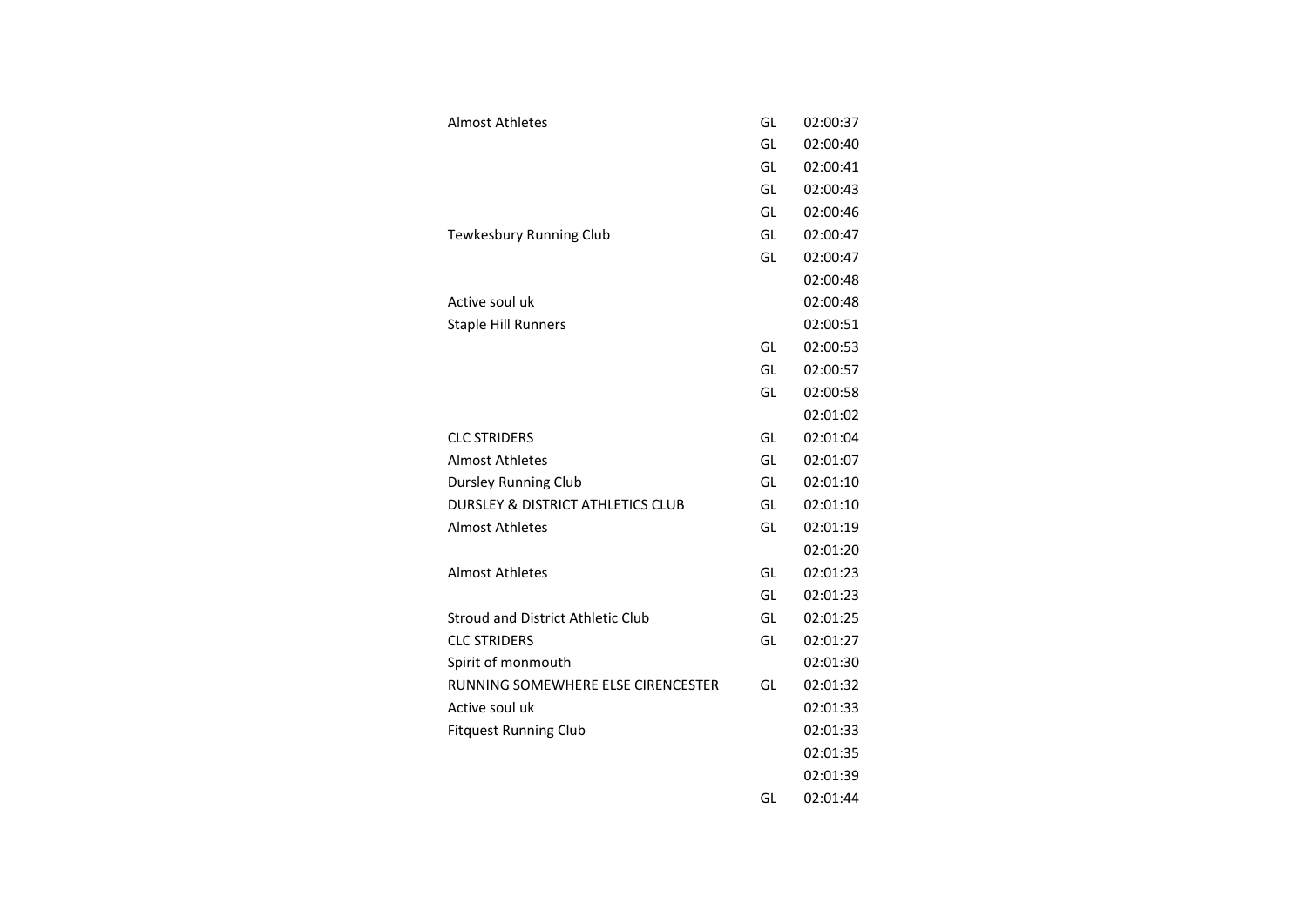| Almost Athletes                              | GL | 02:00:37 |
|----------------------------------------------|----|----------|
|                                              | GL | 02:00:40 |
|                                              | GL | 02:00:41 |
|                                              | GL | 02:00:43 |
|                                              | GL | 02:00:46 |
| Tewkesbury Running Club                      | GL | 02:00:47 |
|                                              | GL | 02:00:47 |
|                                              |    | 02:00:48 |
| Active soul uk                               |    | 02:00:48 |
| <b>Staple Hill Runners</b>                   |    | 02:00:51 |
|                                              | GL | 02:00:53 |
|                                              | GL | 02:00:57 |
|                                              | GL | 02:00:58 |
|                                              |    | 02:01:02 |
| <b>CLC STRIDERS</b>                          | GL | 02:01:04 |
| <b>Almost Athletes</b>                       | GL | 02:01:07 |
| <b>Dursley Running Club</b>                  | GL | 02:01:10 |
| <b>DURSLEY &amp; DISTRICT ATHLETICS CLUB</b> | GL | 02:01:10 |
| <b>Almost Athletes</b>                       | GL | 02:01:19 |
|                                              |    | 02:01:20 |
| <b>Almost Athletes</b>                       | GL | 02:01:23 |
|                                              | GL | 02:01:23 |
| <b>Stroud and District Athletic Club</b>     | GL | 02:01:25 |
| <b>CLC STRIDERS</b>                          | GL | 02:01:27 |
| Spirit of monmouth                           |    | 02:01:30 |
| RUNNING SOMEWHERE ELSE CIRENCESTER           | GL | 02:01:32 |
| Active soul uk                               |    | 02:01:33 |
| <b>Fitquest Running Club</b>                 |    | 02:01:33 |
|                                              |    | 02:01:35 |
|                                              |    | 02:01:39 |
|                                              | GL | 02:01:44 |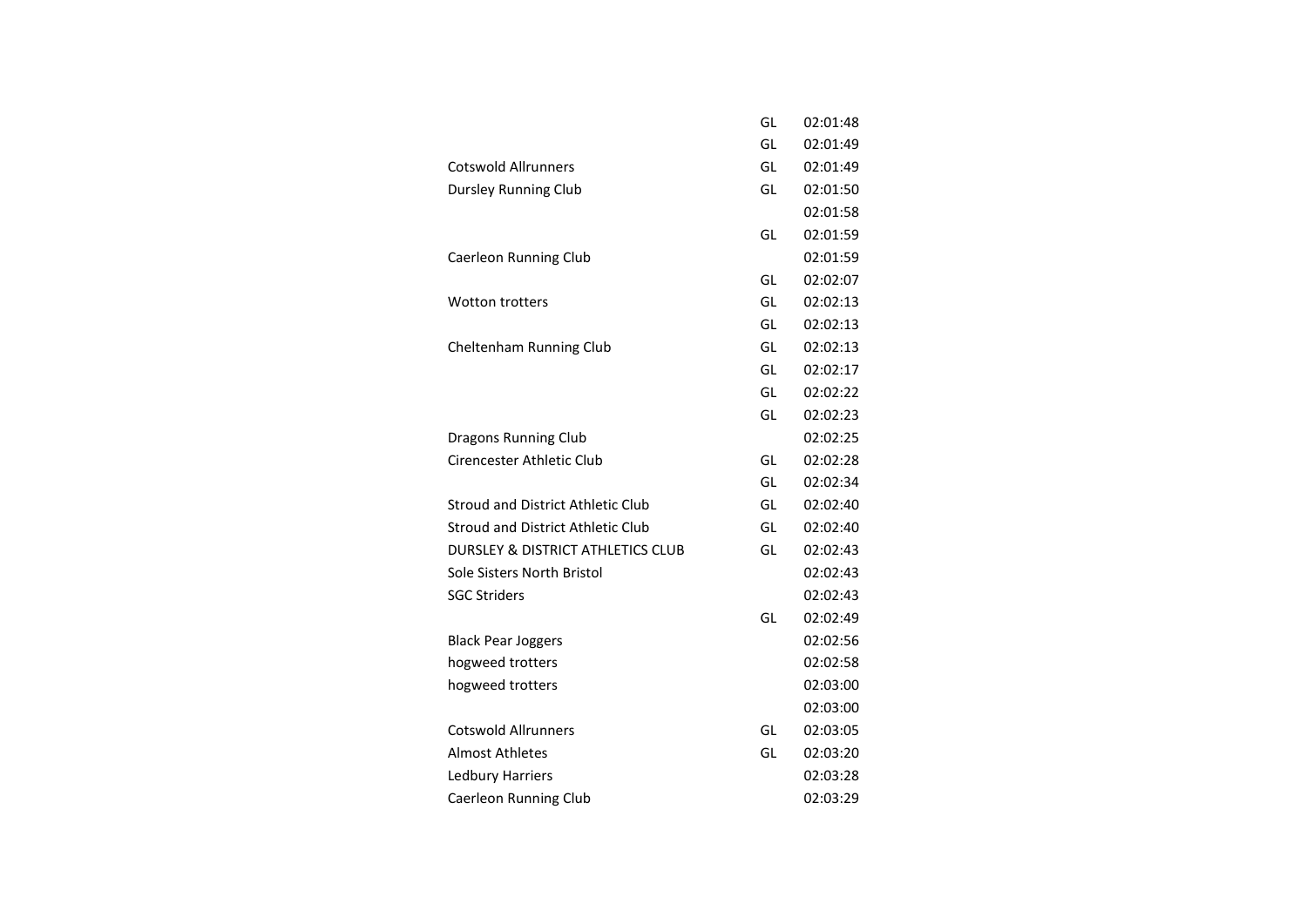|                                              | GL | 02:01:48 |
|----------------------------------------------|----|----------|
|                                              | GL | 02:01:49 |
| <b>Cotswold Allrunners</b>                   | GL | 02:01:49 |
| <b>Dursley Running Club</b>                  | GL | 02:01:50 |
|                                              |    | 02:01:58 |
|                                              | GL | 02:01:59 |
| Caerleon Running Club                        |    | 02:01:59 |
|                                              | GL | 02:02:07 |
| <b>Wotton trotters</b>                       | GL | 02:02:13 |
|                                              | GL | 02:02:13 |
| Cheltenham Running Club                      | GL | 02:02:13 |
|                                              | GL | 02:02:17 |
|                                              | GL | 02:02:22 |
|                                              | GL | 02:02:23 |
| Dragons Running Club                         |    | 02:02:25 |
| Cirencester Athletic Club                    | GL | 02:02:28 |
|                                              | GL | 02:02:34 |
| <b>Stroud and District Athletic Club</b>     | GL | 02:02:40 |
| Stroud and District Athletic Club            | GL | 02:02:40 |
| <b>DURSLEY &amp; DISTRICT ATHLETICS CLUB</b> | GL | 02:02:43 |
| Sole Sisters North Bristol                   |    | 02:02:43 |
| <b>SGC Striders</b>                          |    | 02:02:43 |
|                                              | GL | 02:02:49 |
| <b>Black Pear Joggers</b>                    |    | 02:02:56 |
| hogweed trotters                             |    | 02:02:58 |
| hogweed trotters                             |    | 02:03:00 |
|                                              |    | 02:03:00 |
| <b>Cotswold Allrunners</b>                   | GL | 02:03:05 |
| Almost Athletes                              | GL | 02:03:20 |
| Ledbury Harriers                             |    | 02:03:28 |
| Caerleon Running Club                        |    | 02:03:29 |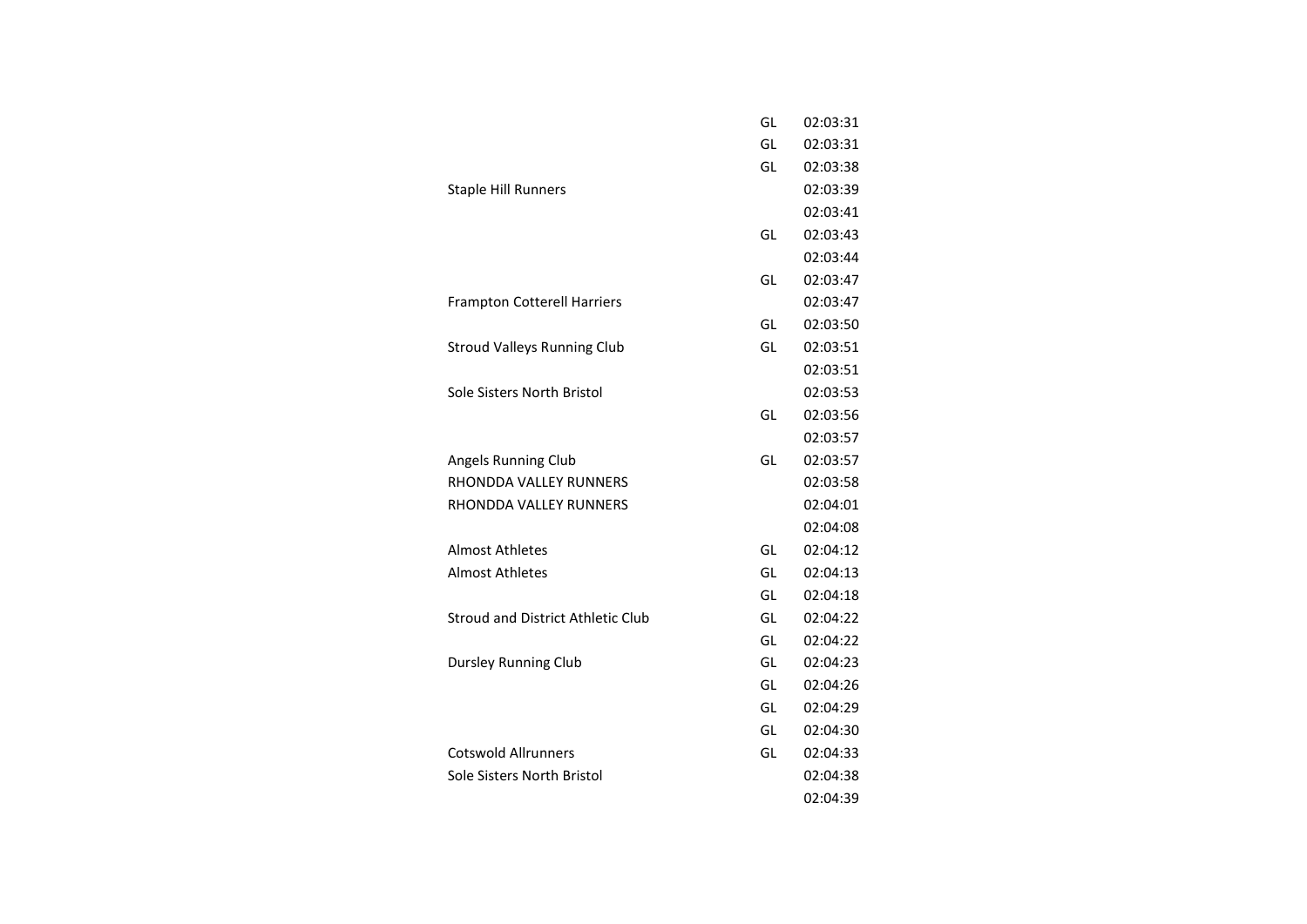|                                          | GL | 02:03:31 |
|------------------------------------------|----|----------|
|                                          | GL | 02:03:31 |
|                                          | GL | 02:03:38 |
| <b>Staple Hill Runners</b>               |    | 02:03:39 |
|                                          |    | 02:03:41 |
|                                          | GL | 02:03:43 |
|                                          |    | 02:03:44 |
|                                          | GL | 02:03:47 |
| <b>Frampton Cotterell Harriers</b>       |    | 02:03:47 |
|                                          | GL | 02:03:50 |
| <b>Stroud Valleys Running Club</b>       | GL | 02:03:51 |
|                                          |    | 02:03:51 |
| Sole Sisters North Bristol               |    | 02:03:53 |
|                                          | GL | 02:03:56 |
|                                          |    | 02:03:57 |
| Angels Running Club                      | GL | 02:03:57 |
| <b>RHONDDA VALLEY RUNNERS</b>            |    | 02:03:58 |
| RHONDDA VALLEY RUNNERS                   |    | 02:04:01 |
|                                          |    | 02:04:08 |
| <b>Almost Athletes</b>                   | GL | 02:04:12 |
| <b>Almost Athletes</b>                   | GL | 02:04:13 |
|                                          | GL | 02:04:18 |
| <b>Stroud and District Athletic Club</b> | GL | 02:04:22 |
|                                          | GL | 02:04:22 |
| Dursley Running Club                     | GL | 02:04:23 |
|                                          | GL | 02:04:26 |
|                                          | GL | 02:04:29 |
|                                          | GL | 02:04:30 |
| <b>Cotswold Allrunners</b>               | GL | 02:04:33 |
| Sole Sisters North Bristol               |    | 02:04:38 |
|                                          |    | 02:04:39 |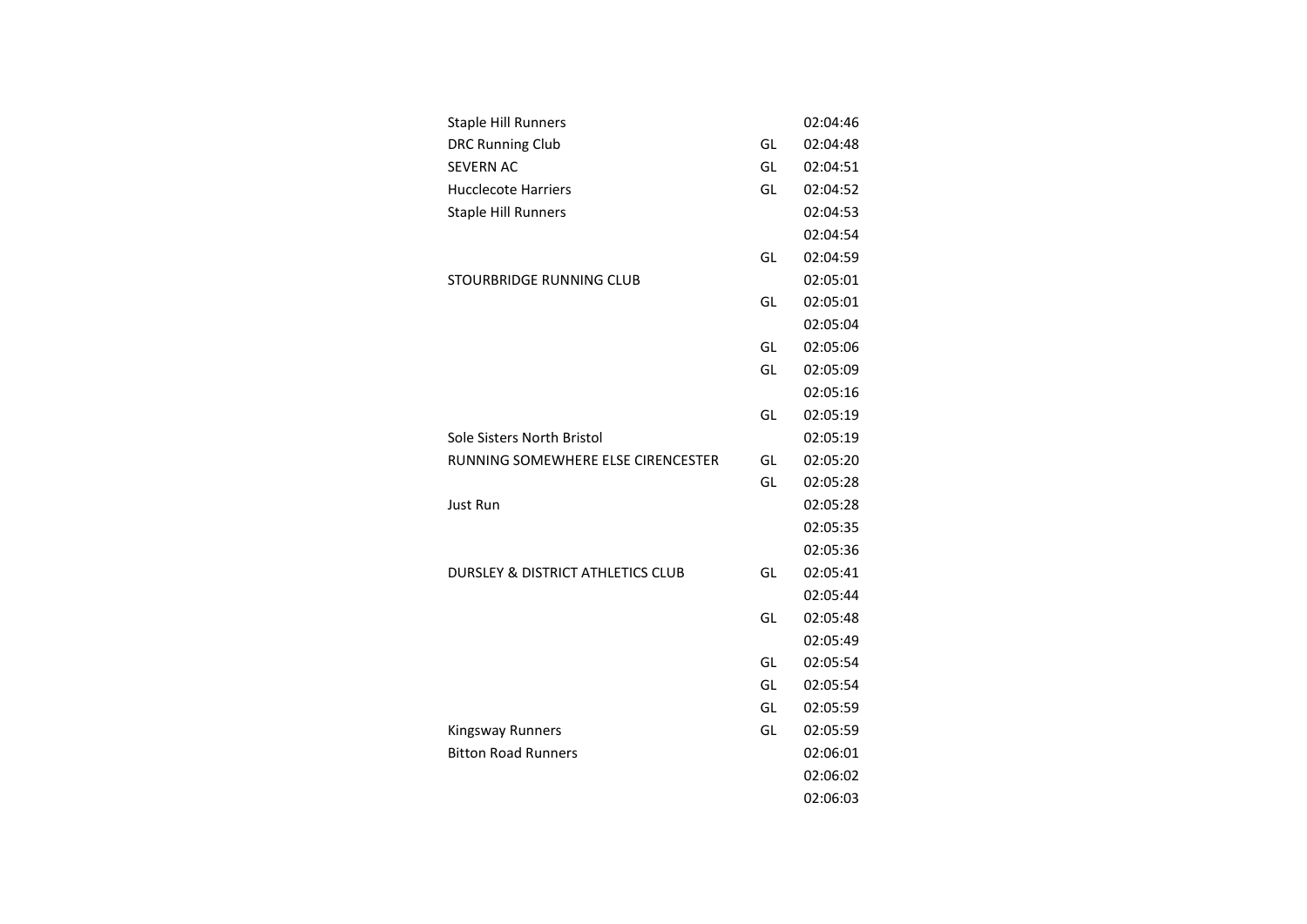| <b>DRC Running Club</b><br>02:04:48<br>GL<br><b>SEVERN AC</b><br>GL<br>02:04:51<br><b>Hucclecote Harriers</b><br>GL<br>02:04:52<br>02:04:53<br><b>Staple Hill Runners</b><br>02:04:54<br>GL<br>02:04:59<br>STOURBRIDGE RUNNING CLUB<br>02:05:01<br>GL<br>02:05:01<br>02:05:04<br>GL<br>02:05:06<br>GL<br>02:05:09<br>02:05:16<br>02:05:19<br>GL<br>Sole Sisters North Bristol<br>02:05:19<br>RUNNING SOMEWHERE ELSE CIRENCESTER<br>GL<br>02:05:20<br>GL<br>02:05:28<br>Just Run<br>02:05:28<br>02:05:35<br>02:05:36<br><b>DURSLEY &amp; DISTRICT ATHLETICS CLUB</b><br>GL<br>02:05:41<br>02:05:44<br>GL<br>02:05:48<br>02:05:49<br>GL<br>02:05:54<br>GL<br>02:05:54<br>GL<br>02:05:59<br>GL<br>02:05:59<br><b>Kingsway Runners</b><br><b>Bitton Road Runners</b><br>02:06:01<br>02:06:02 | <b>Staple Hill Runners</b> | 02:04:46 |
|------------------------------------------------------------------------------------------------------------------------------------------------------------------------------------------------------------------------------------------------------------------------------------------------------------------------------------------------------------------------------------------------------------------------------------------------------------------------------------------------------------------------------------------------------------------------------------------------------------------------------------------------------------------------------------------------------------------------------------------------------------------------------------------|----------------------------|----------|
|                                                                                                                                                                                                                                                                                                                                                                                                                                                                                                                                                                                                                                                                                                                                                                                          |                            |          |
|                                                                                                                                                                                                                                                                                                                                                                                                                                                                                                                                                                                                                                                                                                                                                                                          |                            |          |
|                                                                                                                                                                                                                                                                                                                                                                                                                                                                                                                                                                                                                                                                                                                                                                                          |                            |          |
|                                                                                                                                                                                                                                                                                                                                                                                                                                                                                                                                                                                                                                                                                                                                                                                          |                            |          |
|                                                                                                                                                                                                                                                                                                                                                                                                                                                                                                                                                                                                                                                                                                                                                                                          |                            |          |
|                                                                                                                                                                                                                                                                                                                                                                                                                                                                                                                                                                                                                                                                                                                                                                                          |                            |          |
|                                                                                                                                                                                                                                                                                                                                                                                                                                                                                                                                                                                                                                                                                                                                                                                          |                            |          |
|                                                                                                                                                                                                                                                                                                                                                                                                                                                                                                                                                                                                                                                                                                                                                                                          |                            |          |
|                                                                                                                                                                                                                                                                                                                                                                                                                                                                                                                                                                                                                                                                                                                                                                                          |                            |          |
|                                                                                                                                                                                                                                                                                                                                                                                                                                                                                                                                                                                                                                                                                                                                                                                          |                            |          |
|                                                                                                                                                                                                                                                                                                                                                                                                                                                                                                                                                                                                                                                                                                                                                                                          |                            |          |
|                                                                                                                                                                                                                                                                                                                                                                                                                                                                                                                                                                                                                                                                                                                                                                                          |                            |          |
|                                                                                                                                                                                                                                                                                                                                                                                                                                                                                                                                                                                                                                                                                                                                                                                          |                            |          |
|                                                                                                                                                                                                                                                                                                                                                                                                                                                                                                                                                                                                                                                                                                                                                                                          |                            |          |
|                                                                                                                                                                                                                                                                                                                                                                                                                                                                                                                                                                                                                                                                                                                                                                                          |                            |          |
|                                                                                                                                                                                                                                                                                                                                                                                                                                                                                                                                                                                                                                                                                                                                                                                          |                            |          |
|                                                                                                                                                                                                                                                                                                                                                                                                                                                                                                                                                                                                                                                                                                                                                                                          |                            |          |
|                                                                                                                                                                                                                                                                                                                                                                                                                                                                                                                                                                                                                                                                                                                                                                                          |                            |          |
|                                                                                                                                                                                                                                                                                                                                                                                                                                                                                                                                                                                                                                                                                                                                                                                          |                            |          |
|                                                                                                                                                                                                                                                                                                                                                                                                                                                                                                                                                                                                                                                                                                                                                                                          |                            |          |
|                                                                                                                                                                                                                                                                                                                                                                                                                                                                                                                                                                                                                                                                                                                                                                                          |                            |          |
|                                                                                                                                                                                                                                                                                                                                                                                                                                                                                                                                                                                                                                                                                                                                                                                          |                            |          |
|                                                                                                                                                                                                                                                                                                                                                                                                                                                                                                                                                                                                                                                                                                                                                                                          |                            |          |
|                                                                                                                                                                                                                                                                                                                                                                                                                                                                                                                                                                                                                                                                                                                                                                                          |                            |          |
|                                                                                                                                                                                                                                                                                                                                                                                                                                                                                                                                                                                                                                                                                                                                                                                          |                            |          |
|                                                                                                                                                                                                                                                                                                                                                                                                                                                                                                                                                                                                                                                                                                                                                                                          |                            |          |
|                                                                                                                                                                                                                                                                                                                                                                                                                                                                                                                                                                                                                                                                                                                                                                                          |                            |          |
|                                                                                                                                                                                                                                                                                                                                                                                                                                                                                                                                                                                                                                                                                                                                                                                          |                            |          |
|                                                                                                                                                                                                                                                                                                                                                                                                                                                                                                                                                                                                                                                                                                                                                                                          |                            |          |
|                                                                                                                                                                                                                                                                                                                                                                                                                                                                                                                                                                                                                                                                                                                                                                                          |                            |          |
| 02:06:03                                                                                                                                                                                                                                                                                                                                                                                                                                                                                                                                                                                                                                                                                                                                                                                 |                            |          |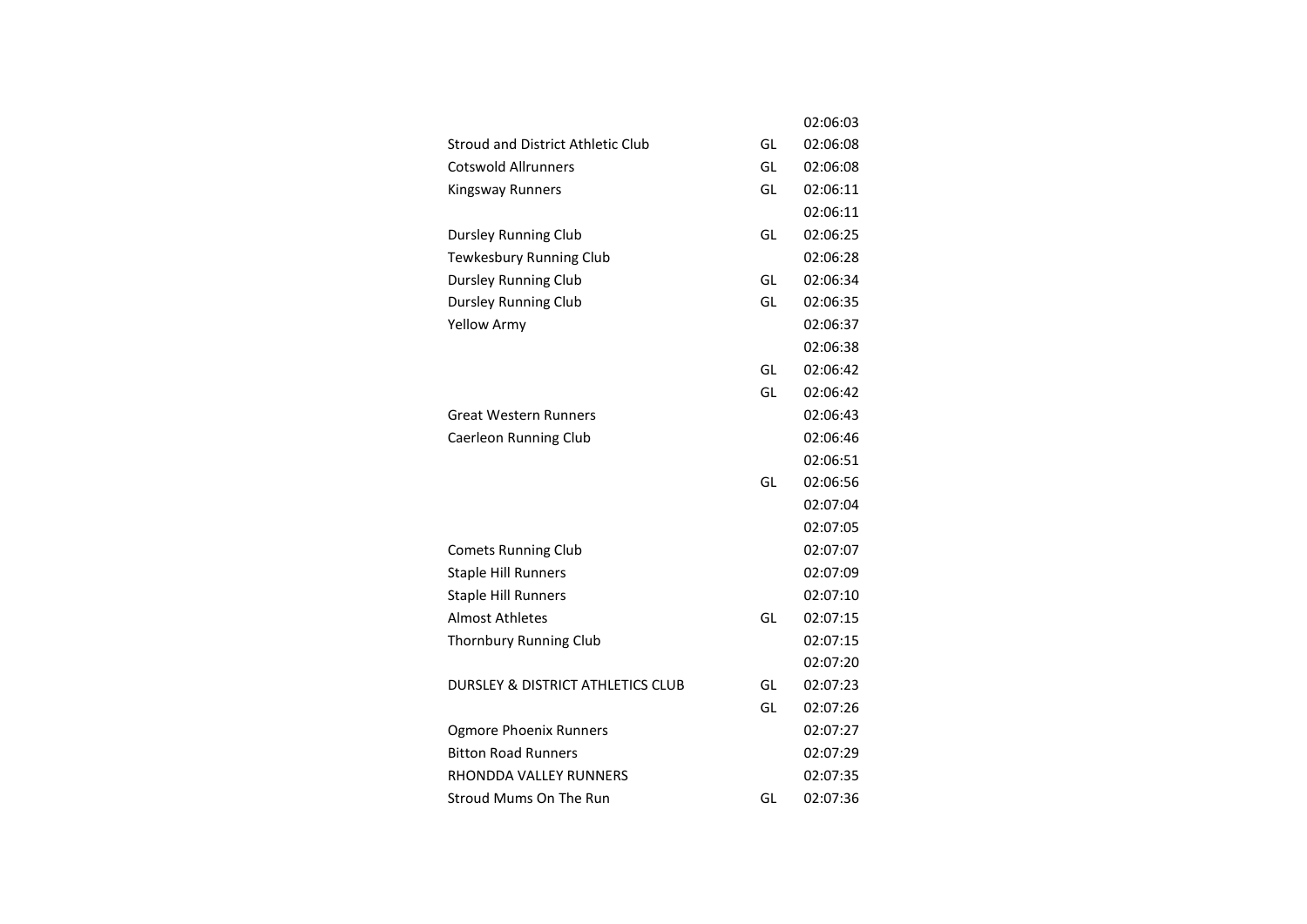|                                          |    | 02:06:03 |
|------------------------------------------|----|----------|
| <b>Stroud and District Athletic Club</b> | GL | 02:06:08 |
| <b>Cotswold Allrunners</b>               | GL | 02:06:08 |
| <b>Kingsway Runners</b>                  | GL | 02:06:11 |
|                                          |    | 02:06:11 |
| Dursley Running Club                     | GL | 02:06:25 |
| <b>Tewkesbury Running Club</b>           |    | 02:06:28 |
| <b>Dursley Running Club</b>              | GL | 02:06:34 |
| Dursley Running Club                     | GL | 02:06:35 |
| <b>Yellow Army</b>                       |    | 02:06:37 |
|                                          |    | 02:06:38 |
|                                          | GL | 02:06:42 |
|                                          | GL | 02:06:42 |
| <b>Great Western Runners</b>             |    | 02:06:43 |
| <b>Caerleon Running Club</b>             |    | 02:06:46 |
|                                          |    | 02:06:51 |
|                                          | GL | 02:06:56 |
|                                          |    | 02:07:04 |
|                                          |    | 02:07:05 |
| <b>Comets Running Club</b>               |    | 02:07:07 |
| <b>Staple Hill Runners</b>               |    | 02:07:09 |
| <b>Staple Hill Runners</b>               |    | 02:07:10 |
| <b>Almost Athletes</b>                   | GL | 02:07:15 |
| Thornbury Running Club                   |    | 02:07:15 |
|                                          |    | 02:07:20 |
| DURSLEY & DISTRICT ATHLETICS CLUB        | GL | 02:07:23 |
|                                          | GL | 02:07:26 |
| <b>Ogmore Phoenix Runners</b>            |    | 02:07:27 |
| <b>Bitton Road Runners</b>               |    | 02:07:29 |
| RHONDDA VALLEY RUNNERS                   |    | 02:07:35 |
| <b>Stroud Mums On The Run</b>            | GL | 02:07:36 |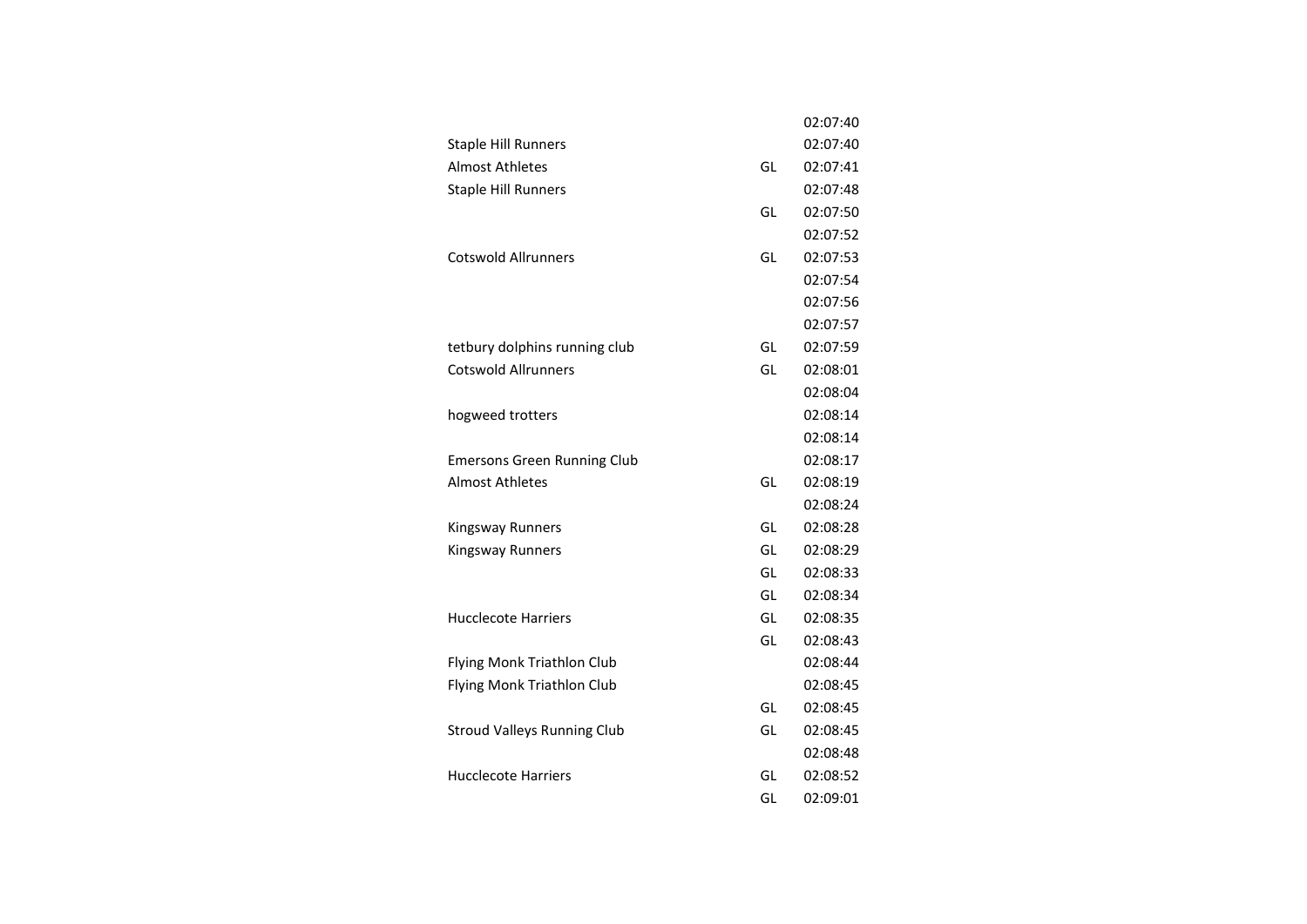|                                    |    | 02:07:40 |
|------------------------------------|----|----------|
| <b>Staple Hill Runners</b>         |    | 02:07:40 |
| Almost Athletes                    | GL | 02:07:41 |
| <b>Staple Hill Runners</b>         |    | 02:07:48 |
|                                    | GL | 02:07:50 |
|                                    |    | 02:07:52 |
| <b>Cotswold Allrunners</b>         | GL | 02:07:53 |
|                                    |    | 02:07:54 |
|                                    |    | 02:07:56 |
|                                    |    | 02:07:57 |
| tetbury dolphins running club      | GL | 02:07:59 |
| <b>Cotswold Allrunners</b>         | GL | 02:08:01 |
|                                    |    | 02:08:04 |
| hogweed trotters                   |    | 02:08:14 |
|                                    |    | 02:08:14 |
| <b>Emersons Green Running Club</b> |    | 02:08:17 |
| <b>Almost Athletes</b>             | GL | 02:08:19 |
|                                    |    | 02:08:24 |
| <b>Kingsway Runners</b>            | GL | 02:08:28 |
| Kingsway Runners                   | GL | 02:08:29 |
|                                    | GL | 02:08:33 |
|                                    | GL | 02:08:34 |
| <b>Hucclecote Harriers</b>         | GL | 02:08:35 |
|                                    | GL | 02:08:43 |
| Flying Monk Triathlon Club         |    | 02:08:44 |
| Flying Monk Triathlon Club         |    | 02:08:45 |
|                                    | GL | 02:08:45 |
| <b>Stroud Valleys Running Club</b> | GL | 02:08:45 |
|                                    |    | 02:08:48 |
| <b>Hucclecote Harriers</b>         | GL | 02:08:52 |
|                                    | GL | 02:09:01 |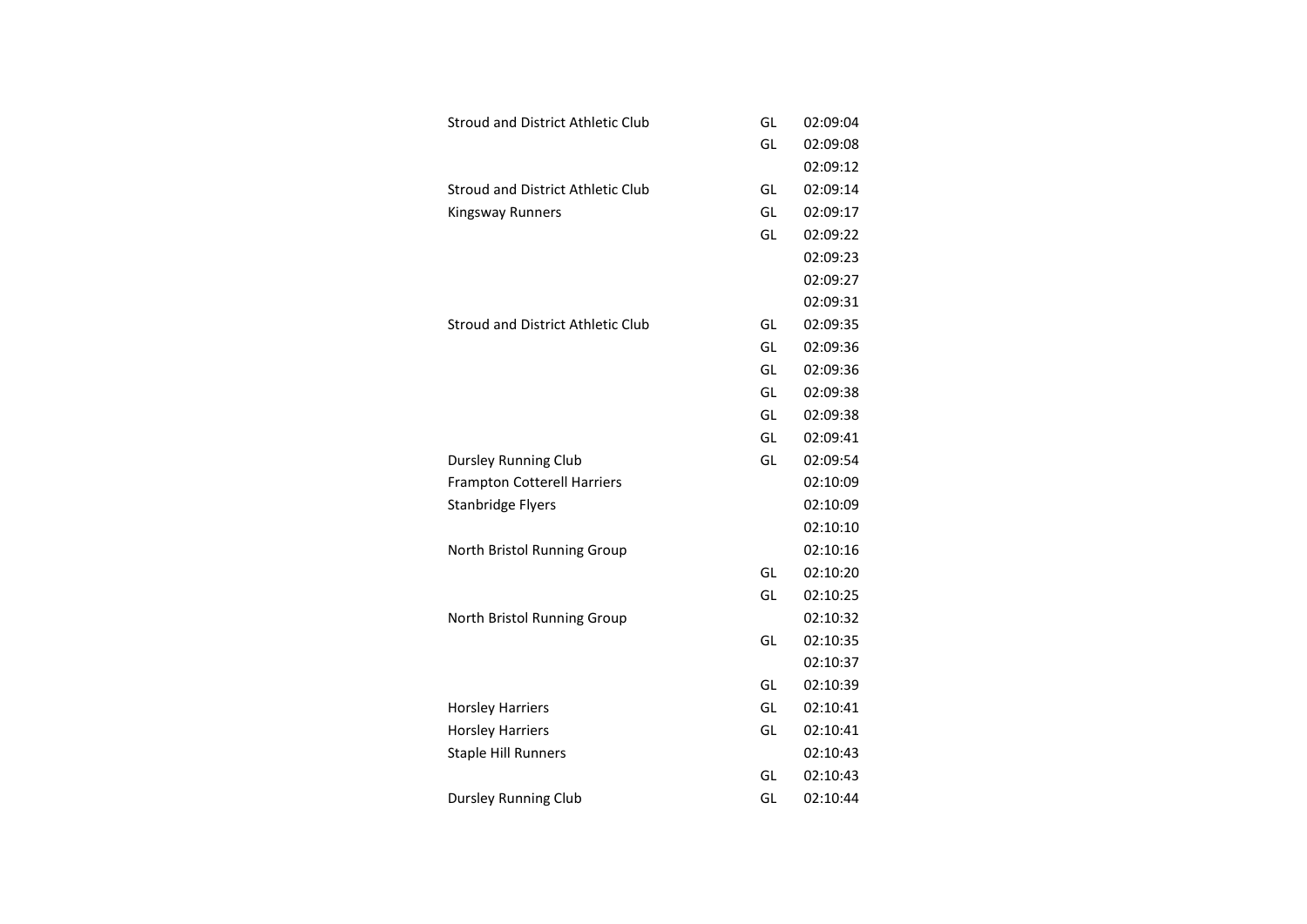| <b>Stroud and District Athletic Club</b> | GL | 02:09:04 |
|------------------------------------------|----|----------|
|                                          | GL | 02:09:08 |
|                                          |    | 02:09:12 |
| Stroud and District Athletic Club        | GL | 02:09:14 |
| Kingsway Runners                         | GL | 02:09:17 |
|                                          | GL | 02:09:22 |
|                                          |    | 02:09:23 |
|                                          |    | 02:09:27 |
|                                          |    | 02:09:31 |
| Stroud and District Athletic Club        | GL | 02:09:35 |
|                                          | GL | 02:09:36 |
|                                          | GL | 02:09:36 |
|                                          | GL | 02:09:38 |
|                                          | GL | 02:09:38 |
|                                          | GL | 02:09:41 |
| <b>Dursley Running Club</b>              | GL | 02:09:54 |
| <b>Frampton Cotterell Harriers</b>       |    | 02:10:09 |
| <b>Stanbridge Flyers</b>                 |    | 02:10:09 |
|                                          |    | 02:10:10 |
| North Bristol Running Group              |    | 02:10:16 |
|                                          | GL | 02:10:20 |
|                                          | GL | 02:10:25 |
| North Bristol Running Group              |    | 02:10:32 |
|                                          | GL | 02:10:35 |
|                                          |    | 02:10:37 |
|                                          | GL | 02:10:39 |
| <b>Horsley Harriers</b>                  | GL | 02:10:41 |
| <b>Horsley Harriers</b>                  | GL | 02:10:41 |
| <b>Staple Hill Runners</b>               |    | 02:10:43 |
|                                          | GL | 02:10:43 |
| <b>Dursley Running Club</b>              | GL | 02:10:44 |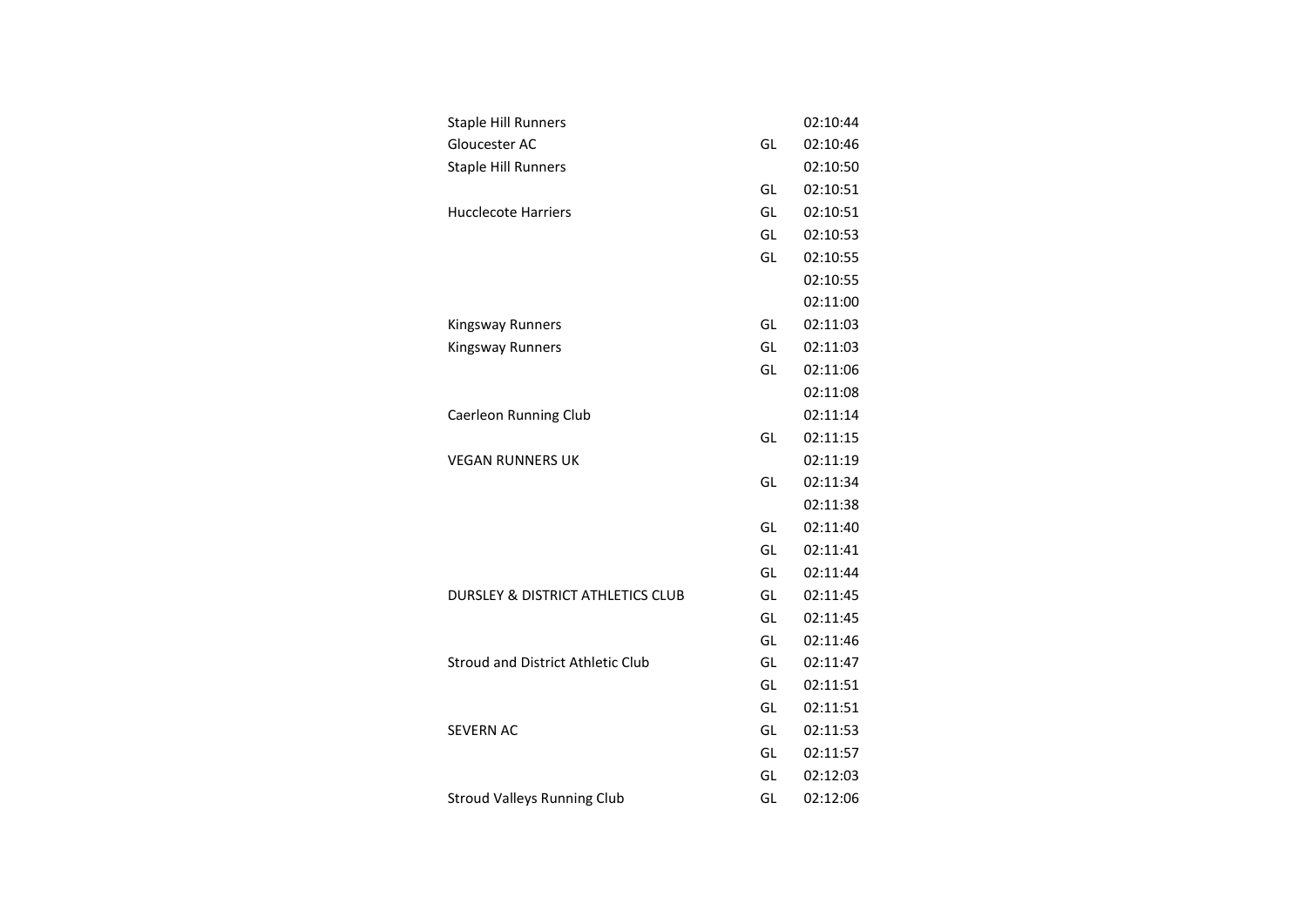| <b>Staple Hill Runners</b>                   |    | 02:10:44 |
|----------------------------------------------|----|----------|
| Gloucester AC                                | GL | 02:10:46 |
| <b>Staple Hill Runners</b>                   |    | 02:10:50 |
|                                              | GL | 02:10:51 |
| <b>Hucclecote Harriers</b>                   | GL | 02:10:51 |
|                                              | GL | 02:10:53 |
|                                              | GL | 02:10:55 |
|                                              |    | 02:10:55 |
|                                              |    | 02:11:00 |
| <b>Kingsway Runners</b>                      | GL | 02:11:03 |
| <b>Kingsway Runners</b>                      | GL | 02:11:03 |
|                                              | GL | 02:11:06 |
|                                              |    | 02:11:08 |
| Caerleon Running Club                        |    | 02:11:14 |
|                                              | GL | 02:11:15 |
| <b>VEGAN RUNNERS UK</b>                      |    | 02:11:19 |
|                                              | GL | 02:11:34 |
|                                              |    | 02:11:38 |
|                                              | GL | 02:11:40 |
|                                              | GL | 02:11:41 |
|                                              | GL | 02:11:44 |
| <b>DURSLEY &amp; DISTRICT ATHLETICS CLUB</b> | GL | 02:11:45 |
|                                              | GL | 02:11:45 |
|                                              | GL | 02:11:46 |
| <b>Stroud and District Athletic Club</b>     | GL | 02:11:47 |
|                                              | GL | 02:11:51 |
|                                              | GL | 02:11:51 |
| <b>SEVERN AC</b>                             | GL | 02:11:53 |
|                                              | GL | 02:11:57 |
|                                              | GL | 02:12:03 |
| <b>Stroud Valleys Running Club</b>           | GL | 02:12:06 |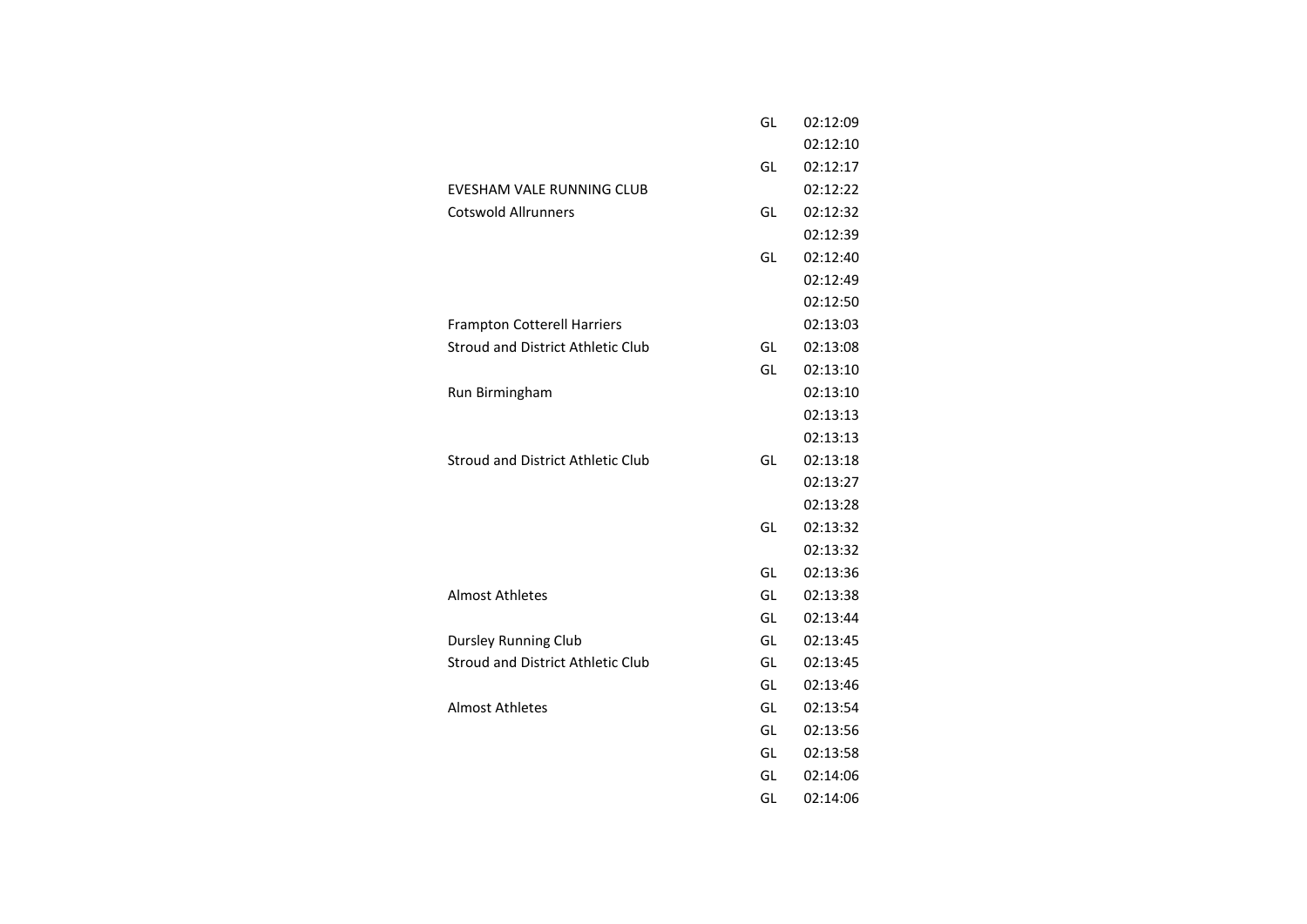|                                          | GL | 02:12:09 |
|------------------------------------------|----|----------|
|                                          |    | 02:12:10 |
|                                          | GL | 02:12:17 |
| <b>EVESHAM VALE RUNNING CLUB</b>         |    | 02:12:22 |
| <b>Cotswold Allrunners</b>               | GL | 02:12:32 |
|                                          |    | 02:12:39 |
|                                          | GL | 02:12:40 |
|                                          |    | 02:12:49 |
|                                          |    | 02:12:50 |
| <b>Frampton Cotterell Harriers</b>       |    | 02:13:03 |
| <b>Stroud and District Athletic Club</b> | GL | 02:13:08 |
|                                          | GL | 02:13:10 |
| Run Birmingham                           |    | 02:13:10 |
|                                          |    | 02:13:13 |
|                                          |    | 02:13:13 |
| <b>Stroud and District Athletic Club</b> | GL | 02:13:18 |
|                                          |    | 02:13:27 |
|                                          |    | 02:13:28 |
|                                          | GL | 02:13:32 |
|                                          |    | 02:13:32 |
|                                          | GL | 02:13:36 |
| <b>Almost Athletes</b>                   | GL | 02:13:38 |
|                                          | GL | 02:13:44 |
| <b>Dursley Running Club</b>              | GL | 02:13:45 |
| <b>Stroud and District Athletic Club</b> | GL | 02:13:45 |
|                                          | GL | 02:13:46 |
| <b>Almost Athletes</b>                   | GL | 02:13:54 |
|                                          | GL | 02:13:56 |
|                                          | GL | 02:13:58 |
|                                          | GL | 02:14:06 |
|                                          | GL | 02:14:06 |
|                                          |    |          |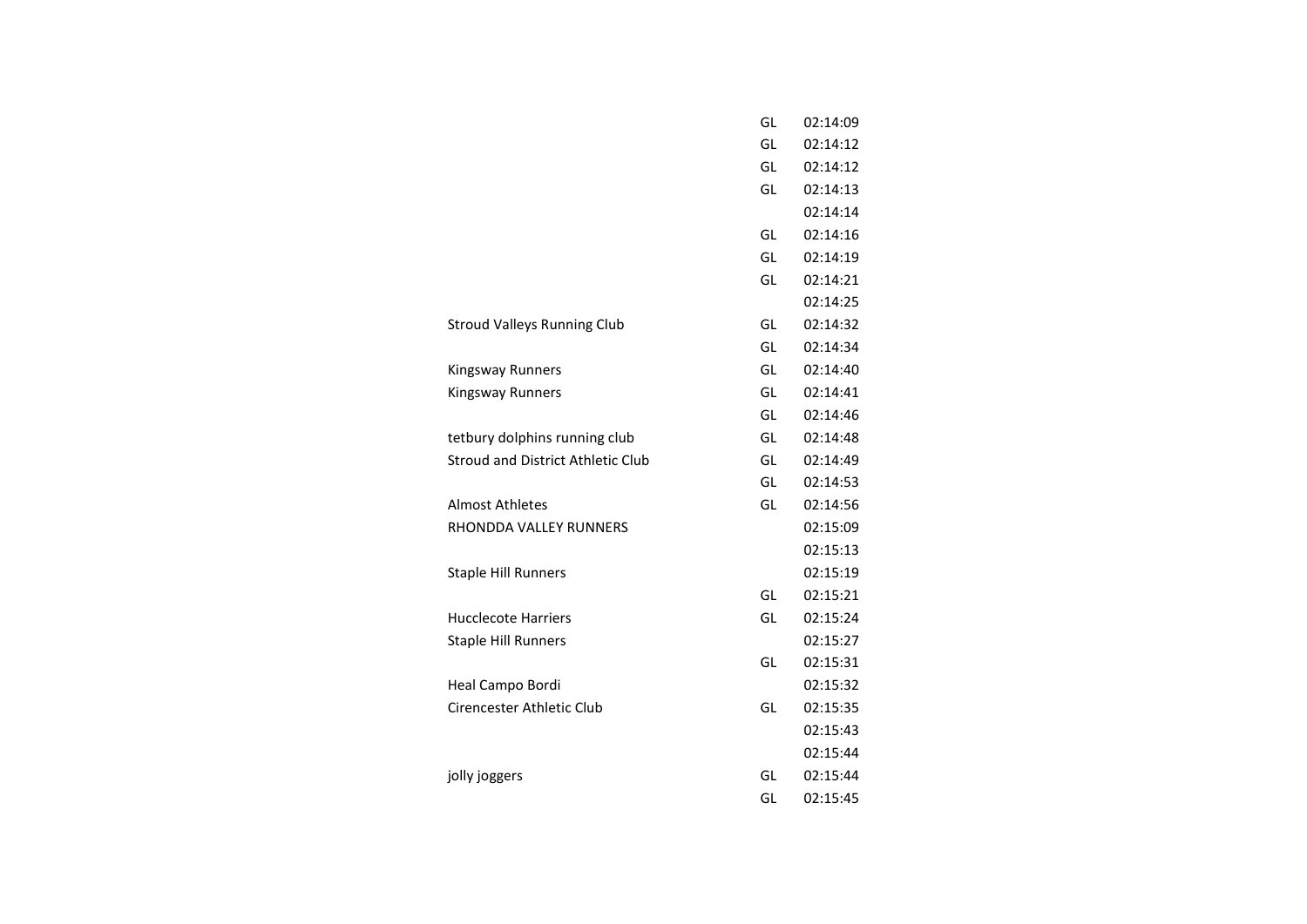|                                          | GL | 02:14:09 |
|------------------------------------------|----|----------|
|                                          | GL | 02:14:12 |
|                                          | GL | 02:14:12 |
|                                          | GL | 02:14:13 |
|                                          |    | 02:14:14 |
|                                          | GL | 02:14:16 |
|                                          | GL | 02:14:19 |
|                                          | GL | 02:14:21 |
|                                          |    | 02:14:25 |
| <b>Stroud Valleys Running Club</b>       | GL | 02:14:32 |
|                                          | GL | 02:14:34 |
| <b>Kingsway Runners</b>                  | GL | 02:14:40 |
| <b>Kingsway Runners</b>                  | GL | 02:14:41 |
|                                          | GL | 02:14:46 |
| tetbury dolphins running club            | GL | 02:14:48 |
| <b>Stroud and District Athletic Club</b> | GL | 02:14:49 |
|                                          | GL | 02:14:53 |
| <b>Almost Athletes</b>                   | GL | 02:14:56 |
| RHONDDA VALLEY RUNNERS                   |    | 02:15:09 |
|                                          |    | 02:15:13 |
| <b>Staple Hill Runners</b>               |    | 02:15:19 |
|                                          | GL | 02:15:21 |
| <b>Hucclecote Harriers</b>               | GL | 02:15:24 |
| <b>Staple Hill Runners</b>               |    | 02:15:27 |
|                                          | GL | 02:15:31 |
| Heal Campo Bordi                         |    | 02:15:32 |
| Cirencester Athletic Club                | GL | 02:15:35 |
|                                          |    | 02:15:43 |
|                                          |    | 02:15:44 |
| jolly joggers                            | GL | 02:15:44 |
|                                          | GL | 02:15:45 |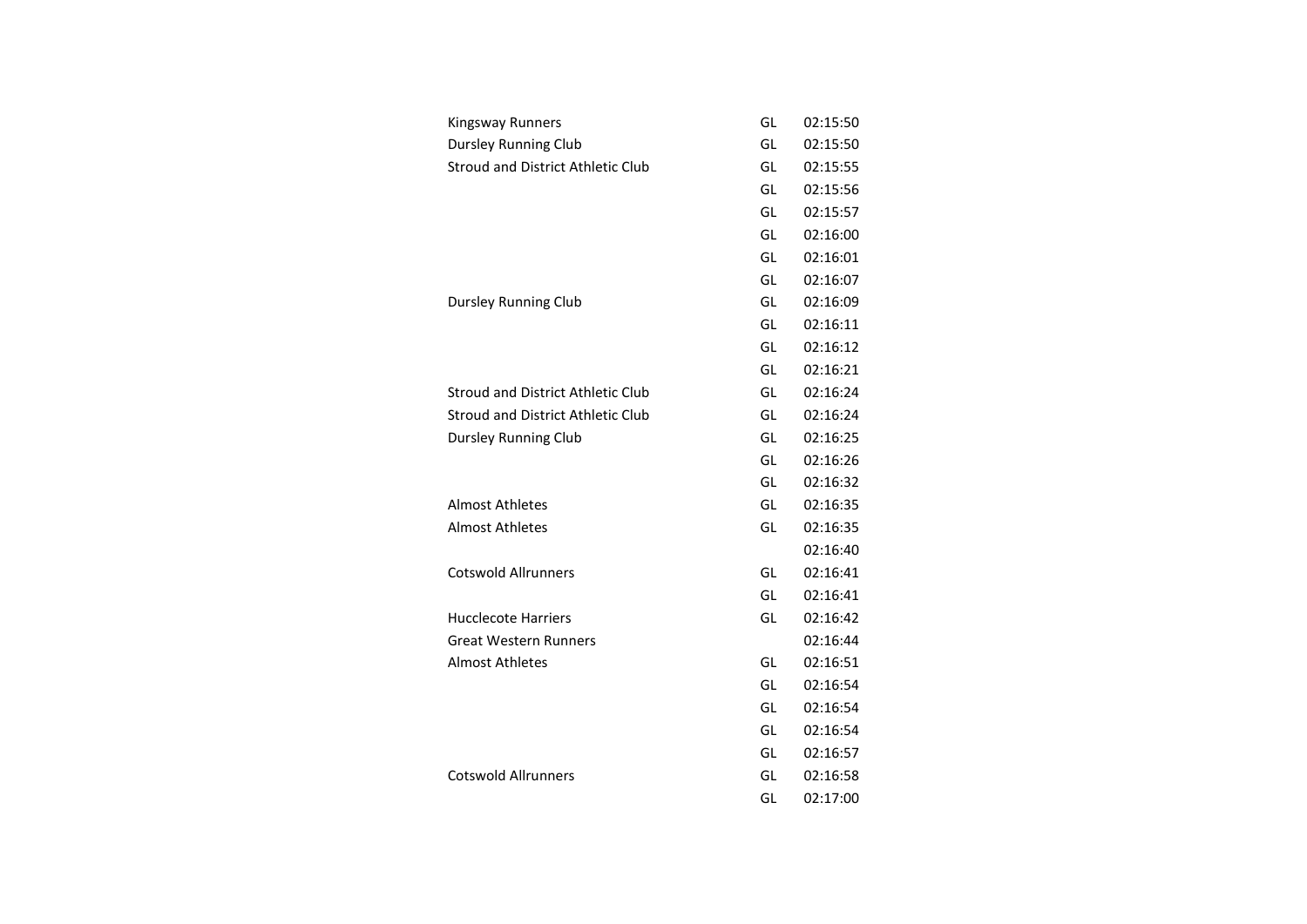| <b>Kingsway Runners</b>                  | GL | 02:15:50 |
|------------------------------------------|----|----------|
| <b>Dursley Running Club</b>              | GL | 02:15:50 |
| Stroud and District Athletic Club        | GL | 02:15:55 |
|                                          | GL | 02:15:56 |
|                                          | GL | 02:15:57 |
|                                          | GL | 02:16:00 |
|                                          | GL | 02:16:01 |
|                                          | GL | 02:16:07 |
| <b>Dursley Running Club</b>              | GL | 02:16:09 |
|                                          | GL | 02:16:11 |
|                                          | GL | 02:16:12 |
|                                          | GL | 02:16:21 |
| <b>Stroud and District Athletic Club</b> | GL | 02:16:24 |
| <b>Stroud and District Athletic Club</b> | GL | 02:16:24 |
| Dursley Running Club                     | GL | 02:16:25 |
|                                          | GL | 02:16:26 |
|                                          | GL | 02:16:32 |
| <b>Almost Athletes</b>                   | GL | 02:16:35 |
| <b>Almost Athletes</b>                   | GL | 02:16:35 |
|                                          |    | 02:16:40 |
| <b>Cotswold Allrunners</b>               | GL | 02:16:41 |
|                                          | GL | 02:16:41 |
| <b>Hucclecote Harriers</b>               | GL | 02:16:42 |
| <b>Great Western Runners</b>             |    | 02:16:44 |
| <b>Almost Athletes</b>                   | GL | 02:16:51 |
|                                          | GL | 02:16:54 |
|                                          | GL | 02:16:54 |
|                                          | GL | 02:16:54 |
|                                          | GL | 02:16:57 |
| <b>Cotswold Allrunners</b>               | GL | 02:16:58 |
|                                          | GL | 02:17:00 |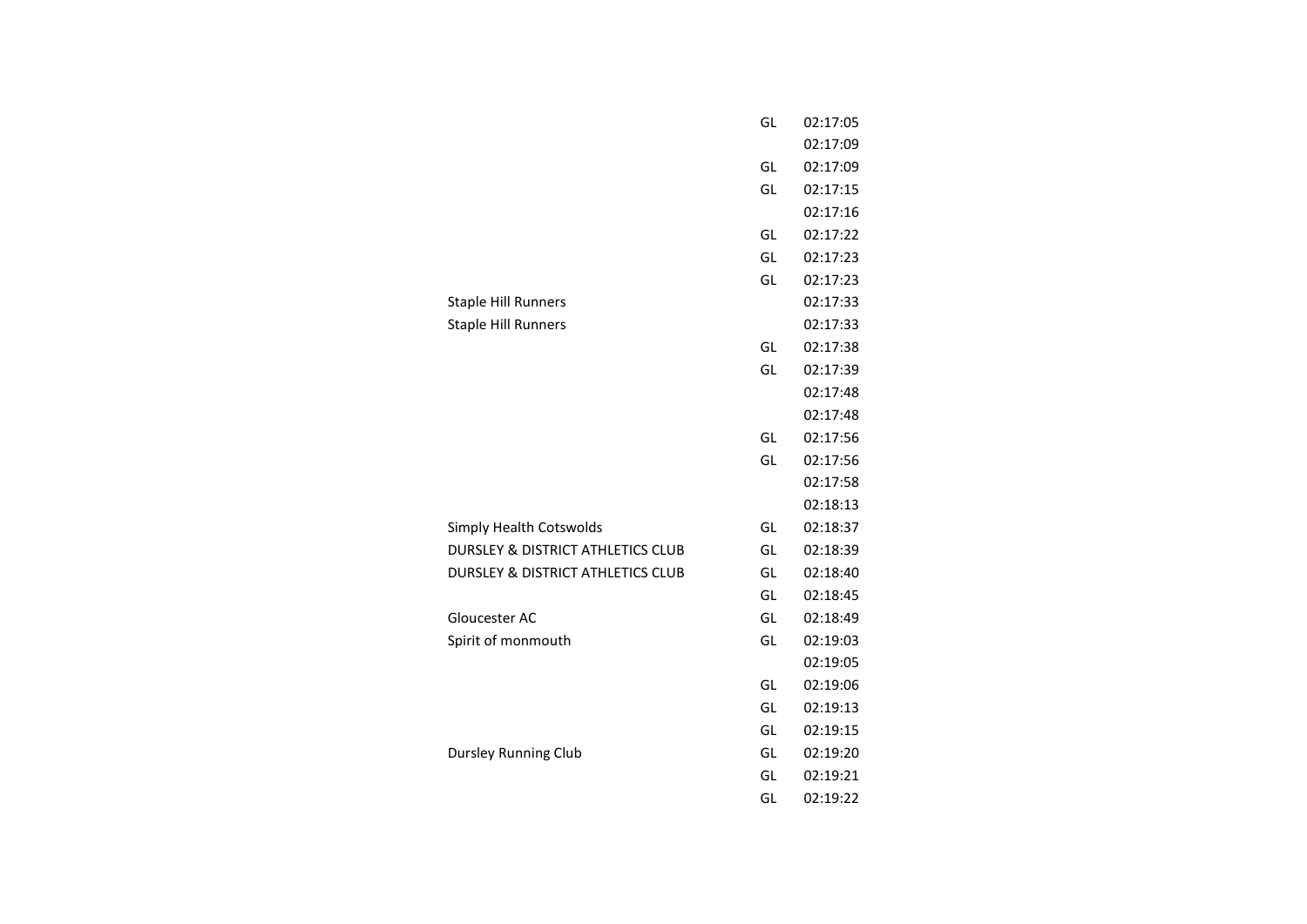|                                              | GL | 02:17:05 |
|----------------------------------------------|----|----------|
|                                              |    | 02:17:09 |
|                                              | GL | 02:17:09 |
|                                              | GL | 02:17:15 |
|                                              |    | 02:17:16 |
|                                              | GL | 02:17:22 |
|                                              | GL | 02:17:23 |
|                                              | GL | 02:17:23 |
| <b>Staple Hill Runners</b>                   |    | 02:17:33 |
| <b>Staple Hill Runners</b>                   |    | 02:17:33 |
|                                              | GL | 02:17:38 |
|                                              | GL | 02:17:39 |
|                                              |    | 02:17:48 |
|                                              |    | 02:17:48 |
|                                              | GL | 02:17:56 |
|                                              | GL | 02:17:56 |
|                                              |    | 02:17:58 |
|                                              |    | 02:18:13 |
| Simply Health Cotswolds                      | GL | 02:18:37 |
| <b>DURSLEY &amp; DISTRICT ATHLETICS CLUB</b> | GL | 02:18:39 |
| DURSLEY & DISTRICT ATHLETICS CLUB            | GL | 02:18:40 |
|                                              | GL | 02:18:45 |
| Gloucester AC                                | GL | 02:18:49 |
| Spirit of monmouth                           | GL | 02:19:03 |
|                                              |    | 02:19:05 |
|                                              | GL | 02:19:06 |
|                                              | GL | 02:19:13 |
|                                              | GL | 02:19:15 |
| <b>Dursley Running Club</b>                  | GL | 02:19:20 |
|                                              | GL | 02:19:21 |
|                                              | GL | 02:19:22 |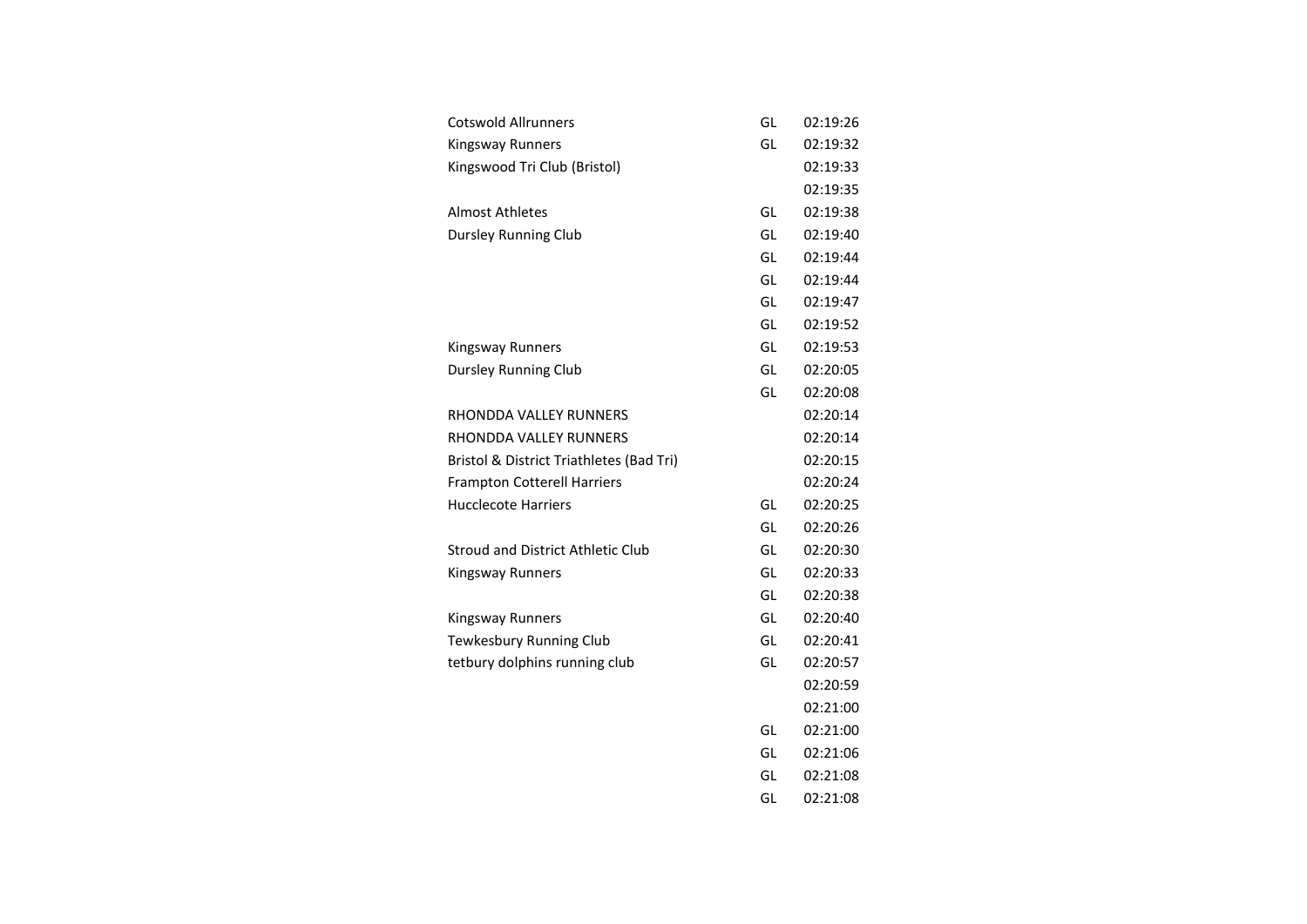| <b>Cotswold Allrunners</b>               | GL | 02:19:26 |
|------------------------------------------|----|----------|
| <b>Kingsway Runners</b>                  | GL | 02:19:32 |
| Kingswood Tri Club (Bristol)             |    | 02:19:33 |
|                                          |    | 02:19:35 |
| <b>Almost Athletes</b>                   | GL | 02:19:38 |
| <b>Dursley Running Club</b>              | GL | 02:19:40 |
|                                          | GL | 02:19:44 |
|                                          | GL | 02:19:44 |
|                                          | GL | 02:19:47 |
|                                          | GL | 02:19:52 |
| <b>Kingsway Runners</b>                  | GL | 02:19:53 |
| <b>Dursley Running Club</b>              | GL | 02:20:05 |
|                                          | GL | 02:20:08 |
| RHONDDA VALLEY RUNNERS                   |    | 02:20:14 |
| RHONDDA VALLEY RUNNERS                   |    | 02:20:14 |
| Bristol & District Triathletes (Bad Tri) |    | 02:20:15 |
| <b>Frampton Cotterell Harriers</b>       |    | 02:20:24 |
| <b>Hucclecote Harriers</b>               | GL | 02:20:25 |
|                                          | GL | 02:20:26 |
| Stroud and District Athletic Club        | GL | 02:20:30 |
| Kingsway Runners                         | GL | 02:20:33 |
|                                          | GL | 02:20:38 |
| Kingsway Runners                         | GL | 02:20:40 |
| Tewkesbury Running Club                  | GL | 02:20:41 |
| tetbury dolphins running club            | GL | 02:20:57 |
|                                          |    | 02:20:59 |
|                                          |    | 02:21:00 |
|                                          | GL | 02:21:00 |
|                                          | GL | 02:21:06 |
|                                          | GL | 02:21:08 |
|                                          | GL | 02:21:08 |
|                                          |    |          |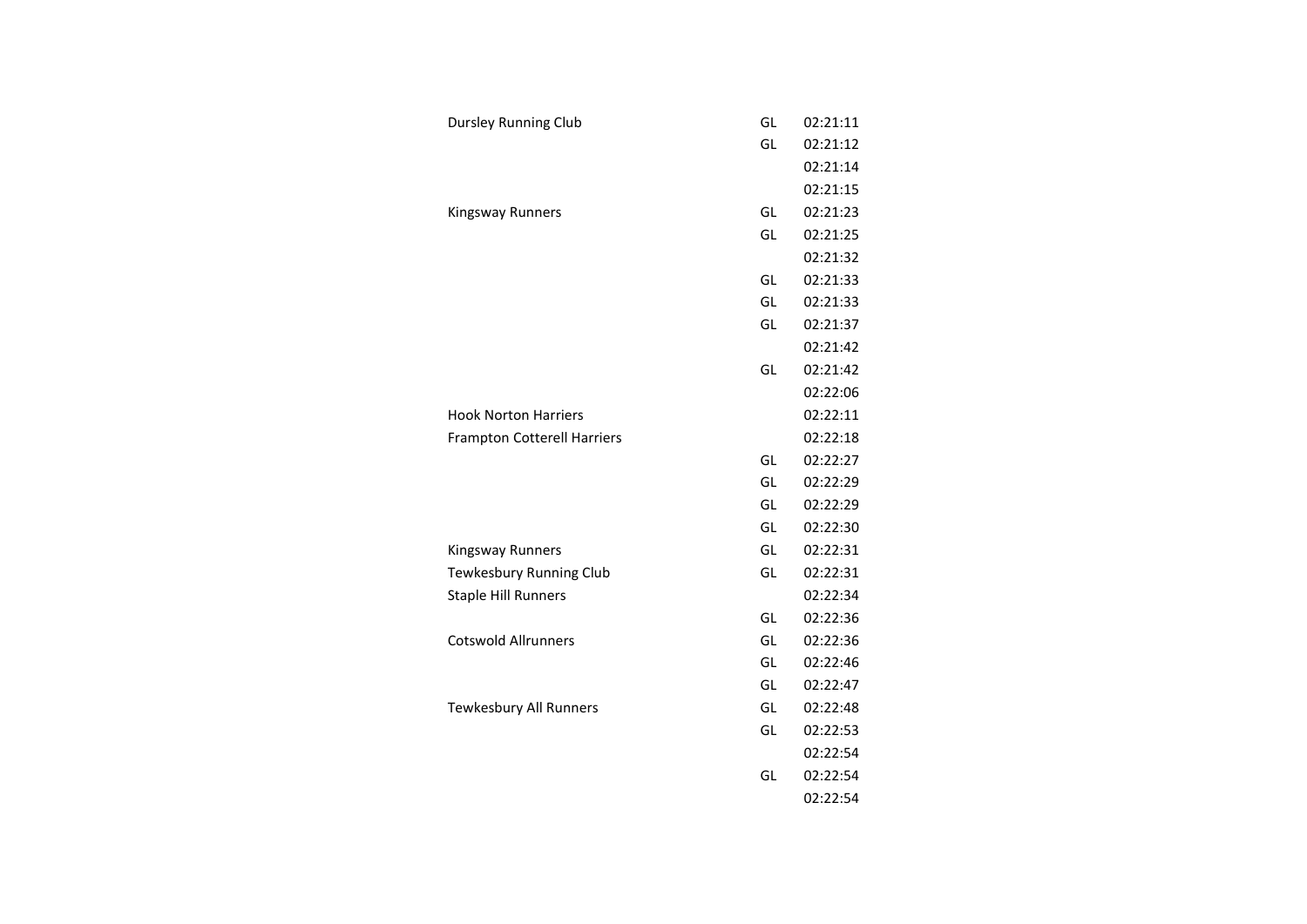| <b>Dursley Running Club</b>        | GL | 02:21:11 |
|------------------------------------|----|----------|
|                                    | GL | 02:21:12 |
|                                    |    | 02:21:14 |
|                                    |    | 02:21:15 |
| <b>Kingsway Runners</b>            | GL | 02:21:23 |
|                                    | GL | 02:21:25 |
|                                    |    | 02:21:32 |
|                                    | GL | 02:21:33 |
|                                    | GL | 02:21:33 |
|                                    | GL | 02:21:37 |
|                                    |    | 02:21:42 |
|                                    | GL | 02:21:42 |
|                                    |    | 02:22:06 |
| <b>Hook Norton Harriers</b>        |    | 02:22:11 |
| <b>Frampton Cotterell Harriers</b> |    | 02:22:18 |
|                                    | GL | 02:22:27 |
|                                    | GL | 02:22:29 |
|                                    | GL | 02:22:29 |
|                                    | GL | 02:22:30 |
| <b>Kingsway Runners</b>            | GL | 02:22:31 |
| Tewkesbury Running Club            | GL | 02:22:31 |
| <b>Staple Hill Runners</b>         |    | 02:22:34 |
|                                    | GL | 02:22:36 |
| <b>Cotswold Allrunners</b>         | GL | 02:22:36 |
|                                    | GL | 02:22:46 |
|                                    | GL | 02:22:47 |
| Tewkesbury All Runners             | GL | 02:22:48 |
|                                    | GL | 02:22:53 |
|                                    |    | 02:22:54 |
|                                    | GL | 02:22:54 |
|                                    |    | 02:22:54 |
|                                    |    |          |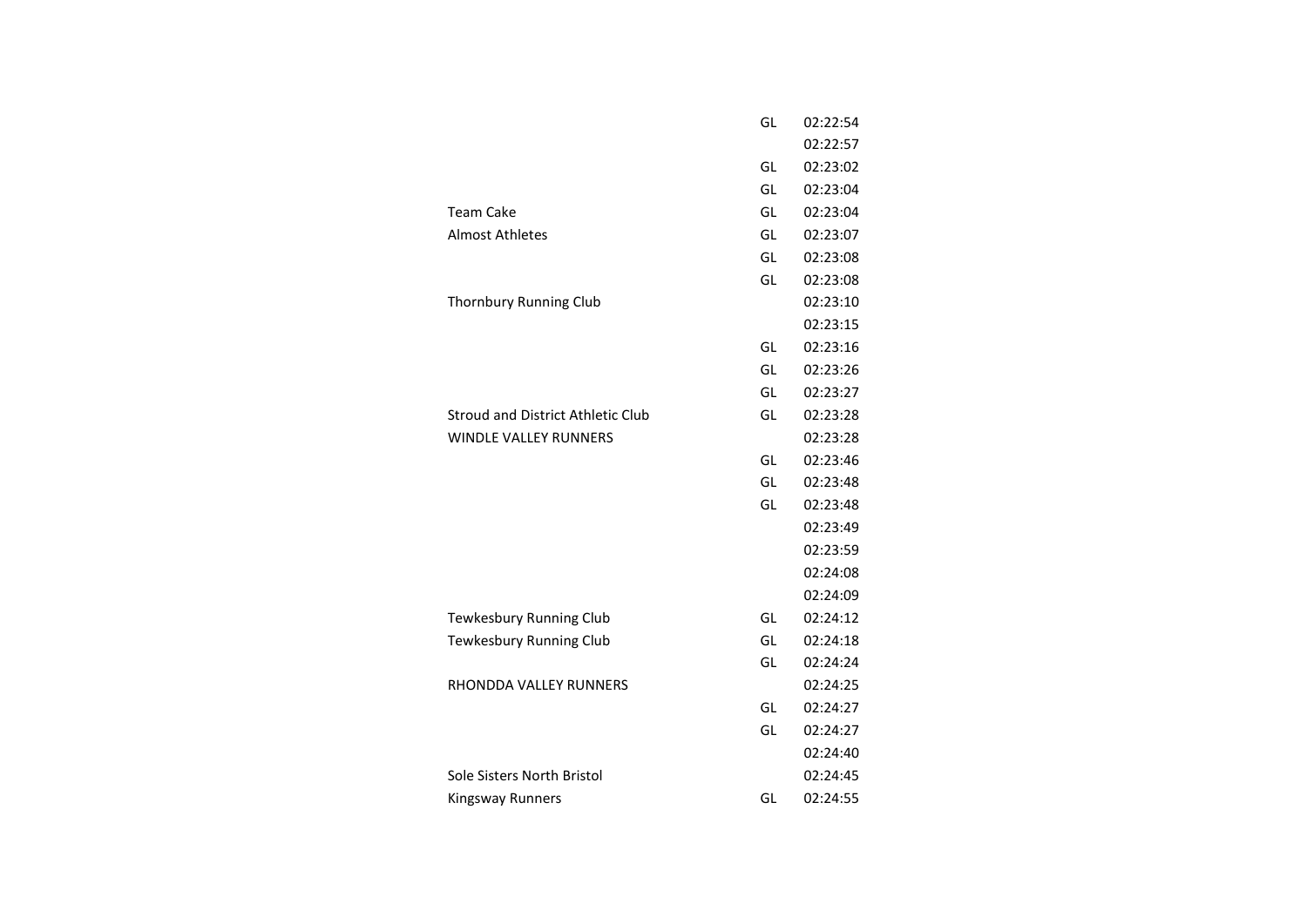|                                          | GL | 02:22:54 |
|------------------------------------------|----|----------|
|                                          |    | 02:22:57 |
|                                          | GL | 02:23:02 |
|                                          | GL | 02:23:04 |
| <b>Team Cake</b>                         | GL | 02:23:04 |
| <b>Almost Athletes</b>                   | GL | 02:23:07 |
|                                          | GL | 02:23:08 |
|                                          | GL | 02:23:08 |
| Thornbury Running Club                   |    | 02:23:10 |
|                                          |    | 02:23:15 |
|                                          | GL | 02:23:16 |
|                                          | GL | 02:23:26 |
|                                          | GL | 02:23:27 |
| <b>Stroud and District Athletic Club</b> | GL | 02:23:28 |
| <b>WINDLE VALLEY RUNNERS</b>             |    | 02:23:28 |
|                                          | GL | 02:23:46 |
|                                          | GL | 02:23:48 |
|                                          | GL | 02:23:48 |
|                                          |    | 02:23:49 |
|                                          |    | 02:23:59 |
|                                          |    | 02:24:08 |
|                                          |    | 02:24:09 |
| Tewkesbury Running Club                  | GL | 02:24:12 |
| Tewkesbury Running Club                  | GL | 02:24:18 |
|                                          | GL | 02:24:24 |
| RHONDDA VALLEY RUNNERS                   |    | 02:24:25 |
|                                          | GL | 02:24:27 |
|                                          | GL | 02:24:27 |
|                                          |    | 02:24:40 |
| Sole Sisters North Bristol               |    | 02:24:45 |
| <b>Kingsway Runners</b>                  | GL | 02:24:55 |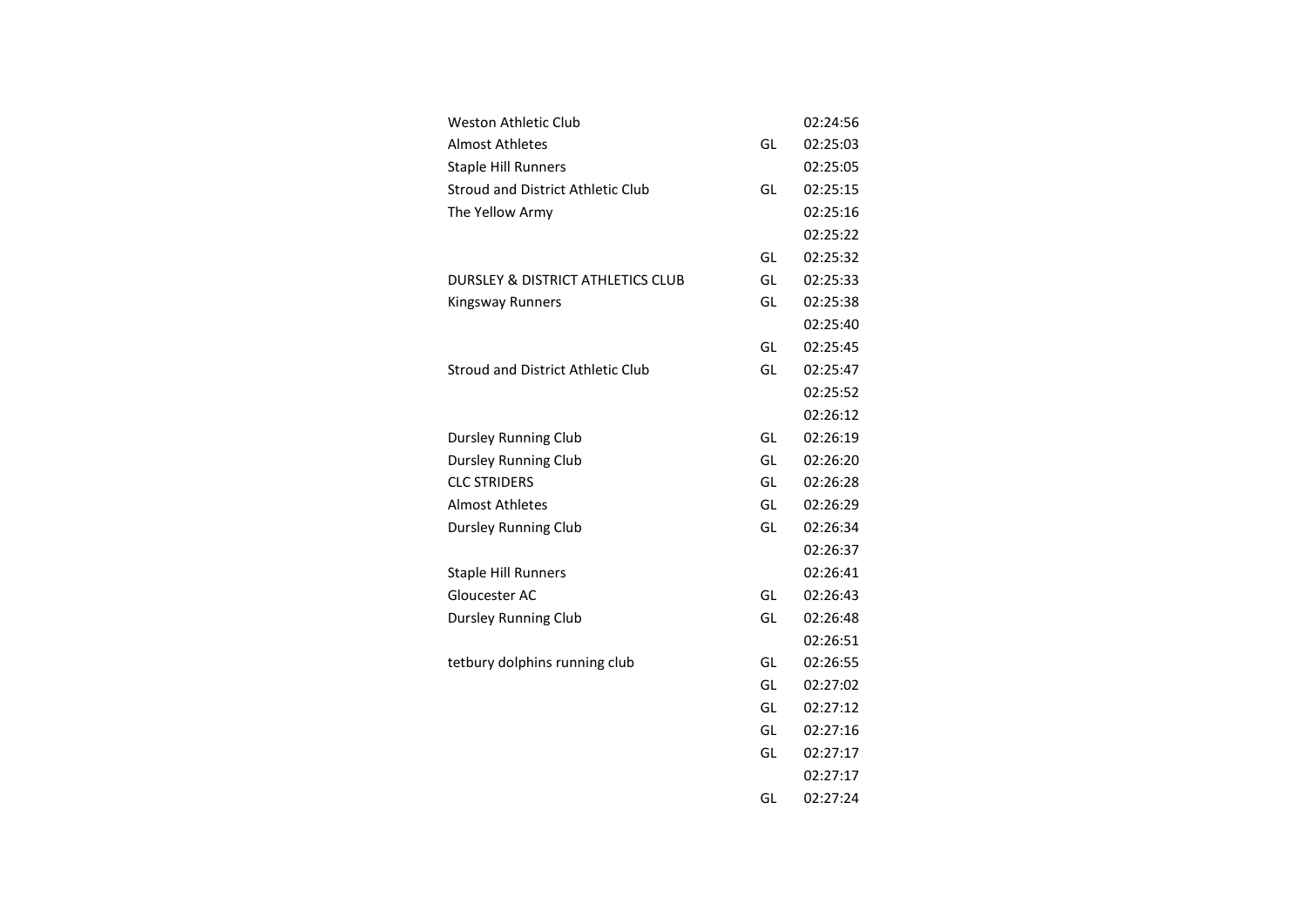|    | 02:24:56 |
|----|----------|
| GL | 02:25:03 |
|    | 02:25:05 |
| GL | 02:25:15 |
|    | 02:25:16 |
|    | 02:25:22 |
| GL | 02:25:32 |
| GL | 02:25:33 |
| GL | 02:25:38 |
|    | 02:25:40 |
| GL | 02:25:45 |
| GL | 02:25:47 |
|    | 02:25:52 |
|    | 02:26:12 |
| GL | 02:26:19 |
| GL | 02:26:20 |
| GL | 02:26:28 |
| GL | 02:26:29 |
| GL | 02:26:34 |
|    | 02:26:37 |
|    | 02:26:41 |
| GL | 02:26:43 |
| GL | 02:26:48 |
|    | 02:26:51 |
| GL | 02:26:55 |
| GL | 02:27:02 |
| GL | 02:27:12 |
| GL | 02:27:16 |
| GL | 02:27:17 |
|    | 02:27:17 |
| GL | 02:27:24 |
|    |          |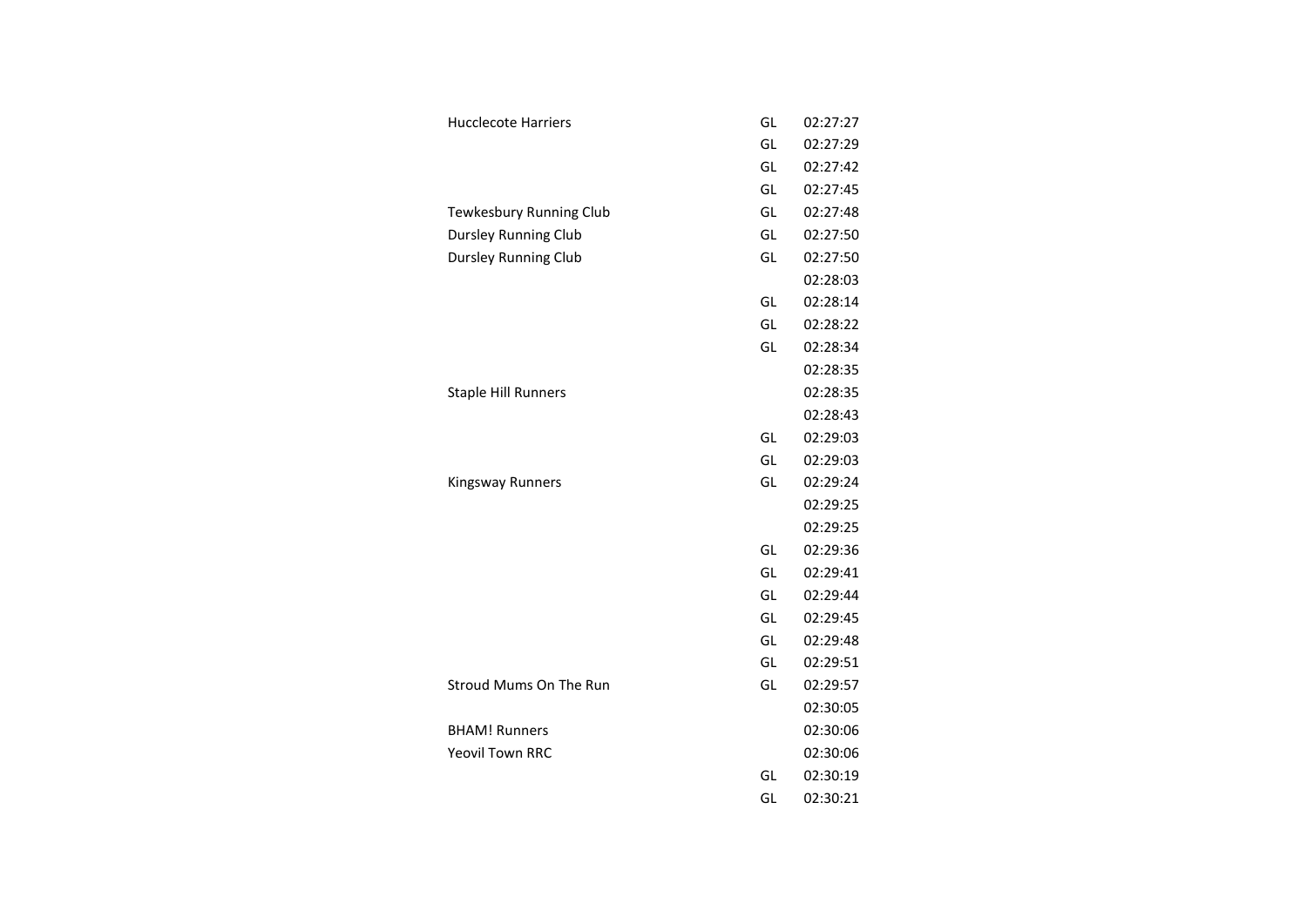| GL<br><b>Hucclecote Harriers</b><br>GL<br>GL<br>GL<br>GL<br>Tewkesbury Running Club<br>GL<br><b>Dursley Running Club</b><br><b>Dursley Running Club</b><br>GL<br>GL<br>GL<br>GL<br><b>Staple Hill Runners</b><br>GL<br>GL<br>GL<br><b>Kingsway Runners</b><br>02:29:24<br>GL<br>GL<br>GL<br>GL<br>GL<br>GL<br>Stroud Mums On The Run<br>GL | 02:27:27<br>02:27:29<br>02:27:42<br>02:27:45<br>02:27:48<br>02:27:50<br>02:27:50<br>02:28:03 |
|--------------------------------------------------------------------------------------------------------------------------------------------------------------------------------------------------------------------------------------------------------------------------------------------------------------------------------------------|----------------------------------------------------------------------------------------------|
|                                                                                                                                                                                                                                                                                                                                            |                                                                                              |
|                                                                                                                                                                                                                                                                                                                                            |                                                                                              |
|                                                                                                                                                                                                                                                                                                                                            |                                                                                              |
|                                                                                                                                                                                                                                                                                                                                            |                                                                                              |
|                                                                                                                                                                                                                                                                                                                                            |                                                                                              |
|                                                                                                                                                                                                                                                                                                                                            |                                                                                              |
|                                                                                                                                                                                                                                                                                                                                            |                                                                                              |
|                                                                                                                                                                                                                                                                                                                                            |                                                                                              |
|                                                                                                                                                                                                                                                                                                                                            | 02:28:14                                                                                     |
|                                                                                                                                                                                                                                                                                                                                            | 02:28:22                                                                                     |
|                                                                                                                                                                                                                                                                                                                                            | 02:28:34                                                                                     |
|                                                                                                                                                                                                                                                                                                                                            | 02:28:35                                                                                     |
|                                                                                                                                                                                                                                                                                                                                            | 02:28:35                                                                                     |
|                                                                                                                                                                                                                                                                                                                                            | 02:28:43                                                                                     |
|                                                                                                                                                                                                                                                                                                                                            | 02:29:03                                                                                     |
|                                                                                                                                                                                                                                                                                                                                            | 02:29:03                                                                                     |
|                                                                                                                                                                                                                                                                                                                                            |                                                                                              |
|                                                                                                                                                                                                                                                                                                                                            |                                                                                              |
|                                                                                                                                                                                                                                                                                                                                            | 02:29:25                                                                                     |
|                                                                                                                                                                                                                                                                                                                                            | 02:29:25                                                                                     |
|                                                                                                                                                                                                                                                                                                                                            | 02:29:36                                                                                     |
|                                                                                                                                                                                                                                                                                                                                            | 02:29:41                                                                                     |
|                                                                                                                                                                                                                                                                                                                                            | 02:29:44                                                                                     |
|                                                                                                                                                                                                                                                                                                                                            | 02:29:45                                                                                     |
|                                                                                                                                                                                                                                                                                                                                            | 02:29:48                                                                                     |
|                                                                                                                                                                                                                                                                                                                                            | 02:29:51                                                                                     |
|                                                                                                                                                                                                                                                                                                                                            | 02:29:57                                                                                     |
| <b>BHAM! Runners</b>                                                                                                                                                                                                                                                                                                                       | 02:30:05                                                                                     |
| <b>Yeovil Town RRC</b>                                                                                                                                                                                                                                                                                                                     | 02:30:06                                                                                     |
| GL                                                                                                                                                                                                                                                                                                                                         | 02:30:06                                                                                     |
| GL<br>02:30:21                                                                                                                                                                                                                                                                                                                             | 02:30:19                                                                                     |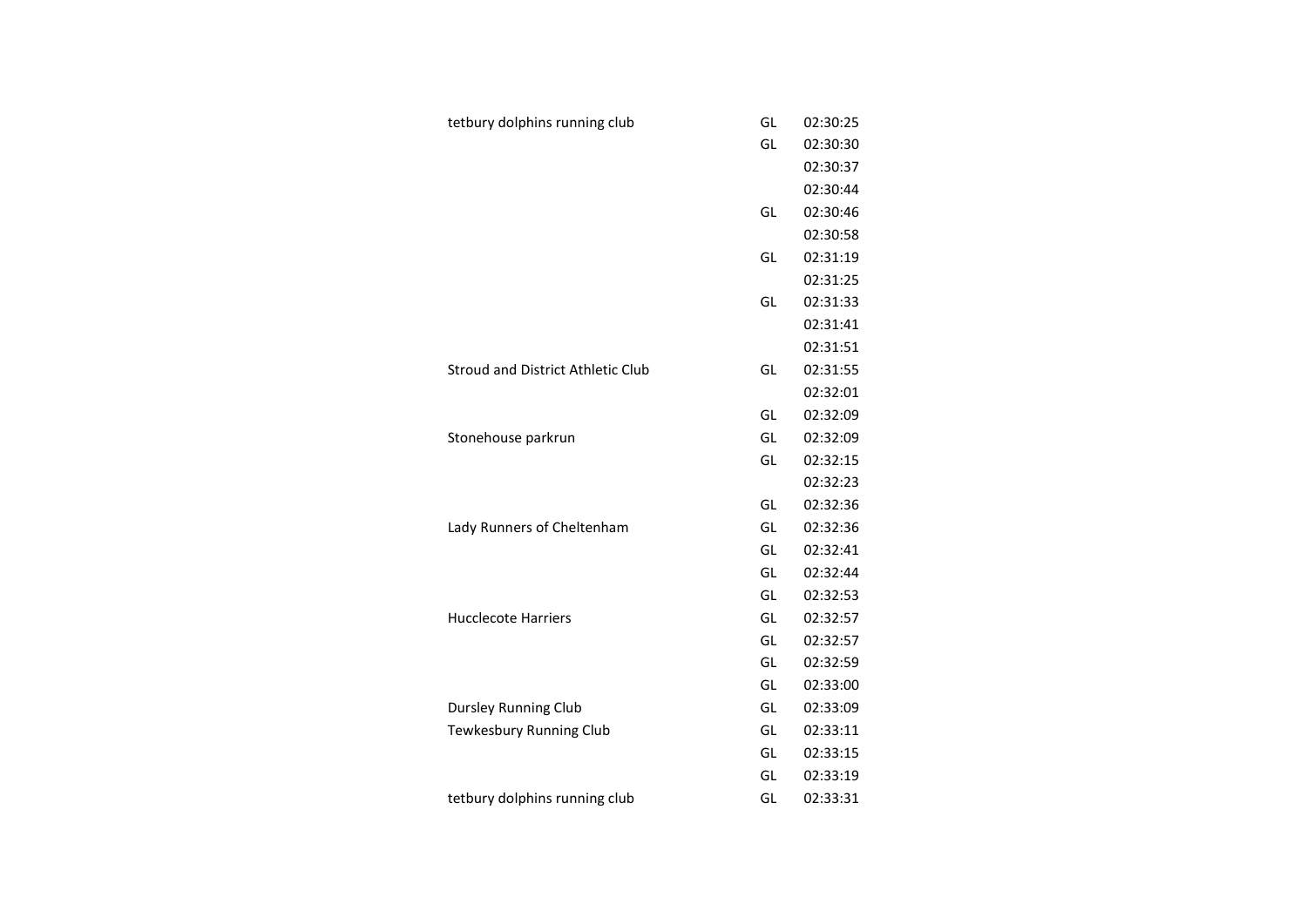| tetbury dolphins running club            | GL | 02:30:25 |
|------------------------------------------|----|----------|
|                                          | GL | 02:30:30 |
|                                          |    | 02:30:37 |
|                                          |    | 02:30:44 |
|                                          | GL | 02:30:46 |
|                                          |    | 02:30:58 |
|                                          | GL | 02:31:19 |
|                                          |    | 02:31:25 |
|                                          | GL | 02:31:33 |
|                                          |    | 02:31:41 |
|                                          |    | 02:31:51 |
| <b>Stroud and District Athletic Club</b> | GL | 02:31:55 |
|                                          |    | 02:32:01 |
|                                          | GL | 02:32:09 |
| Stonehouse parkrun                       | GL | 02:32:09 |
|                                          | GL | 02:32:15 |
|                                          |    | 02:32:23 |
|                                          | GL | 02:32:36 |
| Lady Runners of Cheltenham               | GL | 02:32:36 |
|                                          | GL | 02:32:41 |
|                                          | GL | 02:32:44 |
|                                          | GL | 02:32:53 |
| <b>Hucclecote Harriers</b>               | GL | 02:32:57 |
|                                          | GL | 02:32:57 |
|                                          | GL | 02:32:59 |
|                                          | GL | 02:33:00 |
| <b>Dursley Running Club</b>              | GL | 02:33:09 |
| Tewkesbury Running Club                  | GL | 02:33:11 |
|                                          | GL | 02:33:15 |
|                                          | GL | 02:33:19 |
| tetbury dolphins running club            | GL | 02:33:31 |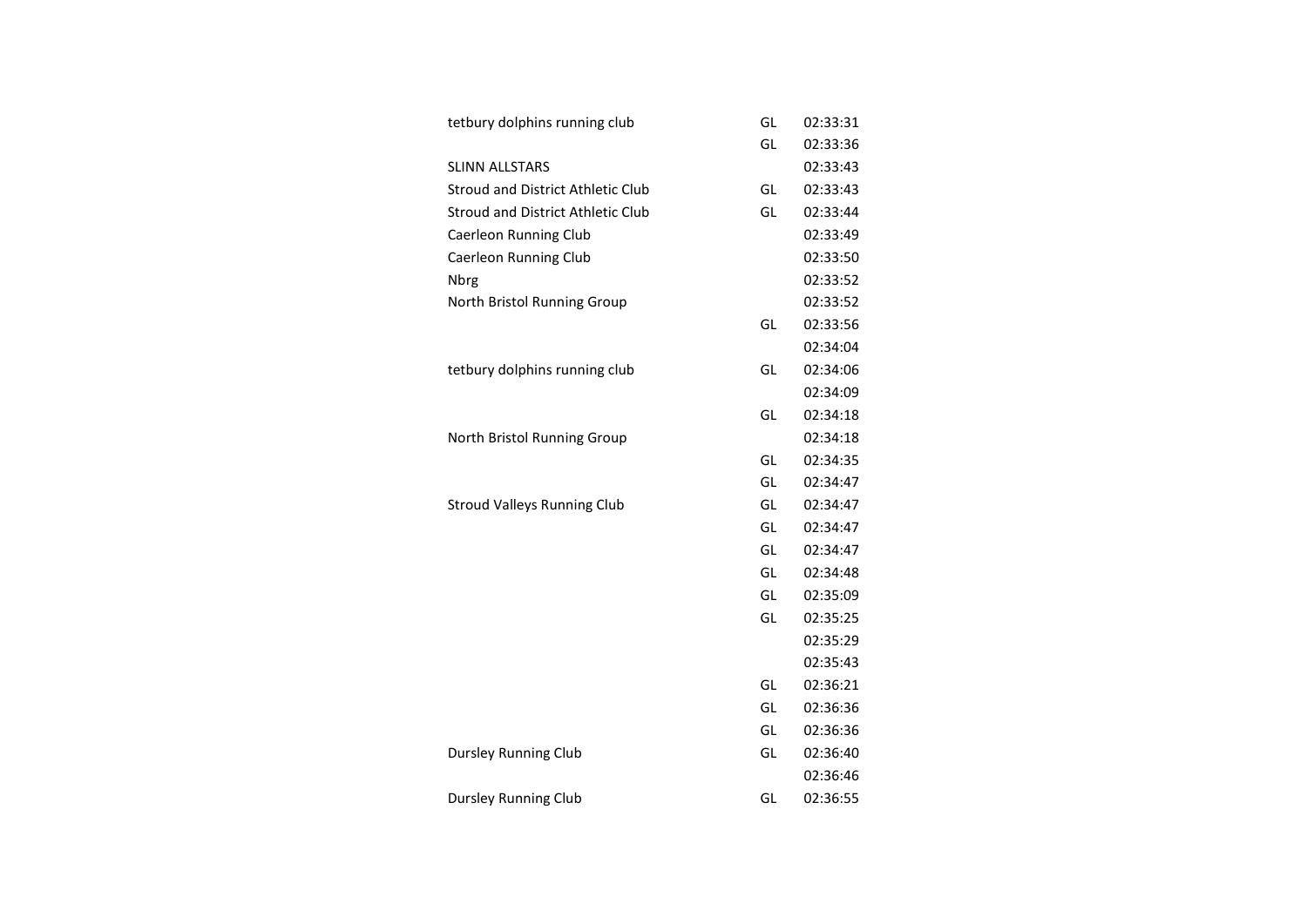| tetbury dolphins running club            | GL | 02:33:31 |
|------------------------------------------|----|----------|
|                                          | GL | 02:33:36 |
| <b>SLINN ALLSTARS</b>                    |    | 02:33:43 |
| <b>Stroud and District Athletic Club</b> | GL | 02:33:43 |
| <b>Stroud and District Athletic Club</b> | GL | 02:33:44 |
| Caerleon Running Club                    |    | 02:33:49 |
| Caerleon Running Club                    |    | 02:33:50 |
| <b>Nbrg</b>                              |    | 02:33:52 |
| North Bristol Running Group              |    | 02:33:52 |
|                                          | GL | 02:33:56 |
|                                          |    | 02:34:04 |
| tetbury dolphins running club            | GL | 02:34:06 |
|                                          |    | 02:34:09 |
|                                          | GL | 02:34:18 |
| North Bristol Running Group              |    | 02:34:18 |
|                                          | GL | 02:34:35 |
|                                          | GL | 02:34:47 |
| <b>Stroud Valleys Running Club</b>       | GL | 02:34:47 |
|                                          | GL | 02:34:47 |
|                                          | GL | 02:34:47 |
|                                          | GL | 02:34:48 |
|                                          | GL | 02:35:09 |
|                                          | GL | 02:35:25 |
|                                          |    | 02:35:29 |
|                                          |    | 02:35:43 |
|                                          | GL | 02:36:21 |
|                                          | GL | 02:36:36 |
|                                          | GL | 02:36:36 |
| <b>Dursley Running Club</b>              | GL | 02:36:40 |
|                                          |    | 02:36:46 |
| <b>Dursley Running Club</b>              | GL | 02:36:55 |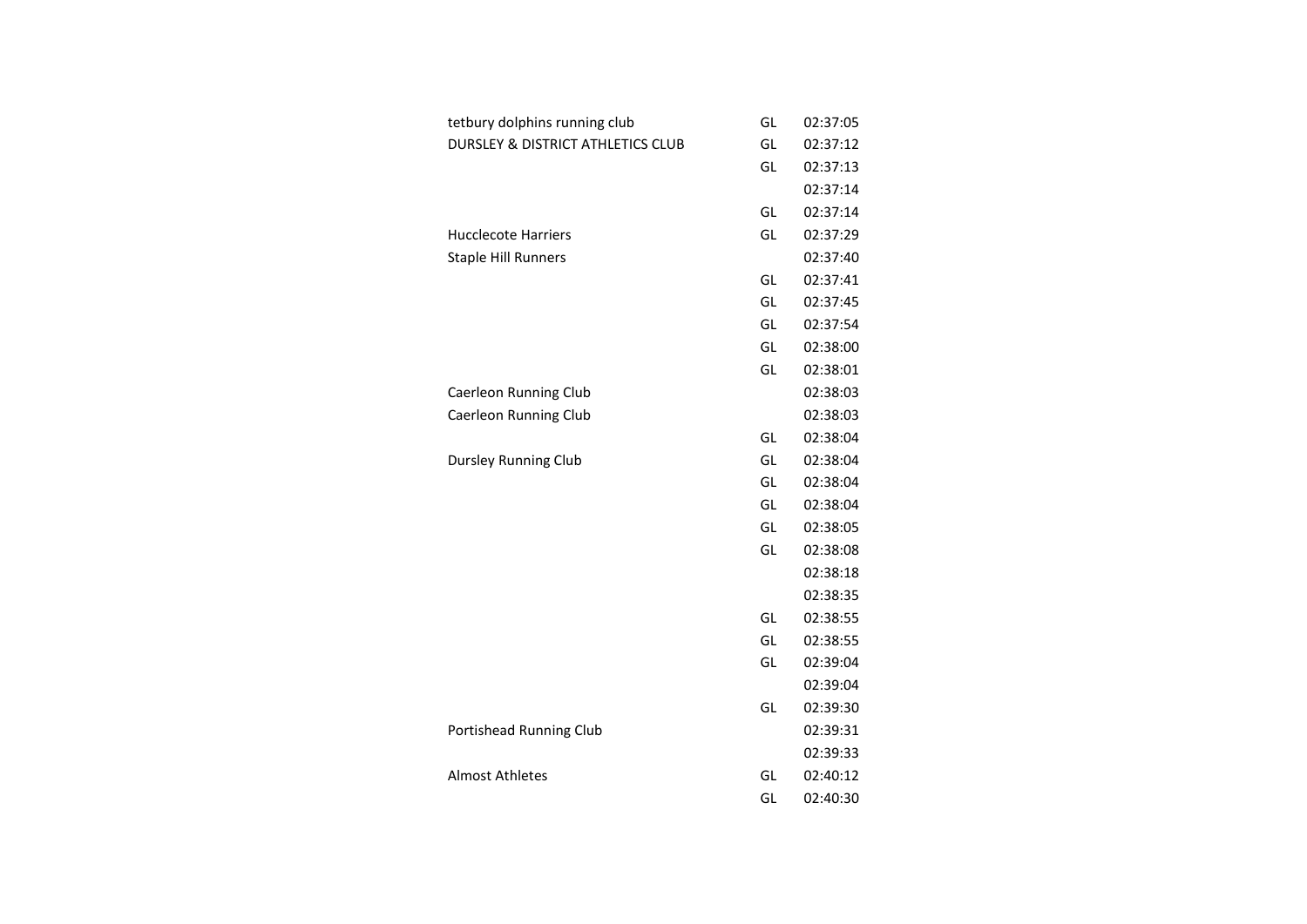| tetbury dolphins running club                | GL | 02:37:05 |
|----------------------------------------------|----|----------|
| <b>DURSLEY &amp; DISTRICT ATHLETICS CLUB</b> | GL | 02:37:12 |
|                                              | GL | 02:37:13 |
|                                              |    | 02:37:14 |
|                                              | GL | 02:37:14 |
| <b>Hucclecote Harriers</b>                   | GL | 02:37:29 |
| <b>Staple Hill Runners</b>                   |    | 02:37:40 |
|                                              | GL | 02:37:41 |
|                                              | GL | 02:37:45 |
|                                              | GL | 02:37:54 |
|                                              | GL | 02:38:00 |
|                                              | GL | 02:38:01 |
| Caerleon Running Club                        |    | 02:38:03 |
| Caerleon Running Club                        |    | 02:38:03 |
|                                              | GL | 02:38:04 |
| Dursley Running Club                         | GL | 02:38:04 |
|                                              | GL | 02:38:04 |
|                                              | GL | 02:38:04 |
|                                              | GL | 02:38:05 |
|                                              | GL | 02:38:08 |
|                                              |    | 02:38:18 |
|                                              |    | 02:38:35 |
|                                              | GL | 02:38:55 |
|                                              | GL | 02:38:55 |
|                                              | GL | 02:39:04 |
|                                              |    | 02:39:04 |
|                                              | GL | 02:39:30 |
| Portishead Running Club                      |    | 02:39:31 |
|                                              |    | 02:39:33 |
| <b>Almost Athletes</b>                       | GL | 02:40:12 |
|                                              | GL | 02:40:30 |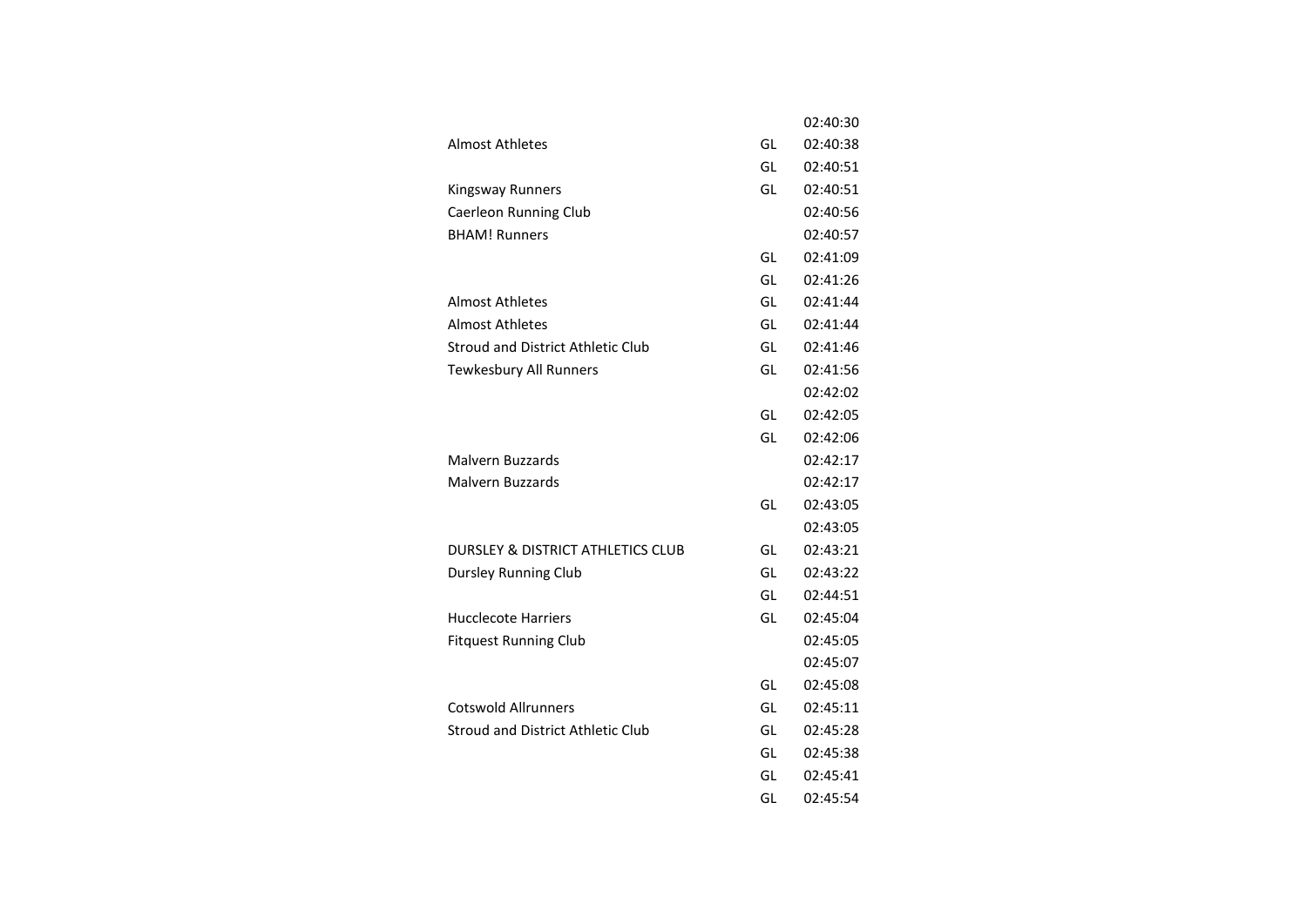|                                              |    | 02:40:30 |
|----------------------------------------------|----|----------|
| <b>Almost Athletes</b>                       | GL | 02:40:38 |
|                                              | GL | 02:40:51 |
| Kingsway Runners                             | GL | 02:40:51 |
| Caerleon Running Club                        |    | 02:40:56 |
| <b>BHAM! Runners</b>                         |    | 02:40:57 |
|                                              | GL | 02:41:09 |
|                                              | GL | 02:41:26 |
| <b>Almost Athletes</b>                       | GL | 02:41:44 |
| <b>Almost Athletes</b>                       | GL | 02:41:44 |
| Stroud and District Athletic Club            | GL | 02:41:46 |
| <b>Tewkesbury All Runners</b>                | GL | 02:41:56 |
|                                              |    | 02:42:02 |
|                                              | GL | 02:42:05 |
|                                              | GL | 02:42:06 |
| Malvern Buzzards                             |    | 02:42:17 |
| Malvern Buzzards                             |    | 02:42:17 |
|                                              | GL | 02:43:05 |
|                                              |    | 02:43:05 |
| <b>DURSLEY &amp; DISTRICT ATHLETICS CLUB</b> | GL | 02:43:21 |
| Dursley Running Club                         | GL | 02:43:22 |
|                                              | GL | 02:44:51 |
| <b>Hucclecote Harriers</b>                   | GL | 02:45:04 |
| <b>Fitquest Running Club</b>                 |    | 02:45:05 |
|                                              |    | 02:45:07 |
|                                              | GL | 02:45:08 |
| <b>Cotswold Allrunners</b>                   | GL | 02:45:11 |
| <b>Stroud and District Athletic Club</b>     | GL | 02:45:28 |
|                                              | GL | 02:45:38 |
|                                              | GL | 02:45:41 |
|                                              | GL | 02:45:54 |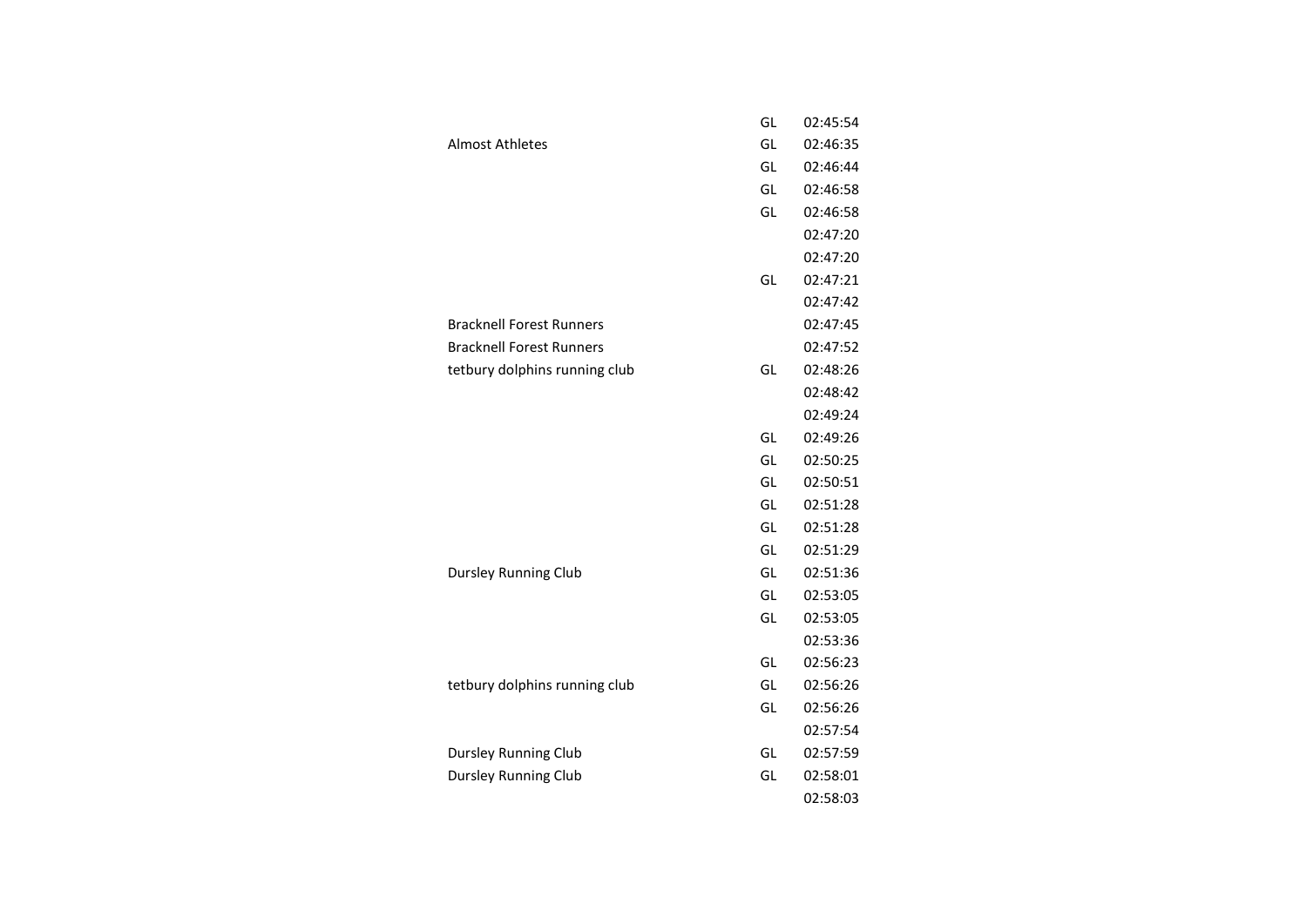|                                 | GL | 02:45:54 |
|---------------------------------|----|----------|
| <b>Almost Athletes</b>          | GL | 02:46:35 |
|                                 | GL | 02:46:44 |
|                                 | GL | 02:46:58 |
|                                 | GL | 02:46:58 |
|                                 |    | 02:47:20 |
|                                 |    | 02:47:20 |
|                                 | GL | 02:47:21 |
|                                 |    | 02:47:42 |
| <b>Bracknell Forest Runners</b> |    | 02:47:45 |
| <b>Bracknell Forest Runners</b> |    | 02:47:52 |
| tetbury dolphins running club   | GL | 02:48:26 |
|                                 |    | 02:48:42 |
|                                 |    | 02:49:24 |
|                                 | GL | 02:49:26 |
|                                 | GL | 02:50:25 |
|                                 | GL | 02:50:51 |
|                                 | GL | 02:51:28 |
|                                 | GL | 02:51:28 |
|                                 | GL | 02:51:29 |
| <b>Dursley Running Club</b>     | GL | 02:51:36 |
|                                 | GL | 02:53:05 |
|                                 | GL | 02:53:05 |
|                                 |    | 02:53:36 |
|                                 | GL | 02:56:23 |
| tetbury dolphins running club   | GL | 02:56:26 |
|                                 | GL | 02:56:26 |
|                                 |    | 02:57:54 |
| Dursley Running Club            | GL | 02:57:59 |
| <b>Dursley Running Club</b>     | GL | 02:58:01 |
|                                 |    | 02:58:03 |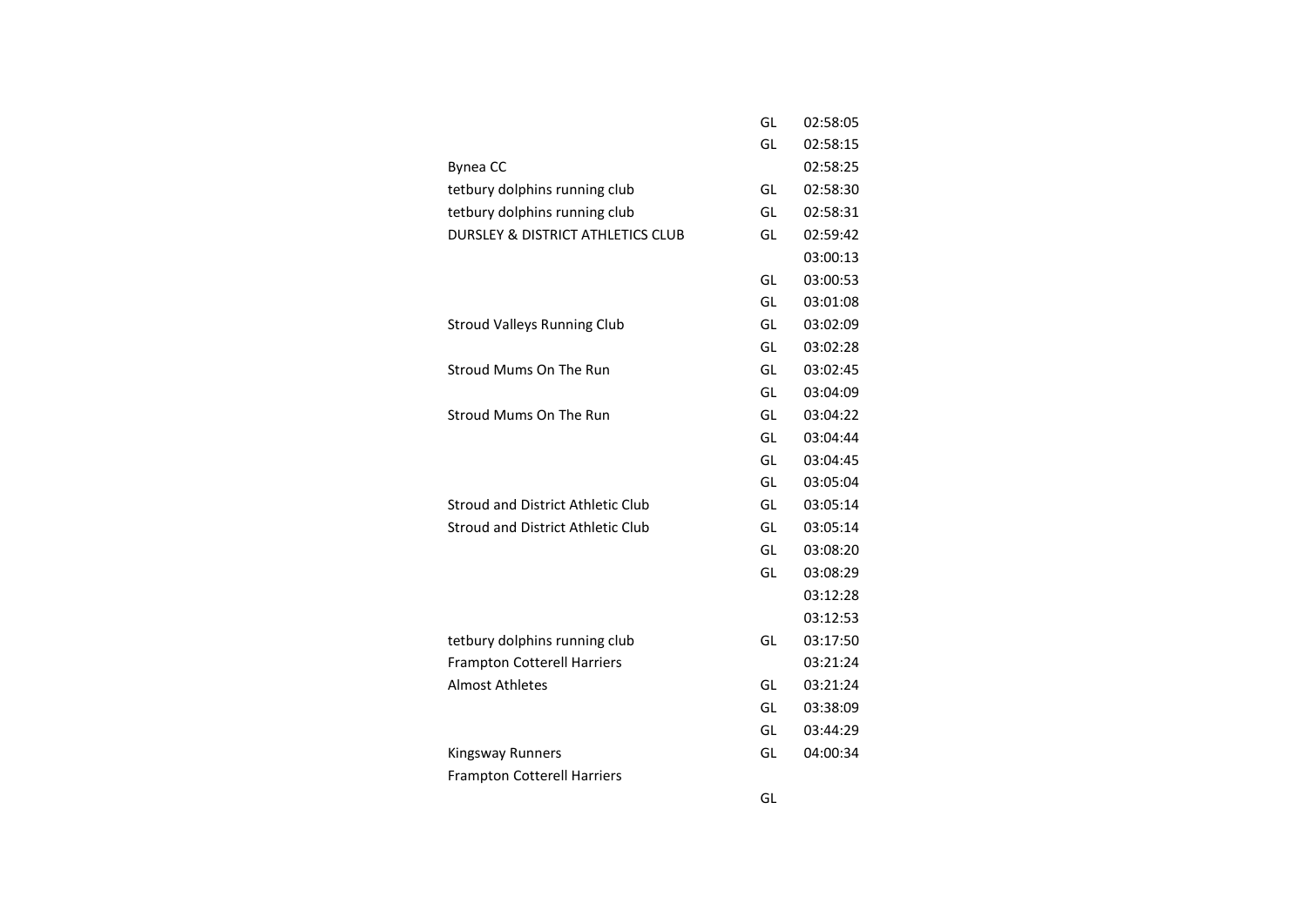|                                              | GL | 02:58:05 |
|----------------------------------------------|----|----------|
|                                              | GL | 02:58:15 |
| <b>Bynea CC</b>                              |    | 02:58:25 |
| tetbury dolphins running club                | GL | 02:58:30 |
| tetbury dolphins running club                | GL | 02:58:31 |
| <b>DURSLEY &amp; DISTRICT ATHLETICS CLUB</b> | GL | 02:59:42 |
|                                              |    | 03:00:13 |
|                                              | GL | 03:00:53 |
|                                              | GL | 03:01:08 |
| <b>Stroud Valleys Running Club</b>           | GL | 03:02:09 |
|                                              | GL | 03:02:28 |
| Stroud Mums On The Run                       | GL | 03:02:45 |
|                                              | GL | 03:04:09 |
| Stroud Mums On The Run                       | GL | 03:04:22 |
|                                              | GL | 03:04:44 |
|                                              | GL | 03:04:45 |
|                                              | GL | 03:05:04 |
| Stroud and District Athletic Club            | GL | 03:05:14 |
| <b>Stroud and District Athletic Club</b>     | GL | 03:05:14 |
|                                              | GL | 03:08:20 |
|                                              | GL | 03:08:29 |
|                                              |    | 03:12:28 |
|                                              |    | 03:12:53 |
| tetbury dolphins running club                | GL | 03:17:50 |
| <b>Frampton Cotterell Harriers</b>           |    | 03:21:24 |
| <b>Almost Athletes</b>                       | GL | 03:21:24 |
|                                              | GL | 03:38:09 |
|                                              | GL | 03:44:29 |
| Kingsway Runners                             | GL | 04:00:34 |
| <b>Frampton Cotterell Harriers</b>           |    |          |